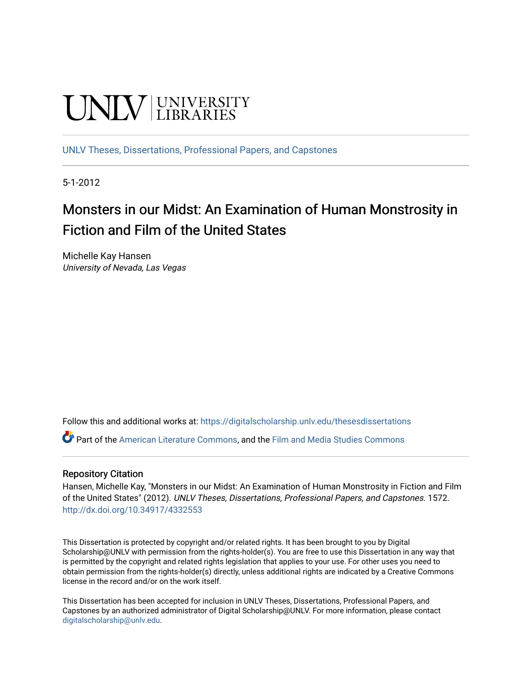# **UNIVERSITY**

[UNLV Theses, Dissertations, Professional Papers, and Capstones](https://digitalscholarship.unlv.edu/thesesdissertations)

5-1-2012

## Monsters in our Midst: An Examination of Human Monstrosity in Fiction and Film of the United States

Michelle Kay Hansen University of Nevada, Las Vegas

Follow this and additional works at: [https://digitalscholarship.unlv.edu/thesesdissertations](https://digitalscholarship.unlv.edu/thesesdissertations?utm_source=digitalscholarship.unlv.edu%2Fthesesdissertations%2F1572&utm_medium=PDF&utm_campaign=PDFCoverPages)

Part of the [American Literature Commons](http://network.bepress.com/hgg/discipline/441?utm_source=digitalscholarship.unlv.edu%2Fthesesdissertations%2F1572&utm_medium=PDF&utm_campaign=PDFCoverPages), and the [Film and Media Studies Commons](http://network.bepress.com/hgg/discipline/563?utm_source=digitalscholarship.unlv.edu%2Fthesesdissertations%2F1572&utm_medium=PDF&utm_campaign=PDFCoverPages) 

#### Repository Citation

Hansen, Michelle Kay, "Monsters in our Midst: An Examination of Human Monstrosity in Fiction and Film of the United States" (2012). UNLV Theses, Dissertations, Professional Papers, and Capstones. 1572. <http://dx.doi.org/10.34917/4332553>

This Dissertation is protected by copyright and/or related rights. It has been brought to you by Digital Scholarship@UNLV with permission from the rights-holder(s). You are free to use this Dissertation in any way that is permitted by the copyright and related rights legislation that applies to your use. For other uses you need to obtain permission from the rights-holder(s) directly, unless additional rights are indicated by a Creative Commons license in the record and/or on the work itself.

This Dissertation has been accepted for inclusion in UNLV Theses, Dissertations, Professional Papers, and Capstones by an authorized administrator of Digital Scholarship@UNLV. For more information, please contact [digitalscholarship@unlv.edu](mailto:digitalscholarship@unlv.edu).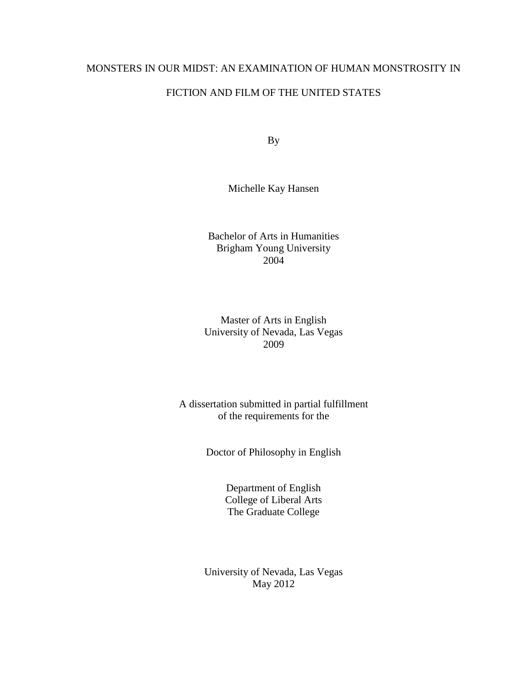#### MONSTERS IN OUR MIDST: AN EXAMINATION OF HUMAN MONSTROSITY IN

#### FICTION AND FILM OF THE UNITED STATES

By

Michelle Kay Hansen

Bachelor of Arts in Humanities Brigham Young University 2004

Master of Arts in English University of Nevada, Las Vegas 2009

A dissertation submitted in partial fulfillment of the requirements for the

Doctor of Philosophy in English

Department of English College of Liberal Arts The Graduate College

University of Nevada, Las Vegas May 2012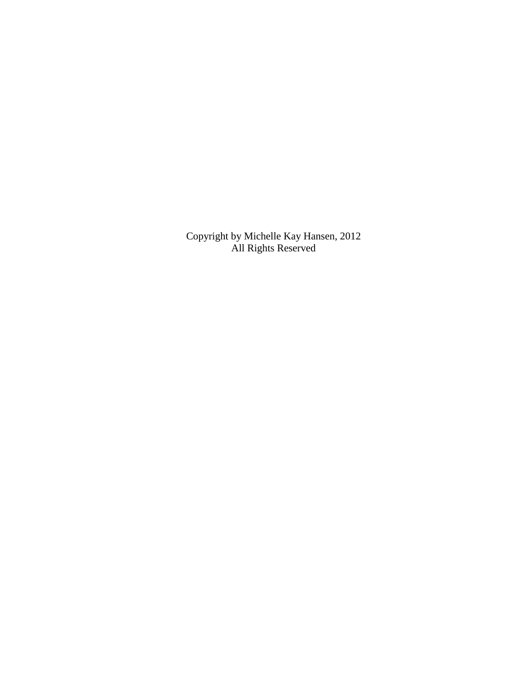Copyright by Michelle Kay Hansen, 2012 All Rights Reserved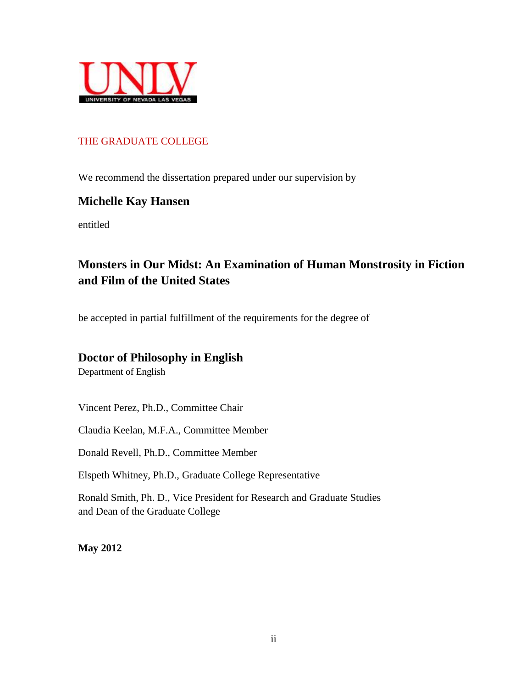

#### THE GRADUATE COLLEGE

We recommend the dissertation prepared under our supervision by

#### **Michelle Kay Hansen**

entitled

### **Monsters in Our Midst: An Examination of Human Monstrosity in Fiction and Film of the United States**

be accepted in partial fulfillment of the requirements for the degree of

#### **Doctor of Philosophy in English**

Department of English

Vincent Perez, Ph.D., Committee Chair

Claudia Keelan, M.F.A., Committee Member

Donald Revell, Ph.D., Committee Member

Elspeth Whitney, Ph.D., Graduate College Representative

Ronald Smith, Ph. D., Vice President for Research and Graduate Studies and Dean of the Graduate College

**May 2012**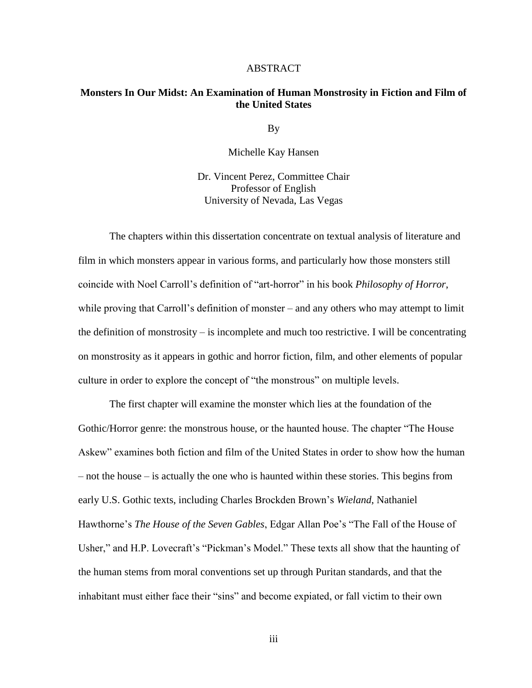#### ABSTRACT

#### **Monsters In Our Midst: An Examination of Human Monstrosity in Fiction and Film of the United States**

By

Michelle Kay Hansen

Dr. Vincent Perez, Committee Chair Professor of English University of Nevada, Las Vegas

The chapters within this dissertation concentrate on textual analysis of literature and film in which monsters appear in various forms, and particularly how those monsters still coincide with Noel Carroll's definition of "art-horror" in his book *Philosophy of Horror*, while proving that Carroll's definition of monster – and any others who may attempt to limit the definition of monstrosity – is incomplete and much too restrictive. I will be concentrating on monstrosity as it appears in gothic and horror fiction, film, and other elements of popular culture in order to explore the concept of "the monstrous" on multiple levels.

The first chapter will examine the monster which lies at the foundation of the Gothic/Horror genre: the monstrous house, or the haunted house. The chapter "The House Askew" examines both fiction and film of the United States in order to show how the human – not the house – is actually the one who is haunted within these stories. This begins from early U.S. Gothic texts, including Charles Brockden Brown's *Wieland*, Nathaniel Hawthorne's *The House of the Seven Gables*, Edgar Allan Poe's "The Fall of the House of Usher," and H.P. Lovecraft's "Pickman's Model." These texts all show that the haunting of the human stems from moral conventions set up through Puritan standards, and that the inhabitant must either face their "sins" and become expiated, or fall victim to their own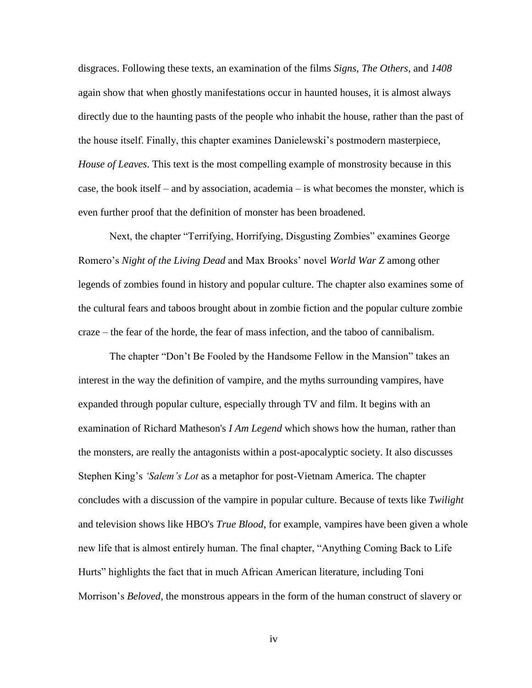disgraces. Following these texts, an examination of the films *Signs*, *The Others*, and *1408* again show that when ghostly manifestations occur in haunted houses, it is almost always directly due to the haunting pasts of the people who inhabit the house, rather than the past of the house itself. Finally, this chapter examines Danielewski's postmodern masterpiece, *House of Leaves*. This text is the most compelling example of monstrosity because in this case, the book itself – and by association, academia – is what becomes the monster, which is even further proof that the definition of monster has been broadened.

Next, the chapter "Terrifying, Horrifying, Disgusting Zombies" examines George Romero's *Night of the Living Dead* and Max Brooks' novel *World War Z* among other legends of zombies found in history and popular culture. The chapter also examines some of the cultural fears and taboos brought about in zombie fiction and the popular culture zombie craze – the fear of the horde, the fear of mass infection, and the taboo of cannibalism.

The chapter "Don't Be Fooled by the Handsome Fellow in the Mansion" takes an interest in the way the definition of vampire, and the myths surrounding vampires, have expanded through popular culture, especially through TV and film. It begins with an examination of Richard Matheson's *I Am Legend* which shows how the human, rather than the monsters, are really the antagonists within a post-apocalyptic society. It also discusses Stephen King's *'Salem's Lot* as a metaphor for post-Vietnam America. The chapter concludes with a discussion of the vampire in popular culture. Because of texts like *Twilight* and television shows like HBO's *True Blood*, for example, vampires have been given a whole new life that is almost entirely human. The final chapter, "Anything Coming Back to Life Hurts" highlights the fact that in much African American literature, including Toni Morrison's *Beloved*, the monstrous appears in the form of the human construct of slavery or

iv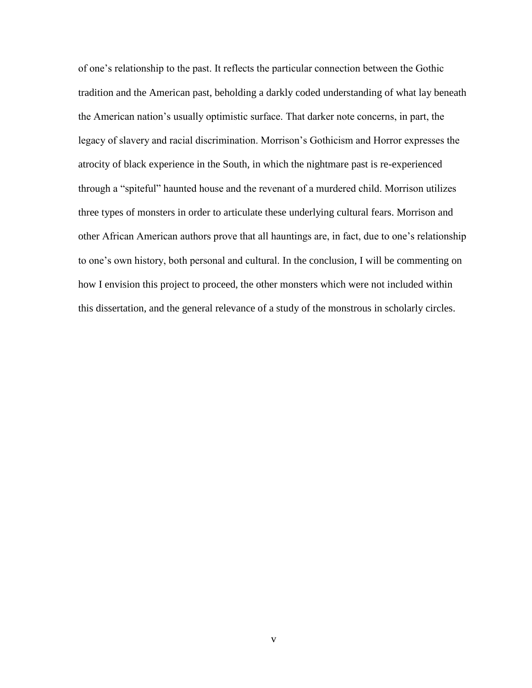of one's relationship to the past. It reflects the particular connection between the Gothic tradition and the American past, beholding a darkly coded understanding of what lay beneath the American nation's usually optimistic surface. That darker note concerns, in part, the legacy of slavery and racial discrimination. Morrison's Gothicism and Horror expresses the atrocity of black experience in the South, in which the nightmare past is re-experienced through a "spiteful" haunted house and the revenant of a murdered child. Morrison utilizes three types of monsters in order to articulate these underlying cultural fears. Morrison and other African American authors prove that all hauntings are, in fact, due to one's relationship to one's own history, both personal and cultural. In the conclusion, I will be commenting on how I envision this project to proceed, the other monsters which were not included within this dissertation, and the general relevance of a study of the monstrous in scholarly circles.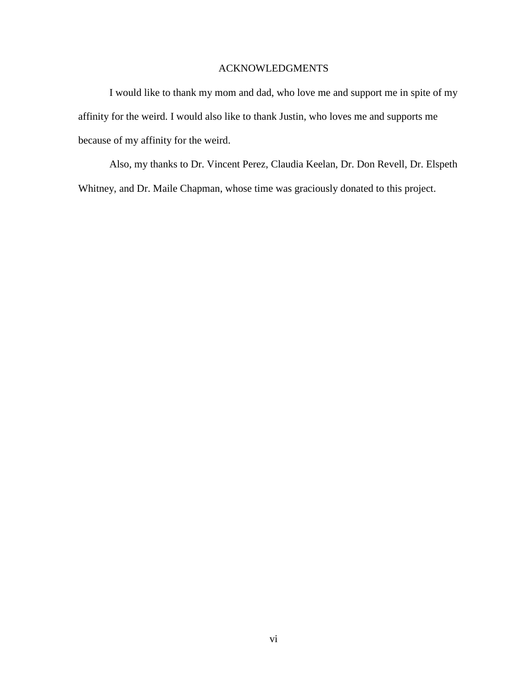#### ACKNOWLEDGMENTS

I would like to thank my mom and dad, who love me and support me in spite of my affinity for the weird. I would also like to thank Justin, who loves me and supports me because of my affinity for the weird.

Also, my thanks to Dr. Vincent Perez, Claudia Keelan, Dr. Don Revell, Dr. Elspeth Whitney, and Dr. Maile Chapman, whose time was graciously donated to this project.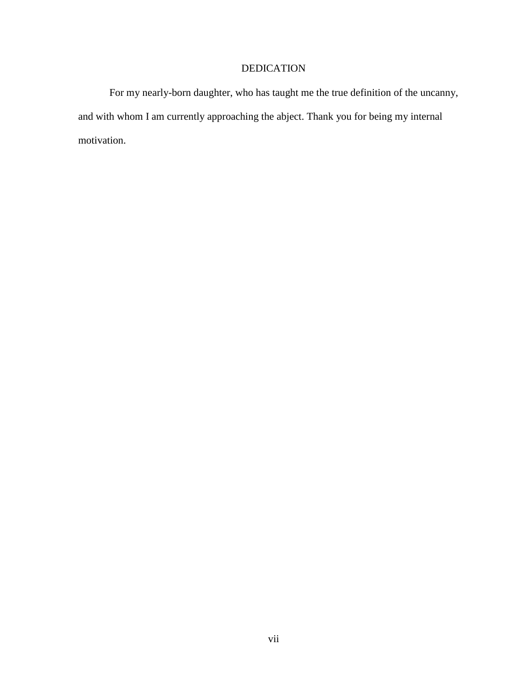#### DEDICATION

For my nearly-born daughter, who has taught me the true definition of the uncanny, and with whom I am currently approaching the abject. Thank you for being my internal motivation.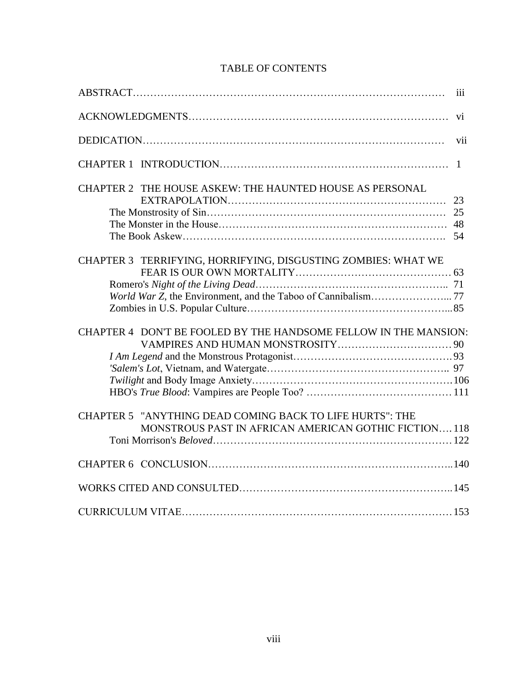#### TABLE OF CONTENTS

|                                                                                                                   | iii            |
|-------------------------------------------------------------------------------------------------------------------|----------------|
|                                                                                                                   | V <sub>1</sub> |
|                                                                                                                   | vii            |
|                                                                                                                   | 1              |
| CHAPTER 2 THE HOUSE ASKEW: THE HAUNTED HOUSE AS PERSONAL                                                          | 23<br>25       |
| CHAPTER 3 TERRIFYING, HORRIFYING, DISGUSTING ZOMBIES: WHAT WE                                                     |                |
| CHAPTER 4 DON'T BE FOOLED BY THE HANDSOME FELLOW IN THE MANSION:                                                  |                |
| CHAPTER 5 "ANYTHING DEAD COMING BACK TO LIFE HURTS": THE<br>MONSTROUS PAST IN AFRICAN AMERICAN GOTHIC FICTION 118 |                |
|                                                                                                                   |                |
|                                                                                                                   |                |
|                                                                                                                   |                |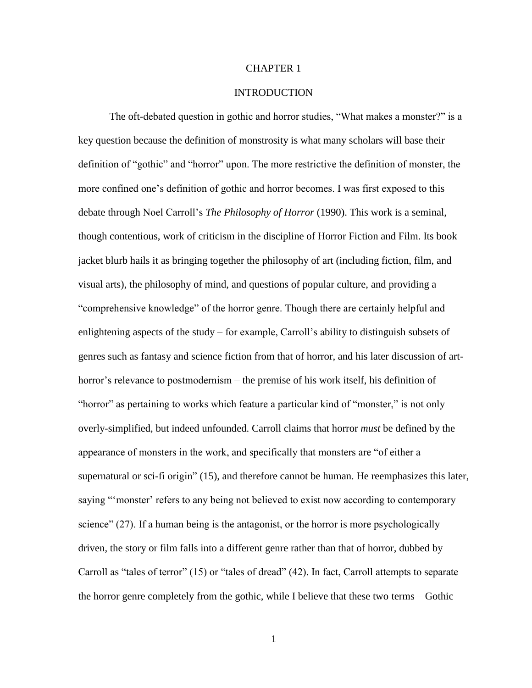#### CHAPTER 1

#### INTRODUCTION

The oft-debated question in gothic and horror studies, "What makes a monster?" is a key question because the definition of monstrosity is what many scholars will base their definition of "gothic" and "horror" upon. The more restrictive the definition of monster, the more confined one's definition of gothic and horror becomes. I was first exposed to this debate through Noel Carroll's *The Philosophy of Horror* (1990). This work is a seminal, though contentious, work of criticism in the discipline of Horror Fiction and Film. Its book jacket blurb hails it as bringing together the philosophy of art (including fiction, film, and visual arts), the philosophy of mind, and questions of popular culture, and providing a "comprehensive knowledge" of the horror genre. Though there are certainly helpful and enlightening aspects of the study – for example, Carroll's ability to distinguish subsets of genres such as fantasy and science fiction from that of horror, and his later discussion of arthorror's relevance to postmodernism – the premise of his work itself, his definition of "horror" as pertaining to works which feature a particular kind of "monster," is not only overly-simplified, but indeed unfounded. Carroll claims that horror *must* be defined by the appearance of monsters in the work, and specifically that monsters are "of either a supernatural or sci-fi origin" (15), and therefore cannot be human. He reemphasizes this later, saying "'monster' refers to any being not believed to exist now according to contemporary science" (27). If a human being is the antagonist, or the horror is more psychologically driven, the story or film falls into a different genre rather than that of horror, dubbed by Carroll as "tales of terror" (15) or "tales of dread" (42). In fact, Carroll attempts to separate the horror genre completely from the gothic, while I believe that these two terms – Gothic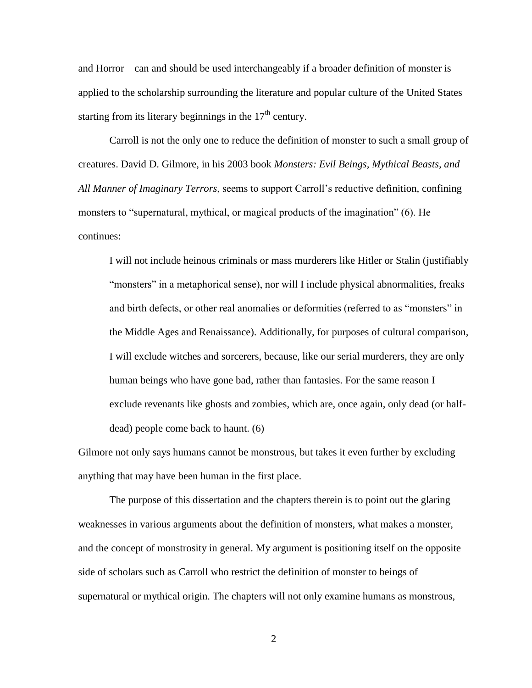and Horror – can and should be used interchangeably if a broader definition of monster is applied to the scholarship surrounding the literature and popular culture of the United States starting from its literary beginnings in the  $17<sup>th</sup>$  century.

Carroll is not the only one to reduce the definition of monster to such a small group of creatures. David D. Gilmore, in his 2003 book *Monsters: Evil Beings, Mythical Beasts, and All Manner of Imaginary Terrors*, seems to support Carroll's reductive definition, confining monsters to "supernatural, mythical, or magical products of the imagination" (6). He continues:

I will not include heinous criminals or mass murderers like Hitler or Stalin (justifiably "monsters" in a metaphorical sense), nor will I include physical abnormalities, freaks and birth defects, or other real anomalies or deformities (referred to as "monsters" in the Middle Ages and Renaissance). Additionally, for purposes of cultural comparison, I will exclude witches and sorcerers, because, like our serial murderers, they are only human beings who have gone bad, rather than fantasies. For the same reason I exclude revenants like ghosts and zombies, which are, once again, only dead (or halfdead) people come back to haunt. (6)

Gilmore not only says humans cannot be monstrous, but takes it even further by excluding anything that may have been human in the first place.

The purpose of this dissertation and the chapters therein is to point out the glaring weaknesses in various arguments about the definition of monsters, what makes a monster, and the concept of monstrosity in general. My argument is positioning itself on the opposite side of scholars such as Carroll who restrict the definition of monster to beings of supernatural or mythical origin. The chapters will not only examine humans as monstrous,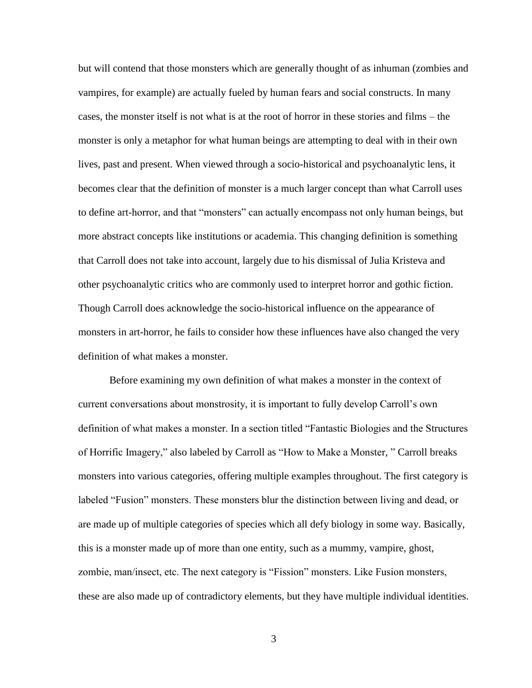but will contend that those monsters which are generally thought of as inhuman (zombies and vampires, for example) are actually fueled by human fears and social constructs. In many cases, the monster itself is not what is at the root of horror in these stories and films – the monster is only a metaphor for what human beings are attempting to deal with in their own lives, past and present. When viewed through a socio-historical and psychoanalytic lens, it becomes clear that the definition of monster is a much larger concept than what Carroll uses to define art-horror, and that "monsters" can actually encompass not only human beings, but more abstract concepts like institutions or academia. This changing definition is something that Carroll does not take into account, largely due to his dismissal of Julia Kristeva and other psychoanalytic critics who are commonly used to interpret horror and gothic fiction. Though Carroll does acknowledge the socio-historical influence on the appearance of monsters in art-horror, he fails to consider how these influences have also changed the very definition of what makes a monster.

Before examining my own definition of what makes a monster in the context of current conversations about monstrosity, it is important to fully develop Carroll's own definition of what makes a monster. In a section titled "Fantastic Biologies and the Structures of Horrific Imagery," also labeled by Carroll as "How to Make a Monster, " Carroll breaks monsters into various categories, offering multiple examples throughout. The first category is labeled "Fusion" monsters. These monsters blur the distinction between living and dead, or are made up of multiple categories of species which all defy biology in some way. Basically, this is a monster made up of more than one entity, such as a mummy, vampire, ghost, zombie, man/insect, etc. The next category is "Fission" monsters. Like Fusion monsters, these are also made up of contradictory elements, but they have multiple individual identities.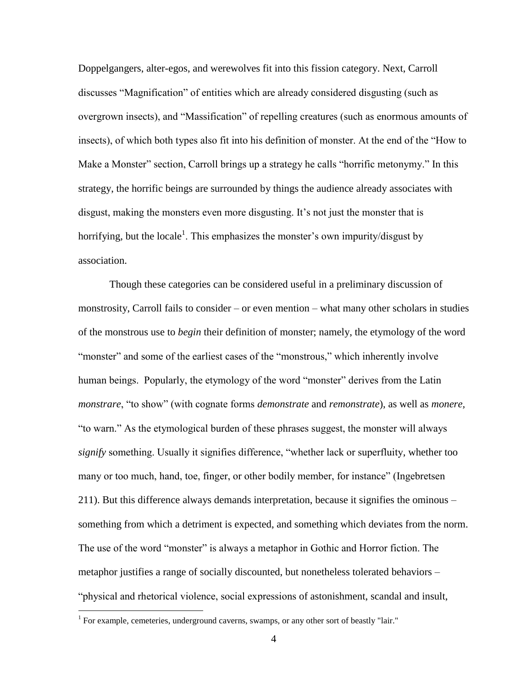Doppelgangers, alter-egos, and werewolves fit into this fission category. Next, Carroll discusses "Magnification" of entities which are already considered disgusting (such as overgrown insects), and "Massification" of repelling creatures (such as enormous amounts of insects), of which both types also fit into his definition of monster. At the end of the "How to Make a Monster" section, Carroll brings up a strategy he calls "horrific metonymy." In this strategy, the horrific beings are surrounded by things the audience already associates with disgust, making the monsters even more disgusting. It's not just the monster that is horrifying, but the locale<sup>1</sup>. This emphasizes the monster's own impurity/disgust by association.

Though these categories can be considered useful in a preliminary discussion of monstrosity, Carroll fails to consider – or even mention – what many other scholars in studies of the monstrous use to *begin* their definition of monster; namely, the etymology of the word "monster" and some of the earliest cases of the "monstrous," which inherently involve human beings. Popularly, the etymology of the word "monster" derives from the Latin *monstrare*, "to show" (with cognate forms *demonstrate* and *remonstrate*), as well as *monere,*  "to warn." As the etymological burden of these phrases suggest, the monster will always *signify* something. Usually it signifies difference, "whether lack or superfluity, whether too many or too much, hand, toe, finger, or other bodily member, for instance" (Ingebretsen 211). But this difference always demands interpretation, because it signifies the ominous – something from which a detriment is expected, and something which deviates from the norm. The use of the word "monster" is always a metaphor in Gothic and Horror fiction. The metaphor justifies a range of socially discounted, but nonetheless tolerated behaviors – "physical and rhetorical violence, social expressions of astonishment, scandal and insult,

 $\overline{\phantom{a}}$ 

<sup>&</sup>lt;sup>1</sup> For example, cemeteries, underground caverns, swamps, or any other sort of beastly "lair."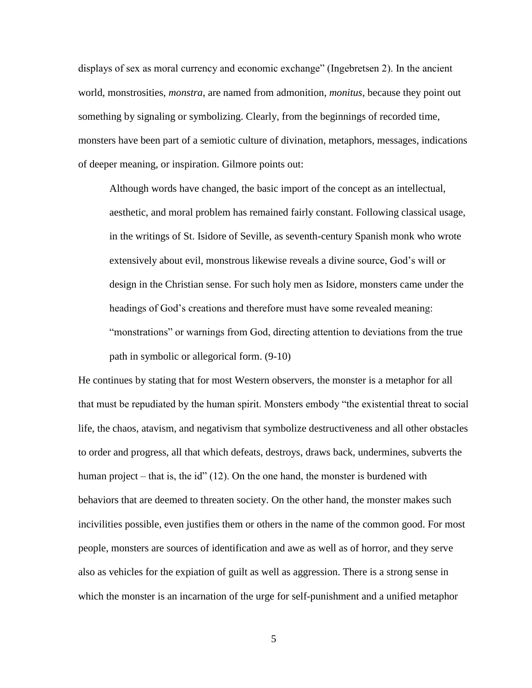displays of sex as moral currency and economic exchange" (Ingebretsen 2). In the ancient world, monstrosities, *monstra*, are named from admonition, *monitus*, because they point out something by signaling or symbolizing. Clearly, from the beginnings of recorded time, monsters have been part of a semiotic culture of divination, metaphors, messages, indications of deeper meaning, or inspiration. Gilmore points out:

Although words have changed, the basic import of the concept as an intellectual, aesthetic, and moral problem has remained fairly constant. Following classical usage, in the writings of St. Isidore of Seville, as seventh-century Spanish monk who wrote extensively about evil, monstrous likewise reveals a divine source, God's will or design in the Christian sense. For such holy men as Isidore, monsters came under the headings of God's creations and therefore must have some revealed meaning: "monstrations" or warnings from God, directing attention to deviations from the true path in symbolic or allegorical form. (9-10)

He continues by stating that for most Western observers, the monster is a metaphor for all that must be repudiated by the human spirit. Monsters embody "the existential threat to social life, the chaos, atavism, and negativism that symbolize destructiveness and all other obstacles to order and progress, all that which defeats, destroys, draws back, undermines, subverts the human project – that is, the id" (12). On the one hand, the monster is burdened with behaviors that are deemed to threaten society. On the other hand, the monster makes such incivilities possible, even justifies them or others in the name of the common good. For most people, monsters are sources of identification and awe as well as of horror, and they serve also as vehicles for the expiation of guilt as well as aggression. There is a strong sense in which the monster is an incarnation of the urge for self-punishment and a unified metaphor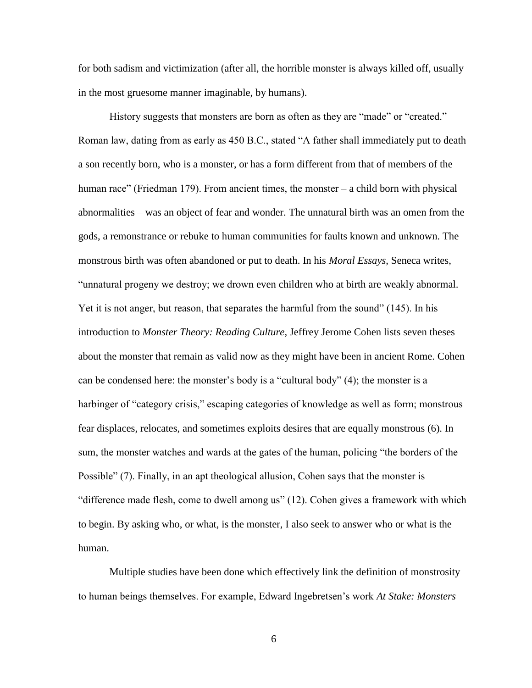for both sadism and victimization (after all, the horrible monster is always killed off, usually in the most gruesome manner imaginable, by humans).

History suggests that monsters are born as often as they are "made" or "created." Roman law, dating from as early as 450 B.C., stated "A father shall immediately put to death a son recently born, who is a monster, or has a form different from that of members of the human race" (Friedman 179). From ancient times, the monster – a child born with physical abnormalities – was an object of fear and wonder. The unnatural birth was an omen from the gods, a remonstrance or rebuke to human communities for faults known and unknown. The monstrous birth was often abandoned or put to death. In his *Moral Essays*, Seneca writes, "unnatural progeny we destroy; we drown even children who at birth are weakly abnormal. Yet it is not anger, but reason, that separates the harmful from the sound" (145). In his introduction to *Monster Theory: Reading Culture*, Jeffrey Jerome Cohen lists seven theses about the monster that remain as valid now as they might have been in ancient Rome. Cohen can be condensed here: the monster's body is a "cultural body" (4); the monster is a harbinger of "category crisis," escaping categories of knowledge as well as form; monstrous fear displaces, relocates, and sometimes exploits desires that are equally monstrous (6). In sum, the monster watches and wards at the gates of the human, policing "the borders of the Possible" (7). Finally, in an apt theological allusion, Cohen says that the monster is "difference made flesh, come to dwell among us" (12). Cohen gives a framework with which to begin. By asking who, or what, is the monster, I also seek to answer who or what is the human.

Multiple studies have been done which effectively link the definition of monstrosity to human beings themselves. For example, Edward Ingebretsen's work *At Stake: Monsters*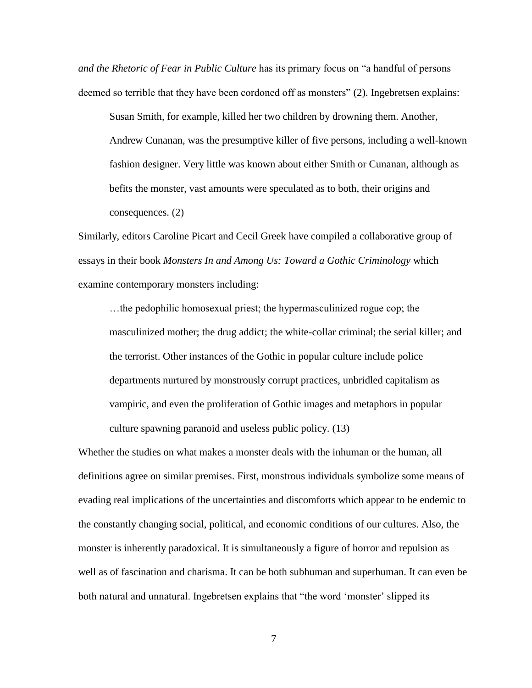*and the Rhetoric of Fear in Public Culture* has its primary focus on "a handful of persons deemed so terrible that they have been cordoned off as monsters" (2). Ingebretsen explains:

Susan Smith, for example, killed her two children by drowning them. Another, Andrew Cunanan, was the presumptive killer of five persons, including a well-known fashion designer. Very little was known about either Smith or Cunanan, although as befits the monster, vast amounts were speculated as to both, their origins and consequences. (2)

Similarly, editors Caroline Picart and Cecil Greek have compiled a collaborative group of essays in their book *Monsters In and Among Us: Toward a Gothic Criminology* which examine contemporary monsters including:

…the pedophilic homosexual priest; the hypermasculinized rogue cop; the masculinized mother; the drug addict; the white-collar criminal; the serial killer; and the terrorist. Other instances of the Gothic in popular culture include police departments nurtured by monstrously corrupt practices, unbridled capitalism as vampiric, and even the proliferation of Gothic images and metaphors in popular culture spawning paranoid and useless public policy. (13)

Whether the studies on what makes a monster deals with the inhuman or the human, all definitions agree on similar premises. First, monstrous individuals symbolize some means of evading real implications of the uncertainties and discomforts which appear to be endemic to the constantly changing social, political, and economic conditions of our cultures. Also, the monster is inherently paradoxical. It is simultaneously a figure of horror and repulsion as well as of fascination and charisma. It can be both subhuman and superhuman. It can even be both natural and unnatural. Ingebretsen explains that "the word 'monster' slipped its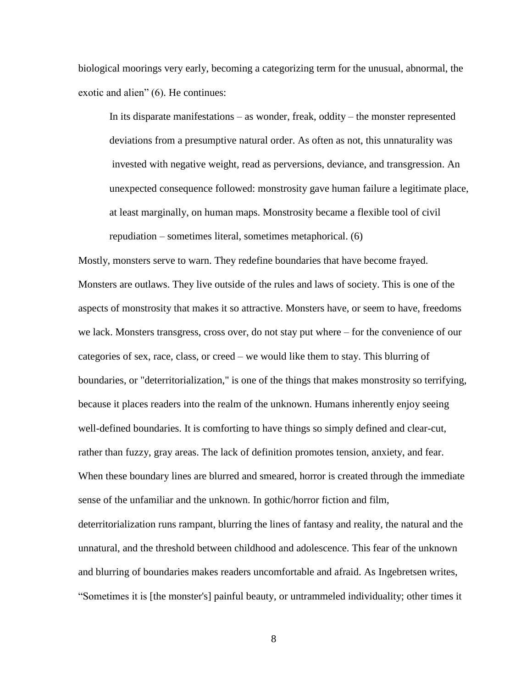biological moorings very early, becoming a categorizing term for the unusual, abnormal, the exotic and alien" (6). He continues:

In its disparate manifestations – as wonder, freak, oddity – the monster represented deviations from a presumptive natural order. As often as not, this unnaturality was invested with negative weight, read as perversions, deviance, and transgression. An unexpected consequence followed: monstrosity gave human failure a legitimate place, at least marginally, on human maps. Monstrosity became a flexible tool of civil repudiation – sometimes literal, sometimes metaphorical. (6)

Mostly, monsters serve to warn. They redefine boundaries that have become frayed. Monsters are outlaws. They live outside of the rules and laws of society. This is one of the aspects of monstrosity that makes it so attractive. Monsters have, or seem to have, freedoms we lack. Monsters transgress, cross over, do not stay put where – for the convenience of our categories of sex, race, class, or creed – we would like them to stay. This blurring of boundaries, or "deterritorialization," is one of the things that makes monstrosity so terrifying, because it places readers into the realm of the unknown. Humans inherently enjoy seeing well-defined boundaries. It is comforting to have things so simply defined and clear-cut, rather than fuzzy, gray areas. The lack of definition promotes tension, anxiety, and fear. When these boundary lines are blurred and smeared, horror is created through the immediate sense of the unfamiliar and the unknown. In gothic/horror fiction and film, deterritorialization runs rampant, blurring the lines of fantasy and reality, the natural and the unnatural, and the threshold between childhood and adolescence. This fear of the unknown and blurring of boundaries makes readers uncomfortable and afraid. As Ingebretsen writes, "Sometimes it is [the monster's] painful beauty, or untrammeled individuality; other times it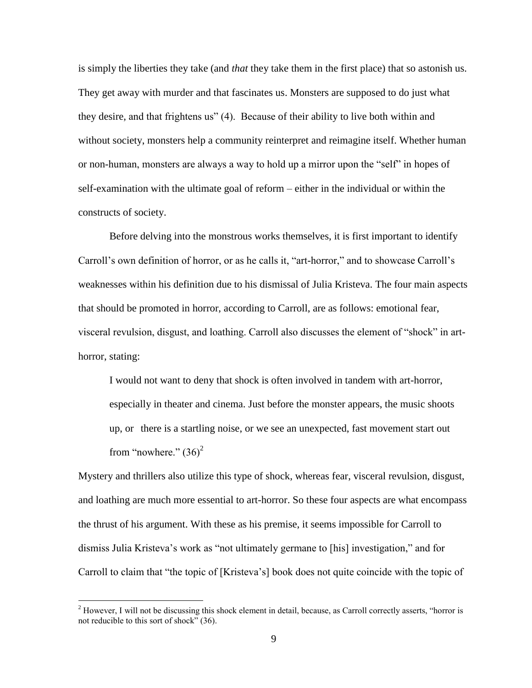is simply the liberties they take (and *that* they take them in the first place) that so astonish us. They get away with murder and that fascinates us. Monsters are supposed to do just what they desire, and that frightens us" (4). Because of their ability to live both within and without society, monsters help a community reinterpret and reimagine itself. Whether human or non-human, monsters are always a way to hold up a mirror upon the "self" in hopes of self-examination with the ultimate goal of reform – either in the individual or within the constructs of society.

Before delving into the monstrous works themselves, it is first important to identify Carroll's own definition of horror, or as he calls it, "art-horror," and to showcase Carroll's weaknesses within his definition due to his dismissal of Julia Kristeva. The four main aspects that should be promoted in horror, according to Carroll, are as follows: emotional fear, visceral revulsion, disgust, and loathing. Carroll also discusses the element of "shock" in arthorror, stating:

I would not want to deny that shock is often involved in tandem with art-horror, especially in theater and cinema. Just before the monster appears, the music shoots up, or there is a startling noise, or we see an unexpected, fast movement start out from "nowhere."  $(36)^2$ 

Mystery and thrillers also utilize this type of shock, whereas fear, visceral revulsion, disgust, and loathing are much more essential to art-horror. So these four aspects are what encompass the thrust of his argument. With these as his premise, it seems impossible for Carroll to dismiss Julia Kristeva's work as "not ultimately germane to [his] investigation," and for Carroll to claim that "the topic of [Kristeva's] book does not quite coincide with the topic of

 $\overline{\phantom{a}}$ 

 $2$  However, I will not be discussing this shock element in detail, because, as Carroll correctly asserts, "horror is not reducible to this sort of shock" (36).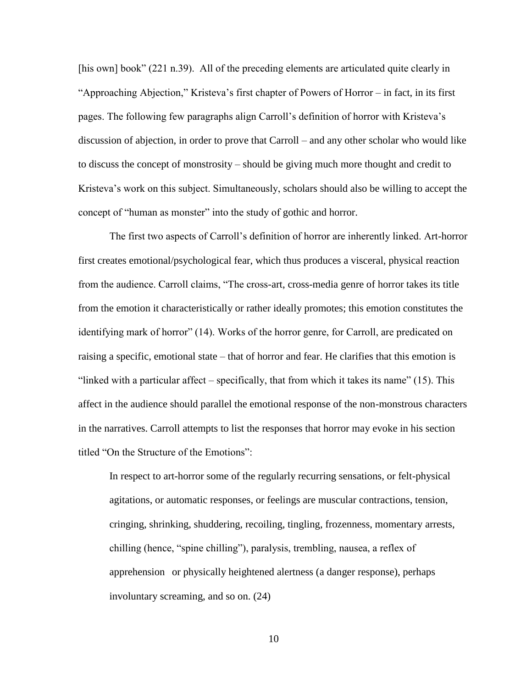[his own] book" (221 n.39). All of the preceding elements are articulated quite clearly in "Approaching Abjection," Kristeva's first chapter of Powers of Horror – in fact, in its first pages. The following few paragraphs align Carroll's definition of horror with Kristeva's discussion of abjection, in order to prove that Carroll – and any other scholar who would like to discuss the concept of monstrosity – should be giving much more thought and credit to Kristeva's work on this subject. Simultaneously, scholars should also be willing to accept the concept of "human as monster" into the study of gothic and horror.

The first two aspects of Carroll's definition of horror are inherently linked. Art-horror first creates emotional/psychological fear, which thus produces a visceral, physical reaction from the audience. Carroll claims, "The cross-art, cross-media genre of horror takes its title from the emotion it characteristically or rather ideally promotes; this emotion constitutes the identifying mark of horror" (14). Works of the horror genre, for Carroll, are predicated on raising a specific, emotional state – that of horror and fear. He clarifies that this emotion is "linked with a particular affect – specifically, that from which it takes its name" (15). This affect in the audience should parallel the emotional response of the non-monstrous characters in the narratives. Carroll attempts to list the responses that horror may evoke in his section titled "On the Structure of the Emotions":

In respect to art-horror some of the regularly recurring sensations, or felt-physical agitations, or automatic responses, or feelings are muscular contractions, tension, cringing, shrinking, shuddering, recoiling, tingling, frozenness, momentary arrests, chilling (hence, "spine chilling"), paralysis, trembling, nausea, a reflex of apprehension or physically heightened alertness (a danger response), perhaps involuntary screaming, and so on. (24)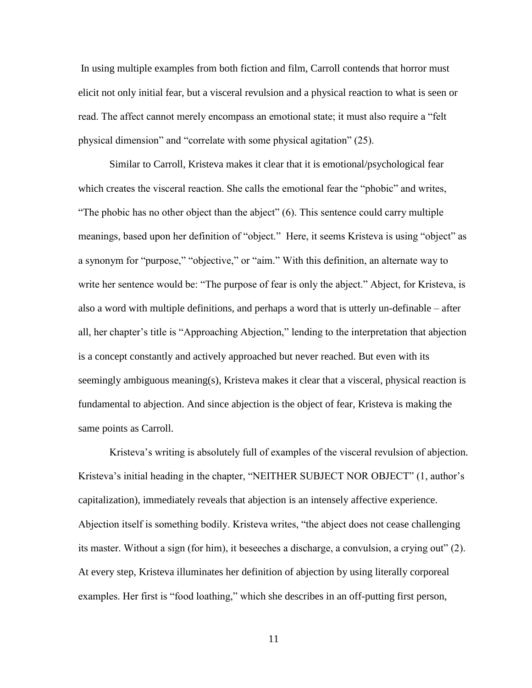In using multiple examples from both fiction and film, Carroll contends that horror must elicit not only initial fear, but a visceral revulsion and a physical reaction to what is seen or read. The affect cannot merely encompass an emotional state; it must also require a "felt physical dimension" and "correlate with some physical agitation" (25).

Similar to Carroll, Kristeva makes it clear that it is emotional/psychological fear which creates the visceral reaction. She calls the emotional fear the "phobic" and writes, "The phobic has no other object than the abject" (6). This sentence could carry multiple meanings, based upon her definition of "object." Here, it seems Kristeva is using "object" as a synonym for "purpose," "objective," or "aim." With this definition, an alternate way to write her sentence would be: "The purpose of fear is only the abject." Abject, for Kristeva, is also a word with multiple definitions, and perhaps a word that is utterly un-definable – after all, her chapter's title is "Approaching Abjection," lending to the interpretation that abjection is a concept constantly and actively approached but never reached. But even with its seemingly ambiguous meaning(s), Kristeva makes it clear that a visceral, physical reaction is fundamental to abjection. And since abjection is the object of fear, Kristeva is making the same points as Carroll.

Kristeva's writing is absolutely full of examples of the visceral revulsion of abjection. Kristeva's initial heading in the chapter, "NEITHER SUBJECT NOR OBJECT" (1, author's capitalization), immediately reveals that abjection is an intensely affective experience. Abjection itself is something bodily. Kristeva writes, "the abject does not cease challenging its master. Without a sign (for him), it beseeches a discharge, a convulsion, a crying out" (2). At every step, Kristeva illuminates her definition of abjection by using literally corporeal examples. Her first is "food loathing," which she describes in an off-putting first person,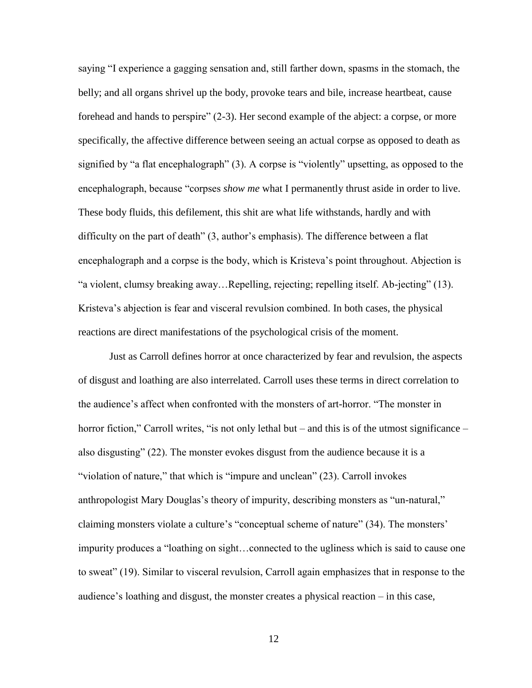saying "I experience a gagging sensation and, still farther down, spasms in the stomach, the belly; and all organs shrivel up the body, provoke tears and bile, increase heartbeat, cause forehead and hands to perspire" (2-3). Her second example of the abject: a corpse, or more specifically, the affective difference between seeing an actual corpse as opposed to death as signified by "a flat encephalograph" (3). A corpse is "violently" upsetting, as opposed to the encephalograph, because "corpses *show me* what I permanently thrust aside in order to live. These body fluids, this defilement, this shit are what life withstands, hardly and with difficulty on the part of death" (3, author's emphasis). The difference between a flat encephalograph and a corpse is the body, which is Kristeva's point throughout. Abjection is "a violent, clumsy breaking away…Repelling, rejecting; repelling itself. Ab-jecting" (13). Kristeva's abjection is fear and visceral revulsion combined. In both cases, the physical reactions are direct manifestations of the psychological crisis of the moment.

Just as Carroll defines horror at once characterized by fear and revulsion, the aspects of disgust and loathing are also interrelated. Carroll uses these terms in direct correlation to the audience's affect when confronted with the monsters of art-horror. "The monster in horror fiction," Carroll writes, "is not only lethal but – and this is of the utmost significance – also disgusting" (22). The monster evokes disgust from the audience because it is a "violation of nature," that which is "impure and unclean" (23). Carroll invokes anthropologist Mary Douglas's theory of impurity, describing monsters as "un-natural," claiming monsters violate a culture's "conceptual scheme of nature" (34). The monsters' impurity produces a "loathing on sight…connected to the ugliness which is said to cause one to sweat" (19). Similar to visceral revulsion, Carroll again emphasizes that in response to the audience's loathing and disgust, the monster creates a physical reaction – in this case,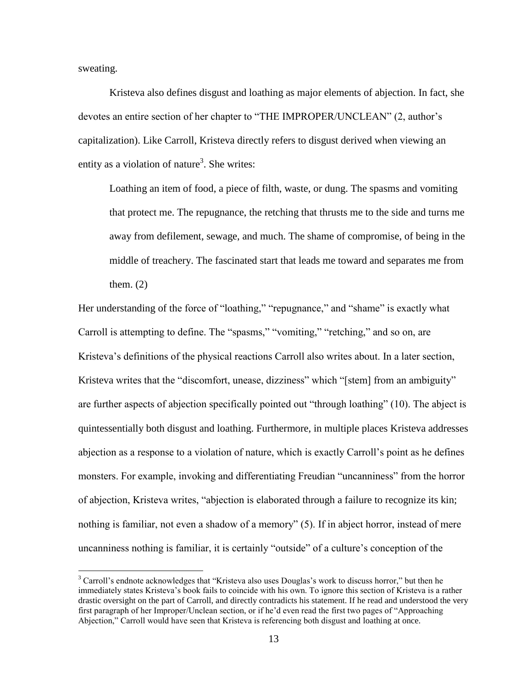sweating.

 $\overline{a}$ 

Kristeva also defines disgust and loathing as major elements of abjection. In fact, she devotes an entire section of her chapter to "THE IMPROPER/UNCLEAN" (2, author's capitalization). Like Carroll, Kristeva directly refers to disgust derived when viewing an entity as a violation of nature<sup>3</sup>. She writes:

Loathing an item of food, a piece of filth, waste, or dung. The spasms and vomiting that protect me. The repugnance, the retching that thrusts me to the side and turns me away from defilement, sewage, and much. The shame of compromise, of being in the middle of treachery. The fascinated start that leads me toward and separates me from them.  $(2)$ 

Her understanding of the force of "loathing," "repugnance," and "shame" is exactly what Carroll is attempting to define. The "spasms," "vomiting," "retching," and so on, are Kristeva's definitions of the physical reactions Carroll also writes about. In a later section, Kristeva writes that the "discomfort, unease, dizziness" which "[stem] from an ambiguity" are further aspects of abjection specifically pointed out "through loathing" (10). The abject is quintessentially both disgust and loathing. Furthermore, in multiple places Kristeva addresses abjection as a response to a violation of nature, which is exactly Carroll's point as he defines monsters. For example, invoking and differentiating Freudian "uncanniness" from the horror of abjection, Kristeva writes, "abjection is elaborated through a failure to recognize its kin; nothing is familiar, not even a shadow of a memory" (5). If in abject horror, instead of mere uncanniness nothing is familiar, it is certainly "outside" of a culture's conception of the

 $3$  Carroll's endnote acknowledges that "Kristeva also uses Douglas's work to discuss horror," but then he immediately states Kristeva's book fails to coincide with his own. To ignore this section of Kristeva is a rather drastic oversight on the part of Carroll, and directly contradicts his statement. If he read and understood the very first paragraph of her Improper/Unclean section, or if he'd even read the first two pages of "Approaching Abjection," Carroll would have seen that Kristeva is referencing both disgust and loathing at once.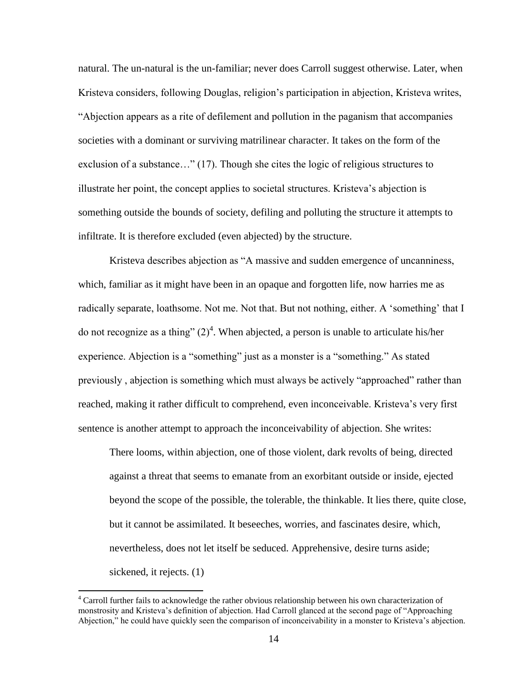natural. The un-natural is the un-familiar; never does Carroll suggest otherwise. Later, when Kristeva considers, following Douglas, religion's participation in abjection, Kristeva writes, "Abjection appears as a rite of defilement and pollution in the paganism that accompanies societies with a dominant or surviving matrilinear character. It takes on the form of the exclusion of a substance…" (17). Though she cites the logic of religious structures to illustrate her point, the concept applies to societal structures. Kristeva's abjection is something outside the bounds of society, defiling and polluting the structure it attempts to infiltrate. It is therefore excluded (even abjected) by the structure.

Kristeva describes abjection as "A massive and sudden emergence of uncanniness, which, familiar as it might have been in an opaque and forgotten life, now harries me as radically separate, loathsome. Not me. Not that. But not nothing, either. A 'something' that I do not recognize as a thing"  $(2)^4$ . When abjected, a person is unable to articulate his/her experience. Abjection is a "something" just as a monster is a "something." As stated previously , abjection is something which must always be actively "approached" rather than reached, making it rather difficult to comprehend, even inconceivable. Kristeva's very first sentence is another attempt to approach the inconceivability of abjection. She writes:

There looms, within abjection, one of those violent, dark revolts of being, directed against a threat that seems to emanate from an exorbitant outside or inside, ejected beyond the scope of the possible, the tolerable, the thinkable. It lies there, quite close, but it cannot be assimilated. It beseeches, worries, and fascinates desire, which, nevertheless, does not let itself be seduced. Apprehensive, desire turns aside; sickened, it rejects. (1)

 $\overline{\phantom{a}}$ 

<sup>&</sup>lt;sup>4</sup> Carroll further fails to acknowledge the rather obvious relationship between his own characterization of monstrosity and Kristeva's definition of abjection. Had Carroll glanced at the second page of "Approaching Abjection," he could have quickly seen the comparison of inconceivability in a monster to Kristeva's abjection.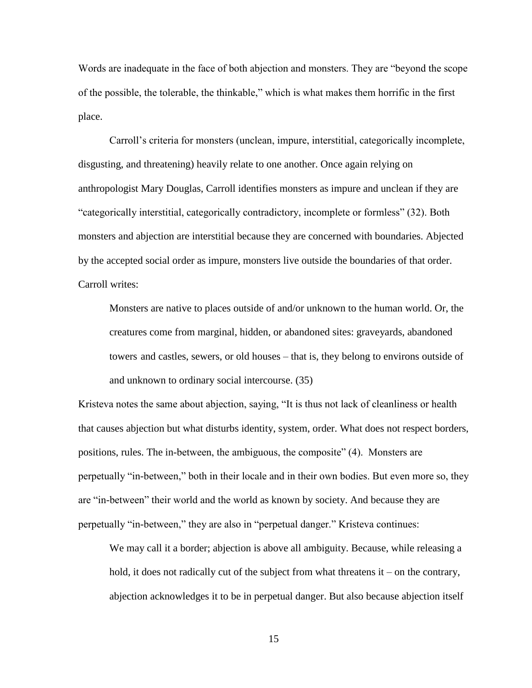Words are inadequate in the face of both abjection and monsters. They are "beyond the scope of the possible, the tolerable, the thinkable," which is what makes them horrific in the first place.

Carroll's criteria for monsters (unclean, impure, interstitial, categorically incomplete, disgusting, and threatening) heavily relate to one another. Once again relying on anthropologist Mary Douglas, Carroll identifies monsters as impure and unclean if they are "categorically interstitial, categorically contradictory, incomplete or formless" (32). Both monsters and abjection are interstitial because they are concerned with boundaries. Abjected by the accepted social order as impure, monsters live outside the boundaries of that order. Carroll writes:

Monsters are native to places outside of and/or unknown to the human world. Or, the creatures come from marginal, hidden, or abandoned sites: graveyards, abandoned towers and castles, sewers, or old houses – that is, they belong to environs outside of and unknown to ordinary social intercourse. (35)

Kristeva notes the same about abjection, saying, "It is thus not lack of cleanliness or health that causes abjection but what disturbs identity, system, order. What does not respect borders, positions, rules. The in-between, the ambiguous, the composite" (4). Monsters are perpetually "in-between," both in their locale and in their own bodies. But even more so, they are "in-between" their world and the world as known by society. And because they are perpetually "in-between," they are also in "perpetual danger." Kristeva continues:

We may call it a border; abjection is above all ambiguity. Because, while releasing a hold, it does not radically cut of the subject from what threatens it – on the contrary, abjection acknowledges it to be in perpetual danger. But also because abjection itself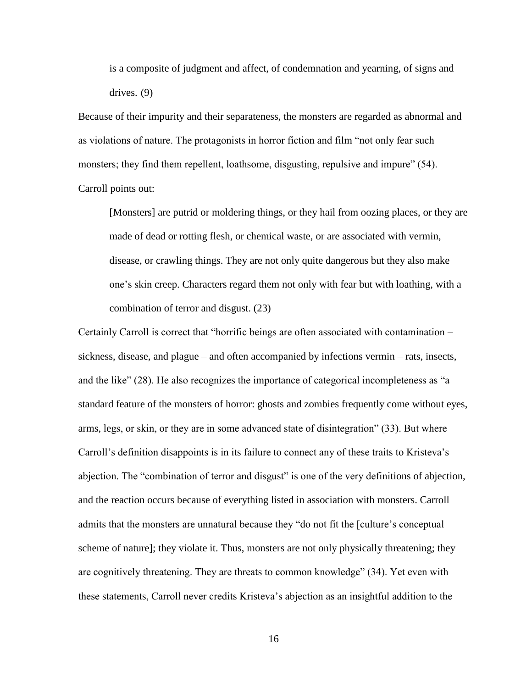is a composite of judgment and affect, of condemnation and yearning, of signs and drives. (9)

Because of their impurity and their separateness, the monsters are regarded as abnormal and as violations of nature. The protagonists in horror fiction and film "not only fear such monsters; they find them repellent, loathsome, disgusting, repulsive and impure" (54). Carroll points out:

[Monsters] are putrid or moldering things, or they hail from oozing places, or they are made of dead or rotting flesh, or chemical waste, or are associated with vermin, disease, or crawling things. They are not only quite dangerous but they also make one's skin creep. Characters regard them not only with fear but with loathing, with a combination of terror and disgust. (23)

Certainly Carroll is correct that "horrific beings are often associated with contamination – sickness, disease, and plague – and often accompanied by infections vermin – rats, insects, and the like" (28). He also recognizes the importance of categorical incompleteness as "a standard feature of the monsters of horror: ghosts and zombies frequently come without eyes, arms, legs, or skin, or they are in some advanced state of disintegration" (33). But where Carroll's definition disappoints is in its failure to connect any of these traits to Kristeva's abjection. The "combination of terror and disgust" is one of the very definitions of abjection, and the reaction occurs because of everything listed in association with monsters. Carroll admits that the monsters are unnatural because they "do not fit the [culture's conceptual scheme of nature]; they violate it. Thus, monsters are not only physically threatening; they are cognitively threatening. They are threats to common knowledge" (34). Yet even with these statements, Carroll never credits Kristeva's abjection as an insightful addition to the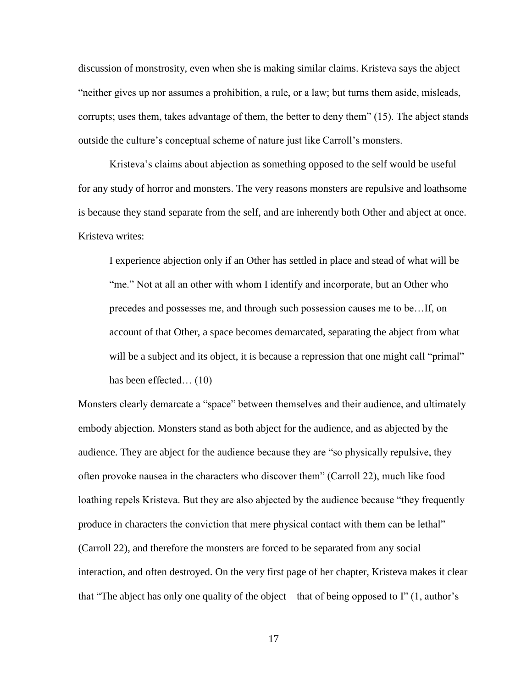discussion of monstrosity, even when she is making similar claims. Kristeva says the abject "neither gives up nor assumes a prohibition, a rule, or a law; but turns them aside, misleads, corrupts; uses them, takes advantage of them, the better to deny them" (15). The abject stands outside the culture's conceptual scheme of nature just like Carroll's monsters.

Kristeva's claims about abjection as something opposed to the self would be useful for any study of horror and monsters. The very reasons monsters are repulsive and loathsome is because they stand separate from the self, and are inherently both Other and abject at once. Kristeva writes:

I experience abjection only if an Other has settled in place and stead of what will be "me." Not at all an other with whom I identify and incorporate, but an Other who precedes and possesses me, and through such possession causes me to be…If, on account of that Other, a space becomes demarcated, separating the abject from what will be a subject and its object, it is because a repression that one might call "primal" has been effected… (10)

Monsters clearly demarcate a "space" between themselves and their audience, and ultimately embody abjection. Monsters stand as both abject for the audience, and as abjected by the audience. They are abject for the audience because they are "so physically repulsive, they often provoke nausea in the characters who discover them" (Carroll 22), much like food loathing repels Kristeva. But they are also abjected by the audience because "they frequently produce in characters the conviction that mere physical contact with them can be lethal" (Carroll 22), and therefore the monsters are forced to be separated from any social interaction, and often destroyed. On the very first page of her chapter, Kristeva makes it clear that "The abject has only one quality of the object – that of being opposed to I" (1, author's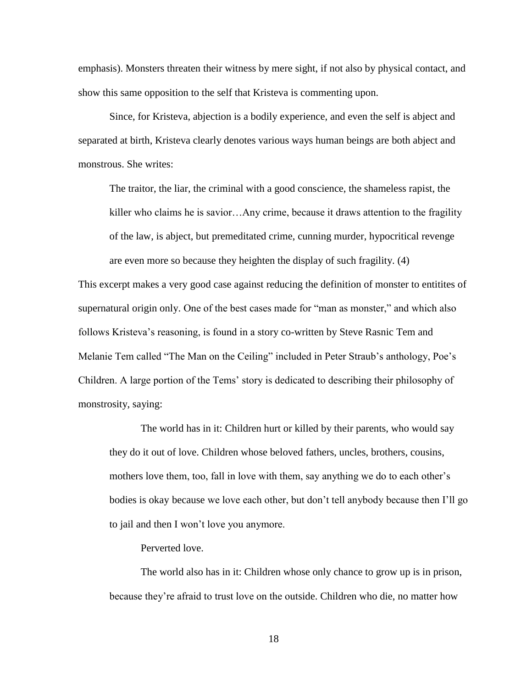emphasis). Monsters threaten their witness by mere sight, if not also by physical contact, and show this same opposition to the self that Kristeva is commenting upon.

Since, for Kristeva, abjection is a bodily experience, and even the self is abject and separated at birth, Kristeva clearly denotes various ways human beings are both abject and monstrous. She writes:

The traitor, the liar, the criminal with a good conscience, the shameless rapist, the killer who claims he is savior…Any crime, because it draws attention to the fragility of the law, is abject, but premeditated crime, cunning murder, hypocritical revenge are even more so because they heighten the display of such fragility. (4)

This excerpt makes a very good case against reducing the definition of monster to entitites of supernatural origin only. One of the best cases made for "man as monster," and which also follows Kristeva's reasoning, is found in a story co-written by Steve Rasnic Tem and Melanie Tem called "The Man on the Ceiling" included in Peter Straub's anthology, Poe's Children. A large portion of the Tems' story is dedicated to describing their philosophy of monstrosity, saying:

The world has in it: Children hurt or killed by their parents, who would say they do it out of love. Children whose beloved fathers, uncles, brothers, cousins, mothers love them, too, fall in love with them, say anything we do to each other's bodies is okay because we love each other, but don't tell anybody because then I'll go to jail and then I won't love you anymore.

Perverted love.

The world also has in it: Children whose only chance to grow up is in prison, because they're afraid to trust love on the outside. Children who die, no matter how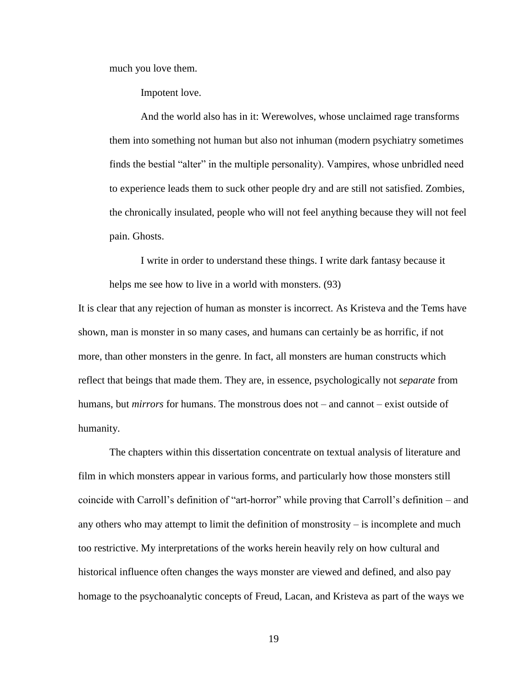much you love them.

Impotent love.

And the world also has in it: Werewolves, whose unclaimed rage transforms them into something not human but also not inhuman (modern psychiatry sometimes finds the bestial "alter" in the multiple personality). Vampires, whose unbridled need to experience leads them to suck other people dry and are still not satisfied. Zombies, the chronically insulated, people who will not feel anything because they will not feel pain. Ghosts.

I write in order to understand these things. I write dark fantasy because it helps me see how to live in a world with monsters. (93)

It is clear that any rejection of human as monster is incorrect. As Kristeva and the Tems have shown, man is monster in so many cases, and humans can certainly be as horrific, if not more, than other monsters in the genre. In fact, all monsters are human constructs which reflect that beings that made them. They are, in essence, psychologically not *separate* from humans, but *mirrors* for humans. The monstrous does not – and cannot – exist outside of humanity.

The chapters within this dissertation concentrate on textual analysis of literature and film in which monsters appear in various forms, and particularly how those monsters still coincide with Carroll's definition of "art-horror" while proving that Carroll's definition – and any others who may attempt to limit the definition of monstrosity – is incomplete and much too restrictive. My interpretations of the works herein heavily rely on how cultural and historical influence often changes the ways monster are viewed and defined, and also pay homage to the psychoanalytic concepts of Freud, Lacan, and Kristeva as part of the ways we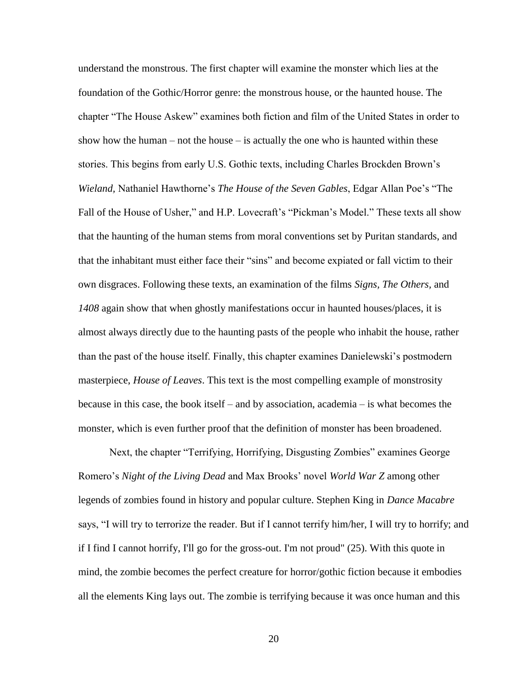understand the monstrous. The first chapter will examine the monster which lies at the foundation of the Gothic/Horror genre: the monstrous house, or the haunted house. The chapter "The House Askew" examines both fiction and film of the United States in order to show how the human – not the house  $-$  is actually the one who is haunted within these stories. This begins from early U.S. Gothic texts, including Charles Brockden Brown's *Wieland,* Nathaniel Hawthorne's *The House of the Seven Gables*, Edgar Allan Poe's "The Fall of the House of Usher," and H.P. Lovecraft's "Pickman's Model." These texts all show that the haunting of the human stems from moral conventions set by Puritan standards, and that the inhabitant must either face their "sins" and become expiated or fall victim to their own disgraces. Following these texts, an examination of the films *Signs, The Others,* and *1408* again show that when ghostly manifestations occur in haunted houses/places, it is almost always directly due to the haunting pasts of the people who inhabit the house, rather than the past of the house itself. Finally, this chapter examines Danielewski's postmodern masterpiece, *House of Leaves*. This text is the most compelling example of monstrosity because in this case, the book itself – and by association, academia – is what becomes the monster, which is even further proof that the definition of monster has been broadened.

Next, the chapter "Terrifying, Horrifying, Disgusting Zombies" examines George Romero's *Night of the Living Dead* and Max Brooks' novel *World War Z* among other legends of zombies found in history and popular culture. Stephen King in *Dance Macabre* says, "I will try to terrorize the reader. But if I cannot terrify him/her, I will try to horrify; and if I find I cannot horrify, I'll go for the gross-out. I'm not proud" (25). With this quote in mind, the zombie becomes the perfect creature for horror/gothic fiction because it embodies all the elements King lays out. The zombie is terrifying because it was once human and this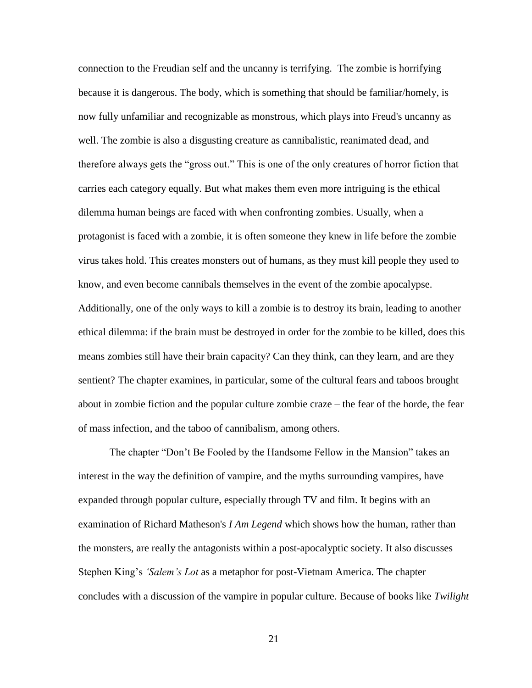connection to the Freudian self and the uncanny is terrifying. The zombie is horrifying because it is dangerous. The body, which is something that should be familiar/homely, is now fully unfamiliar and recognizable as monstrous, which plays into Freud's uncanny as well. The zombie is also a disgusting creature as cannibalistic, reanimated dead, and therefore always gets the "gross out." This is one of the only creatures of horror fiction that carries each category equally. But what makes them even more intriguing is the ethical dilemma human beings are faced with when confronting zombies. Usually, when a protagonist is faced with a zombie, it is often someone they knew in life before the zombie virus takes hold. This creates monsters out of humans, as they must kill people they used to know, and even become cannibals themselves in the event of the zombie apocalypse. Additionally, one of the only ways to kill a zombie is to destroy its brain, leading to another ethical dilemma: if the brain must be destroyed in order for the zombie to be killed, does this means zombies still have their brain capacity? Can they think, can they learn, and are they sentient? The chapter examines, in particular, some of the cultural fears and taboos brought about in zombie fiction and the popular culture zombie craze – the fear of the horde, the fear of mass infection, and the taboo of cannibalism, among others.

The chapter "Don't Be Fooled by the Handsome Fellow in the Mansion" takes an interest in the way the definition of vampire, and the myths surrounding vampires, have expanded through popular culture, especially through TV and film. It begins with an examination of Richard Matheson's *I Am Legend* which shows how the human, rather than the monsters, are really the antagonists within a post-apocalyptic society. It also discusses Stephen King's *'Salem's Lot* as a metaphor for post-Vietnam America. The chapter concludes with a discussion of the vampire in popular culture. Because of books like *Twilight*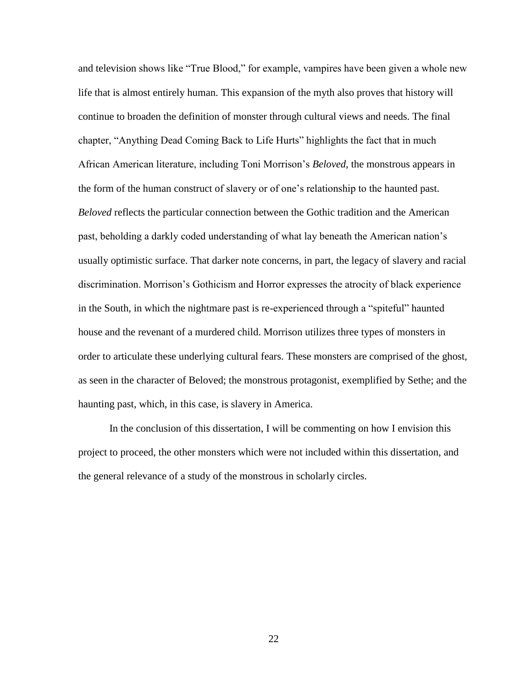and television shows like "True Blood," for example, vampires have been given a whole new life that is almost entirely human. This expansion of the myth also proves that history will continue to broaden the definition of monster through cultural views and needs. The final chapter, "Anything Dead Coming Back to Life Hurts" highlights the fact that in much African American literature, including Toni Morrison's *Beloved*, the monstrous appears in the form of the human construct of slavery or of one's relationship to the haunted past. *Beloved* reflects the particular connection between the Gothic tradition and the American past, beholding a darkly coded understanding of what lay beneath the American nation's usually optimistic surface. That darker note concerns, in part, the legacy of slavery and racial discrimination. Morrison's Gothicism and Horror expresses the atrocity of black experience in the South, in which the nightmare past is re-experienced through a "spiteful" haunted house and the revenant of a murdered child. Morrison utilizes three types of monsters in order to articulate these underlying cultural fears. These monsters are comprised of the ghost, as seen in the character of Beloved; the monstrous protagonist, exemplified by Sethe; and the haunting past, which, in this case, is slavery in America.

In the conclusion of this dissertation, I will be commenting on how I envision this project to proceed, the other monsters which were not included within this dissertation, and the general relevance of a study of the monstrous in scholarly circles.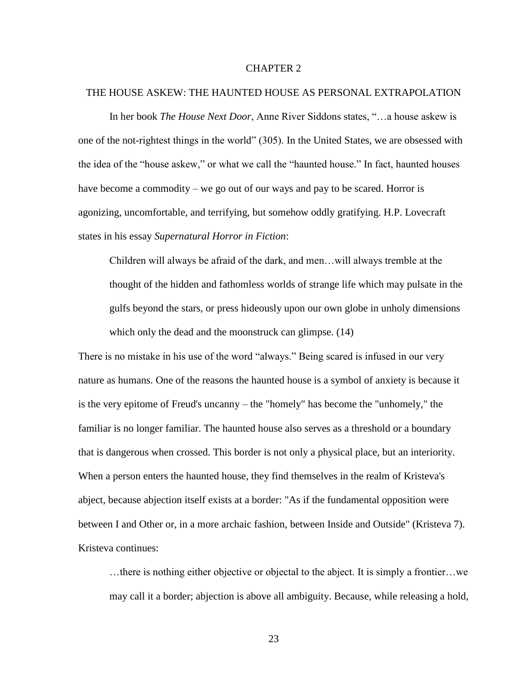#### CHAPTER 2

#### THE HOUSE ASKEW: THE HAUNTED HOUSE AS PERSONAL EXTRAPOLATION

In her book *The House Next Door*, Anne River Siddons states, "…a house askew is one of the not-rightest things in the world" (305). In the United States, we are obsessed with the idea of the "house askew," or what we call the "haunted house." In fact, haunted houses have become a commodity – we go out of our ways and pay to be scared. Horror is agonizing, uncomfortable, and terrifying, but somehow oddly gratifying. H.P. Lovecraft states in his essay *Supernatural Horror in Fiction*:

Children will always be afraid of the dark, and men…will always tremble at the thought of the hidden and fathomless worlds of strange life which may pulsate in the gulfs beyond the stars, or press hideously upon our own globe in unholy dimensions which only the dead and the moonstruck can glimpse.  $(14)$ 

There is no mistake in his use of the word "always." Being scared is infused in our very nature as humans. One of the reasons the haunted house is a symbol of anxiety is because it is the very epitome of Freud's uncanny – the "homely" has become the "unhomely," the familiar is no longer familiar. The haunted house also serves as a threshold or a boundary that is dangerous when crossed. This border is not only a physical place, but an interiority. When a person enters the haunted house, they find themselves in the realm of Kristeva's abject, because abjection itself exists at a border: "As if the fundamental opposition were between I and Other or, in a more archaic fashion, between Inside and Outside" (Kristeva 7). Kristeva continues:

…there is nothing either objective or objectal to the abject. It is simply a frontier…we may call it a border; abjection is above all ambiguity. Because, while releasing a hold,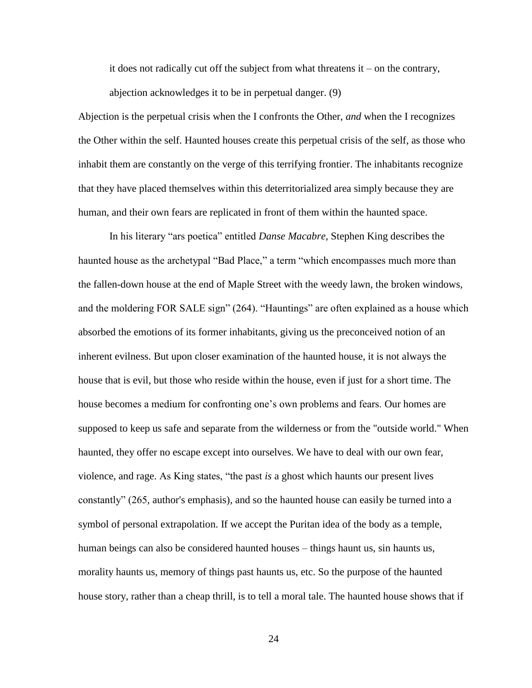it does not radically cut off the subject from what threatens it – on the contrary, abjection acknowledges it to be in perpetual danger. (9)

Abjection is the perpetual crisis when the I confronts the Other, *and* when the I recognizes the Other within the self. Haunted houses create this perpetual crisis of the self, as those who inhabit them are constantly on the verge of this terrifying frontier. The inhabitants recognize that they have placed themselves within this deterritorialized area simply because they are human, and their own fears are replicated in front of them within the haunted space.

In his literary "ars poetica" entitled *Danse Macabre*, Stephen King describes the haunted house as the archetypal "Bad Place," a term "which encompasses much more than the fallen-down house at the end of Maple Street with the weedy lawn, the broken windows, and the moldering FOR SALE sign" (264). "Hauntings" are often explained as a house which absorbed the emotions of its former inhabitants, giving us the preconceived notion of an inherent evilness. But upon closer examination of the haunted house, it is not always the house that is evil, but those who reside within the house, even if just for a short time. The house becomes a medium for confronting one's own problems and fears. Our homes are supposed to keep us safe and separate from the wilderness or from the "outside world." When haunted, they offer no escape except into ourselves. We have to deal with our own fear, violence, and rage. As King states, "the past *is* a ghost which haunts our present lives constantly" (265, author's emphasis), and so the haunted house can easily be turned into a symbol of personal extrapolation. If we accept the Puritan idea of the body as a temple, human beings can also be considered haunted houses – things haunt us, sin haunts us, morality haunts us, memory of things past haunts us, etc. So the purpose of the haunted house story, rather than a cheap thrill, is to tell a moral tale. The haunted house shows that if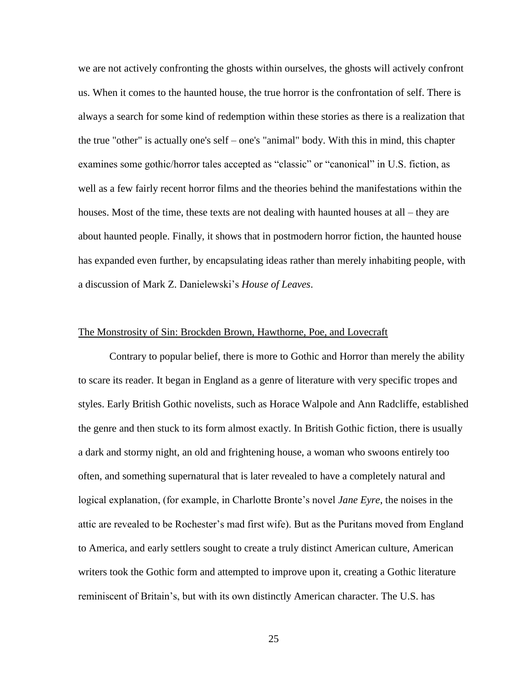we are not actively confronting the ghosts within ourselves, the ghosts will actively confront us. When it comes to the haunted house, the true horror is the confrontation of self. There is always a search for some kind of redemption within these stories as there is a realization that the true "other" is actually one's self – one's "animal" body. With this in mind, this chapter examines some gothic/horror tales accepted as "classic" or "canonical" in U.S. fiction, as well as a few fairly recent horror films and the theories behind the manifestations within the houses. Most of the time, these texts are not dealing with haunted houses at all – they are about haunted people. Finally, it shows that in postmodern horror fiction, the haunted house has expanded even further, by encapsulating ideas rather than merely inhabiting people, with a discussion of Mark Z. Danielewski's *House of Leaves*.

#### The Monstrosity of Sin: Brockden Brown, Hawthorne, Poe, and Lovecraft

Contrary to popular belief, there is more to Gothic and Horror than merely the ability to scare its reader. It began in England as a genre of literature with very specific tropes and styles. Early British Gothic novelists, such as Horace Walpole and Ann Radcliffe, established the genre and then stuck to its form almost exactly. In British Gothic fiction, there is usually a dark and stormy night, an old and frightening house, a woman who swoons entirely too often, and something supernatural that is later revealed to have a completely natural and logical explanation, (for example, in Charlotte Bronte's novel *Jane Eyre*, the noises in the attic are revealed to be Rochester's mad first wife). But as the Puritans moved from England to America, and early settlers sought to create a truly distinct American culture, American writers took the Gothic form and attempted to improve upon it, creating a Gothic literature reminiscent of Britain's, but with its own distinctly American character. The U.S. has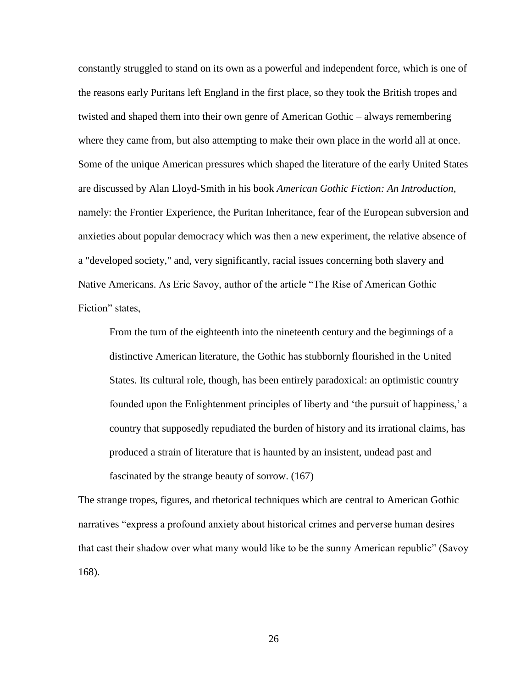constantly struggled to stand on its own as a powerful and independent force, which is one of the reasons early Puritans left England in the first place, so they took the British tropes and twisted and shaped them into their own genre of American Gothic – always remembering where they came from, but also attempting to make their own place in the world all at once. Some of the unique American pressures which shaped the literature of the early United States are discussed by Alan Lloyd-Smith in his book *American Gothic Fiction: An Introduction*, namely: the Frontier Experience, the Puritan Inheritance, fear of the European subversion and anxieties about popular democracy which was then a new experiment, the relative absence of a "developed society," and, very significantly, racial issues concerning both slavery and Native Americans. As Eric Savoy, author of the article "The Rise of American Gothic Fiction" states,

From the turn of the eighteenth into the nineteenth century and the beginnings of a distinctive American literature, the Gothic has stubbornly flourished in the United States. Its cultural role, though, has been entirely paradoxical: an optimistic country founded upon the Enlightenment principles of liberty and 'the pursuit of happiness,' a country that supposedly repudiated the burden of history and its irrational claims, has produced a strain of literature that is haunted by an insistent, undead past and fascinated by the strange beauty of sorrow. (167)

The strange tropes, figures, and rhetorical techniques which are central to American Gothic narratives "express a profound anxiety about historical crimes and perverse human desires that cast their shadow over what many would like to be the sunny American republic" (Savoy 168).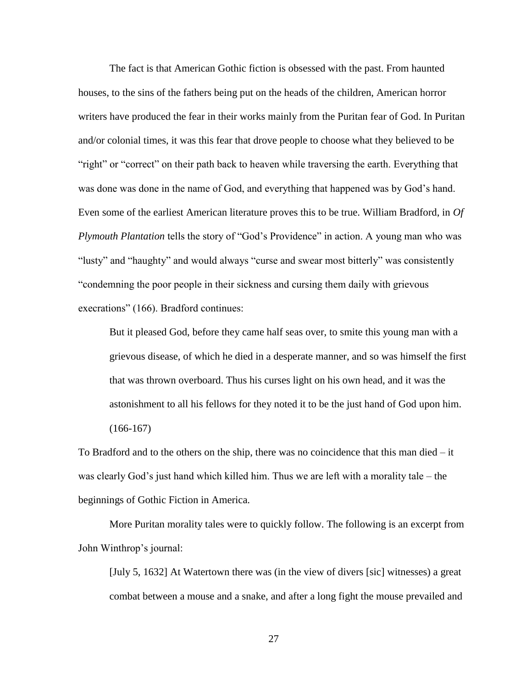The fact is that American Gothic fiction is obsessed with the past. From haunted houses, to the sins of the fathers being put on the heads of the children, American horror writers have produced the fear in their works mainly from the Puritan fear of God. In Puritan and/or colonial times, it was this fear that drove people to choose what they believed to be "right" or "correct" on their path back to heaven while traversing the earth. Everything that was done was done in the name of God, and everything that happened was by God's hand. Even some of the earliest American literature proves this to be true. William Bradford, in *Of Plymouth Plantation* tells the story of "God's Providence" in action. A young man who was "lusty" and "haughty" and would always "curse and swear most bitterly" was consistently "condemning the poor people in their sickness and cursing them daily with grievous execrations" (166). Bradford continues:

But it pleased God, before they came half seas over, to smite this young man with a grievous disease, of which he died in a desperate manner, and so was himself the first that was thrown overboard. Thus his curses light on his own head, and it was the astonishment to all his fellows for they noted it to be the just hand of God upon him.  $(166-167)$ 

To Bradford and to the others on the ship, there was no coincidence that this man died – it was clearly God's just hand which killed him. Thus we are left with a morality tale – the beginnings of Gothic Fiction in America.

More Puritan morality tales were to quickly follow. The following is an excerpt from John Winthrop's journal:

[July 5, 1632] At Watertown there was (in the view of divers [sic] witnesses) a great combat between a mouse and a snake, and after a long fight the mouse prevailed and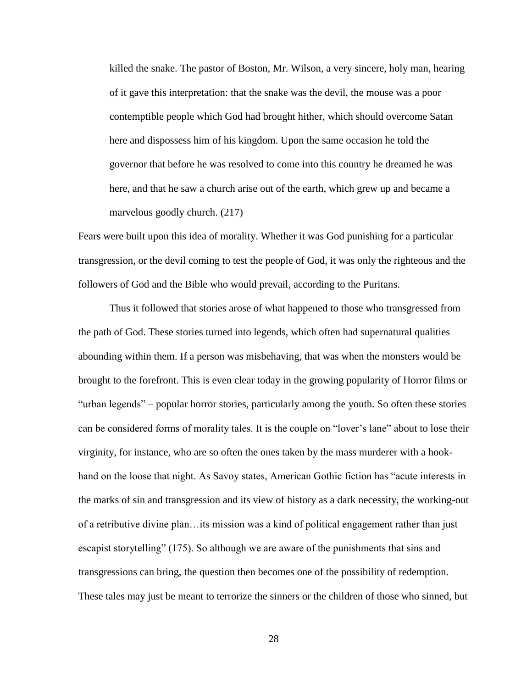killed the snake. The pastor of Boston, Mr. Wilson, a very sincere, holy man, hearing of it gave this interpretation: that the snake was the devil, the mouse was a poor contemptible people which God had brought hither, which should overcome Satan here and dispossess him of his kingdom. Upon the same occasion he told the governor that before he was resolved to come into this country he dreamed he was here, and that he saw a church arise out of the earth, which grew up and became a marvelous goodly church. (217)

Fears were built upon this idea of morality. Whether it was God punishing for a particular transgression, or the devil coming to test the people of God, it was only the righteous and the followers of God and the Bible who would prevail, according to the Puritans.

Thus it followed that stories arose of what happened to those who transgressed from the path of God. These stories turned into legends, which often had supernatural qualities abounding within them. If a person was misbehaving, that was when the monsters would be brought to the forefront. This is even clear today in the growing popularity of Horror films or "urban legends" – popular horror stories, particularly among the youth. So often these stories can be considered forms of morality tales. It is the couple on "lover's lane" about to lose their virginity, for instance, who are so often the ones taken by the mass murderer with a hookhand on the loose that night. As Savoy states, American Gothic fiction has "acute interests in the marks of sin and transgression and its view of history as a dark necessity, the working-out of a retributive divine plan…its mission was a kind of political engagement rather than just escapist storytelling" (175). So although we are aware of the punishments that sins and transgressions can bring, the question then becomes one of the possibility of redemption. These tales may just be meant to terrorize the sinners or the children of those who sinned, but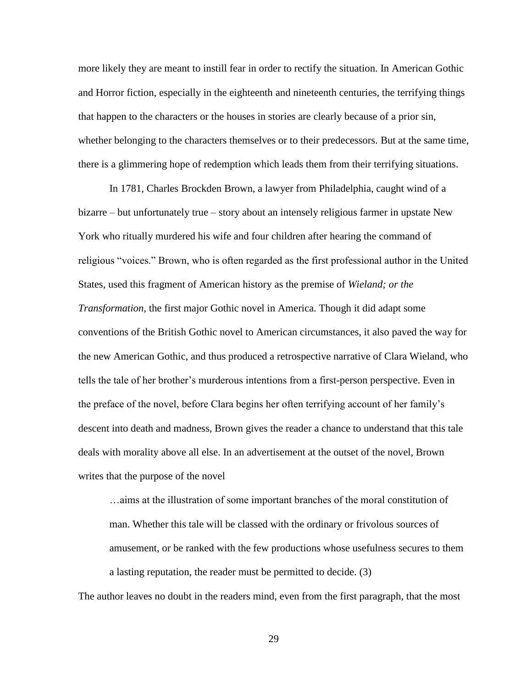more likely they are meant to instill fear in order to rectify the situation. In American Gothic and Horror fiction, especially in the eighteenth and nineteenth centuries, the terrifying things that happen to the characters or the houses in stories are clearly because of a prior sin, whether belonging to the characters themselves or to their predecessors. But at the same time, there is a glimmering hope of redemption which leads them from their terrifying situations.

In 1781, Charles Brockden Brown, a lawyer from Philadelphia, caught wind of a bizarre – but unfortunately true – story about an intensely religious farmer in upstate New York who ritually murdered his wife and four children after hearing the command of religious "voices." Brown, who is often regarded as the first professional author in the United States, used this fragment of American history as the premise of *Wieland; or the Transformation*, the first major Gothic novel in America. Though it did adapt some conventions of the British Gothic novel to American circumstances, it also paved the way for the new American Gothic, and thus produced a retrospective narrative of Clara Wieland, who tells the tale of her brother's murderous intentions from a first-person perspective. Even in the preface of the novel, before Clara begins her often terrifying account of her family's descent into death and madness, Brown gives the reader a chance to understand that this tale deals with morality above all else. In an advertisement at the outset of the novel, Brown writes that the purpose of the novel

…aims at the illustration of some important branches of the moral constitution of man. Whether this tale will be classed with the ordinary or frivolous sources of amusement, or be ranked with the few productions whose usefulness secures to them a lasting reputation, the reader must be permitted to decide. (3)

The author leaves no doubt in the readers mind, even from the first paragraph, that the most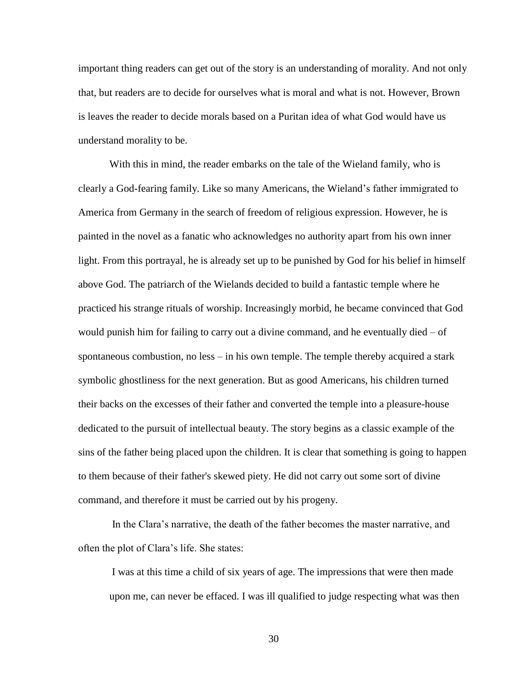important thing readers can get out of the story is an understanding of morality. And not only that, but readers are to decide for ourselves what is moral and what is not. However, Brown is leaves the reader to decide morals based on a Puritan idea of what God would have us understand morality to be.

With this in mind, the reader embarks on the tale of the Wieland family, who is clearly a God-fearing family. Like so many Americans, the Wieland's father immigrated to America from Germany in the search of freedom of religious expression. However, he is painted in the novel as a fanatic who acknowledges no authority apart from his own inner light. From this portrayal, he is already set up to be punished by God for his belief in himself above God. The patriarch of the Wielands decided to build a fantastic temple where he practiced his strange rituals of worship. Increasingly morbid, he became convinced that God would punish him for failing to carry out a divine command, and he eventually died – of spontaneous combustion, no less – in his own temple. The temple thereby acquired a stark symbolic ghostliness for the next generation. But as good Americans, his children turned their backs on the excesses of their father and converted the temple into a pleasure-house dedicated to the pursuit of intellectual beauty. The story begins as a classic example of the sins of the father being placed upon the children. It is clear that something is going to happen to them because of their father's skewed piety. He did not carry out some sort of divine command, and therefore it must be carried out by his progeny.

In the Clara's narrative, the death of the father becomes the master narrative, and often the plot of Clara's life. She states:

I was at this time a child of six years of age. The impressions that were then made upon me, can never be effaced. I was ill qualified to judge respecting what was then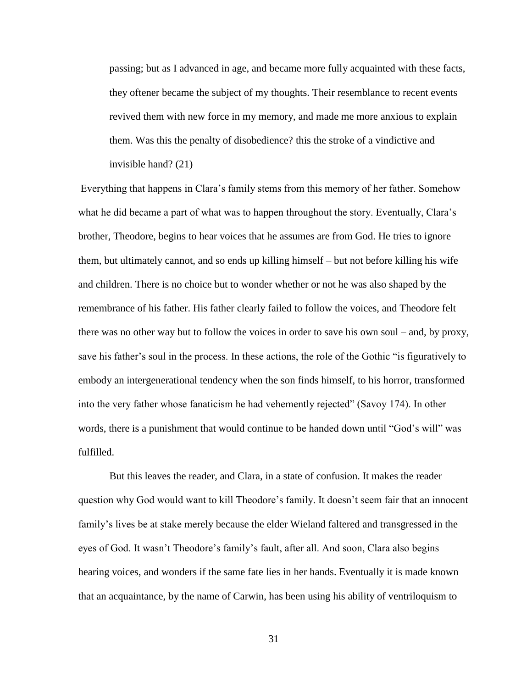passing; but as I advanced in age, and became more fully acquainted with these facts, they oftener became the subject of my thoughts. Their resemblance to recent events revived them with new force in my memory, and made me more anxious to explain them. Was this the penalty of disobedience? this the stroke of a vindictive and invisible hand? (21)

Everything that happens in Clara's family stems from this memory of her father. Somehow what he did became a part of what was to happen throughout the story. Eventually, Clara's brother, Theodore, begins to hear voices that he assumes are from God. He tries to ignore them, but ultimately cannot, and so ends up killing himself – but not before killing his wife and children. There is no choice but to wonder whether or not he was also shaped by the remembrance of his father. His father clearly failed to follow the voices, and Theodore felt there was no other way but to follow the voices in order to save his own soul – and, by proxy, save his father's soul in the process. In these actions, the role of the Gothic "is figuratively to embody an intergenerational tendency when the son finds himself, to his horror, transformed into the very father whose fanaticism he had vehemently rejected" (Savoy 174). In other words, there is a punishment that would continue to be handed down until "God's will" was fulfilled.

But this leaves the reader, and Clara, in a state of confusion. It makes the reader question why God would want to kill Theodore's family. It doesn't seem fair that an innocent family's lives be at stake merely because the elder Wieland faltered and transgressed in the eyes of God. It wasn't Theodore's family's fault, after all. And soon, Clara also begins hearing voices, and wonders if the same fate lies in her hands. Eventually it is made known that an acquaintance, by the name of Carwin, has been using his ability of ventriloquism to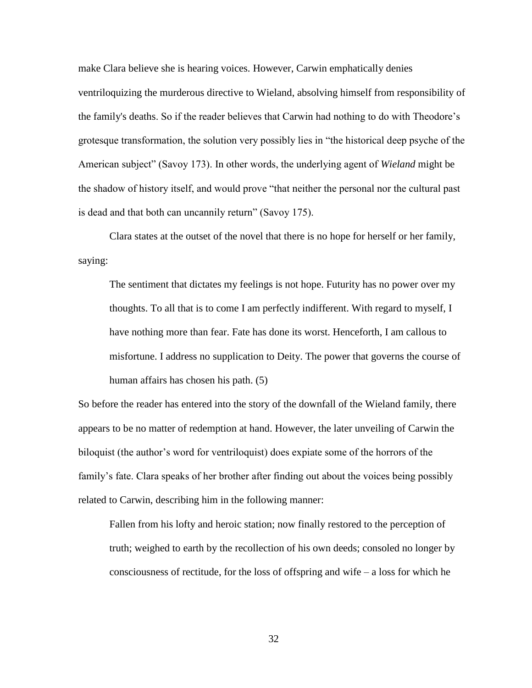make Clara believe she is hearing voices. However, Carwin emphatically denies ventriloquizing the murderous directive to Wieland, absolving himself from responsibility of the family's deaths. So if the reader believes that Carwin had nothing to do with Theodore's grotesque transformation, the solution very possibly lies in "the historical deep psyche of the American subject" (Savoy 173). In other words, the underlying agent of *Wieland* might be the shadow of history itself, and would prove "that neither the personal nor the cultural past is dead and that both can uncannily return" (Savoy 175).

Clara states at the outset of the novel that there is no hope for herself or her family, saying:

The sentiment that dictates my feelings is not hope. Futurity has no power over my thoughts. To all that is to come I am perfectly indifferent. With regard to myself, I have nothing more than fear. Fate has done its worst. Henceforth, I am callous to misfortune. I address no supplication to Deity. The power that governs the course of human affairs has chosen his path. (5)

So before the reader has entered into the story of the downfall of the Wieland family, there appears to be no matter of redemption at hand. However, the later unveiling of Carwin the biloquist (the author's word for ventriloquist) does expiate some of the horrors of the family's fate. Clara speaks of her brother after finding out about the voices being possibly related to Carwin, describing him in the following manner:

Fallen from his lofty and heroic station; now finally restored to the perception of truth; weighed to earth by the recollection of his own deeds; consoled no longer by consciousness of rectitude, for the loss of offspring and wife – a loss for which he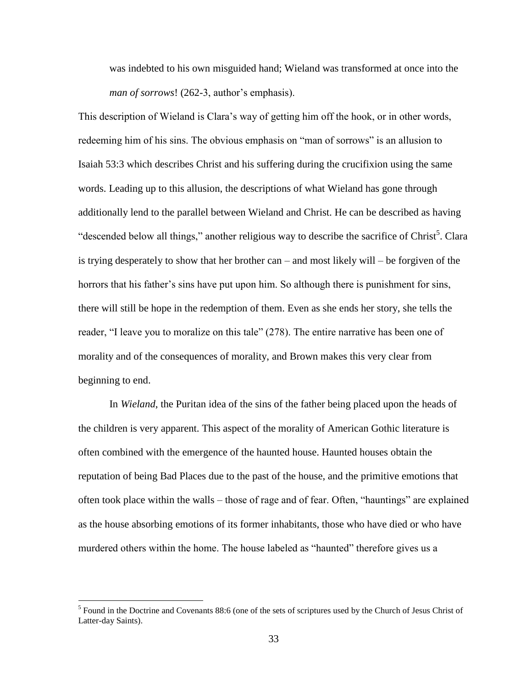was indebted to his own misguided hand; Wieland was transformed at once into the *man of sorrows*! (262-3, author's emphasis).

This description of Wieland is Clara's way of getting him off the hook, or in other words, redeeming him of his sins. The obvious emphasis on "man of sorrows" is an allusion to Isaiah 53:3 which describes Christ and his suffering during the crucifixion using the same words. Leading up to this allusion, the descriptions of what Wieland has gone through additionally lend to the parallel between Wieland and Christ. He can be described as having "descended below all things," another religious way to describe the sacrifice of Christ<sup>5</sup>. Clara is trying desperately to show that her brother can – and most likely will – be forgiven of the horrors that his father's sins have put upon him. So although there is punishment for sins, there will still be hope in the redemption of them. Even as she ends her story, she tells the reader, "I leave you to moralize on this tale" (278). The entire narrative has been one of morality and of the consequences of morality, and Brown makes this very clear from beginning to end.

In *Wieland*, the Puritan idea of the sins of the father being placed upon the heads of the children is very apparent. This aspect of the morality of American Gothic literature is often combined with the emergence of the haunted house. Haunted houses obtain the reputation of being Bad Places due to the past of the house, and the primitive emotions that often took place within the walls – those of rage and of fear. Often, "hauntings" are explained as the house absorbing emotions of its former inhabitants, those who have died or who have murdered others within the home. The house labeled as "haunted" therefore gives us a

 $\overline{\phantom{a}}$ 

<sup>&</sup>lt;sup>5</sup> Found in the Doctrine and Covenants 88:6 (one of the sets of scriptures used by the Church of Jesus Christ of Latter-day Saints).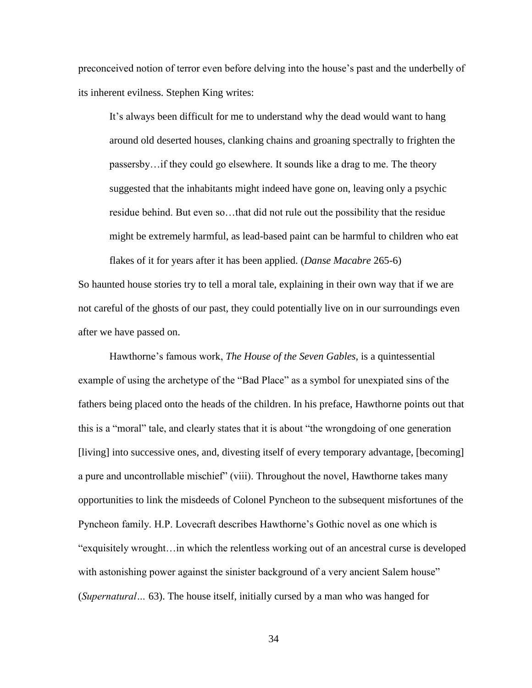preconceived notion of terror even before delving into the house's past and the underbelly of its inherent evilness. Stephen King writes:

It's always been difficult for me to understand why the dead would want to hang around old deserted houses, clanking chains and groaning spectrally to frighten the passersby…if they could go elsewhere. It sounds like a drag to me. The theory suggested that the inhabitants might indeed have gone on, leaving only a psychic residue behind. But even so…that did not rule out the possibility that the residue might be extremely harmful, as lead-based paint can be harmful to children who eat

flakes of it for years after it has been applied. (*Danse Macabre* 265-6) So haunted house stories try to tell a moral tale, explaining in their own way that if we are not careful of the ghosts of our past, they could potentially live on in our surroundings even after we have passed on.

Hawthorne's famous work, *The House of the Seven Gables,* is a quintessential example of using the archetype of the "Bad Place" as a symbol for unexpiated sins of the fathers being placed onto the heads of the children. In his preface, Hawthorne points out that this is a "moral" tale, and clearly states that it is about "the wrongdoing of one generation [living] into successive ones, and, divesting itself of every temporary advantage, [becoming] a pure and uncontrollable mischief" (viii). Throughout the novel, Hawthorne takes many opportunities to link the misdeeds of Colonel Pyncheon to the subsequent misfortunes of the Pyncheon family. H.P. Lovecraft describes Hawthorne's Gothic novel as one which is "exquisitely wrought…in which the relentless working out of an ancestral curse is developed with astonishing power against the sinister background of a very ancient Salem house" (*Supernatural…* 63). The house itself, initially cursed by a man who was hanged for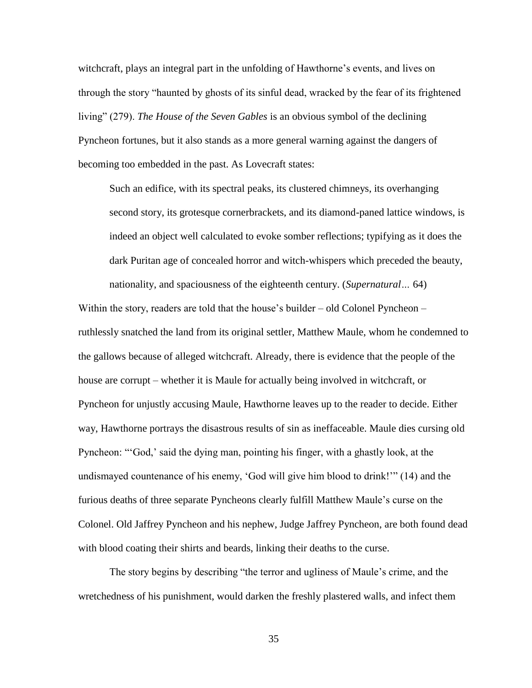witchcraft, plays an integral part in the unfolding of Hawthorne's events, and lives on through the story "haunted by ghosts of its sinful dead, wracked by the fear of its frightened living" (279). *The House of the Seven Gables* is an obvious symbol of the declining Pyncheon fortunes, but it also stands as a more general warning against the dangers of becoming too embedded in the past. As Lovecraft states:

Such an edifice, with its spectral peaks, its clustered chimneys, its overhanging second story, its grotesque cornerbrackets, and its diamond-paned lattice windows, is indeed an object well calculated to evoke somber reflections; typifying as it does the dark Puritan age of concealed horror and witch-whispers which preceded the beauty, nationality, and spaciousness of the eighteenth century. (*Supernatural…* 64)

Within the story, readers are told that the house's builder – old Colonel Pyncheon – ruthlessly snatched the land from its original settler, Matthew Maule, whom he condemned to the gallows because of alleged witchcraft. Already, there is evidence that the people of the house are corrupt – whether it is Maule for actually being involved in witchcraft, or Pyncheon for unjustly accusing Maule, Hawthorne leaves up to the reader to decide. Either way, Hawthorne portrays the disastrous results of sin as ineffaceable. Maule dies cursing old Pyncheon: "'God,' said the dying man, pointing his finger, with a ghastly look, at the undismayed countenance of his enemy, 'God will give him blood to drink!'" (14) and the furious deaths of three separate Pyncheons clearly fulfill Matthew Maule's curse on the Colonel. Old Jaffrey Pyncheon and his nephew, Judge Jaffrey Pyncheon, are both found dead with blood coating their shirts and beards, linking their deaths to the curse.

The story begins by describing "the terror and ugliness of Maule's crime, and the wretchedness of his punishment, would darken the freshly plastered walls, and infect them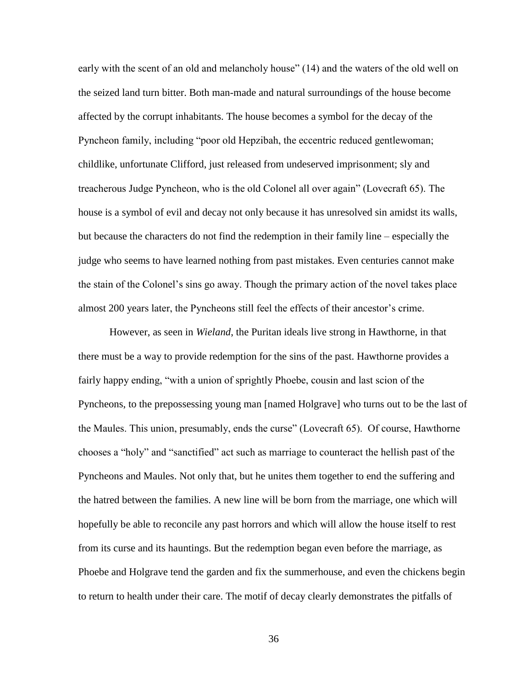early with the scent of an old and melancholy house" (14) and the waters of the old well on the seized land turn bitter. Both man-made and natural surroundings of the house become affected by the corrupt inhabitants. The house becomes a symbol for the decay of the Pyncheon family, including "poor old Hepzibah, the eccentric reduced gentlewoman; childlike, unfortunate Clifford, just released from undeserved imprisonment; sly and treacherous Judge Pyncheon, who is the old Colonel all over again" (Lovecraft 65). The house is a symbol of evil and decay not only because it has unresolved sin amidst its walls, but because the characters do not find the redemption in their family line – especially the judge who seems to have learned nothing from past mistakes. Even centuries cannot make the stain of the Colonel's sins go away. Though the primary action of the novel takes place almost 200 years later, the Pyncheons still feel the effects of their ancestor's crime.

However, as seen in *Wieland*, the Puritan ideals live strong in Hawthorne, in that there must be a way to provide redemption for the sins of the past. Hawthorne provides a fairly happy ending, "with a union of sprightly Phoebe, cousin and last scion of the Pyncheons, to the prepossessing young man [named Holgrave] who turns out to be the last of the Maules. This union, presumably, ends the curse" (Lovecraft 65). Of course, Hawthorne chooses a "holy" and "sanctified" act such as marriage to counteract the hellish past of the Pyncheons and Maules. Not only that, but he unites them together to end the suffering and the hatred between the families. A new line will be born from the marriage, one which will hopefully be able to reconcile any past horrors and which will allow the house itself to rest from its curse and its hauntings. But the redemption began even before the marriage, as Phoebe and Holgrave tend the garden and fix the summerhouse, and even the chickens begin to return to health under their care. The motif of decay clearly demonstrates the pitfalls of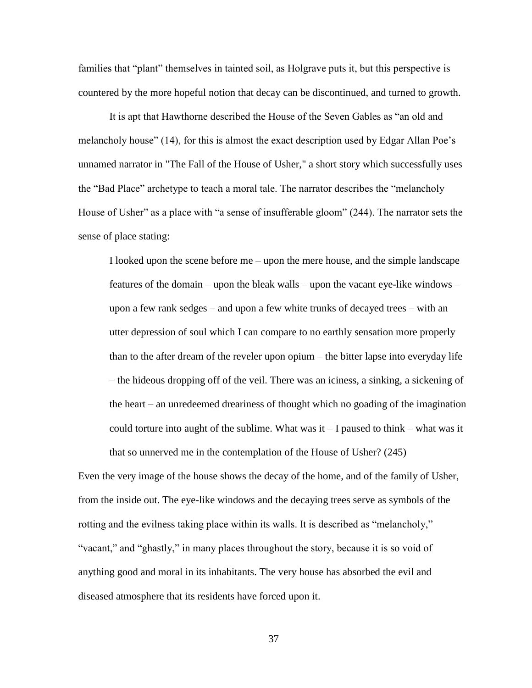families that "plant" themselves in tainted soil, as Holgrave puts it, but this perspective is countered by the more hopeful notion that decay can be discontinued, and turned to growth.

It is apt that Hawthorne described the House of the Seven Gables as "an old and melancholy house" (14), for this is almost the exact description used by Edgar Allan Poe's unnamed narrator in "The Fall of the House of Usher," a short story which successfully uses the "Bad Place" archetype to teach a moral tale. The narrator describes the "melancholy House of Usher" as a place with "a sense of insufferable gloom" (244). The narrator sets the sense of place stating:

I looked upon the scene before me – upon the mere house, and the simple landscape features of the domain – upon the bleak walls – upon the vacant eye-like windows – upon a few rank sedges – and upon a few white trunks of decayed trees – with an utter depression of soul which I can compare to no earthly sensation more properly than to the after dream of the reveler upon opium – the bitter lapse into everyday life – the hideous dropping off of the veil. There was an iciness, a sinking, a sickening of the heart – an unredeemed dreariness of thought which no goading of the imagination could torture into aught of the sublime. What was it  $-I$  paused to think – what was it that so unnerved me in the contemplation of the House of Usher? (245)

Even the very image of the house shows the decay of the home, and of the family of Usher, from the inside out. The eye-like windows and the decaying trees serve as symbols of the rotting and the evilness taking place within its walls. It is described as "melancholy," "vacant," and "ghastly," in many places throughout the story, because it is so void of anything good and moral in its inhabitants. The very house has absorbed the evil and diseased atmosphere that its residents have forced upon it.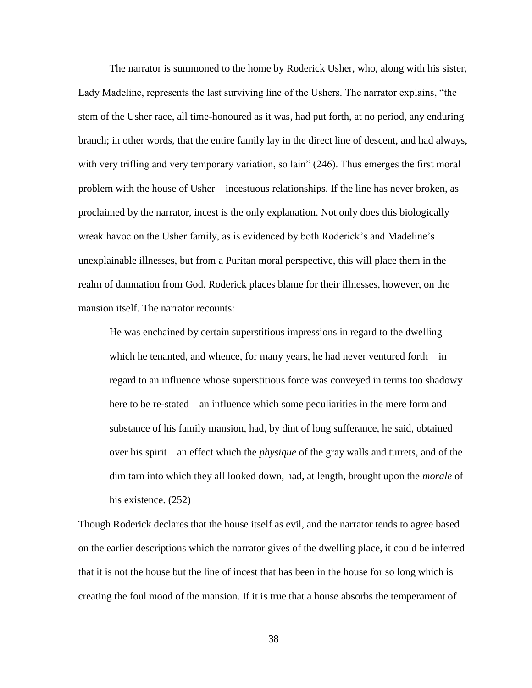The narrator is summoned to the home by Roderick Usher, who, along with his sister, Lady Madeline, represents the last surviving line of the Ushers. The narrator explains, "the stem of the Usher race, all time-honoured as it was, had put forth, at no period, any enduring branch; in other words, that the entire family lay in the direct line of descent, and had always, with very trifling and very temporary variation, so lain" (246). Thus emerges the first moral problem with the house of Usher – incestuous relationships. If the line has never broken, as proclaimed by the narrator, incest is the only explanation. Not only does this biologically wreak havoc on the Usher family, as is evidenced by both Roderick's and Madeline's unexplainable illnesses, but from a Puritan moral perspective, this will place them in the realm of damnation from God. Roderick places blame for their illnesses, however, on the mansion itself. The narrator recounts:

He was enchained by certain superstitious impressions in regard to the dwelling which he tenanted, and whence, for many years, he had never ventured forth – in regard to an influence whose superstitious force was conveyed in terms too shadowy here to be re-stated – an influence which some peculiarities in the mere form and substance of his family mansion, had, by dint of long sufferance, he said, obtained over his spirit – an effect which the *physique* of the gray walls and turrets, and of the dim tarn into which they all looked down, had, at length, brought upon the *morale* of his existence. (252)

Though Roderick declares that the house itself as evil, and the narrator tends to agree based on the earlier descriptions which the narrator gives of the dwelling place, it could be inferred that it is not the house but the line of incest that has been in the house for so long which is creating the foul mood of the mansion. If it is true that a house absorbs the temperament of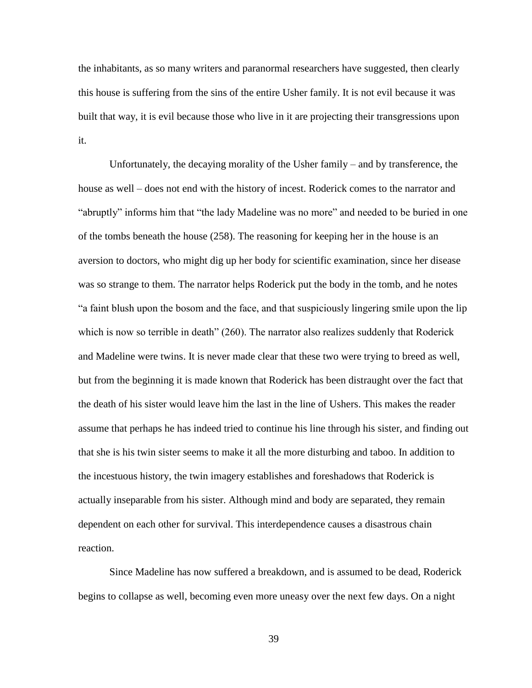the inhabitants, as so many writers and paranormal researchers have suggested, then clearly this house is suffering from the sins of the entire Usher family. It is not evil because it was built that way, it is evil because those who live in it are projecting their transgressions upon it.

Unfortunately, the decaying morality of the Usher family – and by transference, the house as well – does not end with the history of incest. Roderick comes to the narrator and "abruptly" informs him that "the lady Madeline was no more" and needed to be buried in one of the tombs beneath the house (258). The reasoning for keeping her in the house is an aversion to doctors, who might dig up her body for scientific examination, since her disease was so strange to them. The narrator helps Roderick put the body in the tomb, and he notes "a faint blush upon the bosom and the face, and that suspiciously lingering smile upon the lip which is now so terrible in death" (260). The narrator also realizes suddenly that Roderick and Madeline were twins. It is never made clear that these two were trying to breed as well, but from the beginning it is made known that Roderick has been distraught over the fact that the death of his sister would leave him the last in the line of Ushers. This makes the reader assume that perhaps he has indeed tried to continue his line through his sister, and finding out that she is his twin sister seems to make it all the more disturbing and taboo. In addition to the incestuous history, the twin imagery establishes and foreshadows that Roderick is actually inseparable from his sister. Although mind and body are separated, they remain dependent on each other for survival. This interdependence causes a disastrous chain reaction.

Since Madeline has now suffered a breakdown, and is assumed to be dead, Roderick begins to collapse as well, becoming even more uneasy over the next few days. On a night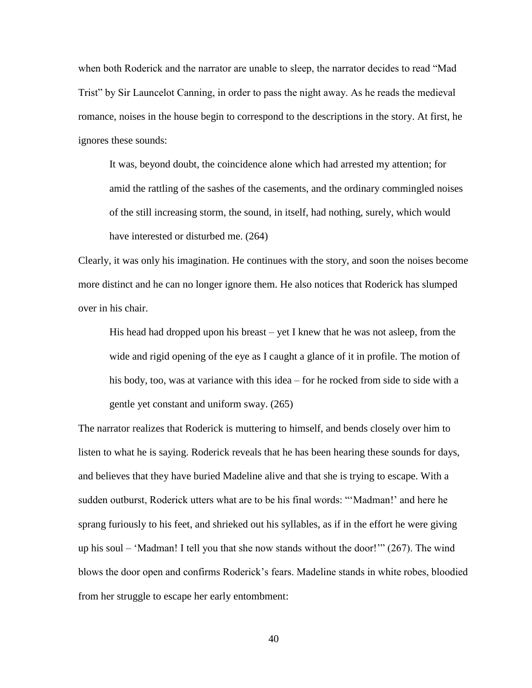when both Roderick and the narrator are unable to sleep, the narrator decides to read "Mad Trist" by Sir Launcelot Canning, in order to pass the night away. As he reads the medieval romance, noises in the house begin to correspond to the descriptions in the story. At first, he ignores these sounds:

It was, beyond doubt, the coincidence alone which had arrested my attention; for amid the rattling of the sashes of the casements, and the ordinary commingled noises of the still increasing storm, the sound, in itself, had nothing, surely, which would have interested or disturbed me. (264)

Clearly, it was only his imagination. He continues with the story, and soon the noises become more distinct and he can no longer ignore them. He also notices that Roderick has slumped over in his chair.

His head had dropped upon his breast – yet I knew that he was not asleep, from the wide and rigid opening of the eye as I caught a glance of it in profile. The motion of his body, too, was at variance with this idea – for he rocked from side to side with a gentle yet constant and uniform sway. (265)

The narrator realizes that Roderick is muttering to himself, and bends closely over him to listen to what he is saying. Roderick reveals that he has been hearing these sounds for days, and believes that they have buried Madeline alive and that she is trying to escape. With a sudden outburst, Roderick utters what are to be his final words: "'Madman!' and here he sprang furiously to his feet, and shrieked out his syllables, as if in the effort he were giving up his soul – 'Madman! I tell you that she now stands without the door!'" (267). The wind blows the door open and confirms Roderick's fears. Madeline stands in white robes, bloodied from her struggle to escape her early entombment: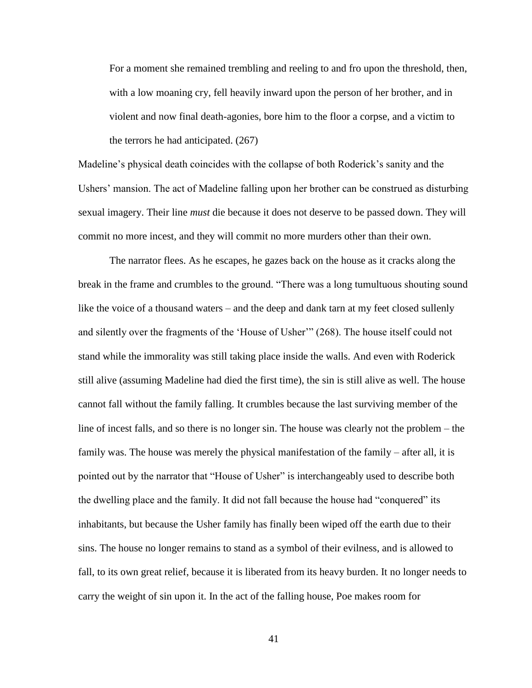For a moment she remained trembling and reeling to and fro upon the threshold, then, with a low moaning cry, fell heavily inward upon the person of her brother, and in violent and now final death-agonies, bore him to the floor a corpse, and a victim to the terrors he had anticipated. (267)

Madeline's physical death coincides with the collapse of both Roderick's sanity and the Ushers' mansion. The act of Madeline falling upon her brother can be construed as disturbing sexual imagery. Their line *must* die because it does not deserve to be passed down. They will commit no more incest, and they will commit no more murders other than their own.

The narrator flees. As he escapes, he gazes back on the house as it cracks along the break in the frame and crumbles to the ground. "There was a long tumultuous shouting sound like the voice of a thousand waters – and the deep and dank tarn at my feet closed sullenly and silently over the fragments of the 'House of Usher'" (268). The house itself could not stand while the immorality was still taking place inside the walls. And even with Roderick still alive (assuming Madeline had died the first time), the sin is still alive as well. The house cannot fall without the family falling. It crumbles because the last surviving member of the line of incest falls, and so there is no longer sin. The house was clearly not the problem – the family was. The house was merely the physical manifestation of the family – after all, it is pointed out by the narrator that "House of Usher" is interchangeably used to describe both the dwelling place and the family. It did not fall because the house had "conquered" its inhabitants, but because the Usher family has finally been wiped off the earth due to their sins. The house no longer remains to stand as a symbol of their evilness, and is allowed to fall, to its own great relief, because it is liberated from its heavy burden. It no longer needs to carry the weight of sin upon it. In the act of the falling house, Poe makes room for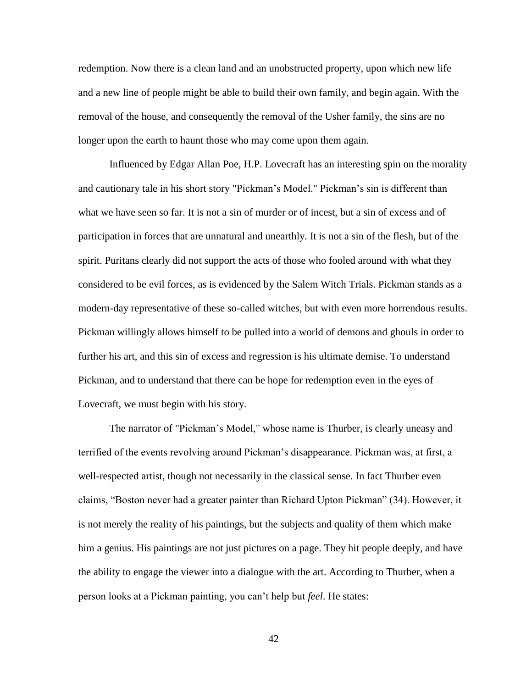redemption. Now there is a clean land and an unobstructed property, upon which new life and a new line of people might be able to build their own family, and begin again. With the removal of the house, and consequently the removal of the Usher family, the sins are no longer upon the earth to haunt those who may come upon them again.

Influenced by Edgar Allan Poe, H.P. Lovecraft has an interesting spin on the morality and cautionary tale in his short story "Pickman's Model." Pickman's sin is different than what we have seen so far. It is not a sin of murder or of incest, but a sin of excess and of participation in forces that are unnatural and unearthly. It is not a sin of the flesh, but of the spirit. Puritans clearly did not support the acts of those who fooled around with what they considered to be evil forces, as is evidenced by the Salem Witch Trials. Pickman stands as a modern-day representative of these so-called witches, but with even more horrendous results. Pickman willingly allows himself to be pulled into a world of demons and ghouls in order to further his art, and this sin of excess and regression is his ultimate demise. To understand Pickman, and to understand that there can be hope for redemption even in the eyes of Lovecraft, we must begin with his story.

The narrator of "Pickman's Model," whose name is Thurber, is clearly uneasy and terrified of the events revolving around Pickman's disappearance. Pickman was, at first, a well-respected artist, though not necessarily in the classical sense. In fact Thurber even claims, "Boston never had a greater painter than Richard Upton Pickman" (34). However, it is not merely the reality of his paintings, but the subjects and quality of them which make him a genius. His paintings are not just pictures on a page. They hit people deeply, and have the ability to engage the viewer into a dialogue with the art. According to Thurber, when a person looks at a Pickman painting, you can't help but *feel*. He states: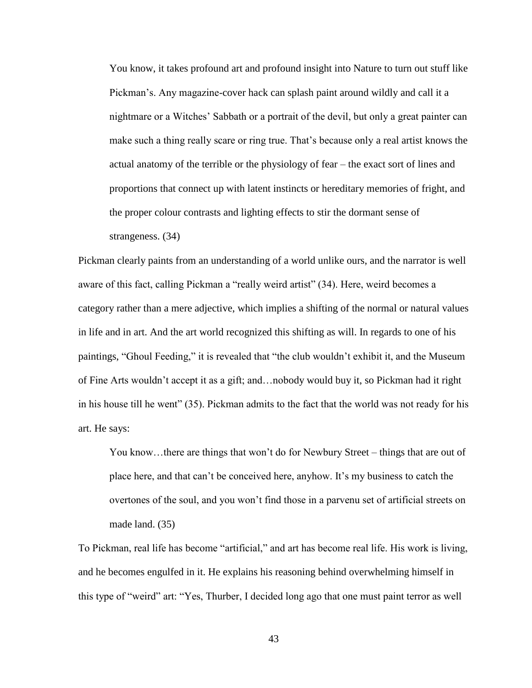You know, it takes profound art and profound insight into Nature to turn out stuff like Pickman's. Any magazine-cover hack can splash paint around wildly and call it a nightmare or a Witches' Sabbath or a portrait of the devil, but only a great painter can make such a thing really scare or ring true. That's because only a real artist knows the actual anatomy of the terrible or the physiology of fear – the exact sort of lines and proportions that connect up with latent instincts or hereditary memories of fright, and the proper colour contrasts and lighting effects to stir the dormant sense of strangeness. (34)

Pickman clearly paints from an understanding of a world unlike ours, and the narrator is well aware of this fact, calling Pickman a "really weird artist" (34). Here, weird becomes a category rather than a mere adjective, which implies a shifting of the normal or natural values in life and in art. And the art world recognized this shifting as will. In regards to one of his paintings, "Ghoul Feeding," it is revealed that "the club wouldn't exhibit it, and the Museum of Fine Arts wouldn't accept it as a gift; and…nobody would buy it, so Pickman had it right in his house till he went" (35). Pickman admits to the fact that the world was not ready for his art. He says:

You know…there are things that won't do for Newbury Street – things that are out of place here, and that can't be conceived here, anyhow. It's my business to catch the overtones of the soul, and you won't find those in a parvenu set of artificial streets on made land. (35)

To Pickman, real life has become "artificial," and art has become real life. His work is living, and he becomes engulfed in it. He explains his reasoning behind overwhelming himself in this type of "weird" art: "Yes, Thurber, I decided long ago that one must paint terror as well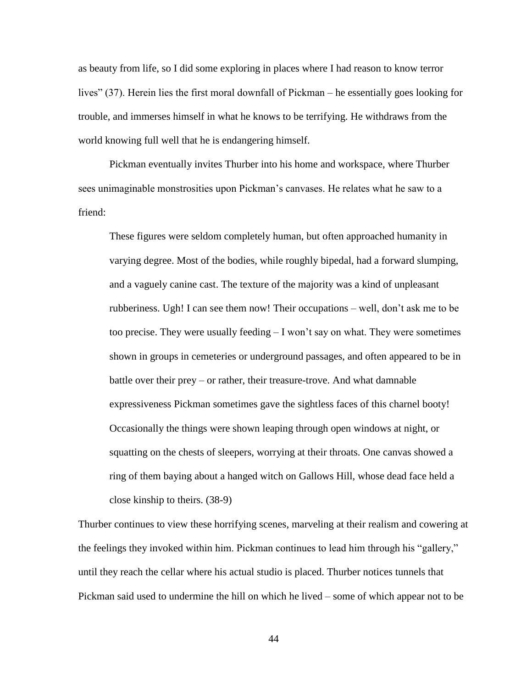as beauty from life, so I did some exploring in places where I had reason to know terror lives" (37). Herein lies the first moral downfall of Pickman – he essentially goes looking for trouble, and immerses himself in what he knows to be terrifying. He withdraws from the world knowing full well that he is endangering himself.

Pickman eventually invites Thurber into his home and workspace, where Thurber sees unimaginable monstrosities upon Pickman's canvases. He relates what he saw to a friend:

These figures were seldom completely human, but often approached humanity in varying degree. Most of the bodies, while roughly bipedal, had a forward slumping, and a vaguely canine cast. The texture of the majority was a kind of unpleasant rubberiness. Ugh! I can see them now! Their occupations – well, don't ask me to be too precise. They were usually feeding – I won't say on what. They were sometimes shown in groups in cemeteries or underground passages, and often appeared to be in battle over their prey – or rather, their treasure-trove. And what damnable expressiveness Pickman sometimes gave the sightless faces of this charnel booty! Occasionally the things were shown leaping through open windows at night, or squatting on the chests of sleepers, worrying at their throats. One canvas showed a ring of them baying about a hanged witch on Gallows Hill, whose dead face held a close kinship to theirs. (38-9)

Thurber continues to view these horrifying scenes, marveling at their realism and cowering at the feelings they invoked within him. Pickman continues to lead him through his "gallery," until they reach the cellar where his actual studio is placed. Thurber notices tunnels that Pickman said used to undermine the hill on which he lived – some of which appear not to be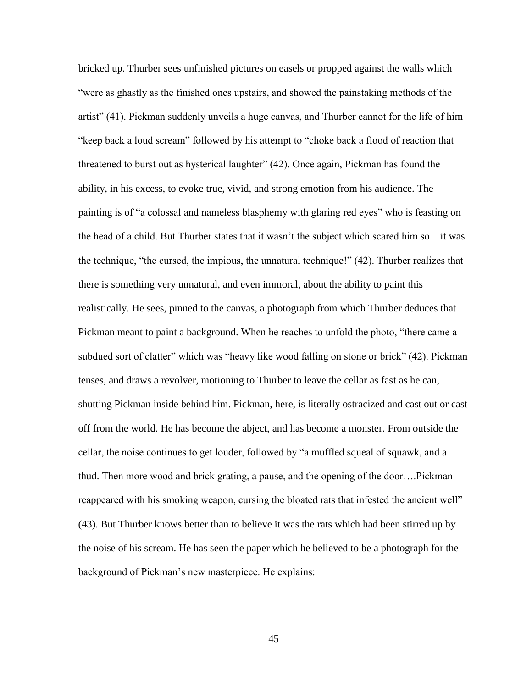bricked up. Thurber sees unfinished pictures on easels or propped against the walls which "were as ghastly as the finished ones upstairs, and showed the painstaking methods of the artist" (41). Pickman suddenly unveils a huge canvas, and Thurber cannot for the life of him "keep back a loud scream" followed by his attempt to "choke back a flood of reaction that threatened to burst out as hysterical laughter" (42). Once again, Pickman has found the ability, in his excess, to evoke true, vivid, and strong emotion from his audience. The painting is of "a colossal and nameless blasphemy with glaring red eyes" who is feasting on the head of a child. But Thurber states that it wasn't the subject which scared him so  $-$  it was the technique, "the cursed, the impious, the unnatural technique!" (42). Thurber realizes that there is something very unnatural, and even immoral, about the ability to paint this realistically. He sees, pinned to the canvas, a photograph from which Thurber deduces that Pickman meant to paint a background. When he reaches to unfold the photo, "there came a subdued sort of clatter" which was "heavy like wood falling on stone or brick" (42). Pickman tenses, and draws a revolver, motioning to Thurber to leave the cellar as fast as he can, shutting Pickman inside behind him. Pickman, here, is literally ostracized and cast out or cast off from the world. He has become the abject, and has become a monster. From outside the cellar, the noise continues to get louder, followed by "a muffled squeal of squawk, and a thud. Then more wood and brick grating, a pause, and the opening of the door….Pickman reappeared with his smoking weapon, cursing the bloated rats that infested the ancient well" (43). But Thurber knows better than to believe it was the rats which had been stirred up by the noise of his scream. He has seen the paper which he believed to be a photograph for the background of Pickman's new masterpiece. He explains: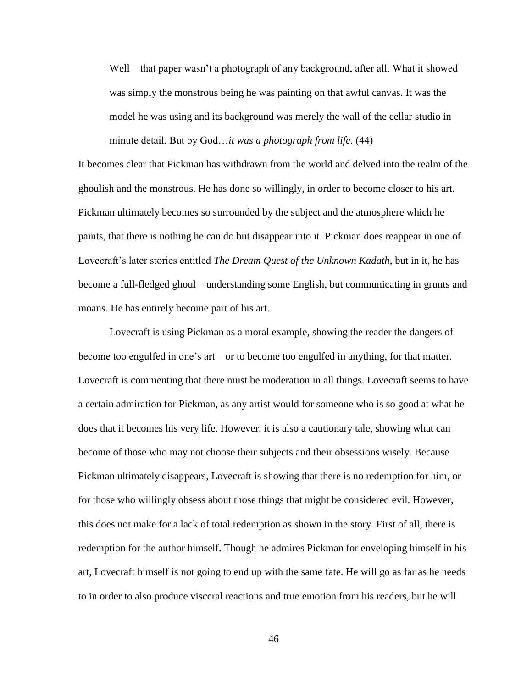Well – that paper wasn't a photograph of any background, after all. What it showed was simply the monstrous being he was painting on that awful canvas. It was the model he was using and its background was merely the wall of the cellar studio in minute detail. But by God…*it was a photograph from life*. (44)

It becomes clear that Pickman has withdrawn from the world and delved into the realm of the ghoulish and the monstrous. He has done so willingly, in order to become closer to his art. Pickman ultimately becomes so surrounded by the subject and the atmosphere which he paints, that there is nothing he can do but disappear into it. Pickman does reappear in one of Lovecraft's later stories entitled *The Dream Quest of the Unknown Kadath*, but in it, he has become a full-fledged ghoul – understanding some English, but communicating in grunts and moans. He has entirely become part of his art.

Lovecraft is using Pickman as a moral example, showing the reader the dangers of become too engulfed in one's art – or to become too engulfed in anything, for that matter. Lovecraft is commenting that there must be moderation in all things. Lovecraft seems to have a certain admiration for Pickman, as any artist would for someone who is so good at what he does that it becomes his very life. However, it is also a cautionary tale, showing what can become of those who may not choose their subjects and their obsessions wisely. Because Pickman ultimately disappears, Lovecraft is showing that there is no redemption for him, or for those who willingly obsess about those things that might be considered evil. However, this does not make for a lack of total redemption as shown in the story. First of all, there is redemption for the author himself. Though he admires Pickman for enveloping himself in his art, Lovecraft himself is not going to end up with the same fate. He will go as far as he needs to in order to also produce visceral reactions and true emotion from his readers, but he will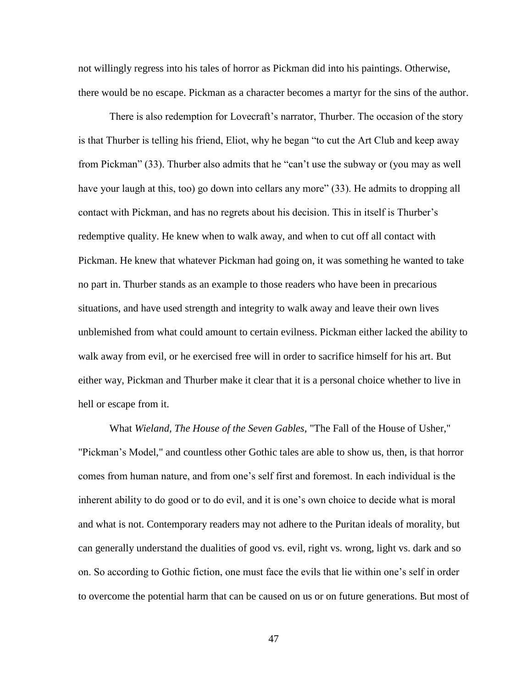not willingly regress into his tales of horror as Pickman did into his paintings. Otherwise, there would be no escape. Pickman as a character becomes a martyr for the sins of the author.

There is also redemption for Lovecraft's narrator, Thurber. The occasion of the story is that Thurber is telling his friend, Eliot, why he began "to cut the Art Club and keep away from Pickman" (33). Thurber also admits that he "can't use the subway or (you may as well have your laugh at this, too) go down into cellars any more" (33). He admits to dropping all contact with Pickman, and has no regrets about his decision. This in itself is Thurber's redemptive quality. He knew when to walk away, and when to cut off all contact with Pickman. He knew that whatever Pickman had going on, it was something he wanted to take no part in. Thurber stands as an example to those readers who have been in precarious situations, and have used strength and integrity to walk away and leave their own lives unblemished from what could amount to certain evilness. Pickman either lacked the ability to walk away from evil, or he exercised free will in order to sacrifice himself for his art. But either way, Pickman and Thurber make it clear that it is a personal choice whether to live in hell or escape from it.

What *Wieland, The House of the Seven Gables,* "The Fall of the House of Usher," "Pickman's Model," and countless other Gothic tales are able to show us, then, is that horror comes from human nature, and from one's self first and foremost. In each individual is the inherent ability to do good or to do evil, and it is one's own choice to decide what is moral and what is not. Contemporary readers may not adhere to the Puritan ideals of morality, but can generally understand the dualities of good vs. evil, right vs. wrong, light vs. dark and so on. So according to Gothic fiction, one must face the evils that lie within one's self in order to overcome the potential harm that can be caused on us or on future generations. But most of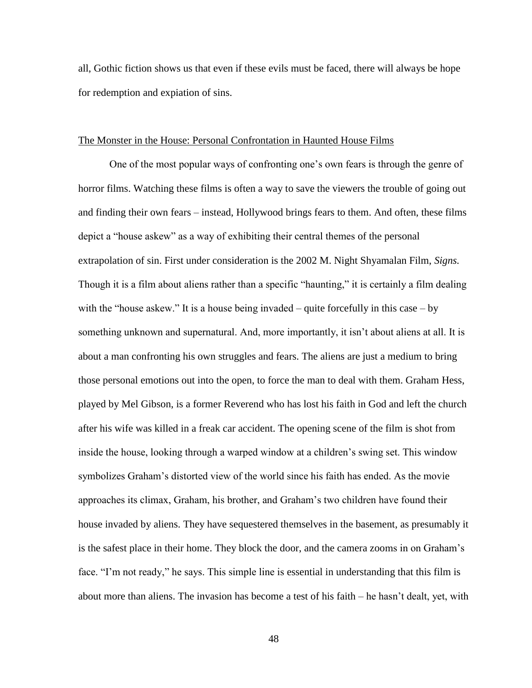all, Gothic fiction shows us that even if these evils must be faced, there will always be hope for redemption and expiation of sins.

## The Monster in the House: Personal Confrontation in Haunted House Films

One of the most popular ways of confronting one's own fears is through the genre of horror films. Watching these films is often a way to save the viewers the trouble of going out and finding their own fears – instead, Hollywood brings fears to them. And often, these films depict a "house askew" as a way of exhibiting their central themes of the personal extrapolation of sin. First under consideration is the 2002 M. Night Shyamalan Film, *Signs.* Though it is a film about aliens rather than a specific "haunting," it is certainly a film dealing with the "house askew." It is a house being invaded – quite forcefully in this case – by something unknown and supernatural. And, more importantly, it isn't about aliens at all. It is about a man confronting his own struggles and fears. The aliens are just a medium to bring those personal emotions out into the open, to force the man to deal with them. Graham Hess, played by Mel Gibson, is a former Reverend who has lost his faith in God and left the church after his wife was killed in a freak car accident. The opening scene of the film is shot from inside the house, looking through a warped window at a children's swing set. This window symbolizes Graham's distorted view of the world since his faith has ended. As the movie approaches its climax, Graham, his brother, and Graham's two children have found their house invaded by aliens. They have sequestered themselves in the basement, as presumably it is the safest place in their home. They block the door, and the camera zooms in on Graham's face. "I'm not ready," he says. This simple line is essential in understanding that this film is about more than aliens. The invasion has become a test of his faith – he hasn't dealt, yet, with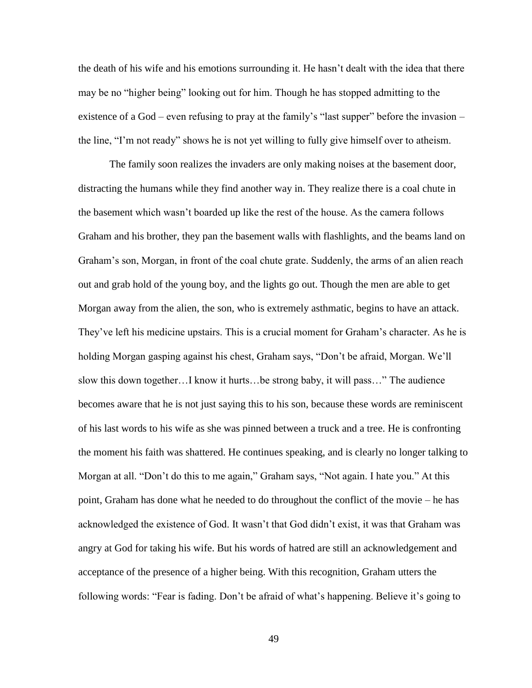the death of his wife and his emotions surrounding it. He hasn't dealt with the idea that there may be no "higher being" looking out for him. Though he has stopped admitting to the existence of a God – even refusing to pray at the family's "last supper" before the invasion – the line, "I'm not ready" shows he is not yet willing to fully give himself over to atheism.

The family soon realizes the invaders are only making noises at the basement door, distracting the humans while they find another way in. They realize there is a coal chute in the basement which wasn't boarded up like the rest of the house. As the camera follows Graham and his brother, they pan the basement walls with flashlights, and the beams land on Graham's son, Morgan, in front of the coal chute grate. Suddenly, the arms of an alien reach out and grab hold of the young boy, and the lights go out. Though the men are able to get Morgan away from the alien, the son, who is extremely asthmatic, begins to have an attack. They've left his medicine upstairs. This is a crucial moment for Graham's character. As he is holding Morgan gasping against his chest, Graham says, "Don't be afraid, Morgan. We'll slow this down together…I know it hurts…be strong baby, it will pass…" The audience becomes aware that he is not just saying this to his son, because these words are reminiscent of his last words to his wife as she was pinned between a truck and a tree. He is confronting the moment his faith was shattered. He continues speaking, and is clearly no longer talking to Morgan at all. "Don't do this to me again," Graham says, "Not again. I hate you." At this point, Graham has done what he needed to do throughout the conflict of the movie – he has acknowledged the existence of God. It wasn't that God didn't exist, it was that Graham was angry at God for taking his wife. But his words of hatred are still an acknowledgement and acceptance of the presence of a higher being. With this recognition, Graham utters the following words: "Fear is fading. Don't be afraid of what's happening. Believe it's going to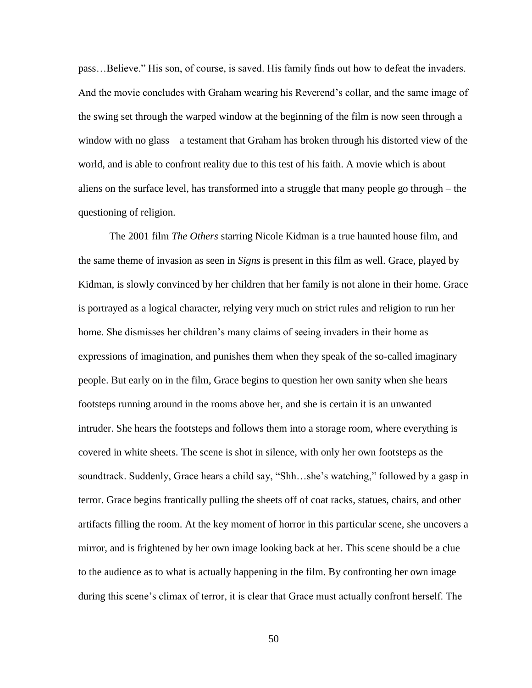pass…Believe." His son, of course, is saved. His family finds out how to defeat the invaders. And the movie concludes with Graham wearing his Reverend's collar, and the same image of the swing set through the warped window at the beginning of the film is now seen through a window with no glass – a testament that Graham has broken through his distorted view of the world, and is able to confront reality due to this test of his faith. A movie which is about aliens on the surface level, has transformed into a struggle that many people go through – the questioning of religion.

The 2001 film *The Others* starring Nicole Kidman is a true haunted house film, and the same theme of invasion as seen in *Signs* is present in this film as well. Grace, played by Kidman, is slowly convinced by her children that her family is not alone in their home. Grace is portrayed as a logical character, relying very much on strict rules and religion to run her home. She dismisses her children's many claims of seeing invaders in their home as expressions of imagination, and punishes them when they speak of the so-called imaginary people. But early on in the film, Grace begins to question her own sanity when she hears footsteps running around in the rooms above her, and she is certain it is an unwanted intruder. She hears the footsteps and follows them into a storage room, where everything is covered in white sheets. The scene is shot in silence, with only her own footsteps as the soundtrack. Suddenly, Grace hears a child say, "Shh…she's watching," followed by a gasp in terror. Grace begins frantically pulling the sheets off of coat racks, statues, chairs, and other artifacts filling the room. At the key moment of horror in this particular scene, she uncovers a mirror, and is frightened by her own image looking back at her. This scene should be a clue to the audience as to what is actually happening in the film. By confronting her own image during this scene's climax of terror, it is clear that Grace must actually confront herself. The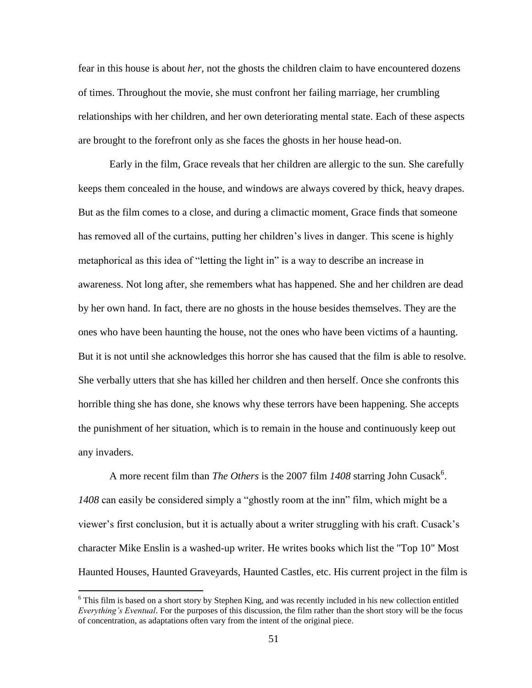fear in this house is about *her*, not the ghosts the children claim to have encountered dozens of times. Throughout the movie, she must confront her failing marriage, her crumbling relationships with her children, and her own deteriorating mental state. Each of these aspects are brought to the forefront only as she faces the ghosts in her house head-on.

Early in the film, Grace reveals that her children are allergic to the sun. She carefully keeps them concealed in the house, and windows are always covered by thick, heavy drapes. But as the film comes to a close, and during a climactic moment, Grace finds that someone has removed all of the curtains, putting her children's lives in danger. This scene is highly metaphorical as this idea of "letting the light in" is a way to describe an increase in awareness. Not long after, she remembers what has happened. She and her children are dead by her own hand. In fact, there are no ghosts in the house besides themselves. They are the ones who have been haunting the house, not the ones who have been victims of a haunting. But it is not until she acknowledges this horror she has caused that the film is able to resolve. She verbally utters that she has killed her children and then herself. Once she confronts this horrible thing she has done, she knows why these terrors have been happening. She accepts the punishment of her situation, which is to remain in the house and continuously keep out any invaders.

A more recent film than *The Others* is the 2007 film 1408 starring John Cusack<sup>6</sup>. *1408* can easily be considered simply a "ghostly room at the inn" film, which might be a viewer's first conclusion, but it is actually about a writer struggling with his craft. Cusack's character Mike Enslin is a washed-up writer. He writes books which list the "Top 10" Most Haunted Houses, Haunted Graveyards, Haunted Castles, etc. His current project in the film is

 $\overline{\phantom{a}}$ 

<sup>&</sup>lt;sup>6</sup> This film is based on a short story by Stephen King, and was recently included in his new collection entitled *Everything's Eventual*. For the purposes of this discussion, the film rather than the short story will be the focus of concentration, as adaptations often vary from the intent of the original piece.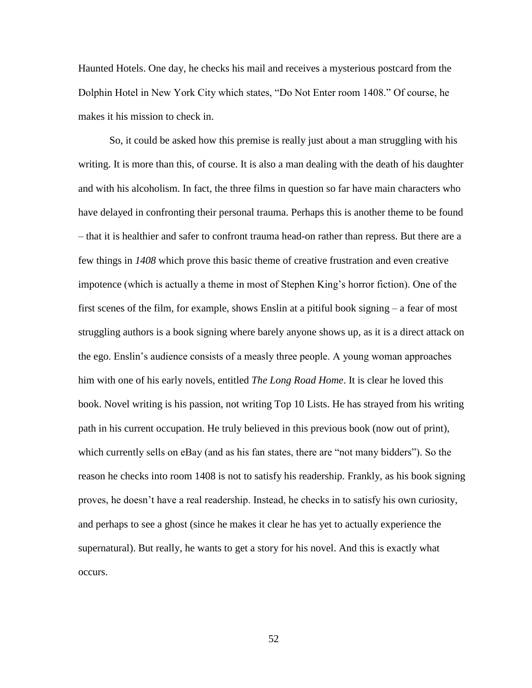Haunted Hotels. One day, he checks his mail and receives a mysterious postcard from the Dolphin Hotel in New York City which states, "Do Not Enter room 1408." Of course, he makes it his mission to check in.

So, it could be asked how this premise is really just about a man struggling with his writing. It is more than this, of course. It is also a man dealing with the death of his daughter and with his alcoholism. In fact, the three films in question so far have main characters who have delayed in confronting their personal trauma. Perhaps this is another theme to be found – that it is healthier and safer to confront trauma head-on rather than repress. But there are a few things in *1408* which prove this basic theme of creative frustration and even creative impotence (which is actually a theme in most of Stephen King's horror fiction). One of the first scenes of the film, for example, shows Enslin at a pitiful book signing – a fear of most struggling authors is a book signing where barely anyone shows up, as it is a direct attack on the ego. Enslin's audience consists of a measly three people. A young woman approaches him with one of his early novels, entitled *The Long Road Home*. It is clear he loved this book. Novel writing is his passion, not writing Top 10 Lists. He has strayed from his writing path in his current occupation. He truly believed in this previous book (now out of print), which currently sells on eBay (and as his fan states, there are "not many bidders"). So the reason he checks into room 1408 is not to satisfy his readership. Frankly, as his book signing proves, he doesn't have a real readership. Instead, he checks in to satisfy his own curiosity, and perhaps to see a ghost (since he makes it clear he has yet to actually experience the supernatural). But really, he wants to get a story for his novel. And this is exactly what occurs.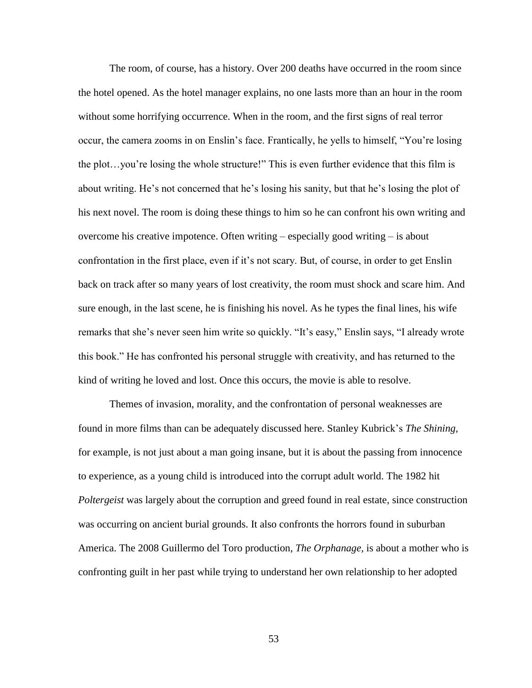The room, of course, has a history. Over 200 deaths have occurred in the room since the hotel opened. As the hotel manager explains, no one lasts more than an hour in the room without some horrifying occurrence. When in the room, and the first signs of real terror occur, the camera zooms in on Enslin's face. Frantically, he yells to himself, "You're losing the plot…you're losing the whole structure!" This is even further evidence that this film is about writing. He's not concerned that he's losing his sanity, but that he's losing the plot of his next novel. The room is doing these things to him so he can confront his own writing and overcome his creative impotence. Often writing – especially good writing – is about confrontation in the first place, even if it's not scary. But, of course, in order to get Enslin back on track after so many years of lost creativity, the room must shock and scare him. And sure enough, in the last scene, he is finishing his novel. As he types the final lines, his wife remarks that she's never seen him write so quickly. "It's easy," Enslin says, "I already wrote this book." He has confronted his personal struggle with creativity, and has returned to the kind of writing he loved and lost. Once this occurs, the movie is able to resolve.

Themes of invasion, morality, and the confrontation of personal weaknesses are found in more films than can be adequately discussed here. Stanley Kubrick's *The Shining,*  for example, is not just about a man going insane, but it is about the passing from innocence to experience, as a young child is introduced into the corrupt adult world. The 1982 hit *Poltergeist* was largely about the corruption and greed found in real estate, since construction was occurring on ancient burial grounds. It also confronts the horrors found in suburban America. The 2008 Guillermo del Toro production, *The Orphanage,* is about a mother who is confronting guilt in her past while trying to understand her own relationship to her adopted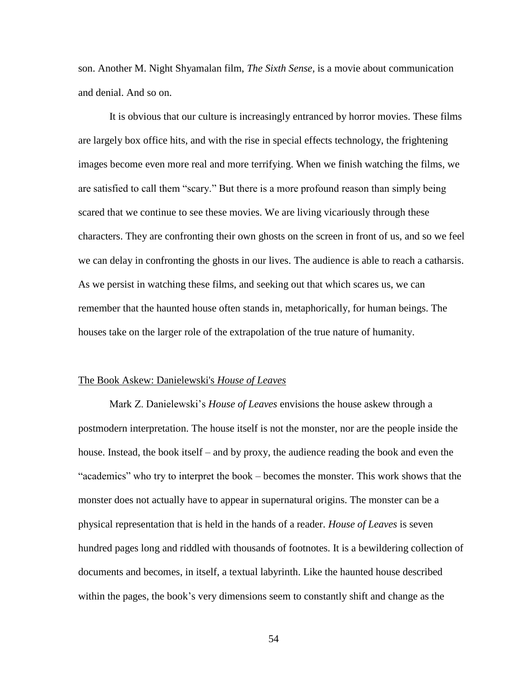son. Another M. Night Shyamalan film, *The Sixth Sense,* is a movie about communication and denial. And so on.

It is obvious that our culture is increasingly entranced by horror movies. These films are largely box office hits, and with the rise in special effects technology, the frightening images become even more real and more terrifying. When we finish watching the films, we are satisfied to call them "scary." But there is a more profound reason than simply being scared that we continue to see these movies. We are living vicariously through these characters. They are confronting their own ghosts on the screen in front of us, and so we feel we can delay in confronting the ghosts in our lives. The audience is able to reach a catharsis. As we persist in watching these films, and seeking out that which scares us, we can remember that the haunted house often stands in, metaphorically, for human beings. The houses take on the larger role of the extrapolation of the true nature of humanity.

## The Book Askew: Danielewski's *House of Leaves*

Mark Z. Danielewski's *House of Leaves* envisions the house askew through a postmodern interpretation. The house itself is not the monster, nor are the people inside the house. Instead, the book itself – and by proxy, the audience reading the book and even the "academics" who try to interpret the book – becomes the monster. This work shows that the monster does not actually have to appear in supernatural origins. The monster can be a physical representation that is held in the hands of a reader. *House of Leaves* is seven hundred pages long and riddled with thousands of footnotes. It is a bewildering collection of documents and becomes, in itself, a textual labyrinth. Like the haunted house described within the pages, the book's very dimensions seem to constantly shift and change as the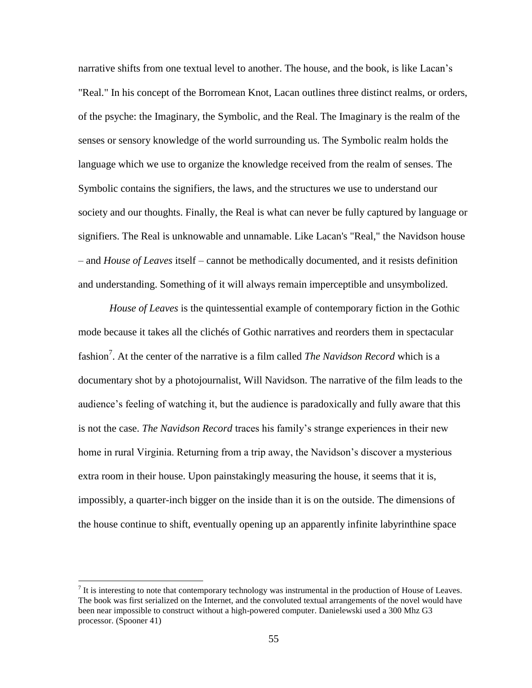narrative shifts from one textual level to another. The house, and the book, is like Lacan's "Real." In his concept of the Borromean Knot, Lacan outlines three distinct realms, or orders, of the psyche: the Imaginary, the Symbolic, and the Real. The Imaginary is the realm of the senses or sensory knowledge of the world surrounding us. The Symbolic realm holds the language which we use to organize the knowledge received from the realm of senses. The Symbolic contains the signifiers, the laws, and the structures we use to understand our society and our thoughts. Finally, the Real is what can never be fully captured by language or signifiers. The Real is unknowable and unnamable. Like Lacan's "Real," the Navidson house – and *House of Leaves* itself – cannot be methodically documented, and it resists definition and understanding. Something of it will always remain imperceptible and unsymbolized.

*House of Leaves* is the quintessential example of contemporary fiction in the Gothic mode because it takes all the clichés of Gothic narratives and reorders them in spectacular fashion<sup>7</sup>. At the center of the narrative is a film called *The Navidson Record* which is a documentary shot by a photojournalist, Will Navidson. The narrative of the film leads to the audience's feeling of watching it, but the audience is paradoxically and fully aware that this is not the case. *The Navidson Record* traces his family's strange experiences in their new home in rural Virginia. Returning from a trip away, the Navidson's discover a mysterious extra room in their house. Upon painstakingly measuring the house, it seems that it is, impossibly, a quarter-inch bigger on the inside than it is on the outside. The dimensions of the house continue to shift, eventually opening up an apparently infinite labyrinthine space

 $\overline{\phantom{a}}$ 

 $<sup>7</sup>$  It is interesting to note that contemporary technology was instrumental in the production of House of Leaves.</sup> The book was first serialized on the Internet, and the convoluted textual arrangements of the novel would have been near impossible to construct without a high-powered computer. Danielewski used a 300 Mhz G3 processor. (Spooner 41)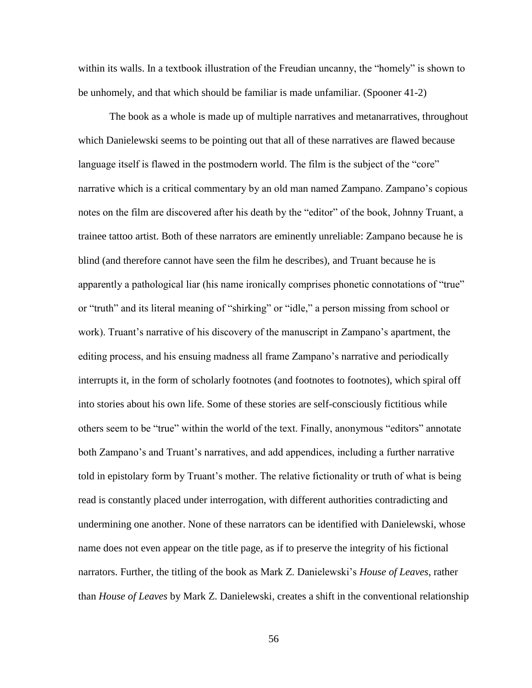within its walls. In a textbook illustration of the Freudian uncanny, the "homely" is shown to be unhomely, and that which should be familiar is made unfamiliar. (Spooner 41-2)

The book as a whole is made up of multiple narratives and metanarratives, throughout which Danielewski seems to be pointing out that all of these narratives are flawed because language itself is flawed in the postmodern world. The film is the subject of the "core" narrative which is a critical commentary by an old man named Zampano. Zampano's copious notes on the film are discovered after his death by the "editor" of the book, Johnny Truant, a trainee tattoo artist. Both of these narrators are eminently unreliable: Zampano because he is blind (and therefore cannot have seen the film he describes), and Truant because he is apparently a pathological liar (his name ironically comprises phonetic connotations of "true" or "truth" and its literal meaning of "shirking" or "idle," a person missing from school or work). Truant's narrative of his discovery of the manuscript in Zampano's apartment, the editing process, and his ensuing madness all frame Zampano's narrative and periodically interrupts it, in the form of scholarly footnotes (and footnotes to footnotes), which spiral off into stories about his own life. Some of these stories are self-consciously fictitious while others seem to be "true" within the world of the text. Finally, anonymous "editors" annotate both Zampano's and Truant's narratives, and add appendices, including a further narrative told in epistolary form by Truant's mother. The relative fictionality or truth of what is being read is constantly placed under interrogation, with different authorities contradicting and undermining one another. None of these narrators can be identified with Danielewski, whose name does not even appear on the title page, as if to preserve the integrity of his fictional narrators. Further, the titling of the book as Mark Z. Danielewski's *House of Leaves*, rather than *House of Leaves* by Mark Z. Danielewski, creates a shift in the conventional relationship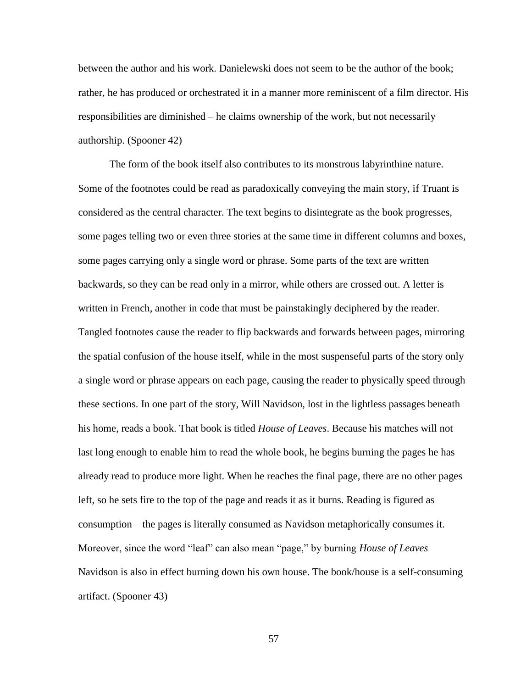between the author and his work. Danielewski does not seem to be the author of the book; rather, he has produced or orchestrated it in a manner more reminiscent of a film director. His responsibilities are diminished – he claims ownership of the work, but not necessarily authorship. (Spooner 42)

The form of the book itself also contributes to its monstrous labyrinthine nature. Some of the footnotes could be read as paradoxically conveying the main story, if Truant is considered as the central character. The text begins to disintegrate as the book progresses, some pages telling two or even three stories at the same time in different columns and boxes, some pages carrying only a single word or phrase. Some parts of the text are written backwards, so they can be read only in a mirror, while others are crossed out. A letter is written in French, another in code that must be painstakingly deciphered by the reader. Tangled footnotes cause the reader to flip backwards and forwards between pages, mirroring the spatial confusion of the house itself, while in the most suspenseful parts of the story only a single word or phrase appears on each page, causing the reader to physically speed through these sections. In one part of the story, Will Navidson, lost in the lightless passages beneath his home, reads a book. That book is titled *House of Leaves*. Because his matches will not last long enough to enable him to read the whole book, he begins burning the pages he has already read to produce more light. When he reaches the final page, there are no other pages left, so he sets fire to the top of the page and reads it as it burns. Reading is figured as consumption – the pages is literally consumed as Navidson metaphorically consumes it. Moreover, since the word "leaf" can also mean "page," by burning *House of Leaves* Navidson is also in effect burning down his own house. The book/house is a self-consuming artifact. (Spooner 43)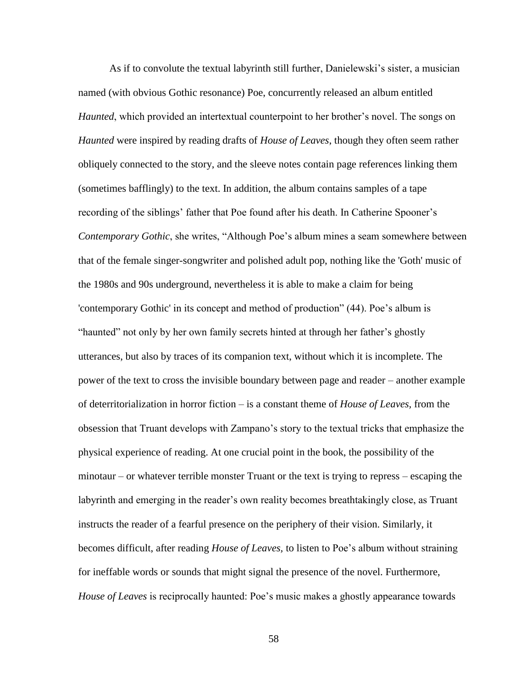As if to convolute the textual labyrinth still further, Danielewski's sister, a musician named (with obvious Gothic resonance) Poe, concurrently released an album entitled *Haunted*, which provided an intertextual counterpoint to her brother's novel. The songs on *Haunted* were inspired by reading drafts of *House of Leaves*, though they often seem rather obliquely connected to the story, and the sleeve notes contain page references linking them (sometimes bafflingly) to the text. In addition, the album contains samples of a tape recording of the siblings' father that Poe found after his death. In Catherine Spooner's *Contemporary Gothic*, she writes, "Although Poe's album mines a seam somewhere between that of the female singer-songwriter and polished adult pop, nothing like the 'Goth' music of the 1980s and 90s underground, nevertheless it is able to make a claim for being 'contemporary Gothic' in its concept and method of production" (44). Poe's album is "haunted" not only by her own family secrets hinted at through her father's ghostly utterances, but also by traces of its companion text, without which it is incomplete. The power of the text to cross the invisible boundary between page and reader – another example of deterritorialization in horror fiction – is a constant theme of *House of Leaves,* from the obsession that Truant develops with Zampano's story to the textual tricks that emphasize the physical experience of reading. At one crucial point in the book, the possibility of the minotaur – or whatever terrible monster Truant or the text is trying to repress – escaping the labyrinth and emerging in the reader's own reality becomes breathtakingly close, as Truant instructs the reader of a fearful presence on the periphery of their vision. Similarly, it becomes difficult, after reading *House of Leaves,* to listen to Poe's album without straining for ineffable words or sounds that might signal the presence of the novel. Furthermore, *House of Leaves* is reciprocally haunted: Poe's music makes a ghostly appearance towards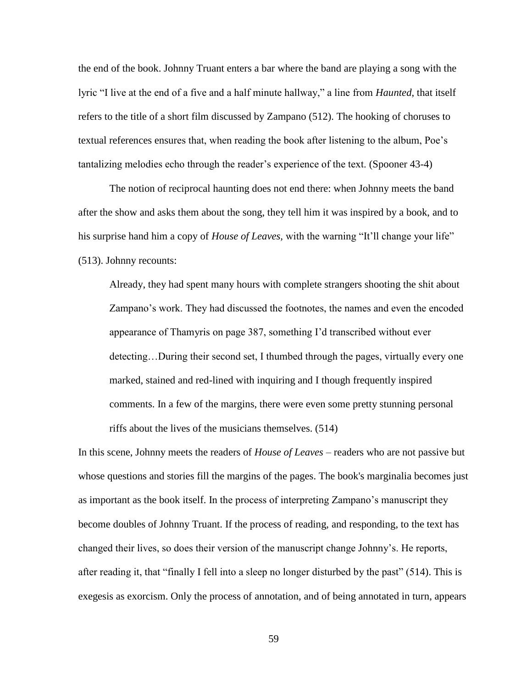the end of the book. Johnny Truant enters a bar where the band are playing a song with the lyric "I live at the end of a five and a half minute hallway," a line from *Haunted*, that itself refers to the title of a short film discussed by Zampano (512). The hooking of choruses to textual references ensures that, when reading the book after listening to the album, Poe's tantalizing melodies echo through the reader's experience of the text. (Spooner 43-4)

The notion of reciprocal haunting does not end there: when Johnny meets the band after the show and asks them about the song, they tell him it was inspired by a book, and to his surprise hand him a copy of *House of Leaves,* with the warning "It'll change your life" (513). Johnny recounts:

Already, they had spent many hours with complete strangers shooting the shit about Zampano's work. They had discussed the footnotes, the names and even the encoded appearance of Thamyris on page 387, something I'd transcribed without ever detecting…During their second set, I thumbed through the pages, virtually every one marked, stained and red-lined with inquiring and I though frequently inspired comments. In a few of the margins, there were even some pretty stunning personal riffs about the lives of the musicians themselves. (514)

In this scene, Johnny meets the readers of *House of Leaves* – readers who are not passive but whose questions and stories fill the margins of the pages. The book's marginalia becomes just as important as the book itself. In the process of interpreting Zampano's manuscript they become doubles of Johnny Truant. If the process of reading, and responding, to the text has changed their lives, so does their version of the manuscript change Johnny's. He reports, after reading it, that "finally I fell into a sleep no longer disturbed by the past" (514). This is exegesis as exorcism. Only the process of annotation, and of being annotated in turn, appears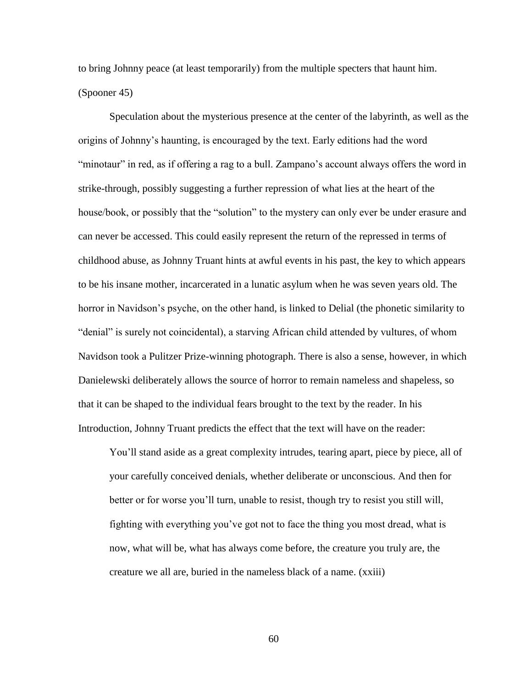to bring Johnny peace (at least temporarily) from the multiple specters that haunt him. (Spooner 45)

Speculation about the mysterious presence at the center of the labyrinth, as well as the origins of Johnny's haunting, is encouraged by the text. Early editions had the word "minotaur" in red, as if offering a rag to a bull. Zampano's account always offers the word in strike-through, possibly suggesting a further repression of what lies at the heart of the house/book, or possibly that the "solution" to the mystery can only ever be under erasure and can never be accessed. This could easily represent the return of the repressed in terms of childhood abuse, as Johnny Truant hints at awful events in his past, the key to which appears to be his insane mother, incarcerated in a lunatic asylum when he was seven years old. The horror in Navidson's psyche, on the other hand, is linked to Delial (the phonetic similarity to "denial" is surely not coincidental), a starving African child attended by vultures, of whom Navidson took a Pulitzer Prize-winning photograph. There is also a sense, however, in which Danielewski deliberately allows the source of horror to remain nameless and shapeless, so that it can be shaped to the individual fears brought to the text by the reader. In his Introduction, Johnny Truant predicts the effect that the text will have on the reader:

You'll stand aside as a great complexity intrudes, tearing apart, piece by piece, all of your carefully conceived denials, whether deliberate or unconscious. And then for better or for worse you'll turn, unable to resist, though try to resist you still will, fighting with everything you've got not to face the thing you most dread, what is now, what will be, what has always come before, the creature you truly are, the creature we all are, buried in the nameless black of a name. (xxiii)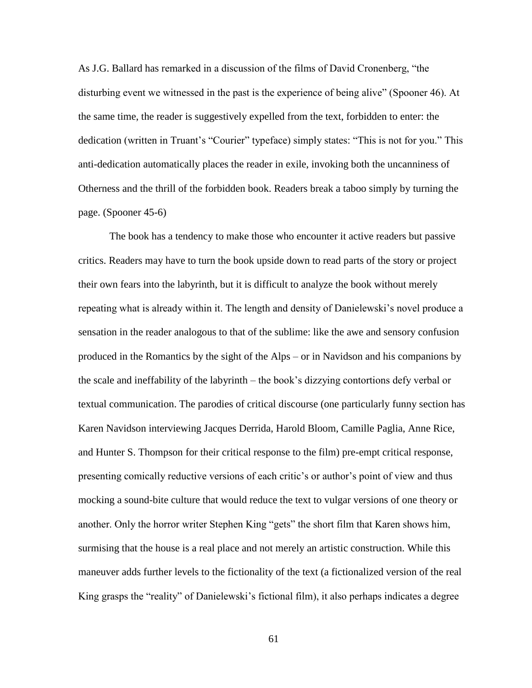As J.G. Ballard has remarked in a discussion of the films of David Cronenberg, "the disturbing event we witnessed in the past is the experience of being alive" (Spooner 46). At the same time, the reader is suggestively expelled from the text, forbidden to enter: the dedication (written in Truant's "Courier" typeface) simply states: "This is not for you." This anti-dedication automatically places the reader in exile, invoking both the uncanniness of Otherness and the thrill of the forbidden book. Readers break a taboo simply by turning the page. (Spooner 45-6)

The book has a tendency to make those who encounter it active readers but passive critics. Readers may have to turn the book upside down to read parts of the story or project their own fears into the labyrinth, but it is difficult to analyze the book without merely repeating what is already within it. The length and density of Danielewski's novel produce a sensation in the reader analogous to that of the sublime: like the awe and sensory confusion produced in the Romantics by the sight of the Alps – or in Navidson and his companions by the scale and ineffability of the labyrinth – the book's dizzying contortions defy verbal or textual communication. The parodies of critical discourse (one particularly funny section has Karen Navidson interviewing Jacques Derrida, Harold Bloom, Camille Paglia, Anne Rice, and Hunter S. Thompson for their critical response to the film) pre-empt critical response, presenting comically reductive versions of each critic's or author's point of view and thus mocking a sound-bite culture that would reduce the text to vulgar versions of one theory or another. Only the horror writer Stephen King "gets" the short film that Karen shows him, surmising that the house is a real place and not merely an artistic construction. While this maneuver adds further levels to the fictionality of the text (a fictionalized version of the real King grasps the "reality" of Danielewski's fictional film), it also perhaps indicates a degree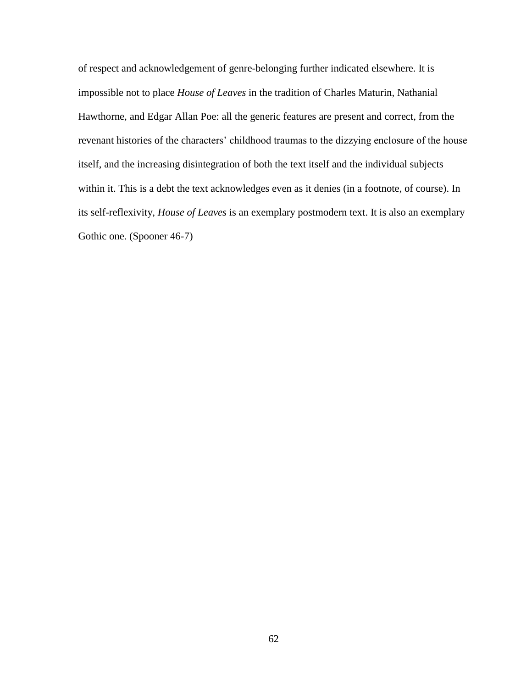of respect and acknowledgement of genre-belonging further indicated elsewhere. It is impossible not to place *House of Leaves* in the tradition of Charles Maturin, Nathanial Hawthorne, and Edgar Allan Poe: all the generic features are present and correct, from the revenant histories of the characters' childhood traumas to the dizzying enclosure of the house itself, and the increasing disintegration of both the text itself and the individual subjects within it. This is a debt the text acknowledges even as it denies (in a footnote, of course). In its self-reflexivity, *House of Leaves* is an exemplary postmodern text. It is also an exemplary Gothic one. (Spooner 46-7)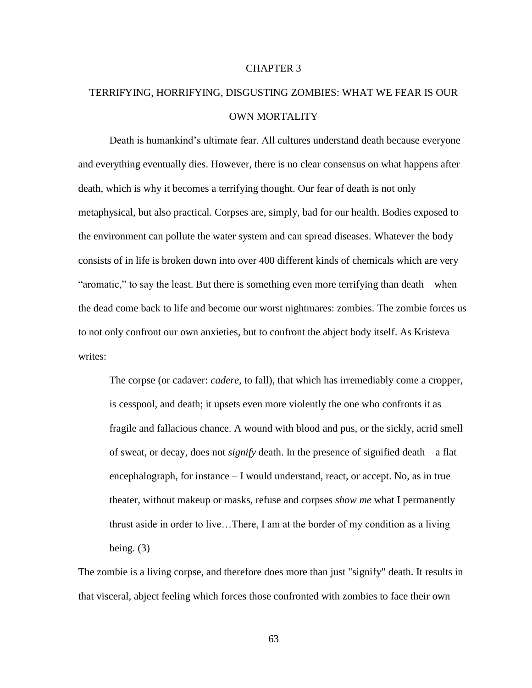## CHAPTER 3

# TERRIFYING, HORRIFYING, DISGUSTING ZOMBIES: WHAT WE FEAR IS OUR OWN MORTALITY

Death is humankind's ultimate fear. All cultures understand death because everyone and everything eventually dies. However, there is no clear consensus on what happens after death, which is why it becomes a terrifying thought. Our fear of death is not only metaphysical, but also practical. Corpses are, simply, bad for our health. Bodies exposed to the environment can pollute the water system and can spread diseases. Whatever the body consists of in life is broken down into over 400 different kinds of chemicals which are very "aromatic," to say the least. But there is something even more terrifying than death – when the dead come back to life and become our worst nightmares: zombies. The zombie forces us to not only confront our own anxieties, but to confront the abject body itself. As Kristeva writes:

The corpse (or cadaver: *cadere*, to fall), that which has irremediably come a cropper, is cesspool, and death; it upsets even more violently the one who confronts it as fragile and fallacious chance. A wound with blood and pus, or the sickly, acrid smell of sweat, or decay, does not *signify* death. In the presence of signified death – a flat encephalograph, for instance – I would understand, react, or accept. No, as in true theater, without makeup or masks, refuse and corpses *show me* what I permanently thrust aside in order to live…There, I am at the border of my condition as a living being. (3)

The zombie is a living corpse, and therefore does more than just "signify" death. It results in that visceral, abject feeling which forces those confronted with zombies to face their own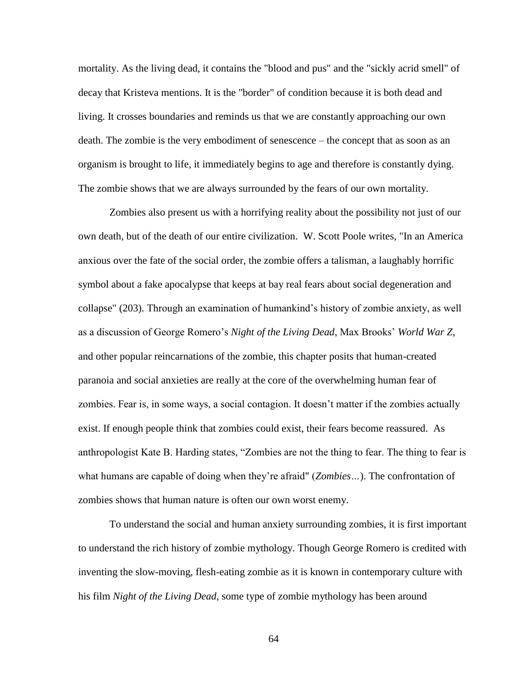mortality. As the living dead, it contains the "blood and pus" and the "sickly acrid smell" of decay that Kristeva mentions. It is the "border" of condition because it is both dead and living. It crosses boundaries and reminds us that we are constantly approaching our own death. The zombie is the very embodiment of senescence – the concept that as soon as an organism is brought to life, it immediately begins to age and therefore is constantly dying. The zombie shows that we are always surrounded by the fears of our own mortality.

Zombies also present us with a horrifying reality about the possibility not just of our own death, but of the death of our entire civilization. W. Scott Poole writes, "In an America anxious over the fate of the social order, the zombie offers a talisman, a laughably horrific symbol about a fake apocalypse that keeps at bay real fears about social degeneration and collapse" (203). Through an examination of humankind's history of zombie anxiety, as well as a discussion of George Romero's *Night of the Living Dead*, Max Brooks' *World War Z*, and other popular reincarnations of the zombie, this chapter posits that human-created paranoia and social anxieties are really at the core of the overwhelming human fear of zombies. Fear is, in some ways, a social contagion. It doesn't matter if the zombies actually exist. If enough people think that zombies could exist, their fears become reassured. As anthropologist Kate B. Harding states, "Zombies are not the thing to fear. The thing to fear is what humans are capable of doing when they're afraid" (*Zombies…*). The confrontation of zombies shows that human nature is often our own worst enemy.

To understand the social and human anxiety surrounding zombies, it is first important to understand the rich history of zombie mythology. Though George Romero is credited with inventing the slow-moving, flesh-eating zombie as it is known in contemporary culture with his film *Night of the Living Dead*, some type of zombie mythology has been around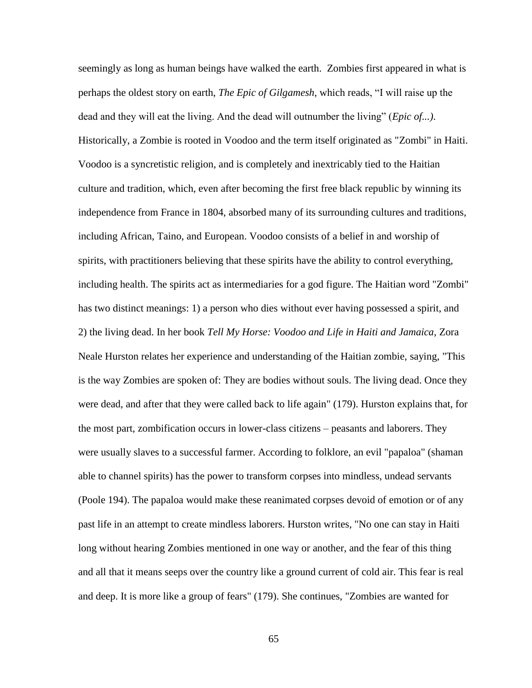seemingly as long as human beings have walked the earth. Zombies first appeared in what is perhaps the oldest story on earth, *The Epic of Gilgamesh*, which reads, "I will raise up the dead and they will eat the living. And the dead will outnumber the living" (*Epic of...)*. Historically, a Zombie is rooted in Voodoo and the term itself originated as "Zombi" in Haiti. Voodoo is a syncretistic religion, and is completely and inextricably tied to the Haitian culture and tradition, which, even after becoming the first free black republic by winning its independence from France in 1804, absorbed many of its surrounding cultures and traditions, including African, Taino, and European. Voodoo consists of a belief in and worship of spirits, with practitioners believing that these spirits have the ability to control everything, including health. The spirits act as intermediaries for a god figure. The Haitian word "Zombi" has two distinct meanings: 1) a person who dies without ever having possessed a spirit, and 2) the living dead. In her book *Tell My Horse: Voodoo and Life in Haiti and Jamaica,* Zora Neale Hurston relates her experience and understanding of the Haitian zombie, saying, "This is the way Zombies are spoken of: They are bodies without souls. The living dead. Once they were dead, and after that they were called back to life again" (179). Hurston explains that, for the most part, zombification occurs in lower-class citizens – peasants and laborers. They were usually slaves to a successful farmer. According to folklore, an evil "papaloa" (shaman able to channel spirits) has the power to transform corpses into mindless, undead servants (Poole 194). The papaloa would make these reanimated corpses devoid of emotion or of any past life in an attempt to create mindless laborers. Hurston writes, "No one can stay in Haiti long without hearing Zombies mentioned in one way or another, and the fear of this thing and all that it means seeps over the country like a ground current of cold air. This fear is real and deep. It is more like a group of fears" (179). She continues, "Zombies are wanted for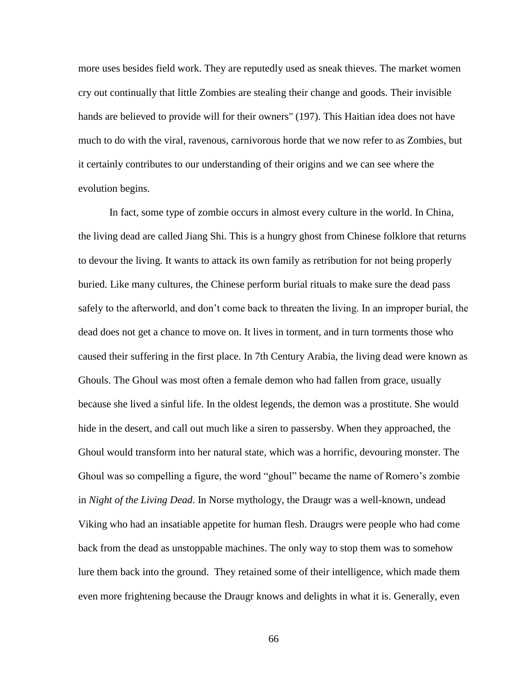more uses besides field work. They are reputedly used as sneak thieves. The market women cry out continually that little Zombies are stealing their change and goods. Their invisible hands are believed to provide will for their owners" (197). This Haitian idea does not have much to do with the viral, ravenous, carnivorous horde that we now refer to as Zombies, but it certainly contributes to our understanding of their origins and we can see where the evolution begins.

In fact, some type of zombie occurs in almost every culture in the world. In China, the living dead are called Jiang Shi. This is a hungry ghost from Chinese folklore that returns to devour the living. It wants to attack its own family as retribution for not being properly buried. Like many cultures, the Chinese perform burial rituals to make sure the dead pass safely to the afterworld, and don't come back to threaten the living. In an improper burial, the dead does not get a chance to move on. It lives in torment, and in turn torments those who caused their suffering in the first place. In 7th Century Arabia, the living dead were known as Ghouls. The Ghoul was most often a female demon who had fallen from grace, usually because she lived a sinful life. In the oldest legends, the demon was a prostitute. She would hide in the desert, and call out much like a siren to passersby. When they approached, the Ghoul would transform into her natural state, which was a horrific, devouring monster. The Ghoul was so compelling a figure, the word "ghoul" became the name of Romero's zombie in *Night of the Living Dead*. In Norse mythology, the Draugr was a well-known, undead Viking who had an insatiable appetite for human flesh. Draugrs were people who had come back from the dead as unstoppable machines. The only way to stop them was to somehow lure them back into the ground. They retained some of their intelligence, which made them even more frightening because the Draugr knows and delights in what it is. Generally, even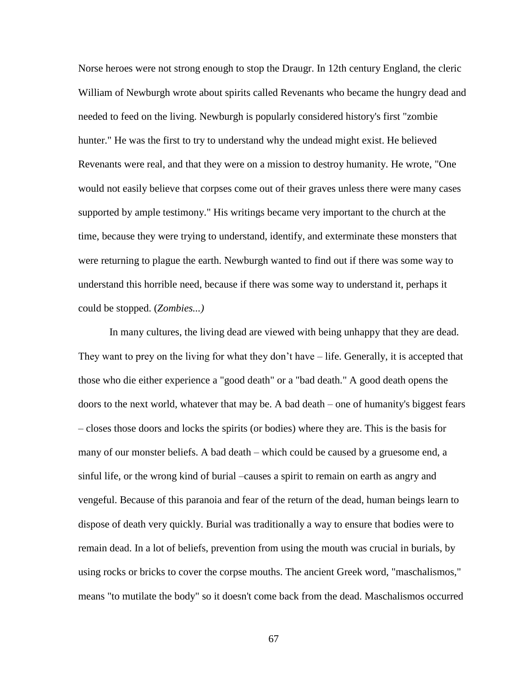Norse heroes were not strong enough to stop the Draugr. In 12th century England, the cleric William of Newburgh wrote about spirits called Revenants who became the hungry dead and needed to feed on the living. Newburgh is popularly considered history's first "zombie hunter." He was the first to try to understand why the undead might exist. He believed Revenants were real, and that they were on a mission to destroy humanity. He wrote, "One would not easily believe that corpses come out of their graves unless there were many cases supported by ample testimony." His writings became very important to the church at the time, because they were trying to understand, identify, and exterminate these monsters that were returning to plague the earth. Newburgh wanted to find out if there was some way to understand this horrible need, because if there was some way to understand it, perhaps it could be stopped. (*Zombies...)* 

In many cultures, the living dead are viewed with being unhappy that they are dead. They want to prey on the living for what they don't have – life. Generally, it is accepted that those who die either experience a "good death" or a "bad death." A good death opens the doors to the next world, whatever that may be. A bad death – one of humanity's biggest fears – closes those doors and locks the spirits (or bodies) where they are. This is the basis for many of our monster beliefs. A bad death – which could be caused by a gruesome end, a sinful life, or the wrong kind of burial –causes a spirit to remain on earth as angry and vengeful. Because of this paranoia and fear of the return of the dead, human beings learn to dispose of death very quickly. Burial was traditionally a way to ensure that bodies were to remain dead. In a lot of beliefs, prevention from using the mouth was crucial in burials, by using rocks or bricks to cover the corpse mouths. The ancient Greek word, "maschalismos," means "to mutilate the body" so it doesn't come back from the dead. Maschalismos occurred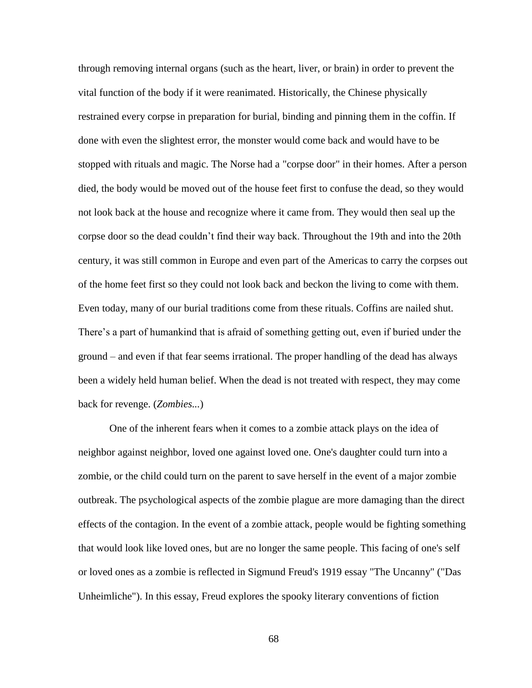through removing internal organs (such as the heart, liver, or brain) in order to prevent the vital function of the body if it were reanimated. Historically, the Chinese physically restrained every corpse in preparation for burial, binding and pinning them in the coffin. If done with even the slightest error, the monster would come back and would have to be stopped with rituals and magic. The Norse had a "corpse door" in their homes. After a person died, the body would be moved out of the house feet first to confuse the dead, so they would not look back at the house and recognize where it came from. They would then seal up the corpse door so the dead couldn't find their way back. Throughout the 19th and into the 20th century, it was still common in Europe and even part of the Americas to carry the corpses out of the home feet first so they could not look back and beckon the living to come with them. Even today, many of our burial traditions come from these rituals. Coffins are nailed shut. There's a part of humankind that is afraid of something getting out, even if buried under the ground – and even if that fear seems irrational. The proper handling of the dead has always been a widely held human belief. When the dead is not treated with respect, they may come back for revenge. (*Zombies...*)

One of the inherent fears when it comes to a zombie attack plays on the idea of neighbor against neighbor, loved one against loved one. One's daughter could turn into a zombie, or the child could turn on the parent to save herself in the event of a major zombie outbreak. The psychological aspects of the zombie plague are more damaging than the direct effects of the contagion. In the event of a zombie attack, people would be fighting something that would look like loved ones, but are no longer the same people. This facing of one's self or loved ones as a zombie is reflected in Sigmund Freud's 1919 essay "The Uncanny" ("Das Unheimliche"). In this essay, Freud explores the spooky literary conventions of fiction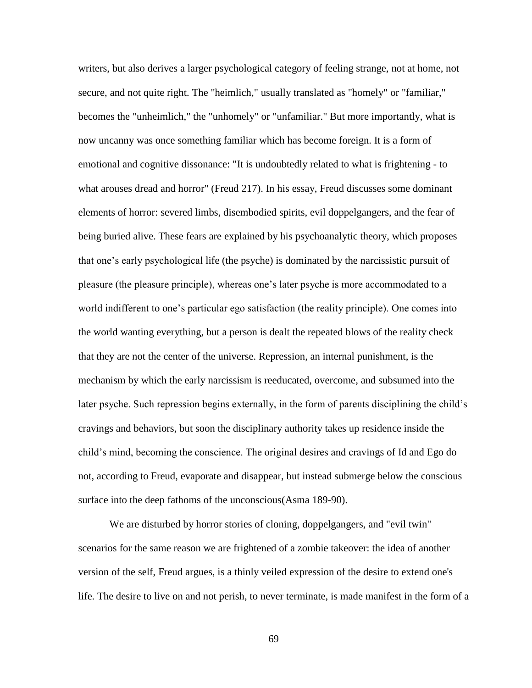writers, but also derives a larger psychological category of feeling strange, not at home, not secure, and not quite right. The "heimlich," usually translated as "homely" or "familiar," becomes the "unheimlich," the "unhomely" or "unfamiliar." But more importantly, what is now uncanny was once something familiar which has become foreign. It is a form of emotional and cognitive dissonance: "It is undoubtedly related to what is frightening - to what arouses dread and horror" (Freud 217). In his essay, Freud discusses some dominant elements of horror: severed limbs, disembodied spirits, evil doppelgangers, and the fear of being buried alive. These fears are explained by his psychoanalytic theory, which proposes that one's early psychological life (the psyche) is dominated by the narcissistic pursuit of pleasure (the pleasure principle), whereas one's later psyche is more accommodated to a world indifferent to one's particular ego satisfaction (the reality principle). One comes into the world wanting everything, but a person is dealt the repeated blows of the reality check that they are not the center of the universe. Repression, an internal punishment, is the mechanism by which the early narcissism is reeducated, overcome, and subsumed into the later psyche. Such repression begins externally, in the form of parents disciplining the child's cravings and behaviors, but soon the disciplinary authority takes up residence inside the child's mind, becoming the conscience. The original desires and cravings of Id and Ego do not, according to Freud, evaporate and disappear, but instead submerge below the conscious surface into the deep fathoms of the unconscious(Asma 189-90).

We are disturbed by horror stories of cloning, doppelgangers, and "evil twin" scenarios for the same reason we are frightened of a zombie takeover: the idea of another version of the self, Freud argues, is a thinly veiled expression of the desire to extend one's life. The desire to live on and not perish, to never terminate, is made manifest in the form of a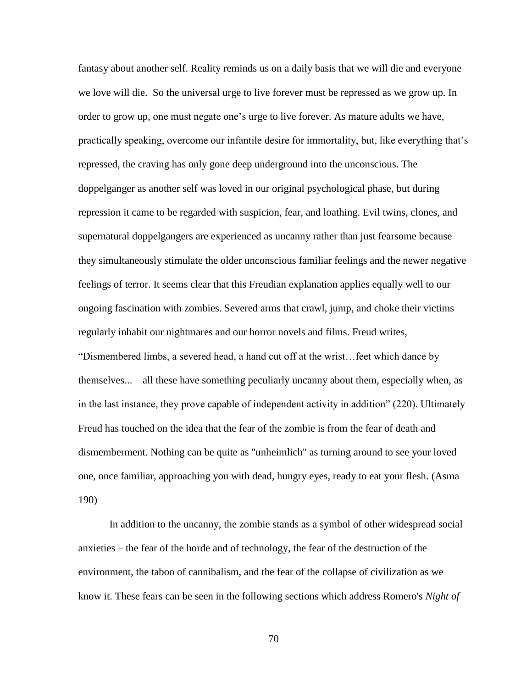fantasy about another self. Reality reminds us on a daily basis that we will die and everyone we love will die. So the universal urge to live forever must be repressed as we grow up. In order to grow up, one must negate one's urge to live forever. As mature adults we have, practically speaking, overcome our infantile desire for immortality, but, like everything that's repressed, the craving has only gone deep underground into the unconscious. The doppelganger as another self was loved in our original psychological phase, but during repression it came to be regarded with suspicion, fear, and loathing. Evil twins, clones, and supernatural doppelgangers are experienced as uncanny rather than just fearsome because they simultaneously stimulate the older unconscious familiar feelings and the newer negative feelings of terror. It seems clear that this Freudian explanation applies equally well to our ongoing fascination with zombies. Severed arms that crawl, jump, and choke their victims regularly inhabit our nightmares and our horror novels and films. Freud writes, "Dismembered limbs, a severed head, a hand cut off at the wrist…feet which dance by themselves... – all these have something peculiarly uncanny about them, especially when, as in the last instance, they prove capable of independent activity in addition" (220). Ultimately Freud has touched on the idea that the fear of the zombie is from the fear of death and dismemberment. Nothing can be quite as "unheimlich" as turning around to see your loved one, once familiar, approaching you with dead, hungry eyes, ready to eat your flesh. (Asma 190)

In addition to the uncanny, the zombie stands as a symbol of other widespread social anxieties – the fear of the horde and of technology, the fear of the destruction of the environment, the taboo of cannibalism, and the fear of the collapse of civilization as we know it. These fears can be seen in the following sections which address Romero's *Night of*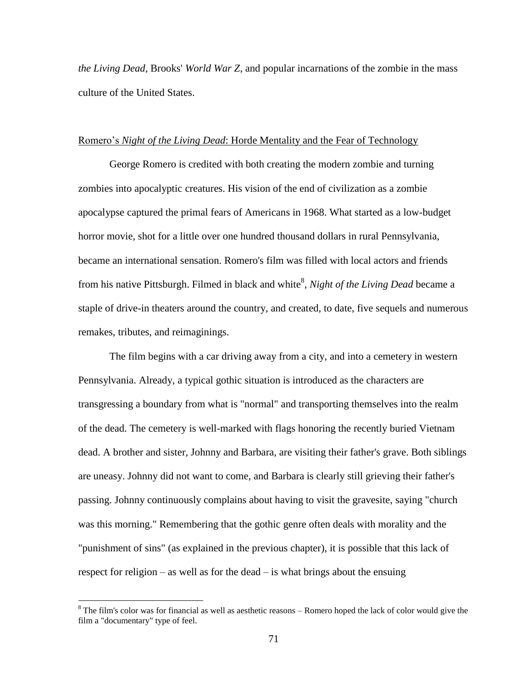*the Living Dead*, Brooks' *World War Z*, and popular incarnations of the zombie in the mass culture of the United States.

### Romero's *Night of the Living Dead*: Horde Mentality and the Fear of Technology

George Romero is credited with both creating the modern zombie and turning zombies into apocalyptic creatures. His vision of the end of civilization as a zombie apocalypse captured the primal fears of Americans in 1968. What started as a low-budget horror movie, shot for a little over one hundred thousand dollars in rural Pennsylvania, became an international sensation. Romero's film was filled with local actors and friends from his native Pittsburgh. Filmed in black and white<sup>8</sup>, *Night of the Living Dead* became a staple of drive-in theaters around the country, and created, to date, five sequels and numerous remakes, tributes, and reimaginings.

The film begins with a car driving away from a city, and into a cemetery in western Pennsylvania. Already, a typical gothic situation is introduced as the characters are transgressing a boundary from what is "normal" and transporting themselves into the realm of the dead. The cemetery is well-marked with flags honoring the recently buried Vietnam dead. A brother and sister, Johnny and Barbara, are visiting their father's grave. Both siblings are uneasy. Johnny did not want to come, and Barbara is clearly still grieving their father's passing. Johnny continuously complains about having to visit the gravesite, saying "church was this morning." Remembering that the gothic genre often deals with morality and the "punishment of sins" (as explained in the previous chapter), it is possible that this lack of respect for religion – as well as for the dead – is what brings about the ensuing

 $\overline{\phantom{a}}$ 

 $8$  The film's color was for financial as well as aesthetic reasons – Romero hoped the lack of color would give the film a "documentary" type of feel.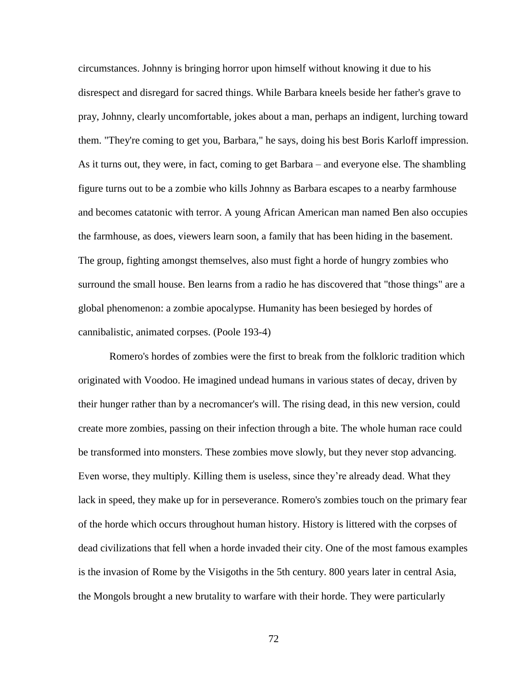circumstances. Johnny is bringing horror upon himself without knowing it due to his disrespect and disregard for sacred things. While Barbara kneels beside her father's grave to pray, Johnny, clearly uncomfortable, jokes about a man, perhaps an indigent, lurching toward them. "They're coming to get you, Barbara," he says, doing his best Boris Karloff impression. As it turns out, they were, in fact, coming to get Barbara – and everyone else. The shambling figure turns out to be a zombie who kills Johnny as Barbara escapes to a nearby farmhouse and becomes catatonic with terror. A young African American man named Ben also occupies the farmhouse, as does, viewers learn soon, a family that has been hiding in the basement. The group, fighting amongst themselves, also must fight a horde of hungry zombies who surround the small house. Ben learns from a radio he has discovered that "those things" are a global phenomenon: a zombie apocalypse. Humanity has been besieged by hordes of cannibalistic, animated corpses. (Poole 193-4)

Romero's hordes of zombies were the first to break from the folkloric tradition which originated with Voodoo. He imagined undead humans in various states of decay, driven by their hunger rather than by a necromancer's will. The rising dead, in this new version, could create more zombies, passing on their infection through a bite. The whole human race could be transformed into monsters. These zombies move slowly, but they never stop advancing. Even worse, they multiply. Killing them is useless, since they're already dead. What they lack in speed, they make up for in perseverance. Romero's zombies touch on the primary fear of the horde which occurs throughout human history. History is littered with the corpses of dead civilizations that fell when a horde invaded their city. One of the most famous examples is the invasion of Rome by the Visigoths in the 5th century. 800 years later in central Asia, the Mongols brought a new brutality to warfare with their horde. They were particularly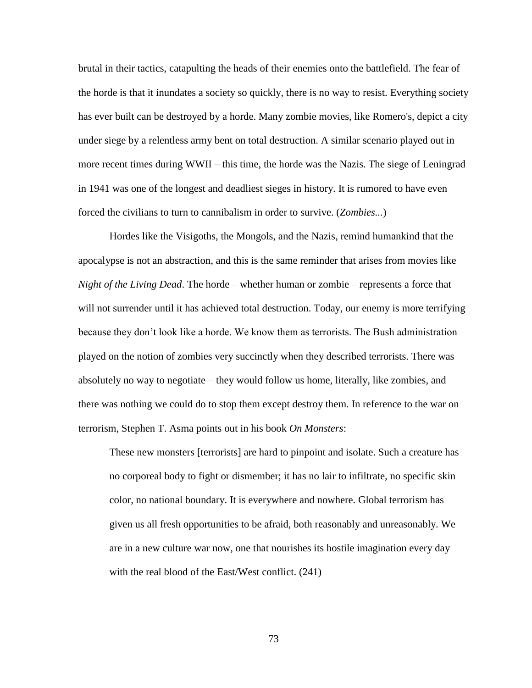brutal in their tactics, catapulting the heads of their enemies onto the battlefield. The fear of the horde is that it inundates a society so quickly, there is no way to resist. Everything society has ever built can be destroyed by a horde. Many zombie movies, like Romero's, depict a city under siege by a relentless army bent on total destruction. A similar scenario played out in more recent times during WWII – this time, the horde was the Nazis. The siege of Leningrad in 1941 was one of the longest and deadliest sieges in history. It is rumored to have even forced the civilians to turn to cannibalism in order to survive. (*Zombies...*)

Hordes like the Visigoths, the Mongols, and the Nazis, remind humankind that the apocalypse is not an abstraction, and this is the same reminder that arises from movies like *Night of the Living Dead*. The horde – whether human or zombie – represents a force that will not surrender until it has achieved total destruction. Today, our enemy is more terrifying because they don't look like a horde. We know them as terrorists. The Bush administration played on the notion of zombies very succinctly when they described terrorists. There was absolutely no way to negotiate – they would follow us home, literally, like zombies, and there was nothing we could do to stop them except destroy them. In reference to the war on terrorism, Stephen T. Asma points out in his book *On Monsters*:

These new monsters [terrorists] are hard to pinpoint and isolate. Such a creature has no corporeal body to fight or dismember; it has no lair to infiltrate, no specific skin color, no national boundary. It is everywhere and nowhere. Global terrorism has given us all fresh opportunities to be afraid, both reasonably and unreasonably. We are in a new culture war now, one that nourishes its hostile imagination every day with the real blood of the East/West conflict. (241)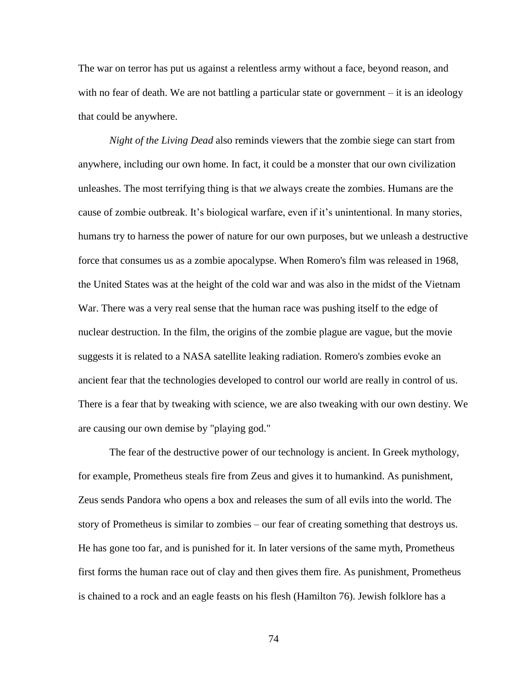The war on terror has put us against a relentless army without a face, beyond reason, and with no fear of death. We are not battling a particular state or government – it is an ideology that could be anywhere.

*Night of the Living Dead* also reminds viewers that the zombie siege can start from anywhere, including our own home. In fact, it could be a monster that our own civilization unleashes. The most terrifying thing is that *we* always create the zombies. Humans are the cause of zombie outbreak. It's biological warfare, even if it's unintentional. In many stories, humans try to harness the power of nature for our own purposes, but we unleash a destructive force that consumes us as a zombie apocalypse. When Romero's film was released in 1968, the United States was at the height of the cold war and was also in the midst of the Vietnam War. There was a very real sense that the human race was pushing itself to the edge of nuclear destruction. In the film, the origins of the zombie plague are vague, but the movie suggests it is related to a NASA satellite leaking radiation. Romero's zombies evoke an ancient fear that the technologies developed to control our world are really in control of us. There is a fear that by tweaking with science, we are also tweaking with our own destiny. We are causing our own demise by "playing god."

The fear of the destructive power of our technology is ancient. In Greek mythology, for example, Prometheus steals fire from Zeus and gives it to humankind. As punishment, Zeus sends Pandora who opens a box and releases the sum of all evils into the world. The story of Prometheus is similar to zombies – our fear of creating something that destroys us. He has gone too far, and is punished for it. In later versions of the same myth, Prometheus first forms the human race out of clay and then gives them fire. As punishment, Prometheus is chained to a rock and an eagle feasts on his flesh (Hamilton 76). Jewish folklore has a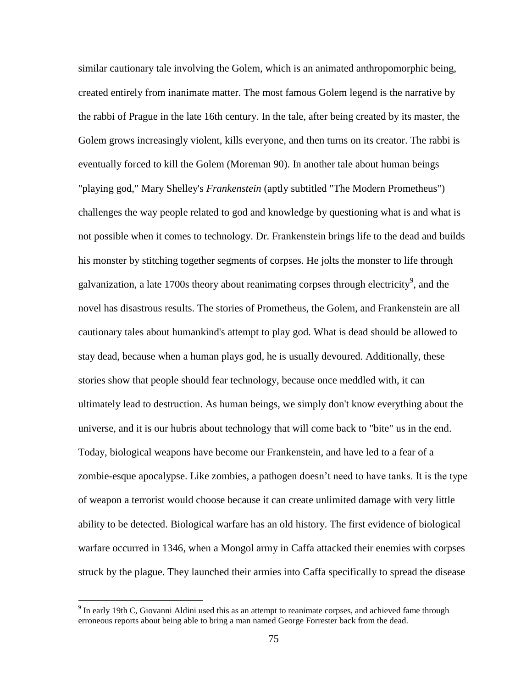similar cautionary tale involving the Golem, which is an animated anthropomorphic being, created entirely from inanimate matter. The most famous Golem legend is the narrative by the rabbi of Prague in the late 16th century. In the tale, after being created by its master, the Golem grows increasingly violent, kills everyone, and then turns on its creator. The rabbi is eventually forced to kill the Golem (Moreman 90). In another tale about human beings "playing god," Mary Shelley's *Frankenstein* (aptly subtitled "The Modern Prometheus") challenges the way people related to god and knowledge by questioning what is and what is not possible when it comes to technology. Dr. Frankenstein brings life to the dead and builds his monster by stitching together segments of corpses. He jolts the monster to life through galvanization, a late 1700s theory about reanimating corpses through electricity<sup>9</sup>, and the novel has disastrous results. The stories of Prometheus, the Golem, and Frankenstein are all cautionary tales about humankind's attempt to play god. What is dead should be allowed to stay dead, because when a human plays god, he is usually devoured. Additionally, these stories show that people should fear technology, because once meddled with, it can ultimately lead to destruction. As human beings, we simply don't know everything about the universe, and it is our hubris about technology that will come back to "bite" us in the end. Today, biological weapons have become our Frankenstein, and have led to a fear of a zombie-esque apocalypse. Like zombies, a pathogen doesn't need to have tanks. It is the type of weapon a terrorist would choose because it can create unlimited damage with very little ability to be detected. Biological warfare has an old history. The first evidence of biological warfare occurred in 1346, when a Mongol army in Caffa attacked their enemies with corpses struck by the plague. They launched their armies into Caffa specifically to spread the disease

<sup>&</sup>lt;sup>9</sup> In early 19th C, Giovanni Aldini used this as an attempt to reanimate corpses, and achieved fame through erroneous reports about being able to bring a man named George Forrester back from the dead.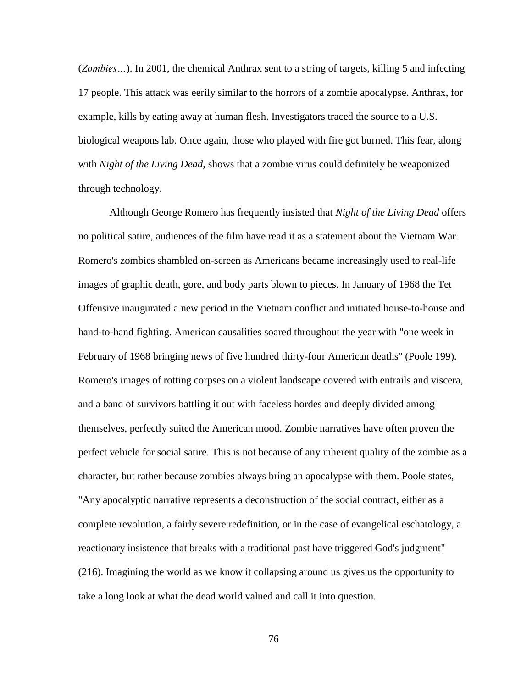(*Zombies…*). In 2001, the chemical Anthrax sent to a string of targets, killing 5 and infecting 17 people. This attack was eerily similar to the horrors of a zombie apocalypse. Anthrax, for example, kills by eating away at human flesh. Investigators traced the source to a U.S. biological weapons lab. Once again, those who played with fire got burned. This fear, along with *Night of the Living Dead,* shows that a zombie virus could definitely be weaponized through technology.

Although George Romero has frequently insisted that *Night of the Living Dead* offers no political satire, audiences of the film have read it as a statement about the Vietnam War. Romero's zombies shambled on-screen as Americans became increasingly used to real-life images of graphic death, gore, and body parts blown to pieces. In January of 1968 the Tet Offensive inaugurated a new period in the Vietnam conflict and initiated house-to-house and hand-to-hand fighting. American causalities soared throughout the year with "one week in February of 1968 bringing news of five hundred thirty-four American deaths" (Poole 199). Romero's images of rotting corpses on a violent landscape covered with entrails and viscera, and a band of survivors battling it out with faceless hordes and deeply divided among themselves, perfectly suited the American mood. Zombie narratives have often proven the perfect vehicle for social satire. This is not because of any inherent quality of the zombie as a character, but rather because zombies always bring an apocalypse with them. Poole states, "Any apocalyptic narrative represents a deconstruction of the social contract, either as a complete revolution, a fairly severe redefinition, or in the case of evangelical eschatology, a reactionary insistence that breaks with a traditional past have triggered God's judgment" (216). Imagining the world as we know it collapsing around us gives us the opportunity to take a long look at what the dead world valued and call it into question.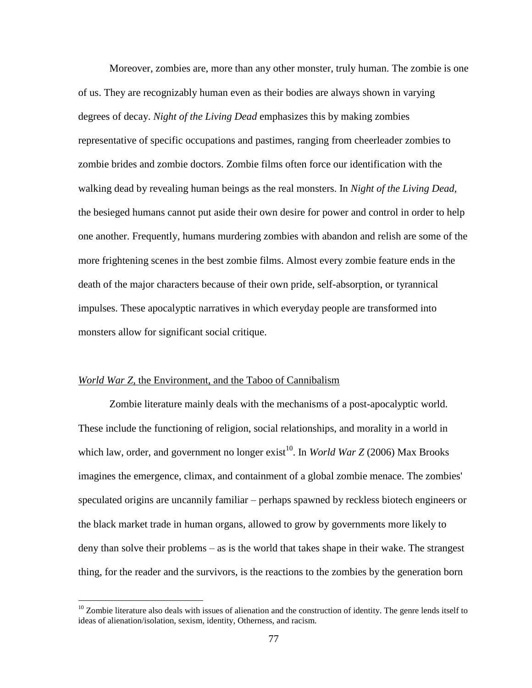Moreover, zombies are, more than any other monster, truly human. The zombie is one of us. They are recognizably human even as their bodies are always shown in varying degrees of decay. *Night of the Living Dead* emphasizes this by making zombies representative of specific occupations and pastimes, ranging from cheerleader zombies to zombie brides and zombie doctors. Zombie films often force our identification with the walking dead by revealing human beings as the real monsters. In *Night of the Living Dead,*  the besieged humans cannot put aside their own desire for power and control in order to help one another. Frequently, humans murdering zombies with abandon and relish are some of the more frightening scenes in the best zombie films. Almost every zombie feature ends in the death of the major characters because of their own pride, self-absorption, or tyrannical impulses. These apocalyptic narratives in which everyday people are transformed into monsters allow for significant social critique.

## *World War Z*, the Environment, and the Taboo of Cannibalism

 $\overline{\phantom{a}}$ 

Zombie literature mainly deals with the mechanisms of a post-apocalyptic world. These include the functioning of religion, social relationships, and morality in a world in which law, order, and government no longer exist<sup>10</sup>. In *World War Z* (2006) Max Brooks imagines the emergence, climax, and containment of a global zombie menace. The zombies' speculated origins are uncannily familiar – perhaps spawned by reckless biotech engineers or the black market trade in human organs, allowed to grow by governments more likely to deny than solve their problems – as is the world that takes shape in their wake. The strangest thing, for the reader and the survivors, is the reactions to the zombies by the generation born

 $10$  Zombie literature also deals with issues of alienation and the construction of identity. The genre lends itself to ideas of alienation/isolation, sexism, identity, Otherness, and racism.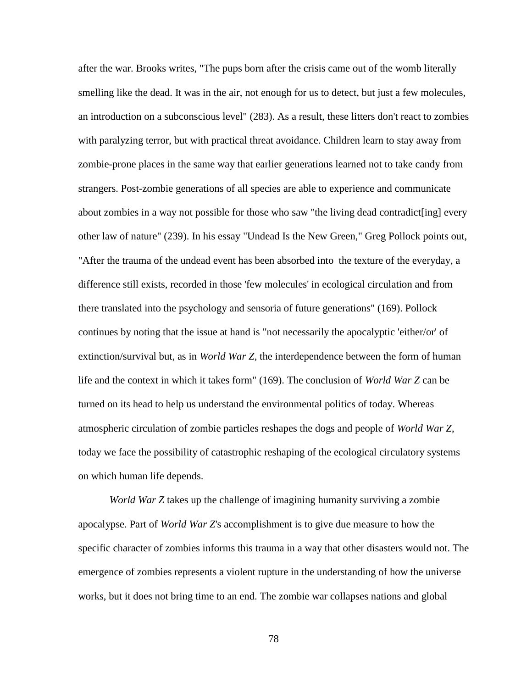after the war. Brooks writes, "The pups born after the crisis came out of the womb literally smelling like the dead. It was in the air, not enough for us to detect, but just a few molecules, an introduction on a subconscious level" (283). As a result, these litters don't react to zombies with paralyzing terror, but with practical threat avoidance. Children learn to stay away from zombie-prone places in the same way that earlier generations learned not to take candy from strangers. Post-zombie generations of all species are able to experience and communicate about zombies in a way not possible for those who saw "the living dead contradict[ing] every other law of nature" (239). In his essay "Undead Is the New Green," Greg Pollock points out, "After the trauma of the undead event has been absorbed into the texture of the everyday, a difference still exists, recorded in those 'few molecules' in ecological circulation and from there translated into the psychology and sensoria of future generations" (169). Pollock continues by noting that the issue at hand is "not necessarily the apocalyptic 'either/or' of extinction/survival but, as in *World War Z*, the interdependence between the form of human life and the context in which it takes form" (169). The conclusion of *World War Z* can be turned on its head to help us understand the environmental politics of today. Whereas atmospheric circulation of zombie particles reshapes the dogs and people of *World War Z*, today we face the possibility of catastrophic reshaping of the ecological circulatory systems on which human life depends.

*World War Z* takes up the challenge of imagining humanity surviving a zombie apocalypse. Part of *World War Z*'s accomplishment is to give due measure to how the specific character of zombies informs this trauma in a way that other disasters would not. The emergence of zombies represents a violent rupture in the understanding of how the universe works, but it does not bring time to an end. The zombie war collapses nations and global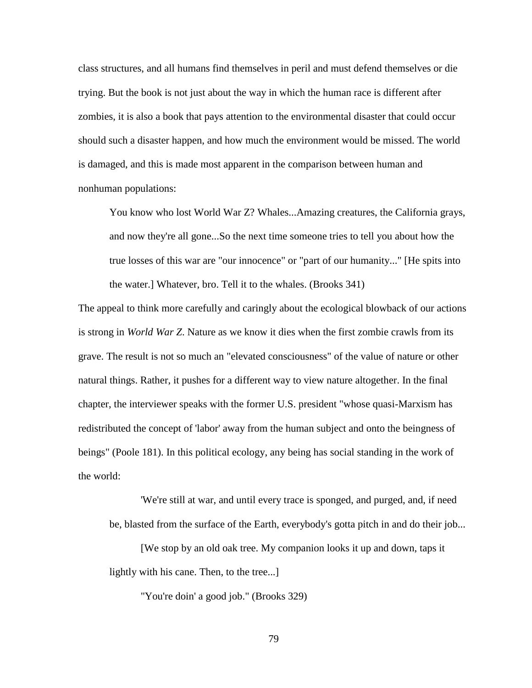class structures, and all humans find themselves in peril and must defend themselves or die trying. But the book is not just about the way in which the human race is different after zombies, it is also a book that pays attention to the environmental disaster that could occur should such a disaster happen, and how much the environment would be missed. The world is damaged, and this is made most apparent in the comparison between human and nonhuman populations:

You know who lost World War Z? Whales...Amazing creatures, the California grays, and now they're all gone...So the next time someone tries to tell you about how the true losses of this war are "our innocence" or "part of our humanity..." [He spits into the water.] Whatever, bro. Tell it to the whales. (Brooks 341)

The appeal to think more carefully and caringly about the ecological blowback of our actions is strong in *World War Z*. Nature as we know it dies when the first zombie crawls from its grave. The result is not so much an "elevated consciousness" of the value of nature or other natural things. Rather, it pushes for a different way to view nature altogether. In the final chapter, the interviewer speaks with the former U.S. president "whose quasi-Marxism has redistributed the concept of 'labor' away from the human subject and onto the beingness of beings" (Poole 181). In this political ecology, any being has social standing in the work of the world:

'We're still at war, and until every trace is sponged, and purged, and, if need be, blasted from the surface of the Earth, everybody's gotta pitch in and do their job...

[We stop by an old oak tree. My companion looks it up and down, taps it lightly with his cane. Then, to the tree...]

"You're doin' a good job." (Brooks 329)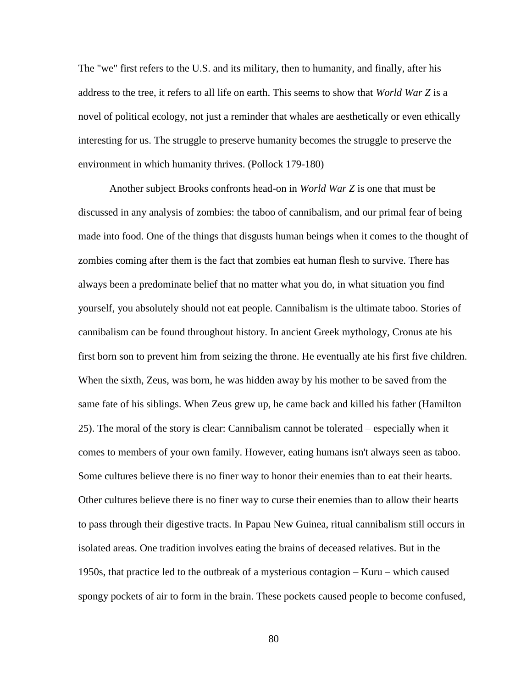The "we" first refers to the U.S. and its military, then to humanity, and finally, after his address to the tree, it refers to all life on earth. This seems to show that *World War Z* is a novel of political ecology, not just a reminder that whales are aesthetically or even ethically interesting for us. The struggle to preserve humanity becomes the struggle to preserve the environment in which humanity thrives. (Pollock 179-180)

Another subject Brooks confronts head-on in *World War Z* is one that must be discussed in any analysis of zombies: the taboo of cannibalism, and our primal fear of being made into food. One of the things that disgusts human beings when it comes to the thought of zombies coming after them is the fact that zombies eat human flesh to survive. There has always been a predominate belief that no matter what you do, in what situation you find yourself, you absolutely should not eat people. Cannibalism is the ultimate taboo. Stories of cannibalism can be found throughout history. In ancient Greek mythology, Cronus ate his first born son to prevent him from seizing the throne. He eventually ate his first five children. When the sixth, Zeus, was born, he was hidden away by his mother to be saved from the same fate of his siblings. When Zeus grew up, he came back and killed his father (Hamilton 25). The moral of the story is clear: Cannibalism cannot be tolerated – especially when it comes to members of your own family. However, eating humans isn't always seen as taboo. Some cultures believe there is no finer way to honor their enemies than to eat their hearts. Other cultures believe there is no finer way to curse their enemies than to allow their hearts to pass through their digestive tracts. In Papau New Guinea, ritual cannibalism still occurs in isolated areas. One tradition involves eating the brains of deceased relatives. But in the 1950s, that practice led to the outbreak of a mysterious contagion – Kuru – which caused spongy pockets of air to form in the brain. These pockets caused people to become confused,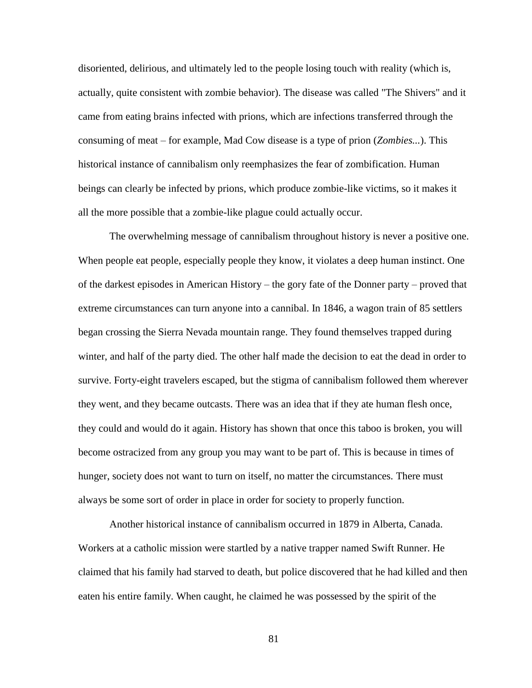disoriented, delirious, and ultimately led to the people losing touch with reality (which is, actually, quite consistent with zombie behavior). The disease was called "The Shivers" and it came from eating brains infected with prions, which are infections transferred through the consuming of meat – for example, Mad Cow disease is a type of prion (*Zombies...*). This historical instance of cannibalism only reemphasizes the fear of zombification. Human beings can clearly be infected by prions, which produce zombie-like victims, so it makes it all the more possible that a zombie-like plague could actually occur.

The overwhelming message of cannibalism throughout history is never a positive one. When people eat people, especially people they know, it violates a deep human instinct. One of the darkest episodes in American History – the gory fate of the Donner party – proved that extreme circumstances can turn anyone into a cannibal. In 1846, a wagon train of 85 settlers began crossing the Sierra Nevada mountain range. They found themselves trapped during winter, and half of the party died. The other half made the decision to eat the dead in order to survive. Forty-eight travelers escaped, but the stigma of cannibalism followed them wherever they went, and they became outcasts. There was an idea that if they ate human flesh once, they could and would do it again. History has shown that once this taboo is broken, you will become ostracized from any group you may want to be part of. This is because in times of hunger, society does not want to turn on itself, no matter the circumstances. There must always be some sort of order in place in order for society to properly function.

Another historical instance of cannibalism occurred in 1879 in Alberta, Canada. Workers at a catholic mission were startled by a native trapper named Swift Runner. He claimed that his family had starved to death, but police discovered that he had killed and then eaten his entire family. When caught, he claimed he was possessed by the spirit of the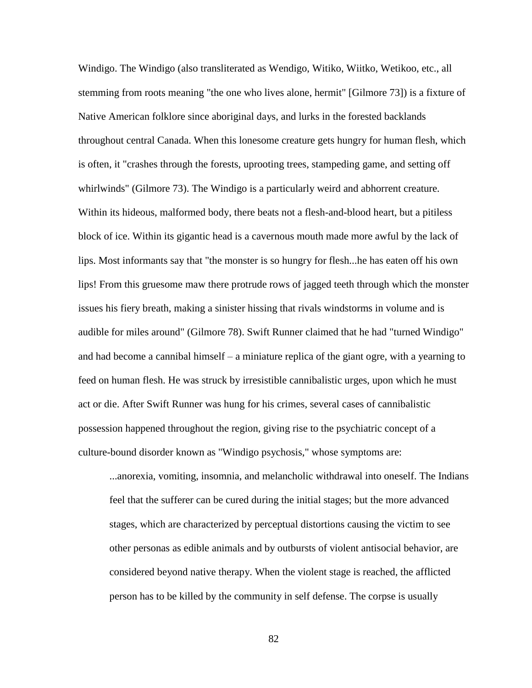Windigo. The Windigo (also transliterated as Wendigo, Witiko, Wiitko, Wetikoo, etc., all stemming from roots meaning "the one who lives alone, hermit" [Gilmore 73]) is a fixture of Native American folklore since aboriginal days, and lurks in the forested backlands throughout central Canada. When this lonesome creature gets hungry for human flesh, which is often, it "crashes through the forests, uprooting trees, stampeding game, and setting off whirlwinds" (Gilmore 73). The Windigo is a particularly weird and abhorrent creature. Within its hideous, malformed body, there beats not a flesh-and-blood heart, but a pitiless block of ice. Within its gigantic head is a cavernous mouth made more awful by the lack of lips. Most informants say that "the monster is so hungry for flesh...he has eaten off his own lips! From this gruesome maw there protrude rows of jagged teeth through which the monster issues his fiery breath, making a sinister hissing that rivals windstorms in volume and is audible for miles around" (Gilmore 78). Swift Runner claimed that he had "turned Windigo" and had become a cannibal himself – a miniature replica of the giant ogre, with a yearning to feed on human flesh. He was struck by irresistible cannibalistic urges, upon which he must act or die. After Swift Runner was hung for his crimes, several cases of cannibalistic possession happened throughout the region, giving rise to the psychiatric concept of a culture-bound disorder known as "Windigo psychosis," whose symptoms are:

...anorexia, vomiting, insomnia, and melancholic withdrawal into oneself. The Indians feel that the sufferer can be cured during the initial stages; but the more advanced stages, which are characterized by perceptual distortions causing the victim to see other personas as edible animals and by outbursts of violent antisocial behavior, are considered beyond native therapy. When the violent stage is reached, the afflicted person has to be killed by the community in self defense. The corpse is usually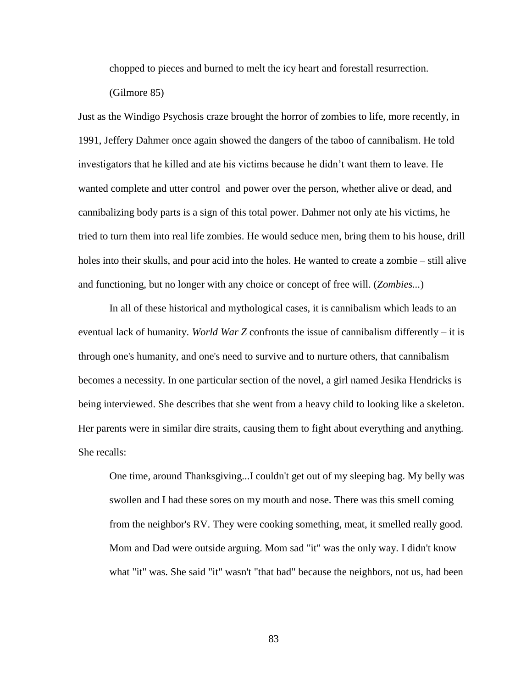chopped to pieces and burned to melt the icy heart and forestall resurrection. (Gilmore 85)

Just as the Windigo Psychosis craze brought the horror of zombies to life, more recently, in 1991, Jeffery Dahmer once again showed the dangers of the taboo of cannibalism. He told investigators that he killed and ate his victims because he didn't want them to leave. He wanted complete and utter control and power over the person, whether alive or dead, and cannibalizing body parts is a sign of this total power. Dahmer not only ate his victims, he tried to turn them into real life zombies. He would seduce men, bring them to his house, drill holes into their skulls, and pour acid into the holes. He wanted to create a zombie – still alive and functioning, but no longer with any choice or concept of free will. (*Zombies...*)

In all of these historical and mythological cases, it is cannibalism which leads to an eventual lack of humanity. *World War Z* confronts the issue of cannibalism differently – it is through one's humanity, and one's need to survive and to nurture others, that cannibalism becomes a necessity. In one particular section of the novel, a girl named Jesika Hendricks is being interviewed. She describes that she went from a heavy child to looking like a skeleton. Her parents were in similar dire straits, causing them to fight about everything and anything. She recalls:

One time, around Thanksgiving...I couldn't get out of my sleeping bag. My belly was swollen and I had these sores on my mouth and nose. There was this smell coming from the neighbor's RV. They were cooking something, meat, it smelled really good. Mom and Dad were outside arguing. Mom sad "it" was the only way. I didn't know what "it" was. She said "it" wasn't "that bad" because the neighbors, not us, had been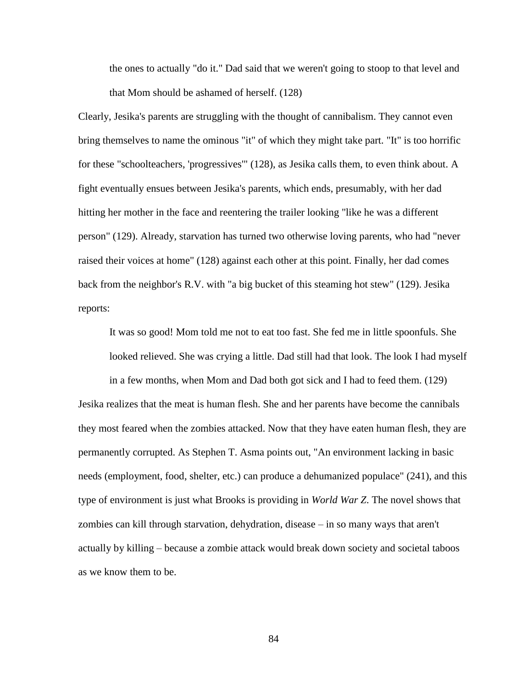the ones to actually "do it." Dad said that we weren't going to stoop to that level and that Mom should be ashamed of herself. (128)

Clearly, Jesika's parents are struggling with the thought of cannibalism. They cannot even bring themselves to name the ominous "it" of which they might take part. "It" is too horrific for these "schoolteachers, 'progressives'" (128), as Jesika calls them, to even think about. A fight eventually ensues between Jesika's parents, which ends, presumably, with her dad hitting her mother in the face and reentering the trailer looking "like he was a different person" (129). Already, starvation has turned two otherwise loving parents, who had "never raised their voices at home" (128) against each other at this point. Finally, her dad comes back from the neighbor's R.V. with "a big bucket of this steaming hot stew" (129). Jesika reports:

It was so good! Mom told me not to eat too fast. She fed me in little spoonfuls. She looked relieved. She was crying a little. Dad still had that look. The look I had myself in a few months, when Mom and Dad both got sick and I had to feed them. (129) Jesika realizes that the meat is human flesh. She and her parents have become the cannibals they most feared when the zombies attacked. Now that they have eaten human flesh, they are permanently corrupted. As Stephen T. Asma points out, "An environment lacking in basic needs (employment, food, shelter, etc.) can produce a dehumanized populace" (241), and this type of environment is just what Brooks is providing in *World War Z*. The novel shows that zombies can kill through starvation, dehydration, disease – in so many ways that aren't actually by killing – because a zombie attack would break down society and societal taboos as we know them to be.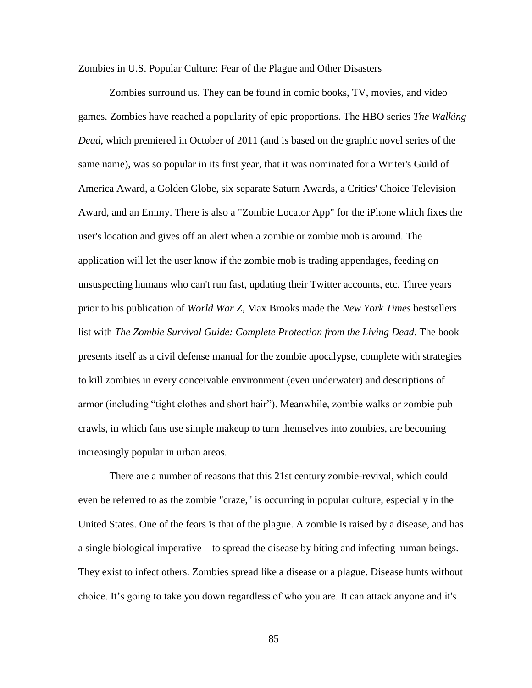#### Zombies in U.S. Popular Culture: Fear of the Plague and Other Disasters

Zombies surround us. They can be found in comic books, TV, movies, and video games. Zombies have reached a popularity of epic proportions. The HBO series *The Walking Dead*, which premiered in October of 2011 (and is based on the graphic novel series of the same name), was so popular in its first year, that it was nominated for a Writer's Guild of America Award, a Golden Globe, six separate Saturn Awards, a Critics' Choice Television Award, and an Emmy. There is also a "Zombie Locator App" for the iPhone which fixes the user's location and gives off an alert when a zombie or zombie mob is around. The application will let the user know if the zombie mob is trading appendages, feeding on unsuspecting humans who can't run fast, updating their Twitter accounts, etc. Three years prior to his publication of *World War Z*, Max Brooks made the *New York Times* bestsellers list with *The Zombie Survival Guide: Complete Protection from the Living Dead*. The book presents itself as a civil defense manual for the zombie apocalypse, complete with strategies to kill zombies in every conceivable environment (even underwater) and descriptions of armor (including "tight clothes and short hair"). Meanwhile, zombie walks or zombie pub crawls, in which fans use simple makeup to turn themselves into zombies, are becoming increasingly popular in urban areas.

There are a number of reasons that this 21st century zombie-revival, which could even be referred to as the zombie "craze," is occurring in popular culture, especially in the United States. One of the fears is that of the plague. A zombie is raised by a disease, and has a single biological imperative – to spread the disease by biting and infecting human beings. They exist to infect others. Zombies spread like a disease or a plague. Disease hunts without choice. It's going to take you down regardless of who you are. It can attack anyone and it's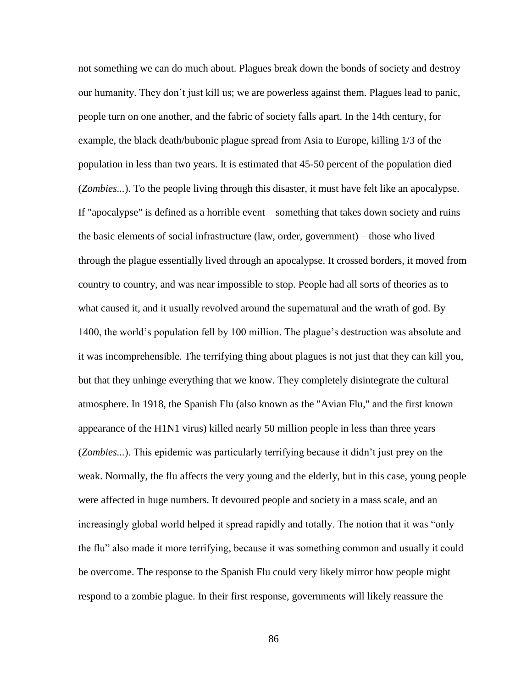not something we can do much about. Plagues break down the bonds of society and destroy our humanity. They don't just kill us; we are powerless against them. Plagues lead to panic, people turn on one another, and the fabric of society falls apart. In the 14th century, for example, the black death/bubonic plague spread from Asia to Europe, killing 1/3 of the population in less than two years. It is estimated that 45-50 percent of the population died (*Zombies...*). To the people living through this disaster, it must have felt like an apocalypse. If "apocalypse" is defined as a horrible event – something that takes down society and ruins the basic elements of social infrastructure (law, order, government) – those who lived through the plague essentially lived through an apocalypse. It crossed borders, it moved from country to country, and was near impossible to stop. People had all sorts of theories as to what caused it, and it usually revolved around the supernatural and the wrath of god. By 1400, the world's population fell by 100 million. The plague's destruction was absolute and it was incomprehensible. The terrifying thing about plagues is not just that they can kill you, but that they unhinge everything that we know. They completely disintegrate the cultural atmosphere. In 1918, the Spanish Flu (also known as the "Avian Flu," and the first known appearance of the H1N1 virus) killed nearly 50 million people in less than three years (*Zombies...*). This epidemic was particularly terrifying because it didn't just prey on the weak. Normally, the flu affects the very young and the elderly, but in this case, young people were affected in huge numbers. It devoured people and society in a mass scale, and an increasingly global world helped it spread rapidly and totally. The notion that it was "only the flu" also made it more terrifying, because it was something common and usually it could be overcome. The response to the Spanish Flu could very likely mirror how people might respond to a zombie plague. In their first response, governments will likely reassure the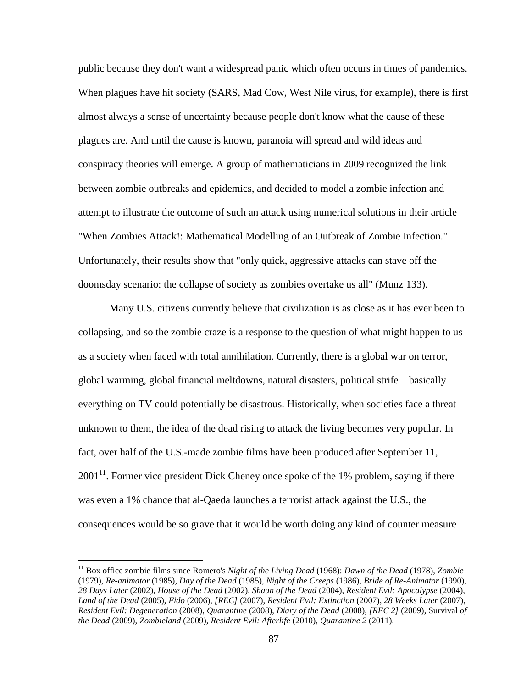public because they don't want a widespread panic which often occurs in times of pandemics. When plagues have hit society (SARS, Mad Cow, West Nile virus, for example), there is first almost always a sense of uncertainty because people don't know what the cause of these plagues are. And until the cause is known, paranoia will spread and wild ideas and conspiracy theories will emerge. A group of mathematicians in 2009 recognized the link between zombie outbreaks and epidemics, and decided to model a zombie infection and attempt to illustrate the outcome of such an attack using numerical solutions in their article "When Zombies Attack!: Mathematical Modelling of an Outbreak of Zombie Infection." Unfortunately, their results show that "only quick, aggressive attacks can stave off the doomsday scenario: the collapse of society as zombies overtake us all" (Munz 133).

Many U.S. citizens currently believe that civilization is as close as it has ever been to collapsing, and so the zombie craze is a response to the question of what might happen to us as a society when faced with total annihilation. Currently, there is a global war on terror, global warming, global financial meltdowns, natural disasters, political strife – basically everything on TV could potentially be disastrous. Historically, when societies face a threat unknown to them, the idea of the dead rising to attack the living becomes very popular. In fact, over half of the U.S.-made zombie films have been produced after September 11,  $2001<sup>11</sup>$ . Former vice president Dick Cheney once spoke of the 1% problem, saying if there was even a 1% chance that al-Qaeda launches a terrorist attack against the U.S., the consequences would be so grave that it would be worth doing any kind of counter measure

l

<sup>11</sup> Box office zombie films since Romero's *Night of the Living Dead* (1968): *Dawn of the Dead* (1978), *Zombie* (1979), *Re-animator* (1985), *Day of the Dead* (1985), *Night of the Creeps* (1986), *Bride of Re-Animator* (1990), *28 Days Later* (2002), *House of the Dead* (2002), *Shaun of the Dead* (2004), *Resident Evil: Apocalypse* (2004), *Land of the Dead* (2005), *Fido* (2006), *[REC]* (2007), *Resident Evil: Extinction* (2007), *28 Weeks Later* (2007), *Resident Evil: Degeneration* (2008), *Quarantine* (2008), *Diary of the Dead* (2008), *[REC 2]* (2009), Survival *of the Dead* (2009), *Zombieland* (2009), *Resident Evil: Afterlife* (2010), *Quarantine 2* (2011).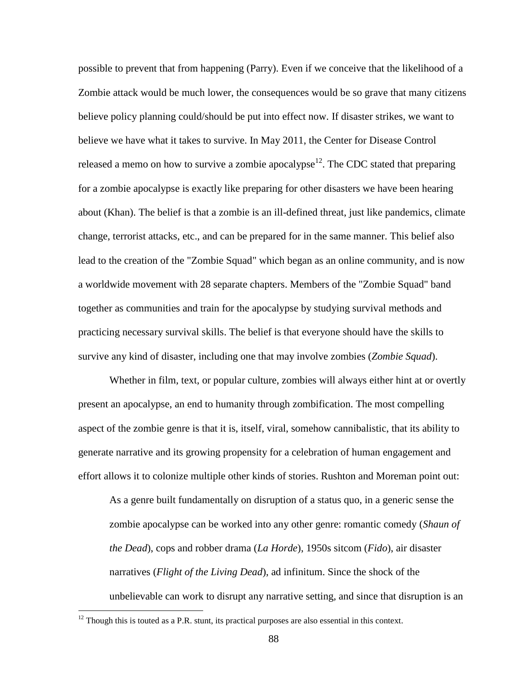possible to prevent that from happening (Parry). Even if we conceive that the likelihood of a Zombie attack would be much lower, the consequences would be so grave that many citizens believe policy planning could/should be put into effect now. If disaster strikes, we want to believe we have what it takes to survive. In May 2011, the Center for Disease Control released a memo on how to survive a zombie apocalypse<sup>12</sup>. The CDC stated that preparing for a zombie apocalypse is exactly like preparing for other disasters we have been hearing about (Khan). The belief is that a zombie is an ill-defined threat, just like pandemics, climate change, terrorist attacks, etc., and can be prepared for in the same manner. This belief also lead to the creation of the "Zombie Squad" which began as an online community, and is now a worldwide movement with 28 separate chapters. Members of the "Zombie Squad" band together as communities and train for the apocalypse by studying survival methods and practicing necessary survival skills. The belief is that everyone should have the skills to survive any kind of disaster, including one that may involve zombies (*Zombie Squad*).

Whether in film, text, or popular culture, zombies will always either hint at or overtly present an apocalypse, an end to humanity through zombification. The most compelling aspect of the zombie genre is that it is, itself, viral, somehow cannibalistic, that its ability to generate narrative and its growing propensity for a celebration of human engagement and effort allows it to colonize multiple other kinds of stories. Rushton and Moreman point out:

As a genre built fundamentally on disruption of a status quo, in a generic sense the zombie apocalypse can be worked into any other genre: romantic comedy (*Shaun of the Dead*), cops and robber drama (*La Horde*), 1950s sitcom (*Fido*), air disaster narratives (*Flight of the Living Dead*), ad infinitum. Since the shock of the unbelievable can work to disrupt any narrative setting, and since that disruption is an

 $\overline{\phantom{a}}$ 

 $12$  Though this is touted as a P.R. stunt, its practical purposes are also essential in this context.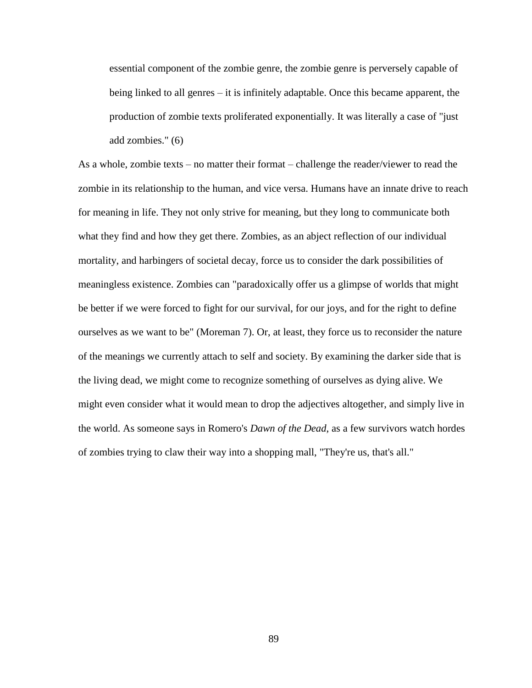essential component of the zombie genre, the zombie genre is perversely capable of being linked to all genres – it is infinitely adaptable. Once this became apparent, the production of zombie texts proliferated exponentially. It was literally a case of "just add zombies." (6)

As a whole, zombie texts – no matter their format – challenge the reader/viewer to read the zombie in its relationship to the human, and vice versa. Humans have an innate drive to reach for meaning in life. They not only strive for meaning, but they long to communicate both what they find and how they get there. Zombies, as an abject reflection of our individual mortality, and harbingers of societal decay, force us to consider the dark possibilities of meaningless existence. Zombies can "paradoxically offer us a glimpse of worlds that might be better if we were forced to fight for our survival, for our joys, and for the right to define ourselves as we want to be" (Moreman 7). Or, at least, they force us to reconsider the nature of the meanings we currently attach to self and society. By examining the darker side that is the living dead, we might come to recognize something of ourselves as dying alive. We might even consider what it would mean to drop the adjectives altogether, and simply live in the world. As someone says in Romero's *Dawn of the Dead*, as a few survivors watch hordes of zombies trying to claw their way into a shopping mall, "They're us, that's all."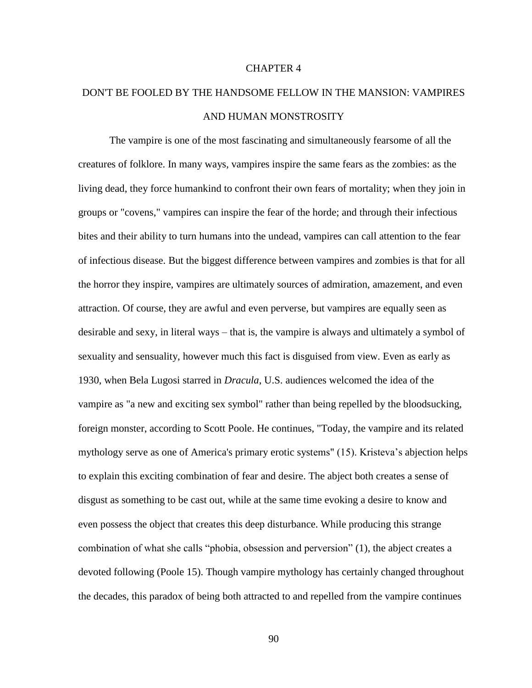## CHAPTER 4

# DON'T BE FOOLED BY THE HANDSOME FELLOW IN THE MANSION: VAMPIRES AND HUMAN MONSTROSITY

The vampire is one of the most fascinating and simultaneously fearsome of all the creatures of folklore. In many ways, vampires inspire the same fears as the zombies: as the living dead, they force humankind to confront their own fears of mortality; when they join in groups or "covens," vampires can inspire the fear of the horde; and through their infectious bites and their ability to turn humans into the undead, vampires can call attention to the fear of infectious disease. But the biggest difference between vampires and zombies is that for all the horror they inspire, vampires are ultimately sources of admiration, amazement, and even attraction. Of course, they are awful and even perverse, but vampires are equally seen as desirable and sexy, in literal ways – that is, the vampire is always and ultimately a symbol of sexuality and sensuality, however much this fact is disguised from view. Even as early as 1930, when Bela Lugosi starred in *Dracula*, U.S. audiences welcomed the idea of the vampire as "a new and exciting sex symbol" rather than being repelled by the bloodsucking, foreign monster, according to Scott Poole. He continues, "Today, the vampire and its related mythology serve as one of America's primary erotic systems" (15). Kristeva's abjection helps to explain this exciting combination of fear and desire. The abject both creates a sense of disgust as something to be cast out, while at the same time evoking a desire to know and even possess the object that creates this deep disturbance. While producing this strange combination of what she calls "phobia, obsession and perversion" (1), the abject creates a devoted following (Poole 15). Though vampire mythology has certainly changed throughout the decades, this paradox of being both attracted to and repelled from the vampire continues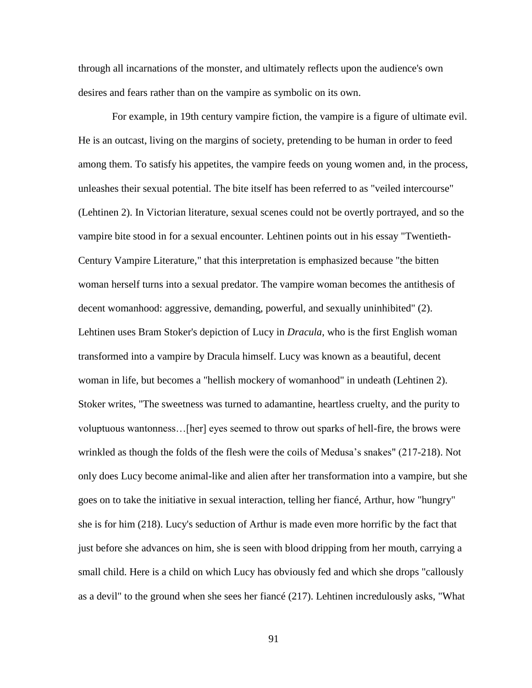through all incarnations of the monster, and ultimately reflects upon the audience's own desires and fears rather than on the vampire as symbolic on its own.

For example, in 19th century vampire fiction, the vampire is a figure of ultimate evil. He is an outcast, living on the margins of society, pretending to be human in order to feed among them. To satisfy his appetites, the vampire feeds on young women and, in the process, unleashes their sexual potential. The bite itself has been referred to as "veiled intercourse" (Lehtinen 2). In Victorian literature, sexual scenes could not be overtly portrayed, and so the vampire bite stood in for a sexual encounter. Lehtinen points out in his essay "Twentieth-Century Vampire Literature," that this interpretation is emphasized because "the bitten woman herself turns into a sexual predator. The vampire woman becomes the antithesis of decent womanhood: aggressive, demanding, powerful, and sexually uninhibited" (2). Lehtinen uses Bram Stoker's depiction of Lucy in *Dracula*, who is the first English woman transformed into a vampire by Dracula himself. Lucy was known as a beautiful, decent woman in life, but becomes a "hellish mockery of womanhood" in undeath (Lehtinen 2). Stoker writes, "The sweetness was turned to adamantine, heartless cruelty, and the purity to voluptuous wantonness…[her] eyes seemed to throw out sparks of hell-fire, the brows were wrinkled as though the folds of the flesh were the coils of Medusa's snakes" (217-218). Not only does Lucy become animal-like and alien after her transformation into a vampire, but she goes on to take the initiative in sexual interaction, telling her fiancé, Arthur, how "hungry" she is for him (218). Lucy's seduction of Arthur is made even more horrific by the fact that just before she advances on him, she is seen with blood dripping from her mouth, carrying a small child. Here is a child on which Lucy has obviously fed and which she drops "callously as a devil" to the ground when she sees her fiancé (217). Lehtinen incredulously asks, "What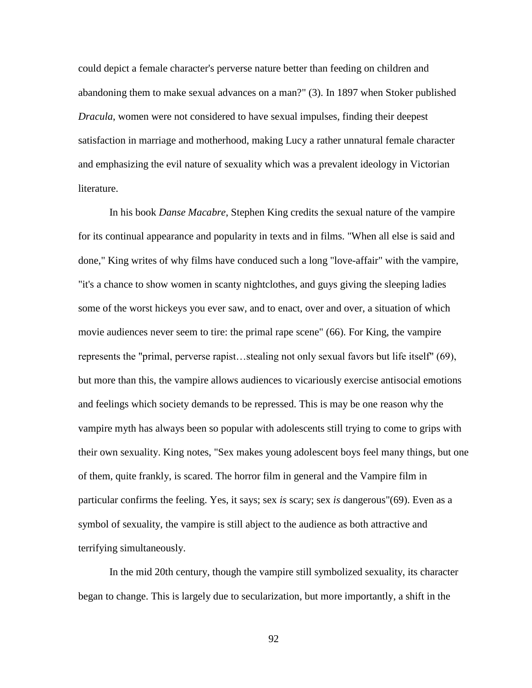could depict a female character's perverse nature better than feeding on children and abandoning them to make sexual advances on a man?" (3). In 1897 when Stoker published *Dracula*, women were not considered to have sexual impulses, finding their deepest satisfaction in marriage and motherhood, making Lucy a rather unnatural female character and emphasizing the evil nature of sexuality which was a prevalent ideology in Victorian literature.

In his book *Danse Macabre*, Stephen King credits the sexual nature of the vampire for its continual appearance and popularity in texts and in films. "When all else is said and done," King writes of why films have conduced such a long "love-affair" with the vampire, "it's a chance to show women in scanty nightclothes, and guys giving the sleeping ladies some of the worst hickeys you ever saw, and to enact, over and over, a situation of which movie audiences never seem to tire: the primal rape scene" (66). For King, the vampire represents the "primal, perverse rapist…stealing not only sexual favors but life itself" (69), but more than this, the vampire allows audiences to vicariously exercise antisocial emotions and feelings which society demands to be repressed. This is may be one reason why the vampire myth has always been so popular with adolescents still trying to come to grips with their own sexuality. King notes, "Sex makes young adolescent boys feel many things, but one of them, quite frankly, is scared. The horror film in general and the Vampire film in particular confirms the feeling. Yes, it says; sex *is* scary; sex *is* dangerous"(69). Even as a symbol of sexuality, the vampire is still abject to the audience as both attractive and terrifying simultaneously.

In the mid 20th century, though the vampire still symbolized sexuality, its character began to change. This is largely due to secularization, but more importantly, a shift in the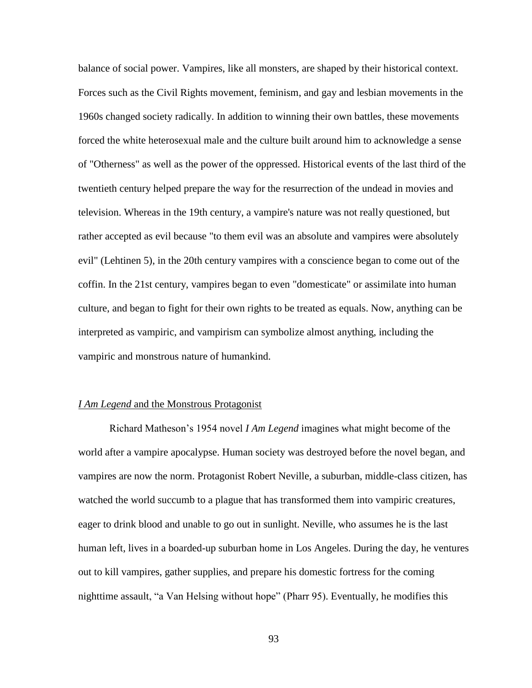balance of social power. Vampires, like all monsters, are shaped by their historical context. Forces such as the Civil Rights movement, feminism, and gay and lesbian movements in the 1960s changed society radically. In addition to winning their own battles, these movements forced the white heterosexual male and the culture built around him to acknowledge a sense of "Otherness" as well as the power of the oppressed. Historical events of the last third of the twentieth century helped prepare the way for the resurrection of the undead in movies and television. Whereas in the 19th century, a vampire's nature was not really questioned, but rather accepted as evil because "to them evil was an absolute and vampires were absolutely evil" (Lehtinen 5), in the 20th century vampires with a conscience began to come out of the coffin. In the 21st century, vampires began to even "domesticate" or assimilate into human culture, and began to fight for their own rights to be treated as equals. Now, anything can be interpreted as vampiric, and vampirism can symbolize almost anything, including the vampiric and monstrous nature of humankind.

## *I Am Legend* and the Monstrous Protagonist

Richard Matheson's 1954 novel *I Am Legend* imagines what might become of the world after a vampire apocalypse. Human society was destroyed before the novel began, and vampires are now the norm. Protagonist Robert Neville, a suburban, middle-class citizen, has watched the world succumb to a plague that has transformed them into vampiric creatures, eager to drink blood and unable to go out in sunlight. Neville, who assumes he is the last human left, lives in a boarded-up suburban home in Los Angeles. During the day, he ventures out to kill vampires, gather supplies, and prepare his domestic fortress for the coming nighttime assault, "a Van Helsing without hope" (Pharr 95). Eventually, he modifies this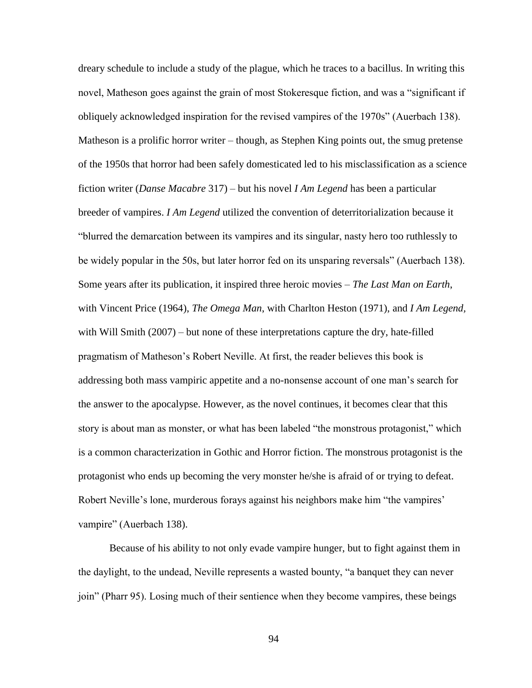dreary schedule to include a study of the plague, which he traces to a bacillus. In writing this novel, Matheson goes against the grain of most Stokeresque fiction, and was a "significant if obliquely acknowledged inspiration for the revised vampires of the 1970s" (Auerbach 138). Matheson is a prolific horror writer – though, as Stephen King points out, the smug pretense of the 1950s that horror had been safely domesticated led to his misclassification as a science fiction writer (*Danse Macabre* 317) – but his novel *I Am Legend* has been a particular breeder of vampires. *I Am Legend* utilized the convention of deterritorialization because it "blurred the demarcation between its vampires and its singular, nasty hero too ruthlessly to be widely popular in the 50s, but later horror fed on its unsparing reversals" (Auerbach 138). Some years after its publication, it inspired three heroic movies – *The Last Man on Earth*, with Vincent Price (1964), *The Omega Man*, with Charlton Heston (1971), and *I Am Legend,*  with Will Smith (2007) – but none of these interpretations capture the dry, hate-filled pragmatism of Matheson's Robert Neville. At first, the reader believes this book is addressing both mass vampiric appetite and a no-nonsense account of one man's search for the answer to the apocalypse. However, as the novel continues, it becomes clear that this story is about man as monster, or what has been labeled "the monstrous protagonist," which is a common characterization in Gothic and Horror fiction. The monstrous protagonist is the protagonist who ends up becoming the very monster he/she is afraid of or trying to defeat. Robert Neville's lone, murderous forays against his neighbors make him "the vampires' vampire" (Auerbach 138).

Because of his ability to not only evade vampire hunger, but to fight against them in the daylight, to the undead, Neville represents a wasted bounty, "a banquet they can never join" (Pharr 95). Losing much of their sentience when they become vampires, these beings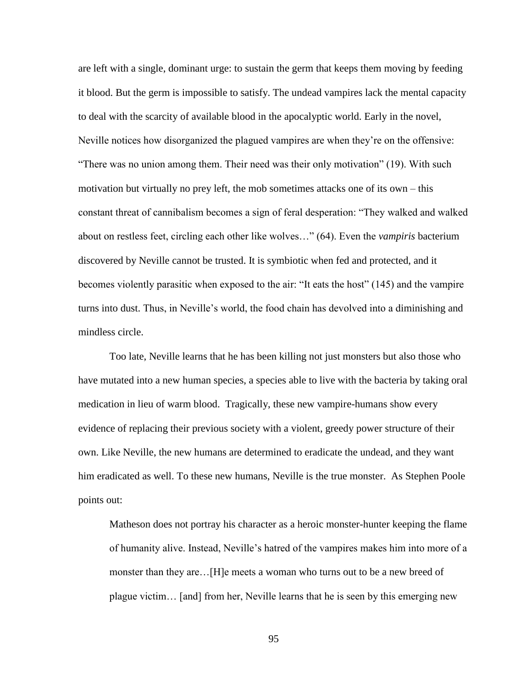are left with a single, dominant urge: to sustain the germ that keeps them moving by feeding it blood. But the germ is impossible to satisfy. The undead vampires lack the mental capacity to deal with the scarcity of available blood in the apocalyptic world. Early in the novel, Neville notices how disorganized the plagued vampires are when they're on the offensive: "There was no union among them. Their need was their only motivation" (19). With such motivation but virtually no prey left, the mob sometimes attacks one of its own – this constant threat of cannibalism becomes a sign of feral desperation: "They walked and walked about on restless feet, circling each other like wolves…" (64). Even the *vampiris* bacterium discovered by Neville cannot be trusted. It is symbiotic when fed and protected, and it becomes violently parasitic when exposed to the air: "It eats the host" (145) and the vampire turns into dust. Thus, in Neville's world, the food chain has devolved into a diminishing and mindless circle.

Too late, Neville learns that he has been killing not just monsters but also those who have mutated into a new human species, a species able to live with the bacteria by taking oral medication in lieu of warm blood. Tragically, these new vampire-humans show every evidence of replacing their previous society with a violent, greedy power structure of their own. Like Neville, the new humans are determined to eradicate the undead, and they want him eradicated as well. To these new humans, Neville is the true monster. As Stephen Poole points out:

Matheson does not portray his character as a heroic monster-hunter keeping the flame of humanity alive. Instead, Neville's hatred of the vampires makes him into more of a monster than they are…[H]e meets a woman who turns out to be a new breed of plague victim… [and] from her, Neville learns that he is seen by this emerging new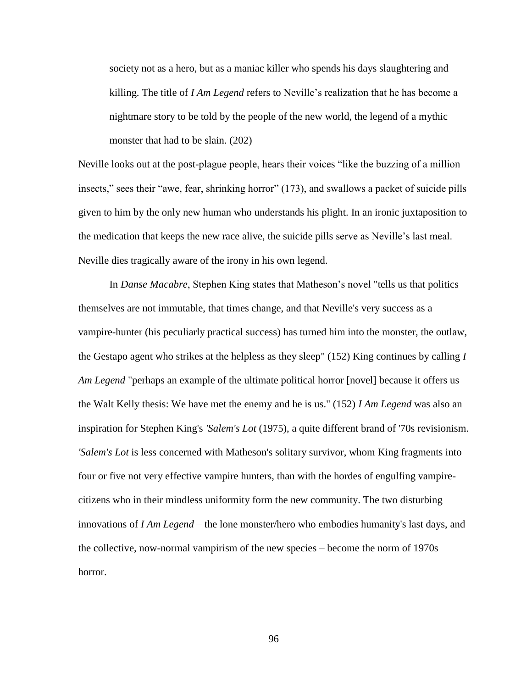society not as a hero, but as a maniac killer who spends his days slaughtering and killing. The title of *I Am Legend* refers to Neville's realization that he has become a nightmare story to be told by the people of the new world, the legend of a mythic monster that had to be slain. (202)

Neville looks out at the post-plague people, hears their voices "like the buzzing of a million insects," sees their "awe, fear, shrinking horror" (173), and swallows a packet of suicide pills given to him by the only new human who understands his plight. In an ironic juxtaposition to the medication that keeps the new race alive, the suicide pills serve as Neville's last meal. Neville dies tragically aware of the irony in his own legend.

In *Danse Macabre*, Stephen King states that Matheson's novel "tells us that politics themselves are not immutable, that times change, and that Neville's very success as a vampire-hunter (his peculiarly practical success) has turned him into the monster, the outlaw, the Gestapo agent who strikes at the helpless as they sleep" (152) King continues by calling *I Am Legend* "perhaps an example of the ultimate political horror [novel] because it offers us the Walt Kelly thesis: We have met the enemy and he is us." (152) *I Am Legend* was also an inspiration for Stephen King's *'Salem's Lot* (1975), a quite different brand of '70s revisionism. *'Salem's Lot* is less concerned with Matheson's solitary survivor, whom King fragments into four or five not very effective vampire hunters, than with the hordes of engulfing vampirecitizens who in their mindless uniformity form the new community. The two disturbing innovations of *I Am Legend* – the lone monster/hero who embodies humanity's last days, and the collective, now-normal vampirism of the new species – become the norm of 1970s horror.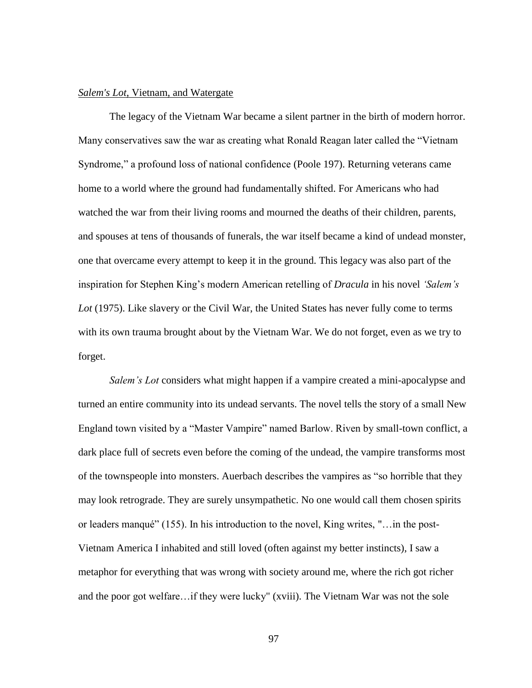## *Salem's Lot*, Vietnam, and Watergate

The legacy of the Vietnam War became a silent partner in the birth of modern horror. Many conservatives saw the war as creating what Ronald Reagan later called the "Vietnam Syndrome," a profound loss of national confidence (Poole 197). Returning veterans came home to a world where the ground had fundamentally shifted. For Americans who had watched the war from their living rooms and mourned the deaths of their children, parents, and spouses at tens of thousands of funerals, the war itself became a kind of undead monster, one that overcame every attempt to keep it in the ground. This legacy was also part of the inspiration for Stephen King's modern American retelling of *Dracula* in his novel *'Salem's Lot* (1975). Like slavery or the Civil War, the United States has never fully come to terms with its own trauma brought about by the Vietnam War. We do not forget, even as we try to forget.

*Salem's Lot* considers what might happen if a vampire created a mini-apocalypse and turned an entire community into its undead servants. The novel tells the story of a small New England town visited by a "Master Vampire" named Barlow. Riven by small-town conflict, a dark place full of secrets even before the coming of the undead, the vampire transforms most of the townspeople into monsters. Auerbach describes the vampires as "so horrible that they may look retrograde. They are surely unsympathetic. No one would call them chosen spirits or leaders manqué" (155). In his introduction to the novel, King writes, "…in the post-Vietnam America I inhabited and still loved (often against my better instincts), I saw a metaphor for everything that was wrong with society around me, where the rich got richer and the poor got welfare…if they were lucky" (xviii). The Vietnam War was not the sole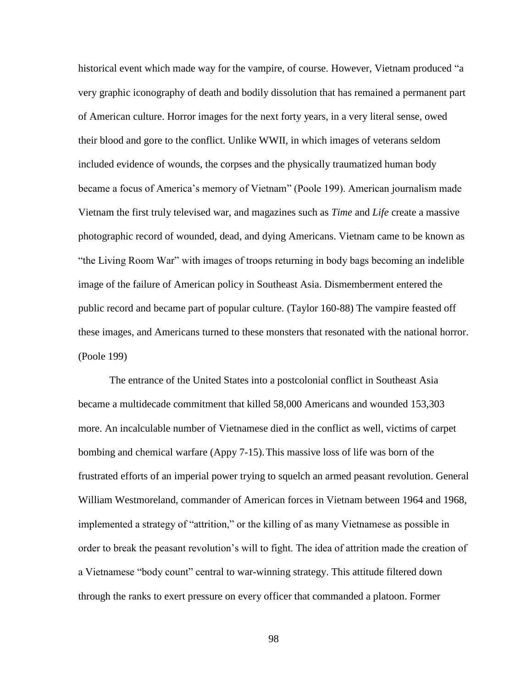historical event which made way for the vampire, of course. However, Vietnam produced "a very graphic iconography of death and bodily dissolution that has remained a permanent part of American culture. Horror images for the next forty years, in a very literal sense, owed their blood and gore to the conflict. Unlike WWII, in which images of veterans seldom included evidence of wounds, the corpses and the physically traumatized human body became a focus of America's memory of Vietnam" (Poole 199). American journalism made Vietnam the first truly televised war, and magazines such as *Time* and *Life* create a massive photographic record of wounded, dead, and dying Americans. Vietnam came to be known as "the Living Room War" with images of troops returning in body bags becoming an indelible image of the failure of American policy in Southeast Asia. Dismemberment entered the public record and became part of popular culture. (Taylor 160-88) The vampire feasted off these images, and Americans turned to these monsters that resonated with the national horror. (Poole 199)

The entrance of the United States into a postcolonial conflict in Southeast Asia became a multidecade commitment that killed 58,000 Americans and wounded 153,303 more. An incalculable number of Vietnamese died in the conflict as well, victims of carpet bombing and chemical warfare (Appy 7-15).This massive loss of life was born of the frustrated efforts of an imperial power trying to squelch an armed peasant revolution. General William Westmoreland, commander of American forces in Vietnam between 1964 and 1968, implemented a strategy of "attrition," or the killing of as many Vietnamese as possible in order to break the peasant revolution's will to fight. The idea of attrition made the creation of a Vietnamese "body count" central to war-winning strategy. This attitude filtered down through the ranks to exert pressure on every officer that commanded a platoon. Former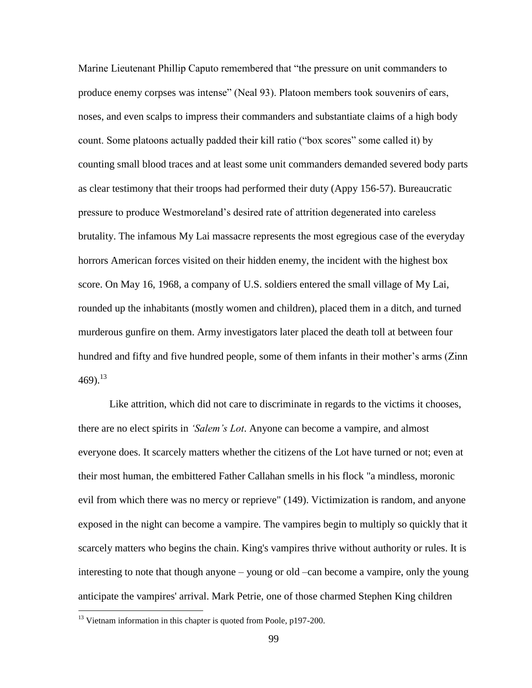Marine Lieutenant Phillip Caputo remembered that "the pressure on unit commanders to produce enemy corpses was intense" (Neal 93). Platoon members took souvenirs of ears, noses, and even scalps to impress their commanders and substantiate claims of a high body count. Some platoons actually padded their kill ratio ("box scores" some called it) by counting small blood traces and at least some unit commanders demanded severed body parts as clear testimony that their troops had performed their duty (Appy 156-57). Bureaucratic pressure to produce Westmoreland's desired rate of attrition degenerated into careless brutality. The infamous My Lai massacre represents the most egregious case of the everyday horrors American forces visited on their hidden enemy, the incident with the highest box score. On May 16, 1968, a company of U.S. soldiers entered the small village of My Lai, rounded up the inhabitants (mostly women and children), placed them in a ditch, and turned murderous gunfire on them. Army investigators later placed the death toll at between four hundred and fifty and five hundred people, some of them infants in their mother's arms (Zinn 469). 13

Like attrition, which did not care to discriminate in regards to the victims it chooses, there are no elect spirits in *'Salem's Lot*. Anyone can become a vampire, and almost everyone does. It scarcely matters whether the citizens of the Lot have turned or not; even at their most human, the embittered Father Callahan smells in his flock "a mindless, moronic evil from which there was no mercy or reprieve" (149). Victimization is random, and anyone exposed in the night can become a vampire. The vampires begin to multiply so quickly that it scarcely matters who begins the chain. King's vampires thrive without authority or rules. It is interesting to note that though anyone – young or old –can become a vampire, only the young anticipate the vampires' arrival. Mark Petrie, one of those charmed Stephen King children

 $\overline{\phantom{a}}$ 

<sup>&</sup>lt;sup>13</sup> Vietnam information in this chapter is quoted from Poole, p197-200.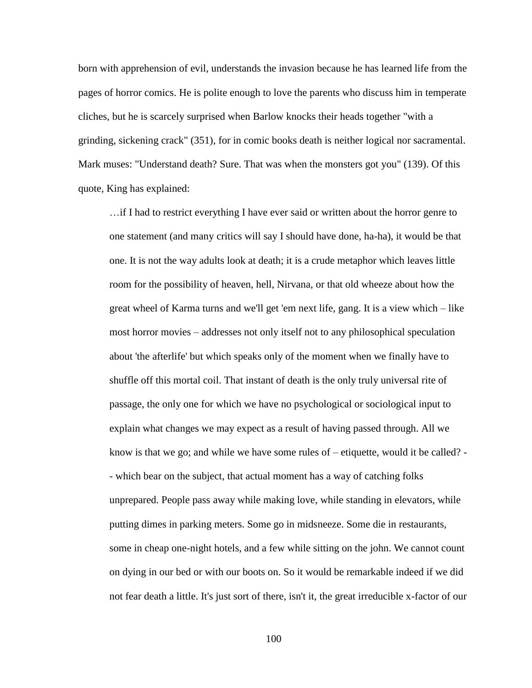born with apprehension of evil, understands the invasion because he has learned life from the pages of horror comics. He is polite enough to love the parents who discuss him in temperate cliches, but he is scarcely surprised when Barlow knocks their heads together "with a grinding, sickening crack" (351), for in comic books death is neither logical nor sacramental. Mark muses: "Understand death? Sure. That was when the monsters got you" (139). Of this quote, King has explained:

…if I had to restrict everything I have ever said or written about the horror genre to one statement (and many critics will say I should have done, ha-ha), it would be that one. It is not the way adults look at death; it is a crude metaphor which leaves little room for the possibility of heaven, hell, Nirvana, or that old wheeze about how the great wheel of Karma turns and we'll get 'em next life, gang. It is a view which – like most horror movies – addresses not only itself not to any philosophical speculation about 'the afterlife' but which speaks only of the moment when we finally have to shuffle off this mortal coil. That instant of death is the only truly universal rite of passage, the only one for which we have no psychological or sociological input to explain what changes we may expect as a result of having passed through. All we know is that we go; and while we have some rules of – etiquette, would it be called? - - which bear on the subject, that actual moment has a way of catching folks unprepared. People pass away while making love, while standing in elevators, while putting dimes in parking meters. Some go in midsneeze. Some die in restaurants, some in cheap one-night hotels, and a few while sitting on the john. We cannot count on dying in our bed or with our boots on. So it would be remarkable indeed if we did not fear death a little. It's just sort of there, isn't it, the great irreducible x-factor of our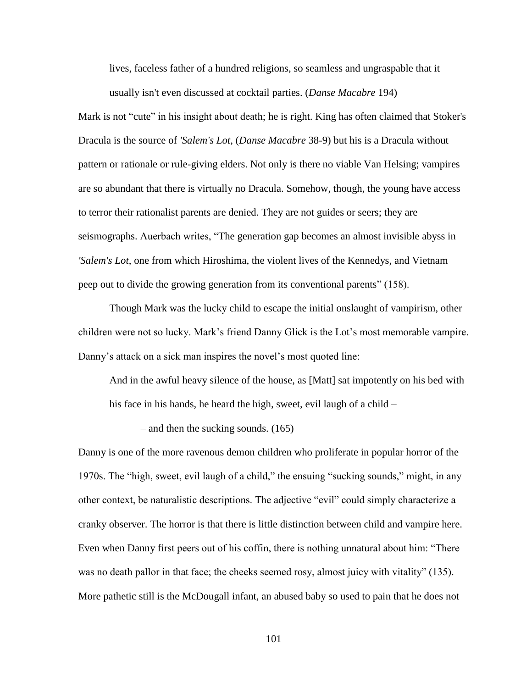lives, faceless father of a hundred religions, so seamless and ungraspable that it usually isn't even discussed at cocktail parties. (*Danse Macabre* 194)

Mark is not "cute" in his insight about death; he is right. King has often claimed that Stoker's Dracula is the source of *'Salem's Lot*, (*Danse Macabre* 38-9) but his is a Dracula without pattern or rationale or rule-giving elders. Not only is there no viable Van Helsing; vampires are so abundant that there is virtually no Dracula. Somehow, though, the young have access to terror their rationalist parents are denied. They are not guides or seers; they are seismographs. Auerbach writes, "The generation gap becomes an almost invisible abyss in *'Salem's Lot*, one from which Hiroshima, the violent lives of the Kennedys, and Vietnam peep out to divide the growing generation from its conventional parents" (158).

Though Mark was the lucky child to escape the initial onslaught of vampirism, other children were not so lucky. Mark's friend Danny Glick is the Lot's most memorable vampire. Danny's attack on a sick man inspires the novel's most quoted line:

And in the awful heavy silence of the house, as [Matt] sat impotently on his bed with his face in his hands, he heard the high, sweet, evil laugh of a child –

– and then the sucking sounds. (165)

Danny is one of the more ravenous demon children who proliferate in popular horror of the 1970s. The "high, sweet, evil laugh of a child," the ensuing "sucking sounds," might, in any other context, be naturalistic descriptions. The adjective "evil" could simply characterize a cranky observer. The horror is that there is little distinction between child and vampire here. Even when Danny first peers out of his coffin, there is nothing unnatural about him: "There was no death pallor in that face; the cheeks seemed rosy, almost juicy with vitality" (135). More pathetic still is the McDougall infant, an abused baby so used to pain that he does not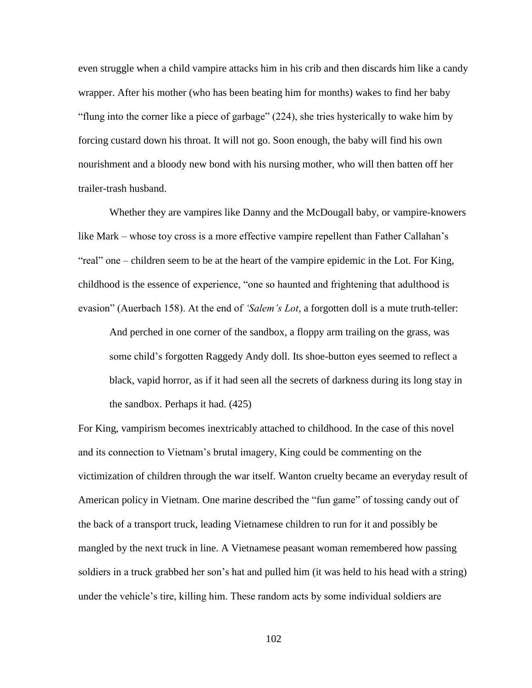even struggle when a child vampire attacks him in his crib and then discards him like a candy wrapper. After his mother (who has been beating him for months) wakes to find her baby "flung into the corner like a piece of garbage" (224), she tries hysterically to wake him by forcing custard down his throat. It will not go. Soon enough, the baby will find his own nourishment and a bloody new bond with his nursing mother, who will then batten off her trailer-trash husband.

Whether they are vampires like Danny and the McDougall baby, or vampire-knowers like Mark – whose toy cross is a more effective vampire repellent than Father Callahan's "real" one – children seem to be at the heart of the vampire epidemic in the Lot. For King, childhood is the essence of experience, "one so haunted and frightening that adulthood is evasion" (Auerbach 158). At the end of *'Salem's Lot*, a forgotten doll is a mute truth-teller:

And perched in one corner of the sandbox, a floppy arm trailing on the grass, was some child's forgotten Raggedy Andy doll. Its shoe-button eyes seemed to reflect a black, vapid horror, as if it had seen all the secrets of darkness during its long stay in the sandbox. Perhaps it had. (425)

For King, vampirism becomes inextricably attached to childhood. In the case of this novel and its connection to Vietnam's brutal imagery, King could be commenting on the victimization of children through the war itself. Wanton cruelty became an everyday result of American policy in Vietnam. One marine described the "fun game" of tossing candy out of the back of a transport truck, leading Vietnamese children to run for it and possibly be mangled by the next truck in line. A Vietnamese peasant woman remembered how passing soldiers in a truck grabbed her son's hat and pulled him (it was held to his head with a string) under the vehicle's tire, killing him. These random acts by some individual soldiers are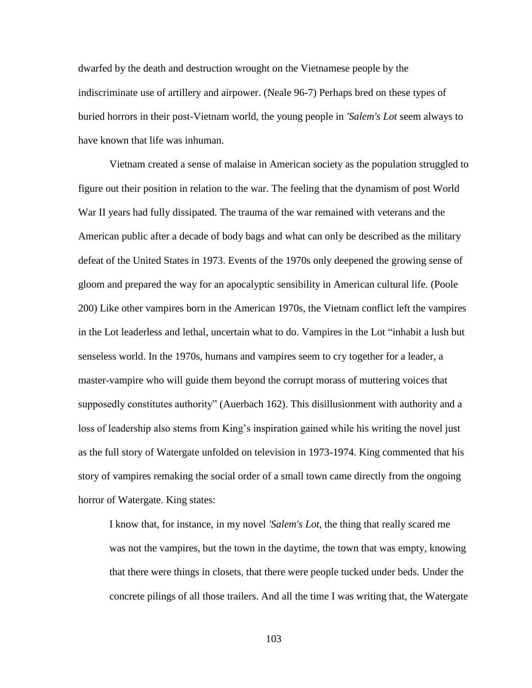dwarfed by the death and destruction wrought on the Vietnamese people by the indiscriminate use of artillery and airpower. (Neale 96-7) Perhaps bred on these types of buried horrors in their post-Vietnam world, the young people in *'Salem's Lot* seem always to have known that life was inhuman.

Vietnam created a sense of malaise in American society as the population struggled to figure out their position in relation to the war. The feeling that the dynamism of post World War II years had fully dissipated. The trauma of the war remained with veterans and the American public after a decade of body bags and what can only be described as the military defeat of the United States in 1973. Events of the 1970s only deepened the growing sense of gloom and prepared the way for an apocalyptic sensibility in American cultural life. (Poole 200) Like other vampires born in the American 1970s, the Vietnam conflict left the vampires in the Lot leaderless and lethal, uncertain what to do. Vampires in the Lot "inhabit a lush but senseless world. In the 1970s, humans and vampires seem to cry together for a leader, a master-vampire who will guide them beyond the corrupt morass of muttering voices that supposedly constitutes authority" (Auerbach 162). This disillusionment with authority and a loss of leadership also stems from King's inspiration gained while his writing the novel just as the full story of Watergate unfolded on television in 1973-1974. King commented that his story of vampires remaking the social order of a small town came directly from the ongoing horror of Watergate. King states:

I know that, for instance, in my novel *'Salem's Lot*, the thing that really scared me was not the vampires, but the town in the daytime, the town that was empty, knowing that there were things in closets, that there were people tucked under beds. Under the concrete pilings of all those trailers. And all the time I was writing that, the Watergate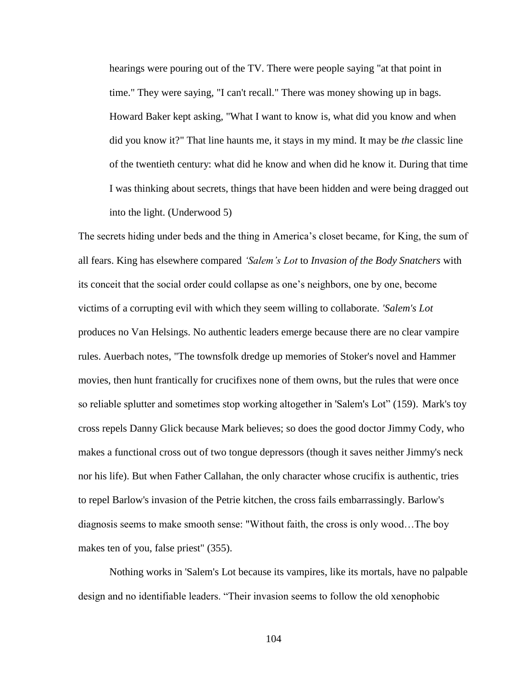hearings were pouring out of the TV. There were people saying "at that point in time." They were saying, "I can't recall." There was money showing up in bags. Howard Baker kept asking, "What I want to know is, what did you know and when did you know it?" That line haunts me, it stays in my mind. It may be *the* classic line of the twentieth century: what did he know and when did he know it. During that time I was thinking about secrets, things that have been hidden and were being dragged out into the light. (Underwood 5)

The secrets hiding under beds and the thing in America's closet became, for King, the sum of all fears. King has elsewhere compared *'Salem's Lot* to *Invasion of the Body Snatchers* with its conceit that the social order could collapse as one's neighbors, one by one, become victims of a corrupting evil with which they seem willing to collaborate. *'Salem's Lot*  produces no Van Helsings. No authentic leaders emerge because there are no clear vampire rules. Auerbach notes, "The townsfolk dredge up memories of Stoker's novel and Hammer movies, then hunt frantically for crucifixes none of them owns, but the rules that were once so reliable splutter and sometimes stop working altogether in 'Salem's Lot" (159). Mark's toy cross repels Danny Glick because Mark believes; so does the good doctor Jimmy Cody, who makes a functional cross out of two tongue depressors (though it saves neither Jimmy's neck nor his life). But when Father Callahan, the only character whose crucifix is authentic, tries to repel Barlow's invasion of the Petrie kitchen, the cross fails embarrassingly. Barlow's diagnosis seems to make smooth sense: "Without faith, the cross is only wood…The boy makes ten of you, false priest" (355).

Nothing works in 'Salem's Lot because its vampires, like its mortals, have no palpable design and no identifiable leaders. "Their invasion seems to follow the old xenophobic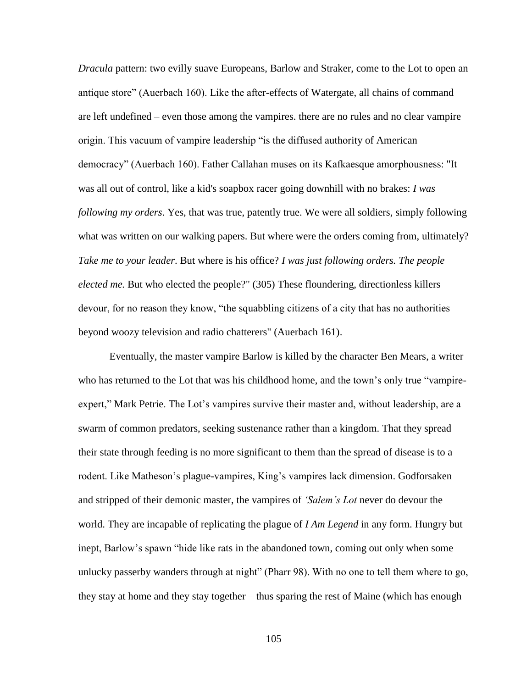*Dracula* pattern: two evilly suave Europeans, Barlow and Straker, come to the Lot to open an antique store" (Auerbach 160). Like the after-effects of Watergate, all chains of command are left undefined – even those among the vampires. there are no rules and no clear vampire origin. This vacuum of vampire leadership "is the diffused authority of American democracy" (Auerbach 160). Father Callahan muses on its Kafkaesque amorphousness: "It was all out of control, like a kid's soapbox racer going downhill with no brakes: *I was following my orders*. Yes, that was true, patently true. We were all soldiers, simply following what was written on our walking papers. But where were the orders coming from, ultimately? *Take me to your leader*. But where is his office? *I was just following orders. The people elected me.* But who elected the people?" (305) These floundering, directionless killers devour, for no reason they know, "the squabbling citizens of a city that has no authorities beyond woozy television and radio chatterers" (Auerbach 161).

Eventually, the master vampire Barlow is killed by the character Ben Mears, a writer who has returned to the Lot that was his childhood home, and the town's only true "vampireexpert," Mark Petrie. The Lot's vampires survive their master and, without leadership, are a swarm of common predators, seeking sustenance rather than a kingdom. That they spread their state through feeding is no more significant to them than the spread of disease is to a rodent. Like Matheson's plague-vampires, King's vampires lack dimension. Godforsaken and stripped of their demonic master, the vampires of *'Salem's Lot* never do devour the world. They are incapable of replicating the plague of *I Am Legend* in any form. Hungry but inept, Barlow's spawn "hide like rats in the abandoned town, coming out only when some unlucky passerby wanders through at night" (Pharr 98). With no one to tell them where to go, they stay at home and they stay together – thus sparing the rest of Maine (which has enough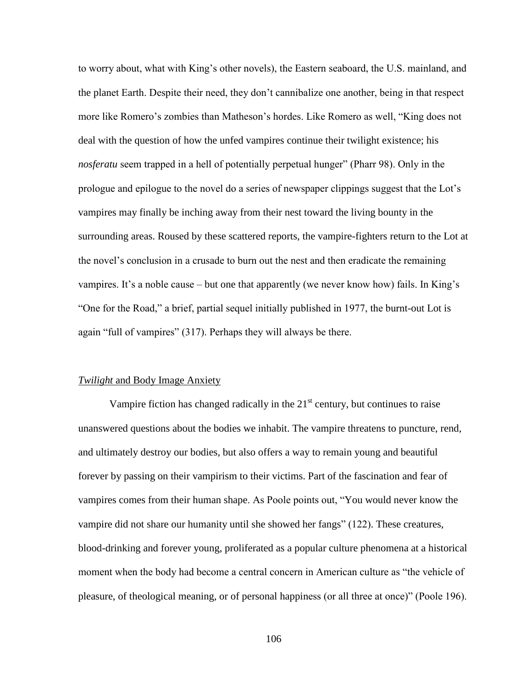to worry about, what with King's other novels), the Eastern seaboard, the U.S. mainland, and the planet Earth. Despite their need, they don't cannibalize one another, being in that respect more like Romero's zombies than Matheson's hordes. Like Romero as well, "King does not deal with the question of how the unfed vampires continue their twilight existence; his *nosferatu* seem trapped in a hell of potentially perpetual hunger" (Pharr 98). Only in the prologue and epilogue to the novel do a series of newspaper clippings suggest that the Lot's vampires may finally be inching away from their nest toward the living bounty in the surrounding areas. Roused by these scattered reports, the vampire-fighters return to the Lot at the novel's conclusion in a crusade to burn out the nest and then eradicate the remaining vampires. It's a noble cause – but one that apparently (we never know how) fails. In King's "One for the Road," a brief, partial sequel initially published in 1977, the burnt-out Lot is again "full of vampires" (317). Perhaps they will always be there.

## *Twilight* and Body Image Anxiety

Vampire fiction has changed radically in the  $21<sup>st</sup>$  century, but continues to raise unanswered questions about the bodies we inhabit. The vampire threatens to puncture, rend, and ultimately destroy our bodies, but also offers a way to remain young and beautiful forever by passing on their vampirism to their victims. Part of the fascination and fear of vampires comes from their human shape. As Poole points out, "You would never know the vampire did not share our humanity until she showed her fangs" (122). These creatures, blood-drinking and forever young, proliferated as a popular culture phenomena at a historical moment when the body had become a central concern in American culture as "the vehicle of pleasure, of theological meaning, or of personal happiness (or all three at once)" (Poole 196).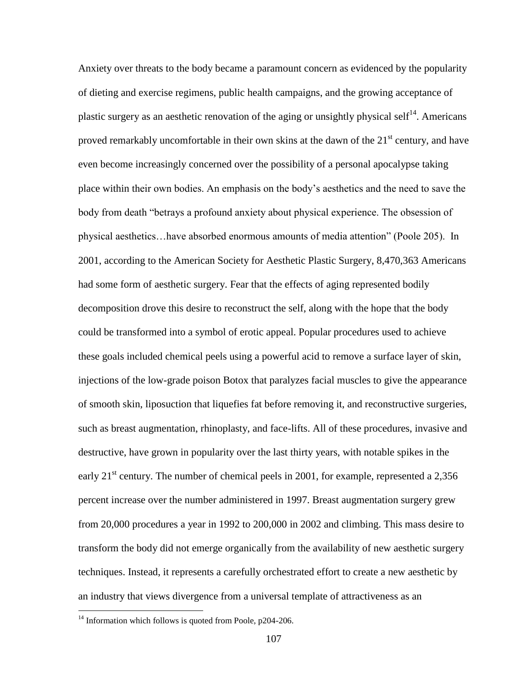Anxiety over threats to the body became a paramount concern as evidenced by the popularity of dieting and exercise regimens, public health campaigns, and the growing acceptance of plastic surgery as an aesthetic renovation of the aging or unsightly physical self<sup>14</sup>. Americans proved remarkably uncomfortable in their own skins at the dawn of the  $21<sup>st</sup>$  century, and have even become increasingly concerned over the possibility of a personal apocalypse taking place within their own bodies. An emphasis on the body's aesthetics and the need to save the body from death "betrays a profound anxiety about physical experience. The obsession of physical aesthetics…have absorbed enormous amounts of media attention" (Poole 205). In 2001, according to the American Society for Aesthetic Plastic Surgery, 8,470,363 Americans had some form of aesthetic surgery. Fear that the effects of aging represented bodily decomposition drove this desire to reconstruct the self, along with the hope that the body could be transformed into a symbol of erotic appeal. Popular procedures used to achieve these goals included chemical peels using a powerful acid to remove a surface layer of skin, injections of the low-grade poison Botox that paralyzes facial muscles to give the appearance of smooth skin, liposuction that liquefies fat before removing it, and reconstructive surgeries, such as breast augmentation, rhinoplasty, and face-lifts. All of these procedures, invasive and destructive, have grown in popularity over the last thirty years, with notable spikes in the early  $21<sup>st</sup>$  century. The number of chemical peels in 2001, for example, represented a 2,356 percent increase over the number administered in 1997. Breast augmentation surgery grew from 20,000 procedures a year in 1992 to 200,000 in 2002 and climbing. This mass desire to transform the body did not emerge organically from the availability of new aesthetic surgery techniques. Instead, it represents a carefully orchestrated effort to create a new aesthetic by an industry that views divergence from a universal template of attractiveness as an

 $\overline{\phantom{a}}$ 

 $14$  Information which follows is quoted from Poole, p204-206.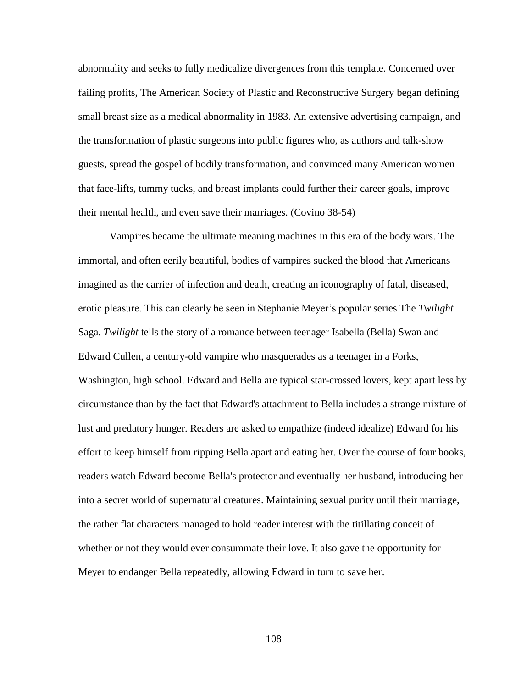abnormality and seeks to fully medicalize divergences from this template. Concerned over failing profits, The American Society of Plastic and Reconstructive Surgery began defining small breast size as a medical abnormality in 1983. An extensive advertising campaign, and the transformation of plastic surgeons into public figures who, as authors and talk-show guests, spread the gospel of bodily transformation, and convinced many American women that face-lifts, tummy tucks, and breast implants could further their career goals, improve their mental health, and even save their marriages. (Covino 38-54)

Vampires became the ultimate meaning machines in this era of the body wars. The immortal, and often eerily beautiful, bodies of vampires sucked the blood that Americans imagined as the carrier of infection and death, creating an iconography of fatal, diseased, erotic pleasure. This can clearly be seen in Stephanie Meyer's popular series The *Twilight*  Saga. *Twilight* tells the story of a romance between teenager Isabella (Bella) Swan and Edward Cullen, a century-old vampire who masquerades as a teenager in a Forks, Washington, high school. Edward and Bella are typical star-crossed lovers, kept apart less by circumstance than by the fact that Edward's attachment to Bella includes a strange mixture of lust and predatory hunger. Readers are asked to empathize (indeed idealize) Edward for his effort to keep himself from ripping Bella apart and eating her. Over the course of four books, readers watch Edward become Bella's protector and eventually her husband, introducing her into a secret world of supernatural creatures. Maintaining sexual purity until their marriage, the rather flat characters managed to hold reader interest with the titillating conceit of whether or not they would ever consummate their love. It also gave the opportunity for Meyer to endanger Bella repeatedly, allowing Edward in turn to save her.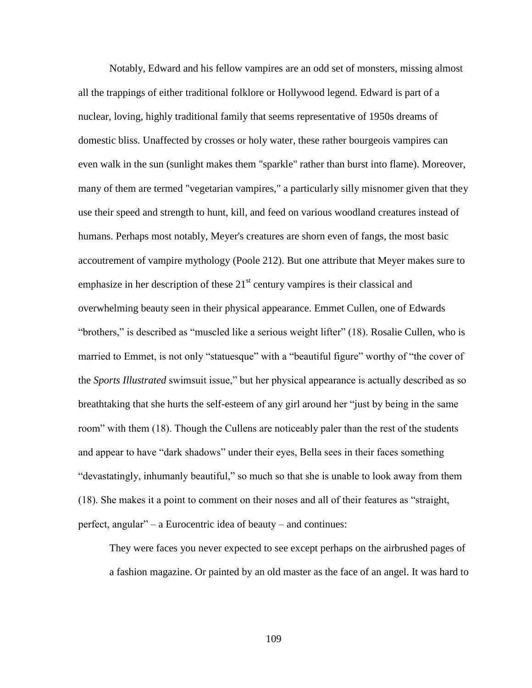Notably, Edward and his fellow vampires are an odd set of monsters, missing almost all the trappings of either traditional folklore or Hollywood legend. Edward is part of a nuclear, loving, highly traditional family that seems representative of 1950s dreams of domestic bliss. Unaffected by crosses or holy water, these rather bourgeois vampires can even walk in the sun (sunlight makes them "sparkle" rather than burst into flame). Moreover, many of them are termed "vegetarian vampires," a particularly silly misnomer given that they use their speed and strength to hunt, kill, and feed on various woodland creatures instead of humans. Perhaps most notably, Meyer's creatures are shorn even of fangs, the most basic accoutrement of vampire mythology (Poole 212). But one attribute that Meyer makes sure to emphasize in her description of these  $21<sup>st</sup>$  century vampires is their classical and overwhelming beauty seen in their physical appearance. Emmet Cullen, one of Edwards "brothers," is described as "muscled like a serious weight lifter" (18). Rosalie Cullen, who is married to Emmet, is not only "statuesque" with a "beautiful figure" worthy of "the cover of the *Sports Illustrated* swimsuit issue," but her physical appearance is actually described as so breathtaking that she hurts the self-esteem of any girl around her "just by being in the same room" with them (18). Though the Cullens are noticeably paler than the rest of the students and appear to have "dark shadows" under their eyes, Bella sees in their faces something "devastatingly, inhumanly beautiful," so much so that she is unable to look away from them (18). She makes it a point to comment on their noses and all of their features as "straight, perfect, angular" – a Eurocentric idea of beauty – and continues:

They were faces you never expected to see except perhaps on the airbrushed pages of a fashion magazine. Or painted by an old master as the face of an angel. It was hard to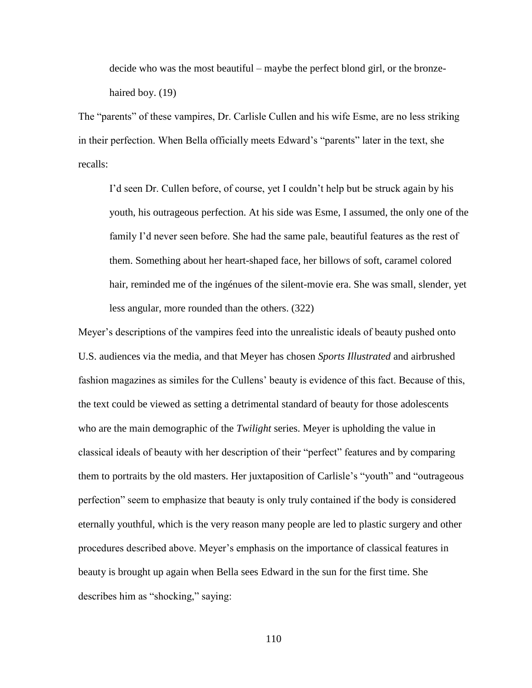decide who was the most beautiful – maybe the perfect blond girl, or the bronzehaired boy. (19)

The "parents" of these vampires, Dr. Carlisle Cullen and his wife Esme, are no less striking in their perfection. When Bella officially meets Edward's "parents" later in the text, she recalls:

I'd seen Dr. Cullen before, of course, yet I couldn't help but be struck again by his youth, his outrageous perfection. At his side was Esme, I assumed, the only one of the family I'd never seen before. She had the same pale, beautiful features as the rest of them. Something about her heart-shaped face, her billows of soft, caramel colored hair, reminded me of the ingénues of the silent-movie era. She was small, slender, yet less angular, more rounded than the others. (322)

Meyer's descriptions of the vampires feed into the unrealistic ideals of beauty pushed onto U.S. audiences via the media, and that Meyer has chosen *Sports Illustrated* and airbrushed fashion magazines as similes for the Cullens' beauty is evidence of this fact. Because of this, the text could be viewed as setting a detrimental standard of beauty for those adolescents who are the main demographic of the *Twilight* series. Meyer is upholding the value in classical ideals of beauty with her description of their "perfect" features and by comparing them to portraits by the old masters. Her juxtaposition of Carlisle's "youth" and "outrageous perfection" seem to emphasize that beauty is only truly contained if the body is considered eternally youthful, which is the very reason many people are led to plastic surgery and other procedures described above. Meyer's emphasis on the importance of classical features in beauty is brought up again when Bella sees Edward in the sun for the first time. She describes him as "shocking," saying: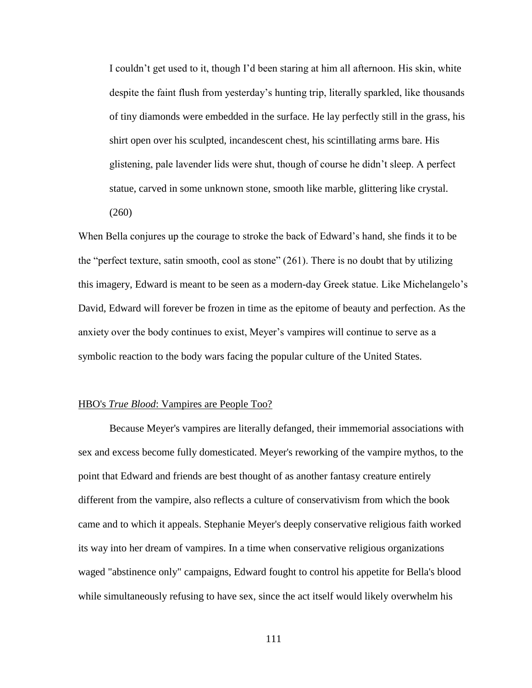I couldn't get used to it, though I'd been staring at him all afternoon. His skin, white despite the faint flush from yesterday's hunting trip, literally sparkled, like thousands of tiny diamonds were embedded in the surface. He lay perfectly still in the grass, his shirt open over his sculpted, incandescent chest, his scintillating arms bare. His glistening, pale lavender lids were shut, though of course he didn't sleep. A perfect statue, carved in some unknown stone, smooth like marble, glittering like crystal.

(260)

When Bella conjures up the courage to stroke the back of Edward's hand, she finds it to be the "perfect texture, satin smooth, cool as stone" (261). There is no doubt that by utilizing this imagery, Edward is meant to be seen as a modern-day Greek statue. Like Michelangelo's David, Edward will forever be frozen in time as the epitome of beauty and perfection. As the anxiety over the body continues to exist, Meyer's vampires will continue to serve as a symbolic reaction to the body wars facing the popular culture of the United States.

## HBO's *True Blood*: Vampires are People Too?

Because Meyer's vampires are literally defanged, their immemorial associations with sex and excess become fully domesticated. Meyer's reworking of the vampire mythos, to the point that Edward and friends are best thought of as another fantasy creature entirely different from the vampire, also reflects a culture of conservativism from which the book came and to which it appeals. Stephanie Meyer's deeply conservative religious faith worked its way into her dream of vampires. In a time when conservative religious organizations waged "abstinence only" campaigns, Edward fought to control his appetite for Bella's blood while simultaneously refusing to have sex, since the act itself would likely overwhelm his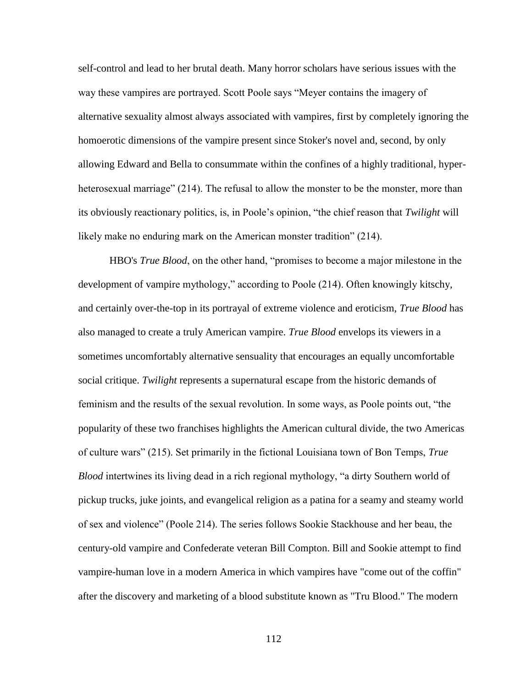self-control and lead to her brutal death. Many horror scholars have serious issues with the way these vampires are portrayed. Scott Poole says "Meyer contains the imagery of alternative sexuality almost always associated with vampires, first by completely ignoring the homoerotic dimensions of the vampire present since Stoker's novel and, second, by only allowing Edward and Bella to consummate within the confines of a highly traditional, hyperheterosexual marriage" (214). The refusal to allow the monster to be the monster, more than its obviously reactionary politics, is, in Poole's opinion, "the chief reason that *Twilight* will likely make no enduring mark on the American monster tradition" (214).

HBO's *True Blood*, on the other hand, "promises to become a major milestone in the development of vampire mythology," according to Poole (214). Often knowingly kitschy, and certainly over-the-top in its portrayal of extreme violence and eroticism, *True Blood* has also managed to create a truly American vampire. *True Blood* envelops its viewers in a sometimes uncomfortably alternative sensuality that encourages an equally uncomfortable social critique. *Twilight* represents a supernatural escape from the historic demands of feminism and the results of the sexual revolution. In some ways, as Poole points out, "the popularity of these two franchises highlights the American cultural divide, the two Americas of culture wars" (215). Set primarily in the fictional Louisiana town of Bon Temps, *True Blood* intertwines its living dead in a rich regional mythology, "a dirty Southern world of pickup trucks, juke joints, and evangelical religion as a patina for a seamy and steamy world of sex and violence" (Poole 214). The series follows Sookie Stackhouse and her beau, the century-old vampire and Confederate veteran Bill Compton. Bill and Sookie attempt to find vampire-human love in a modern America in which vampires have "come out of the coffin" after the discovery and marketing of a blood substitute known as "Tru Blood." The modern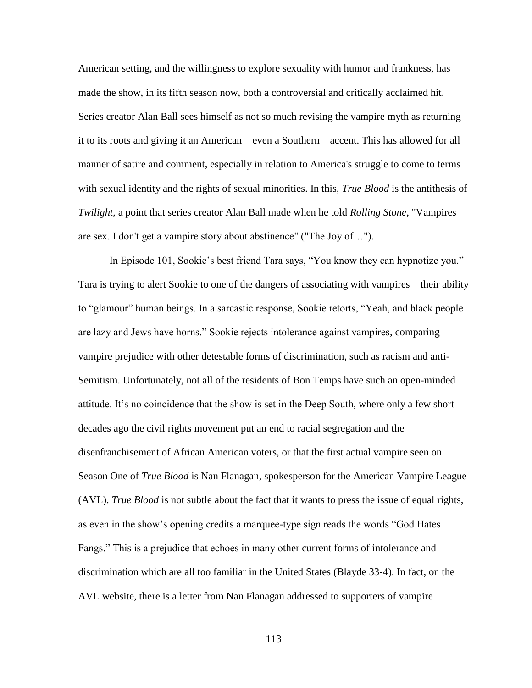American setting, and the willingness to explore sexuality with humor and frankness, has made the show, in its fifth season now, both a controversial and critically acclaimed hit. Series creator Alan Ball sees himself as not so much revising the vampire myth as returning it to its roots and giving it an American – even a Southern – accent. This has allowed for all manner of satire and comment, especially in relation to America's struggle to come to terms with sexual identity and the rights of sexual minorities. In this, *True Blood* is the antithesis of *Twilight*, a point that series creator Alan Ball made when he told *Rolling Stone*, "Vampires are sex. I don't get a vampire story about abstinence" ("The Joy of…").

In Episode 101, Sookie's best friend Tara says, "You know they can hypnotize you." Tara is trying to alert Sookie to one of the dangers of associating with vampires – their ability to "glamour" human beings. In a sarcastic response, Sookie retorts, "Yeah, and black people are lazy and Jews have horns." Sookie rejects intolerance against vampires, comparing vampire prejudice with other detestable forms of discrimination, such as racism and anti-Semitism. Unfortunately, not all of the residents of Bon Temps have such an open-minded attitude. It's no coincidence that the show is set in the Deep South, where only a few short decades ago the civil rights movement put an end to racial segregation and the disenfranchisement of African American voters, or that the first actual vampire seen on Season One of *True Blood* is Nan Flanagan, spokesperson for the American Vampire League (AVL). *True Blood* is not subtle about the fact that it wants to press the issue of equal rights, as even in the show's opening credits a marquee-type sign reads the words "God Hates Fangs." This is a prejudice that echoes in many other current forms of intolerance and discrimination which are all too familiar in the United States (Blayde 33-4). In fact, on the AVL website, there is a letter from Nan Flanagan addressed to supporters of vampire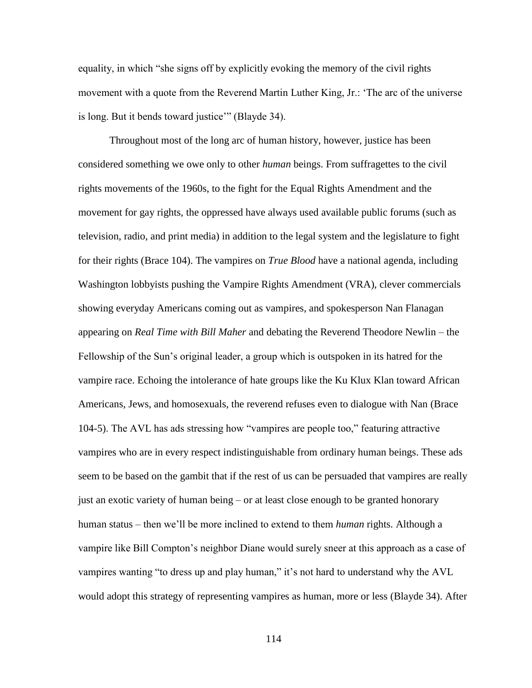equality, in which "she signs off by explicitly evoking the memory of the civil rights movement with a quote from the Reverend Martin Luther King, Jr.: 'The arc of the universe is long. But it bends toward justice'" (Blayde 34).

Throughout most of the long arc of human history, however, justice has been considered something we owe only to other *human* beings. From suffragettes to the civil rights movements of the 1960s, to the fight for the Equal Rights Amendment and the movement for gay rights, the oppressed have always used available public forums (such as television, radio, and print media) in addition to the legal system and the legislature to fight for their rights (Brace 104). The vampires on *True Blood* have a national agenda, including Washington lobbyists pushing the Vampire Rights Amendment (VRA), clever commercials showing everyday Americans coming out as vampires, and spokesperson Nan Flanagan appearing on *Real Time with Bill Maher* and debating the Reverend Theodore Newlin – the Fellowship of the Sun's original leader, a group which is outspoken in its hatred for the vampire race. Echoing the intolerance of hate groups like the Ku Klux Klan toward African Americans, Jews, and homosexuals, the reverend refuses even to dialogue with Nan (Brace 104-5). The AVL has ads stressing how "vampires are people too," featuring attractive vampires who are in every respect indistinguishable from ordinary human beings. These ads seem to be based on the gambit that if the rest of us can be persuaded that vampires are really just an exotic variety of human being – or at least close enough to be granted honorary human status – then we'll be more inclined to extend to them *human* rights. Although a vampire like Bill Compton's neighbor Diane would surely sneer at this approach as a case of vampires wanting "to dress up and play human," it's not hard to understand why the AVL would adopt this strategy of representing vampires as human, more or less (Blayde 34). After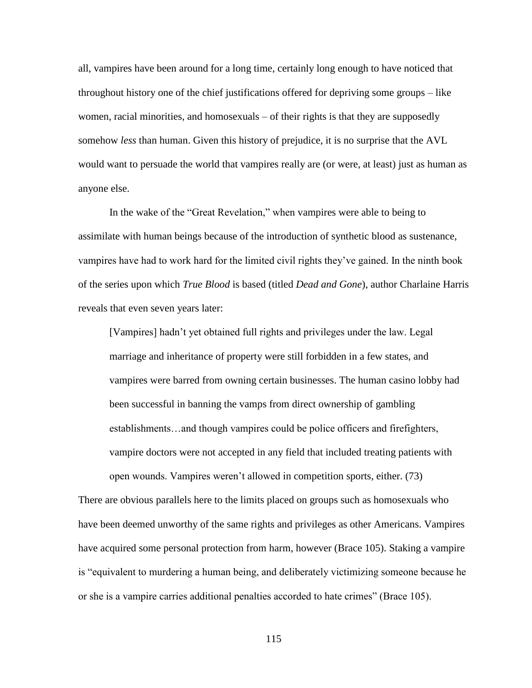all, vampires have been around for a long time, certainly long enough to have noticed that throughout history one of the chief justifications offered for depriving some groups – like women, racial minorities, and homosexuals – of their rights is that they are supposedly somehow *less* than human. Given this history of prejudice, it is no surprise that the AVL would want to persuade the world that vampires really are (or were, at least) just as human as anyone else.

In the wake of the "Great Revelation," when vampires were able to being to assimilate with human beings because of the introduction of synthetic blood as sustenance, vampires have had to work hard for the limited civil rights they've gained. In the ninth book of the series upon which *True Blood* is based (titled *Dead and Gone*), author Charlaine Harris reveals that even seven years later:

[Vampires] hadn't yet obtained full rights and privileges under the law. Legal marriage and inheritance of property were still forbidden in a few states, and vampires were barred from owning certain businesses. The human casino lobby had been successful in banning the vamps from direct ownership of gambling establishments…and though vampires could be police officers and firefighters, vampire doctors were not accepted in any field that included treating patients with open wounds. Vampires weren't allowed in competition sports, either. (73)

There are obvious parallels here to the limits placed on groups such as homosexuals who have been deemed unworthy of the same rights and privileges as other Americans. Vampires have acquired some personal protection from harm, however (Brace 105). Staking a vampire is "equivalent to murdering a human being, and deliberately victimizing someone because he or she is a vampire carries additional penalties accorded to hate crimes" (Brace 105).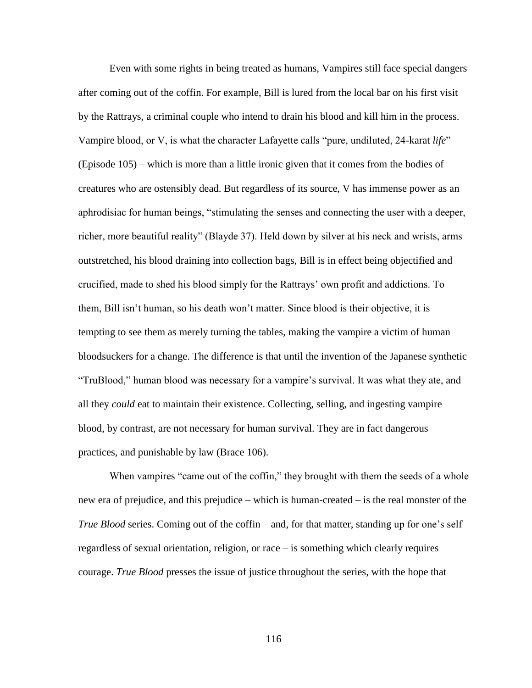Even with some rights in being treated as humans, Vampires still face special dangers after coming out of the coffin. For example, Bill is lured from the local bar on his first visit by the Rattrays, a criminal couple who intend to drain his blood and kill him in the process. Vampire blood, or V, is what the character Lafayette calls "pure, undiluted, 24-karat *life*" (Episode 105) – which is more than a little ironic given that it comes from the bodies of creatures who are ostensibly dead. But regardless of its source, V has immense power as an aphrodisiac for human beings, "stimulating the senses and connecting the user with a deeper, richer, more beautiful reality" (Blayde 37). Held down by silver at his neck and wrists, arms outstretched, his blood draining into collection bags, Bill is in effect being objectified and crucified, made to shed his blood simply for the Rattrays' own profit and addictions. To them, Bill isn't human, so his death won't matter. Since blood is their objective, it is tempting to see them as merely turning the tables, making the vampire a victim of human bloodsuckers for a change. The difference is that until the invention of the Japanese synthetic "TruBlood," human blood was necessary for a vampire's survival. It was what they ate, and all they *could* eat to maintain their existence. Collecting, selling, and ingesting vampire blood, by contrast, are not necessary for human survival. They are in fact dangerous practices, and punishable by law (Brace 106).

When vampires "came out of the coffin," they brought with them the seeds of a whole new era of prejudice, and this prejudice – which is human-created – is the real monster of the *True Blood* series. Coming out of the coffin – and, for that matter, standing up for one's self regardless of sexual orientation, religion, or race – is something which clearly requires courage. *True Blood* presses the issue of justice throughout the series, with the hope that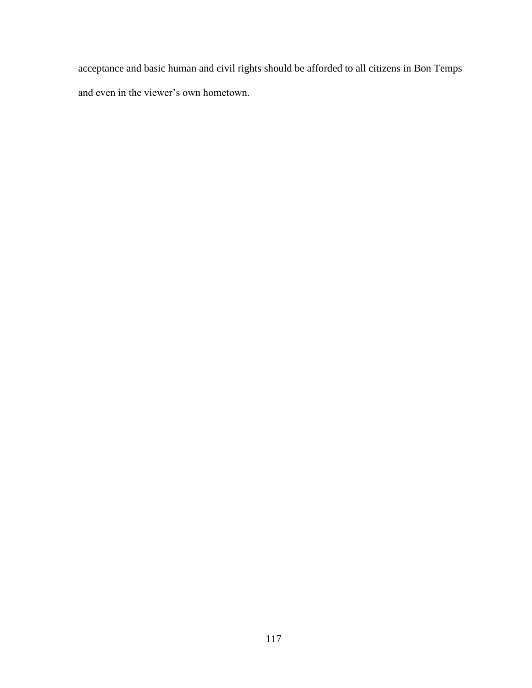acceptance and basic human and civil rights should be afforded to all citizens in Bon Temps and even in the viewer's own hometown.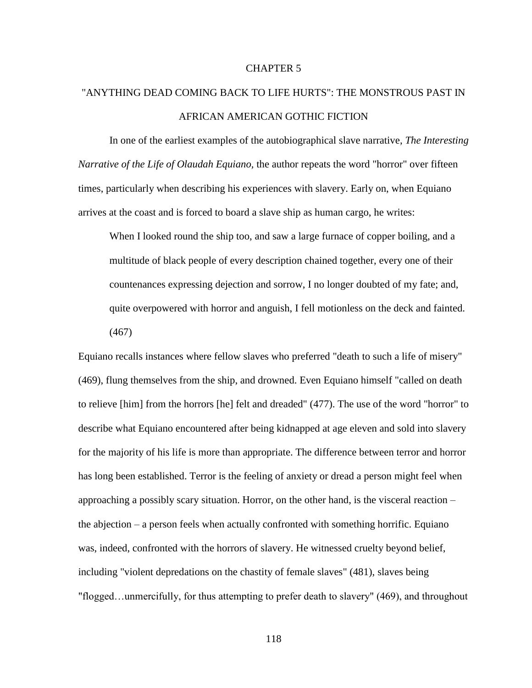# CHAPTER 5

# "ANYTHING DEAD COMING BACK TO LIFE HURTS": THE MONSTROUS PAST IN AFRICAN AMERICAN GOTHIC FICTION

In one of the earliest examples of the autobiographical slave narrative, *The Interesting Narrative of the Life of Olaudah Equiano,* the author repeats the word "horror" over fifteen times, particularly when describing his experiences with slavery. Early on, when Equiano arrives at the coast and is forced to board a slave ship as human cargo, he writes:

When I looked round the ship too, and saw a large furnace of copper boiling, and a multitude of black people of every description chained together, every one of their countenances expressing dejection and sorrow, I no longer doubted of my fate; and, quite overpowered with horror and anguish, I fell motionless on the deck and fainted.  $(467)$ 

Equiano recalls instances where fellow slaves who preferred "death to such a life of misery" (469), flung themselves from the ship, and drowned. Even Equiano himself "called on death to relieve [him] from the horrors [he] felt and dreaded" (477). The use of the word "horror" to describe what Equiano encountered after being kidnapped at age eleven and sold into slavery for the majority of his life is more than appropriate. The difference between terror and horror has long been established. Terror is the feeling of anxiety or dread a person might feel when approaching a possibly scary situation. Horror, on the other hand, is the visceral reaction – the abjection – a person feels when actually confronted with something horrific. Equiano was, indeed, confronted with the horrors of slavery. He witnessed cruelty beyond belief, including "violent depredations on the chastity of female slaves" (481), slaves being "flogged…unmercifully, for thus attempting to prefer death to slavery" (469), and throughout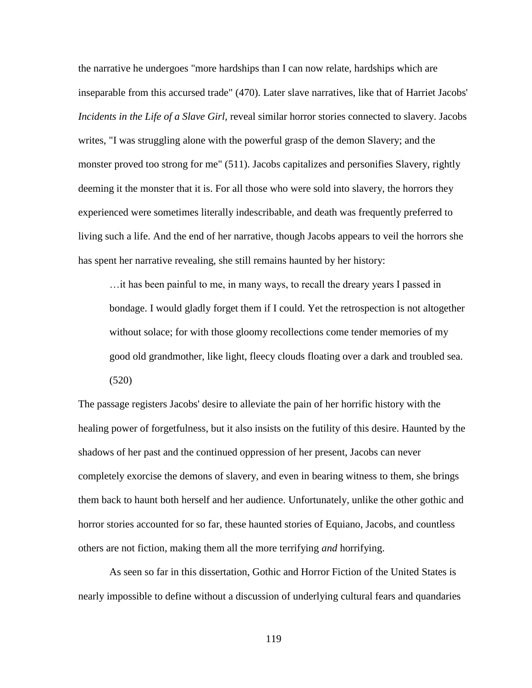the narrative he undergoes "more hardships than I can now relate, hardships which are inseparable from this accursed trade" (470). Later slave narratives, like that of Harriet Jacobs' *Incidents in the Life of a Slave Girl,* reveal similar horror stories connected to slavery. Jacobs writes, "I was struggling alone with the powerful grasp of the demon Slavery; and the monster proved too strong for me" (511). Jacobs capitalizes and personifies Slavery, rightly deeming it the monster that it is. For all those who were sold into slavery, the horrors they experienced were sometimes literally indescribable, and death was frequently preferred to living such a life. And the end of her narrative, though Jacobs appears to veil the horrors she has spent her narrative revealing, she still remains haunted by her history:

…it has been painful to me, in many ways, to recall the dreary years I passed in bondage. I would gladly forget them if I could. Yet the retrospection is not altogether without solace; for with those gloomy recollections come tender memories of my good old grandmother, like light, fleecy clouds floating over a dark and troubled sea. (520)

The passage registers Jacobs' desire to alleviate the pain of her horrific history with the healing power of forgetfulness, but it also insists on the futility of this desire. Haunted by the shadows of her past and the continued oppression of her present, Jacobs can never completely exorcise the demons of slavery, and even in bearing witness to them, she brings them back to haunt both herself and her audience. Unfortunately, unlike the other gothic and horror stories accounted for so far, these haunted stories of Equiano, Jacobs, and countless others are not fiction, making them all the more terrifying *and* horrifying.

As seen so far in this dissertation, Gothic and Horror Fiction of the United States is nearly impossible to define without a discussion of underlying cultural fears and quandaries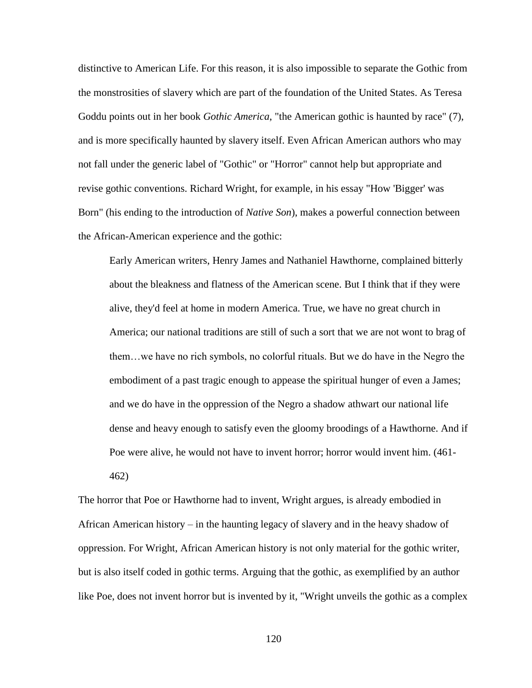distinctive to American Life. For this reason, it is also impossible to separate the Gothic from the monstrosities of slavery which are part of the foundation of the United States. As Teresa Goddu points out in her book *Gothic America*, "the American gothic is haunted by race" (7), and is more specifically haunted by slavery itself. Even African American authors who may not fall under the generic label of "Gothic" or "Horror" cannot help but appropriate and revise gothic conventions. Richard Wright, for example, in his essay "How 'Bigger' was Born" (his ending to the introduction of *Native Son*), makes a powerful connection between the African-American experience and the gothic:

Early American writers, Henry James and Nathaniel Hawthorne, complained bitterly about the bleakness and flatness of the American scene. But I think that if they were alive, they'd feel at home in modern America. True, we have no great church in America; our national traditions are still of such a sort that we are not wont to brag of them…we have no rich symbols, no colorful rituals. But we do have in the Negro the embodiment of a past tragic enough to appease the spiritual hunger of even a James; and we do have in the oppression of the Negro a shadow athwart our national life dense and heavy enough to satisfy even the gloomy broodings of a Hawthorne. And if Poe were alive, he would not have to invent horror; horror would invent him. (461- 462)

The horror that Poe or Hawthorne had to invent, Wright argues, is already embodied in African American history – in the haunting legacy of slavery and in the heavy shadow of oppression. For Wright, African American history is not only material for the gothic writer, but is also itself coded in gothic terms. Arguing that the gothic, as exemplified by an author like Poe, does not invent horror but is invented by it, "Wright unveils the gothic as a complex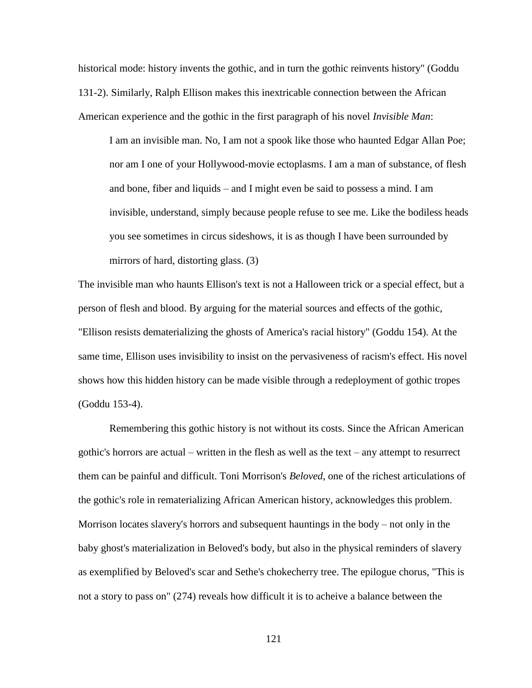historical mode: history invents the gothic, and in turn the gothic reinvents history" (Goddu 131-2). Similarly, Ralph Ellison makes this inextricable connection between the African American experience and the gothic in the first paragraph of his novel *Invisible Man*:

I am an invisible man. No, I am not a spook like those who haunted Edgar Allan Poe; nor am I one of your Hollywood-movie ectoplasms. I am a man of substance, of flesh and bone, fiber and liquids – and I might even be said to possess a mind. I am invisible, understand, simply because people refuse to see me. Like the bodiless heads you see sometimes in circus sideshows, it is as though I have been surrounded by mirrors of hard, distorting glass. (3)

The invisible man who haunts Ellison's text is not a Halloween trick or a special effect, but a person of flesh and blood. By arguing for the material sources and effects of the gothic, "Ellison resists dematerializing the ghosts of America's racial history" (Goddu 154). At the same time, Ellison uses invisibility to insist on the pervasiveness of racism's effect. His novel shows how this hidden history can be made visible through a redeployment of gothic tropes (Goddu 153-4).

Remembering this gothic history is not without its costs. Since the African American gothic's horrors are actual – written in the flesh as well as the text – any attempt to resurrect them can be painful and difficult. Toni Morrison's *Beloved*, one of the richest articulations of the gothic's role in rematerializing African American history, acknowledges this problem. Morrison locates slavery's horrors and subsequent hauntings in the body – not only in the baby ghost's materialization in Beloved's body, but also in the physical reminders of slavery as exemplified by Beloved's scar and Sethe's chokecherry tree. The epilogue chorus, "This is not a story to pass on" (274) reveals how difficult it is to acheive a balance between the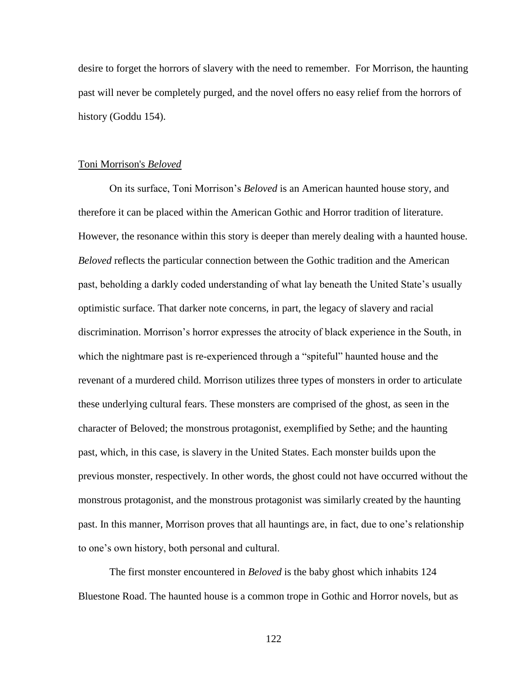desire to forget the horrors of slavery with the need to remember. For Morrison, the haunting past will never be completely purged, and the novel offers no easy relief from the horrors of history (Goddu 154).

#### Toni Morrison's *Beloved*

On its surface, Toni Morrison's *Beloved* is an American haunted house story, and therefore it can be placed within the American Gothic and Horror tradition of literature. However, the resonance within this story is deeper than merely dealing with a haunted house. *Beloved* reflects the particular connection between the Gothic tradition and the American past, beholding a darkly coded understanding of what lay beneath the United State's usually optimistic surface. That darker note concerns, in part, the legacy of slavery and racial discrimination. Morrison's horror expresses the atrocity of black experience in the South, in which the nightmare past is re-experienced through a "spiteful" haunted house and the revenant of a murdered child. Morrison utilizes three types of monsters in order to articulate these underlying cultural fears. These monsters are comprised of the ghost, as seen in the character of Beloved; the monstrous protagonist, exemplified by Sethe; and the haunting past, which, in this case, is slavery in the United States. Each monster builds upon the previous monster, respectively. In other words, the ghost could not have occurred without the monstrous protagonist, and the monstrous protagonist was similarly created by the haunting past. In this manner, Morrison proves that all hauntings are, in fact, due to one's relationship to one's own history, both personal and cultural.

The first monster encountered in *Beloved* is the baby ghost which inhabits 124 Bluestone Road. The haunted house is a common trope in Gothic and Horror novels, but as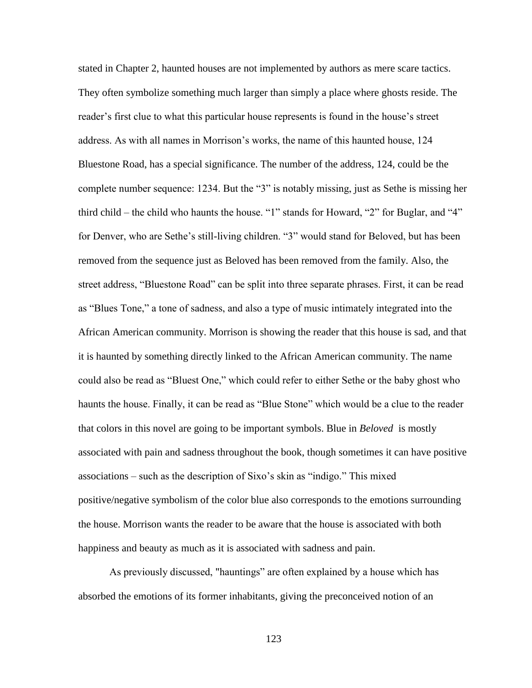stated in Chapter 2, haunted houses are not implemented by authors as mere scare tactics. They often symbolize something much larger than simply a place where ghosts reside. The reader's first clue to what this particular house represents is found in the house's street address. As with all names in Morrison's works, the name of this haunted house, 124 Bluestone Road, has a special significance. The number of the address, 124, could be the complete number sequence: 1234. But the "3" is notably missing, just as Sethe is missing her third child – the child who haunts the house. "1" stands for Howard, "2" for Buglar, and "4" for Denver, who are Sethe's still-living children. "3" would stand for Beloved, but has been removed from the sequence just as Beloved has been removed from the family. Also, the street address, "Bluestone Road" can be split into three separate phrases. First, it can be read as "Blues Tone," a tone of sadness, and also a type of music intimately integrated into the African American community. Morrison is showing the reader that this house is sad, and that it is haunted by something directly linked to the African American community. The name could also be read as "Bluest One," which could refer to either Sethe or the baby ghost who haunts the house. Finally, it can be read as "Blue Stone" which would be a clue to the reader that colors in this novel are going to be important symbols. Blue in *Beloved* is mostly associated with pain and sadness throughout the book, though sometimes it can have positive associations – such as the description of Sixo's skin as "indigo." This mixed positive/negative symbolism of the color blue also corresponds to the emotions surrounding the house. Morrison wants the reader to be aware that the house is associated with both happiness and beauty as much as it is associated with sadness and pain.

As previously discussed, "hauntings" are often explained by a house which has absorbed the emotions of its former inhabitants, giving the preconceived notion of an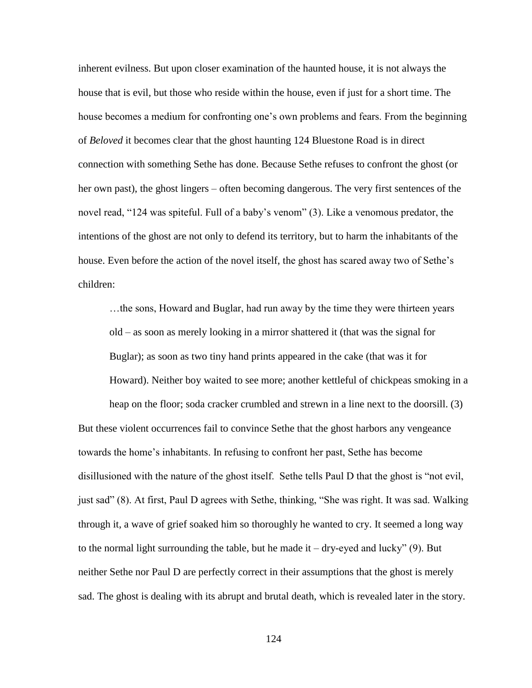inherent evilness. But upon closer examination of the haunted house, it is not always the house that is evil, but those who reside within the house, even if just for a short time. The house becomes a medium for confronting one's own problems and fears. From the beginning of *Beloved* it becomes clear that the ghost haunting 124 Bluestone Road is in direct connection with something Sethe has done. Because Sethe refuses to confront the ghost (or her own past), the ghost lingers – often becoming dangerous. The very first sentences of the novel read, "124 was spiteful. Full of a baby's venom" (3). Like a venomous predator, the intentions of the ghost are not only to defend its territory, but to harm the inhabitants of the house. Even before the action of the novel itself, the ghost has scared away two of Sethe's children:

…the sons, Howard and Buglar, had run away by the time they were thirteen years old – as soon as merely looking in a mirror shattered it (that was the signal for Buglar); as soon as two tiny hand prints appeared in the cake (that was it for Howard). Neither boy waited to see more; another kettleful of chickpeas smoking in a

heap on the floor; soda cracker crumbled and strewn in a line next to the doorsill. (3) But these violent occurrences fail to convince Sethe that the ghost harbors any vengeance towards the home's inhabitants. In refusing to confront her past, Sethe has become disillusioned with the nature of the ghost itself. Sethe tells Paul D that the ghost is "not evil, just sad" (8). At first, Paul D agrees with Sethe, thinking, "She was right. It was sad. Walking through it, a wave of grief soaked him so thoroughly he wanted to cry. It seemed a long way to the normal light surrounding the table, but he made it  $-$  dry-eyed and lucky" (9). But neither Sethe nor Paul D are perfectly correct in their assumptions that the ghost is merely sad. The ghost is dealing with its abrupt and brutal death, which is revealed later in the story.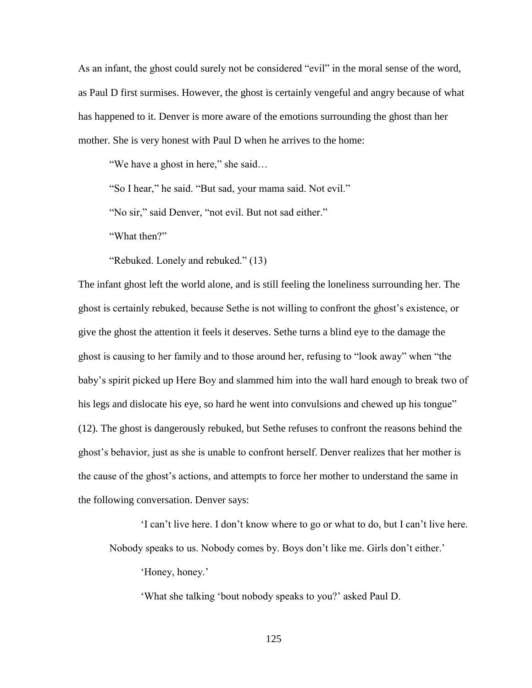As an infant, the ghost could surely not be considered "evil" in the moral sense of the word, as Paul D first surmises. However, the ghost is certainly vengeful and angry because of what has happened to it. Denver is more aware of the emotions surrounding the ghost than her mother. She is very honest with Paul D when he arrives to the home:

"We have a ghost in here," she said…

"So I hear," he said. "But sad, your mama said. Not evil."

"No sir," said Denver, "not evil. But not sad either."

"What then?"

"Rebuked. Lonely and rebuked." (13)

The infant ghost left the world alone, and is still feeling the loneliness surrounding her. The ghost is certainly rebuked, because Sethe is not willing to confront the ghost's existence, or give the ghost the attention it feels it deserves. Sethe turns a blind eye to the damage the ghost is causing to her family and to those around her, refusing to "look away" when "the baby's spirit picked up Here Boy and slammed him into the wall hard enough to break two of his legs and dislocate his eye, so hard he went into convulsions and chewed up his tongue" (12). The ghost is dangerously rebuked, but Sethe refuses to confront the reasons behind the ghost's behavior, just as she is unable to confront herself. Denver realizes that her mother is the cause of the ghost's actions, and attempts to force her mother to understand the same in the following conversation. Denver says:

'I can't live here. I don't know where to go or what to do, but I can't live here.

Nobody speaks to us. Nobody comes by. Boys don't like me. Girls don't either.'

'Honey, honey.'

'What she talking 'bout nobody speaks to you?' asked Paul D.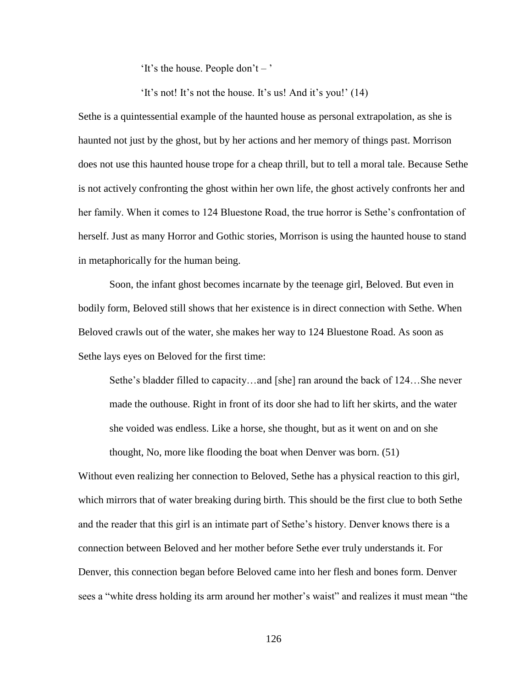'It's the house. People don't  $-$ '

'It's not! It's not the house. It's us! And it's you!' (14)

Sethe is a quintessential example of the haunted house as personal extrapolation, as she is haunted not just by the ghost, but by her actions and her memory of things past. Morrison does not use this haunted house trope for a cheap thrill, but to tell a moral tale. Because Sethe is not actively confronting the ghost within her own life, the ghost actively confronts her and her family. When it comes to 124 Bluestone Road, the true horror is Sethe's confrontation of herself. Just as many Horror and Gothic stories, Morrison is using the haunted house to stand in metaphorically for the human being.

Soon, the infant ghost becomes incarnate by the teenage girl, Beloved. But even in bodily form, Beloved still shows that her existence is in direct connection with Sethe. When Beloved crawls out of the water, she makes her way to 124 Bluestone Road. As soon as Sethe lays eyes on Beloved for the first time:

Sethe's bladder filled to capacity…and [she] ran around the back of 124…She never made the outhouse. Right in front of its door she had to lift her skirts, and the water she voided was endless. Like a horse, she thought, but as it went on and on she thought, No, more like flooding the boat when Denver was born. (51)

Without even realizing her connection to Beloved, Sethe has a physical reaction to this girl, which mirrors that of water breaking during birth. This should be the first clue to both Sethe and the reader that this girl is an intimate part of Sethe's history. Denver knows there is a connection between Beloved and her mother before Sethe ever truly understands it. For Denver, this connection began before Beloved came into her flesh and bones form. Denver sees a "white dress holding its arm around her mother's waist" and realizes it must mean "the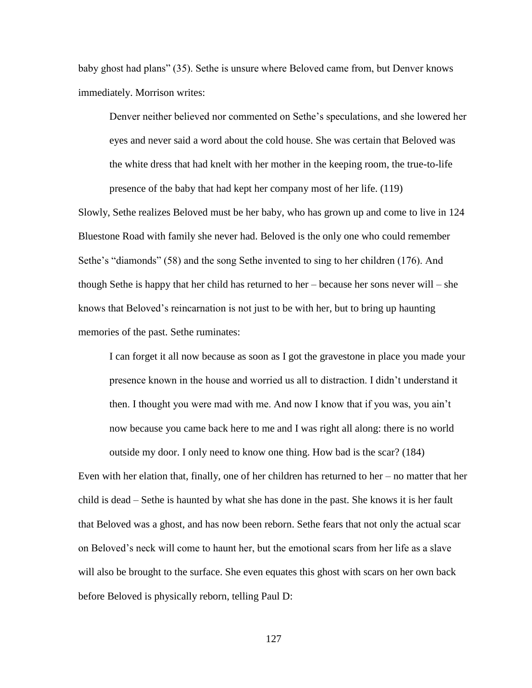baby ghost had plans" (35). Sethe is unsure where Beloved came from, but Denver knows immediately. Morrison writes:

Denver neither believed nor commented on Sethe's speculations, and she lowered her eyes and never said a word about the cold house. She was certain that Beloved was the white dress that had knelt with her mother in the keeping room, the true-to-life presence of the baby that had kept her company most of her life. (119)

Slowly, Sethe realizes Beloved must be her baby, who has grown up and come to live in 124 Bluestone Road with family she never had. Beloved is the only one who could remember Sethe's "diamonds" (58) and the song Sethe invented to sing to her children (176). And though Sethe is happy that her child has returned to her – because her sons never will – she knows that Beloved's reincarnation is not just to be with her, but to bring up haunting memories of the past. Sethe ruminates:

I can forget it all now because as soon as I got the gravestone in place you made your presence known in the house and worried us all to distraction. I didn't understand it then. I thought you were mad with me. And now I know that if you was, you ain't now because you came back here to me and I was right all along: there is no world outside my door. I only need to know one thing. How bad is the scar? (184)

Even with her elation that, finally, one of her children has returned to her – no matter that her child is dead – Sethe is haunted by what she has done in the past. She knows it is her fault that Beloved was a ghost, and has now been reborn. Sethe fears that not only the actual scar on Beloved's neck will come to haunt her, but the emotional scars from her life as a slave will also be brought to the surface. She even equates this ghost with scars on her own back before Beloved is physically reborn, telling Paul D: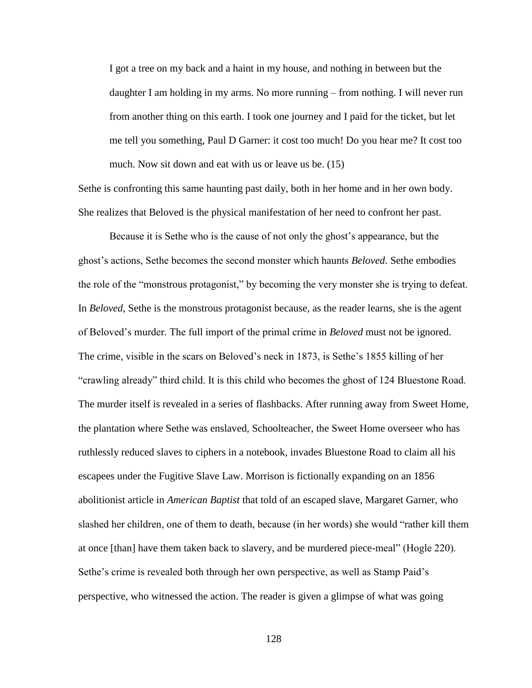I got a tree on my back and a haint in my house, and nothing in between but the daughter I am holding in my arms. No more running – from nothing. I will never run from another thing on this earth. I took one journey and I paid for the ticket, but let me tell you something, Paul D Garner: it cost too much! Do you hear me? It cost too much. Now sit down and eat with us or leave us be. (15)

Sethe is confronting this same haunting past daily, both in her home and in her own body. She realizes that Beloved is the physical manifestation of her need to confront her past.

Because it is Sethe who is the cause of not only the ghost's appearance, but the ghost's actions, Sethe becomes the second monster which haunts *Beloved*. Sethe embodies the role of the "monstrous protagonist," by becoming the very monster she is trying to defeat. In *Beloved*, Sethe is the monstrous protagonist because, as the reader learns, she is the agent of Beloved's murder. The full import of the primal crime in *Beloved* must not be ignored. The crime, visible in the scars on Beloved's neck in 1873, is Sethe's 1855 killing of her "crawling already" third child. It is this child who becomes the ghost of 124 Bluestone Road. The murder itself is revealed in a series of flashbacks. After running away from Sweet Home, the plantation where Sethe was enslaved, Schoolteacher, the Sweet Home overseer who has ruthlessly reduced slaves to ciphers in a notebook, invades Bluestone Road to claim all his escapees under the Fugitive Slave Law. Morrison is fictionally expanding on an 1856 abolitionist article in *American Baptist* that told of an escaped slave, Margaret Garner, who slashed her children, one of them to death, because (in her words) she would "rather kill them at once [than] have them taken back to slavery, and be murdered piece-meal" (Hogle 220). Sethe's crime is revealed both through her own perspective, as well as Stamp Paid's perspective, who witnessed the action. The reader is given a glimpse of what was going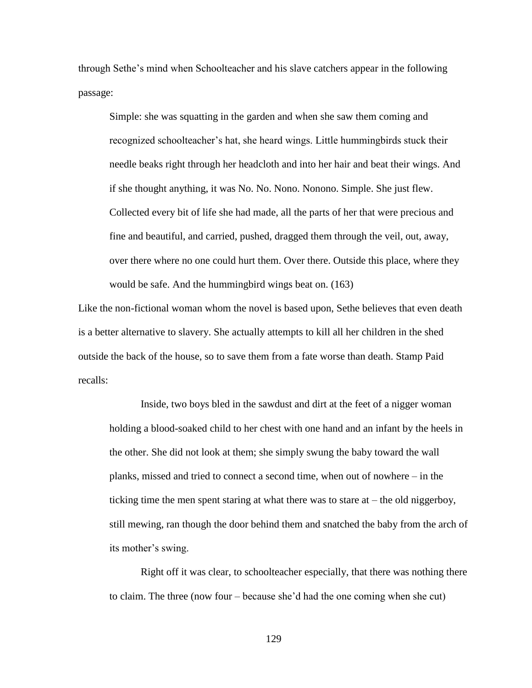through Sethe's mind when Schoolteacher and his slave catchers appear in the following passage:

Simple: she was squatting in the garden and when she saw them coming and recognized schoolteacher's hat, she heard wings. Little hummingbirds stuck their needle beaks right through her headcloth and into her hair and beat their wings. And if she thought anything, it was No. No. Nono. Nonono. Simple. She just flew. Collected every bit of life she had made, all the parts of her that were precious and fine and beautiful, and carried, pushed, dragged them through the veil, out, away, over there where no one could hurt them. Over there. Outside this place, where they would be safe. And the hummingbird wings beat on. (163)

Like the non-fictional woman whom the novel is based upon, Sethe believes that even death is a better alternative to slavery. She actually attempts to kill all her children in the shed outside the back of the house, so to save them from a fate worse than death. Stamp Paid recalls:

Inside, two boys bled in the sawdust and dirt at the feet of a nigger woman holding a blood-soaked child to her chest with one hand and an infant by the heels in the other. She did not look at them; she simply swung the baby toward the wall planks, missed and tried to connect a second time, when out of nowhere – in the ticking time the men spent staring at what there was to stare at – the old niggerboy, still mewing, ran though the door behind them and snatched the baby from the arch of its mother's swing.

Right off it was clear, to schoolteacher especially, that there was nothing there to claim. The three (now four – because she'd had the one coming when she cut)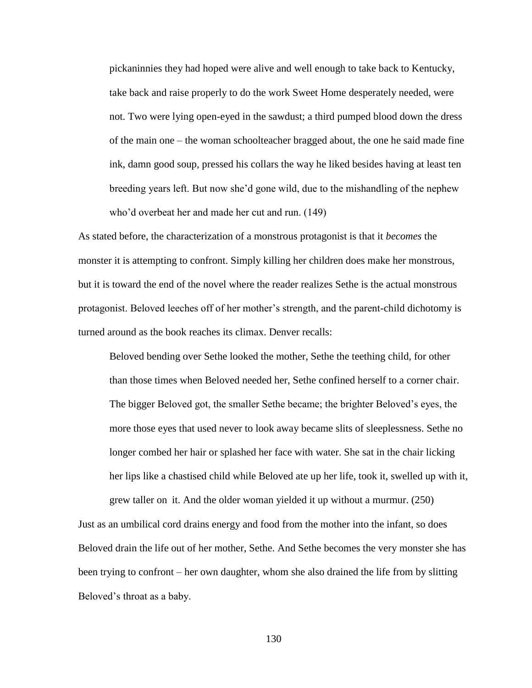pickaninnies they had hoped were alive and well enough to take back to Kentucky, take back and raise properly to do the work Sweet Home desperately needed, were not. Two were lying open-eyed in the sawdust; a third pumped blood down the dress of the main one – the woman schoolteacher bragged about, the one he said made fine ink, damn good soup, pressed his collars the way he liked besides having at least ten breeding years left. But now she'd gone wild, due to the mishandling of the nephew who'd overbeat her and made her cut and run. (149)

As stated before, the characterization of a monstrous protagonist is that it *becomes* the monster it is attempting to confront. Simply killing her children does make her monstrous, but it is toward the end of the novel where the reader realizes Sethe is the actual monstrous protagonist. Beloved leeches off of her mother's strength, and the parent-child dichotomy is turned around as the book reaches its climax. Denver recalls:

Beloved bending over Sethe looked the mother, Sethe the teething child, for other than those times when Beloved needed her, Sethe confined herself to a corner chair. The bigger Beloved got, the smaller Sethe became; the brighter Beloved's eyes, the more those eyes that used never to look away became slits of sleeplessness. Sethe no longer combed her hair or splashed her face with water. She sat in the chair licking her lips like a chastised child while Beloved ate up her life, took it, swelled up with it, grew taller on it. And the older woman yielded it up without a murmur. (250)

Just as an umbilical cord drains energy and food from the mother into the infant, so does Beloved drain the life out of her mother, Sethe. And Sethe becomes the very monster she has been trying to confront – her own daughter, whom she also drained the life from by slitting Beloved's throat as a baby.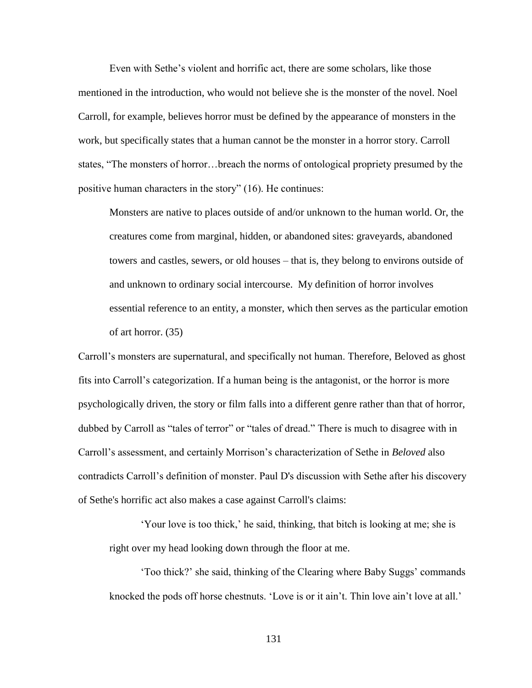Even with Sethe's violent and horrific act, there are some scholars, like those mentioned in the introduction, who would not believe she is the monster of the novel. Noel Carroll, for example, believes horror must be defined by the appearance of monsters in the work, but specifically states that a human cannot be the monster in a horror story. Carroll states, "The monsters of horror…breach the norms of ontological propriety presumed by the positive human characters in the story" (16). He continues:

Monsters are native to places outside of and/or unknown to the human world. Or, the creatures come from marginal, hidden, or abandoned sites: graveyards, abandoned towers and castles, sewers, or old houses – that is, they belong to environs outside of and unknown to ordinary social intercourse. My definition of horror involves essential reference to an entity, a monster, which then serves as the particular emotion of art horror. (35)

Carroll's monsters are supernatural, and specifically not human. Therefore, Beloved as ghost fits into Carroll's categorization. If a human being is the antagonist, or the horror is more psychologically driven, the story or film falls into a different genre rather than that of horror, dubbed by Carroll as "tales of terror" or "tales of dread." There is much to disagree with in Carroll's assessment, and certainly Morrison's characterization of Sethe in *Beloved* also contradicts Carroll's definition of monster. Paul D's discussion with Sethe after his discovery of Sethe's horrific act also makes a case against Carroll's claims:

'Your love is too thick,' he said, thinking, that bitch is looking at me; she is right over my head looking down through the floor at me.

'Too thick?' she said, thinking of the Clearing where Baby Suggs' commands knocked the pods off horse chestnuts. 'Love is or it ain't. Thin love ain't love at all.'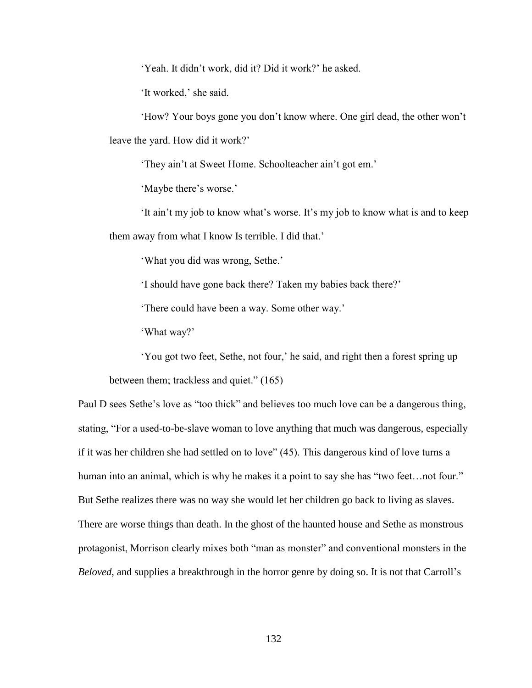'Yeah. It didn't work, did it? Did it work?' he asked.

'It worked,' she said.

'How? Your boys gone you don't know where. One girl dead, the other won't leave the yard. How did it work?'

'They ain't at Sweet Home. Schoolteacher ain't got em.'

'Maybe there's worse.'

'It ain't my job to know what's worse. It's my job to know what is and to keep them away from what I know Is terrible. I did that.'

'What you did was wrong, Sethe.'

'I should have gone back there? Taken my babies back there?'

'There could have been a way. Some other way.'

'What way?'

'You got two feet, Sethe, not four,' he said, and right then a forest spring up between them; trackless and quiet." (165)

Paul D sees Sethe's love as "too thick" and believes too much love can be a dangerous thing, stating, "For a used-to-be-slave woman to love anything that much was dangerous, especially if it was her children she had settled on to love" (45). This dangerous kind of love turns a human into an animal, which is why he makes it a point to say she has "two feet...not four." But Sethe realizes there was no way she would let her children go back to living as slaves. There are worse things than death. In the ghost of the haunted house and Sethe as monstrous protagonist, Morrison clearly mixes both "man as monster" and conventional monsters in the *Beloved*, and supplies a breakthrough in the horror genre by doing so. It is not that Carroll's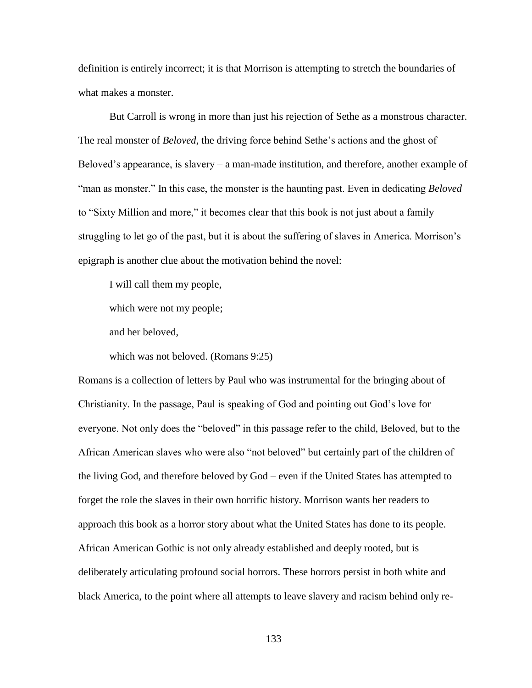definition is entirely incorrect; it is that Morrison is attempting to stretch the boundaries of what makes a monster.

But Carroll is wrong in more than just his rejection of Sethe as a monstrous character. The real monster of *Beloved*, the driving force behind Sethe's actions and the ghost of Beloved's appearance, is slavery – a man-made institution, and therefore, another example of "man as monster." In this case, the monster is the haunting past. Even in dedicating *Beloved*  to "Sixty Million and more," it becomes clear that this book is not just about a family struggling to let go of the past, but it is about the suffering of slaves in America. Morrison's epigraph is another clue about the motivation behind the novel:

I will call them my people,

which were not my people;

and her beloved,

which was not beloved. (Romans 9:25)

Romans is a collection of letters by Paul who was instrumental for the bringing about of Christianity. In the passage, Paul is speaking of God and pointing out God's love for everyone. Not only does the "beloved" in this passage refer to the child, Beloved, but to the African American slaves who were also "not beloved" but certainly part of the children of the living God, and therefore beloved by God – even if the United States has attempted to forget the role the slaves in their own horrific history. Morrison wants her readers to approach this book as a horror story about what the United States has done to its people. African American Gothic is not only already established and deeply rooted, but is deliberately articulating profound social horrors. These horrors persist in both white and black America, to the point where all attempts to leave slavery and racism behind only re-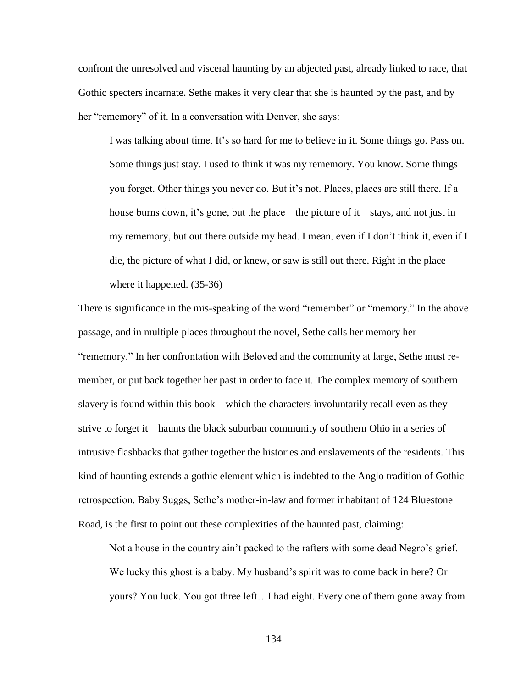confront the unresolved and visceral haunting by an abjected past, already linked to race, that Gothic specters incarnate. Sethe makes it very clear that she is haunted by the past, and by her "rememory" of it. In a conversation with Denver, she says:

I was talking about time. It's so hard for me to believe in it. Some things go. Pass on. Some things just stay. I used to think it was my rememory. You know. Some things you forget. Other things you never do. But it's not. Places, places are still there. If a house burns down, it's gone, but the place – the picture of  $it$  – stays, and not just in my rememory, but out there outside my head. I mean, even if I don't think it, even if I die, the picture of what I did, or knew, or saw is still out there. Right in the place where it happened. (35-36)

There is significance in the mis-speaking of the word "remember" or "memory." In the above passage, and in multiple places throughout the novel, Sethe calls her memory her "rememory." In her confrontation with Beloved and the community at large, Sethe must remember, or put back together her past in order to face it. The complex memory of southern slavery is found within this book – which the characters involuntarily recall even as they strive to forget it – haunts the black suburban community of southern Ohio in a series of intrusive flashbacks that gather together the histories and enslavements of the residents. This kind of haunting extends a gothic element which is indebted to the Anglo tradition of Gothic retrospection. Baby Suggs, Sethe's mother-in-law and former inhabitant of 124 Bluestone Road, is the first to point out these complexities of the haunted past, claiming:

Not a house in the country ain't packed to the rafters with some dead Negro's grief. We lucky this ghost is a baby. My husband's spirit was to come back in here? Or yours? You luck. You got three left…I had eight. Every one of them gone away from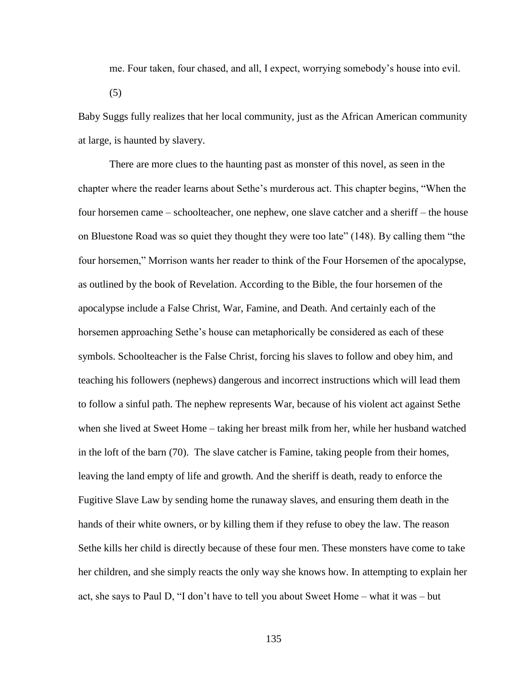me. Four taken, four chased, and all, I expect, worrying somebody's house into evil. (5)

Baby Suggs fully realizes that her local community, just as the African American community at large, is haunted by slavery.

There are more clues to the haunting past as monster of this novel, as seen in the chapter where the reader learns about Sethe's murderous act. This chapter begins, "When the four horsemen came – schoolteacher, one nephew, one slave catcher and a sheriff – the house on Bluestone Road was so quiet they thought they were too late" (148). By calling them "the four horsemen," Morrison wants her reader to think of the Four Horsemen of the apocalypse, as outlined by the book of Revelation. According to the Bible, the four horsemen of the apocalypse include a False Christ, War, Famine, and Death. And certainly each of the horsemen approaching Sethe's house can metaphorically be considered as each of these symbols. Schoolteacher is the False Christ, forcing his slaves to follow and obey him, and teaching his followers (nephews) dangerous and incorrect instructions which will lead them to follow a sinful path. The nephew represents War, because of his violent act against Sethe when she lived at Sweet Home – taking her breast milk from her, while her husband watched in the loft of the barn (70). The slave catcher is Famine, taking people from their homes, leaving the land empty of life and growth. And the sheriff is death, ready to enforce the Fugitive Slave Law by sending home the runaway slaves, and ensuring them death in the hands of their white owners, or by killing them if they refuse to obey the law. The reason Sethe kills her child is directly because of these four men. These monsters have come to take her children, and she simply reacts the only way she knows how. In attempting to explain her act, she says to Paul D, "I don't have to tell you about Sweet Home – what it was – but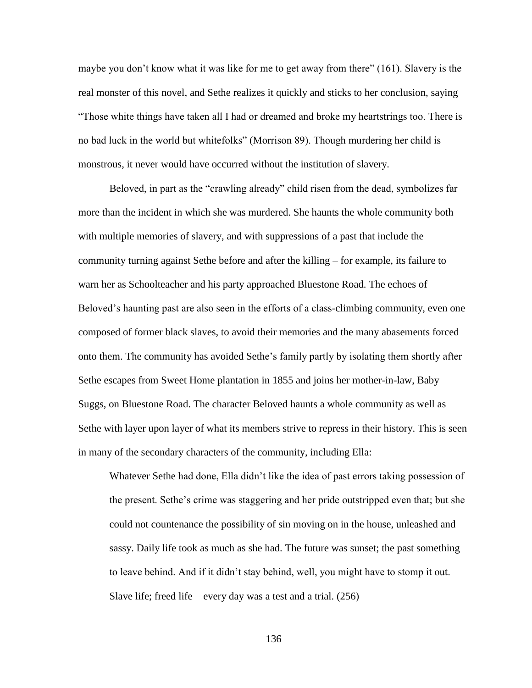maybe you don't know what it was like for me to get away from there" (161). Slavery is the real monster of this novel, and Sethe realizes it quickly and sticks to her conclusion, saying "Those white things have taken all I had or dreamed and broke my heartstrings too. There is no bad luck in the world but whitefolks" (Morrison 89). Though murdering her child is monstrous, it never would have occurred without the institution of slavery.

Beloved, in part as the "crawling already" child risen from the dead, symbolizes far more than the incident in which she was murdered. She haunts the whole community both with multiple memories of slavery, and with suppressions of a past that include the community turning against Sethe before and after the killing – for example, its failure to warn her as Schoolteacher and his party approached Bluestone Road. The echoes of Beloved's haunting past are also seen in the efforts of a class-climbing community, even one composed of former black slaves, to avoid their memories and the many abasements forced onto them. The community has avoided Sethe's family partly by isolating them shortly after Sethe escapes from Sweet Home plantation in 1855 and joins her mother-in-law, Baby Suggs, on Bluestone Road. The character Beloved haunts a whole community as well as Sethe with layer upon layer of what its members strive to repress in their history. This is seen in many of the secondary characters of the community, including Ella:

Whatever Sethe had done, Ella didn't like the idea of past errors taking possession of the present. Sethe's crime was staggering and her pride outstripped even that; but she could not countenance the possibility of sin moving on in the house, unleashed and sassy. Daily life took as much as she had. The future was sunset; the past something to leave behind. And if it didn't stay behind, well, you might have to stomp it out. Slave life; freed life – every day was a test and a trial.  $(256)$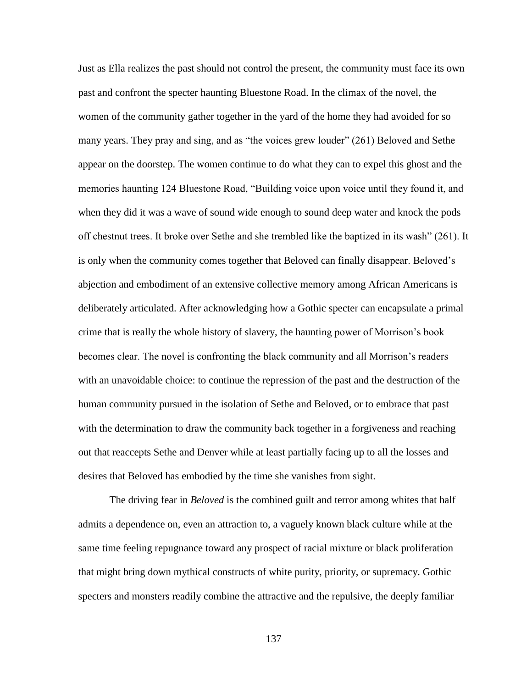Just as Ella realizes the past should not control the present, the community must face its own past and confront the specter haunting Bluestone Road. In the climax of the novel, the women of the community gather together in the yard of the home they had avoided for so many years. They pray and sing, and as "the voices grew louder" (261) Beloved and Sethe appear on the doorstep. The women continue to do what they can to expel this ghost and the memories haunting 124 Bluestone Road, "Building voice upon voice until they found it, and when they did it was a wave of sound wide enough to sound deep water and knock the pods off chestnut trees. It broke over Sethe and she trembled like the baptized in its wash" (261). It is only when the community comes together that Beloved can finally disappear. Beloved's abjection and embodiment of an extensive collective memory among African Americans is deliberately articulated. After acknowledging how a Gothic specter can encapsulate a primal crime that is really the whole history of slavery, the haunting power of Morrison's book becomes clear. The novel is confronting the black community and all Morrison's readers with an unavoidable choice: to continue the repression of the past and the destruction of the human community pursued in the isolation of Sethe and Beloved, or to embrace that past with the determination to draw the community back together in a forgiveness and reaching out that reaccepts Sethe and Denver while at least partially facing up to all the losses and desires that Beloved has embodied by the time she vanishes from sight.

The driving fear in *Beloved* is the combined guilt and terror among whites that half admits a dependence on, even an attraction to, a vaguely known black culture while at the same time feeling repugnance toward any prospect of racial mixture or black proliferation that might bring down mythical constructs of white purity, priority, or supremacy. Gothic specters and monsters readily combine the attractive and the repulsive, the deeply familiar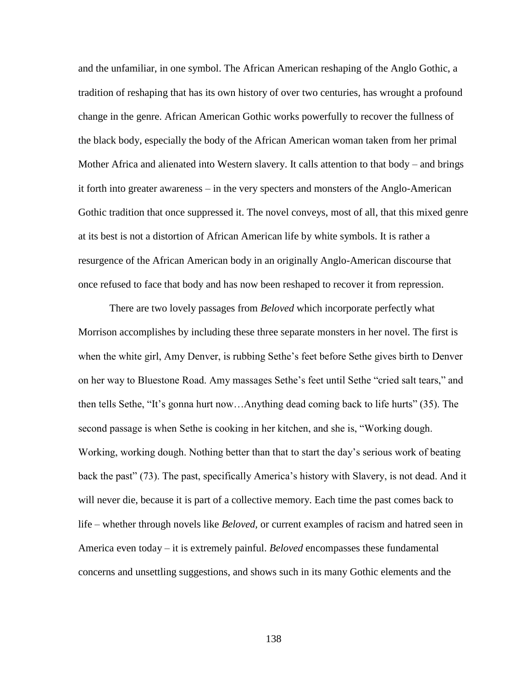and the unfamiliar, in one symbol. The African American reshaping of the Anglo Gothic, a tradition of reshaping that has its own history of over two centuries, has wrought a profound change in the genre. African American Gothic works powerfully to recover the fullness of the black body, especially the body of the African American woman taken from her primal Mother Africa and alienated into Western slavery. It calls attention to that body – and brings it forth into greater awareness – in the very specters and monsters of the Anglo-American Gothic tradition that once suppressed it. The novel conveys, most of all, that this mixed genre at its best is not a distortion of African American life by white symbols. It is rather a resurgence of the African American body in an originally Anglo-American discourse that once refused to face that body and has now been reshaped to recover it from repression.

There are two lovely passages from *Beloved* which incorporate perfectly what Morrison accomplishes by including these three separate monsters in her novel. The first is when the white girl, Amy Denver, is rubbing Sethe's feet before Sethe gives birth to Denver on her way to Bluestone Road. Amy massages Sethe's feet until Sethe "cried salt tears," and then tells Sethe, "It's gonna hurt now…Anything dead coming back to life hurts" (35). The second passage is when Sethe is cooking in her kitchen, and she is, "Working dough. Working, working dough. Nothing better than that to start the day's serious work of beating back the past" (73). The past, specifically America's history with Slavery, is not dead. And it will never die, because it is part of a collective memory. Each time the past comes back to life – whether through novels like *Beloved,* or current examples of racism and hatred seen in America even today – it is extremely painful. *Beloved* encompasses these fundamental concerns and unsettling suggestions, and shows such in its many Gothic elements and the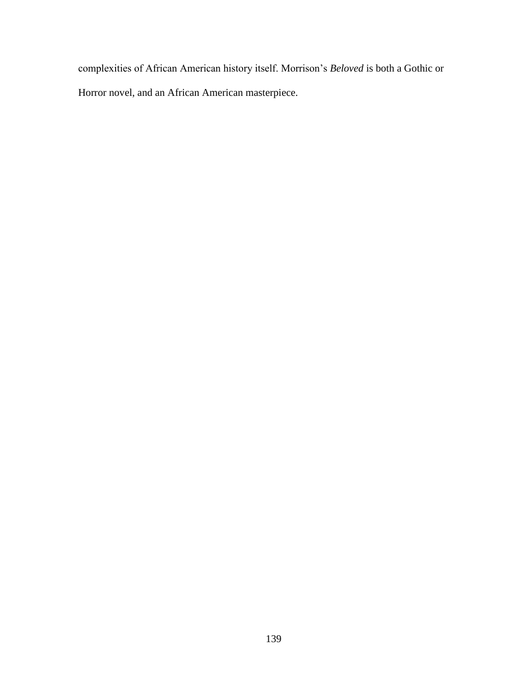complexities of African American history itself. Morrison's *Beloved* is both a Gothic or

Horror novel, and an African American masterpiece.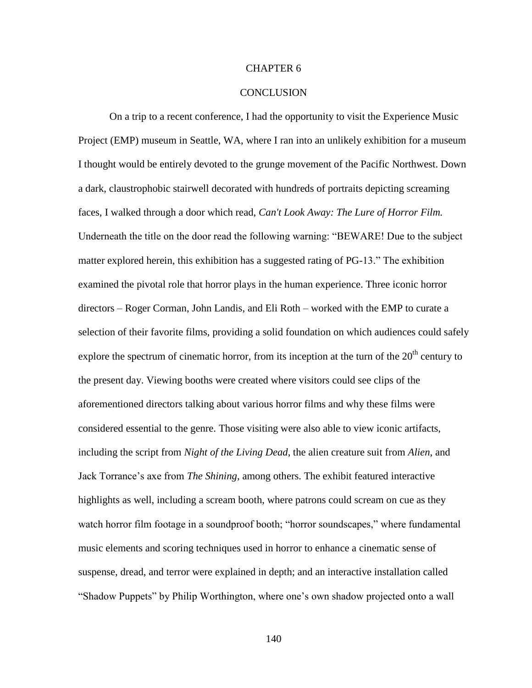#### CHAPTER 6

### **CONCLUSION**

On a trip to a recent conference, I had the opportunity to visit the Experience Music Project (EMP) museum in Seattle, WA, where I ran into an unlikely exhibition for a museum I thought would be entirely devoted to the grunge movement of the Pacific Northwest. Down a dark, claustrophobic stairwell decorated with hundreds of portraits depicting screaming faces, I walked through a door which read, *Can't Look Away: The Lure of Horror Film.*  Underneath the title on the door read the following warning: "BEWARE! Due to the subject matter explored herein, this exhibition has a suggested rating of PG-13." The exhibition examined the pivotal role that horror plays in the human experience. Three iconic horror directors – Roger Corman, John Landis, and Eli Roth – worked with the EMP to curate a selection of their favorite films, providing a solid foundation on which audiences could safely explore the spectrum of cinematic horror, from its inception at the turn of the  $20<sup>th</sup>$  century to the present day. Viewing booths were created where visitors could see clips of the aforementioned directors talking about various horror films and why these films were considered essential to the genre. Those visiting were also able to view iconic artifacts, including the script from *Night of the Living Dead*, the alien creature suit from *Alien*, and Jack Torrance's axe from *The Shining*, among others. The exhibit featured interactive highlights as well, including a scream booth, where patrons could scream on cue as they watch horror film footage in a soundproof booth; "horror soundscapes," where fundamental music elements and scoring techniques used in horror to enhance a cinematic sense of suspense, dread, and terror were explained in depth; and an interactive installation called "Shadow Puppets" by Philip Worthington, where one's own shadow projected onto a wall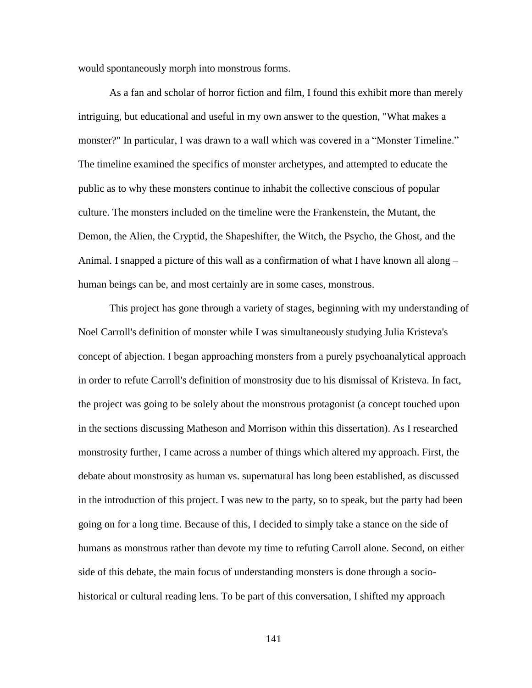would spontaneously morph into monstrous forms.

As a fan and scholar of horror fiction and film, I found this exhibit more than merely intriguing, but educational and useful in my own answer to the question, "What makes a monster?" In particular, I was drawn to a wall which was covered in a "Monster Timeline." The timeline examined the specifics of monster archetypes, and attempted to educate the public as to why these monsters continue to inhabit the collective conscious of popular culture. The monsters included on the timeline were the Frankenstein, the Mutant, the Demon, the Alien, the Cryptid, the Shapeshifter, the Witch, the Psycho, the Ghost, and the Animal. I snapped a picture of this wall as a confirmation of what I have known all along – human beings can be, and most certainly are in some cases, monstrous.

This project has gone through a variety of stages, beginning with my understanding of Noel Carroll's definition of monster while I was simultaneously studying Julia Kristeva's concept of abjection. I began approaching monsters from a purely psychoanalytical approach in order to refute Carroll's definition of monstrosity due to his dismissal of Kristeva. In fact, the project was going to be solely about the monstrous protagonist (a concept touched upon in the sections discussing Matheson and Morrison within this dissertation). As I researched monstrosity further, I came across a number of things which altered my approach. First, the debate about monstrosity as human vs. supernatural has long been established, as discussed in the introduction of this project. I was new to the party, so to speak, but the party had been going on for a long time. Because of this, I decided to simply take a stance on the side of humans as monstrous rather than devote my time to refuting Carroll alone. Second, on either side of this debate, the main focus of understanding monsters is done through a sociohistorical or cultural reading lens. To be part of this conversation, I shifted my approach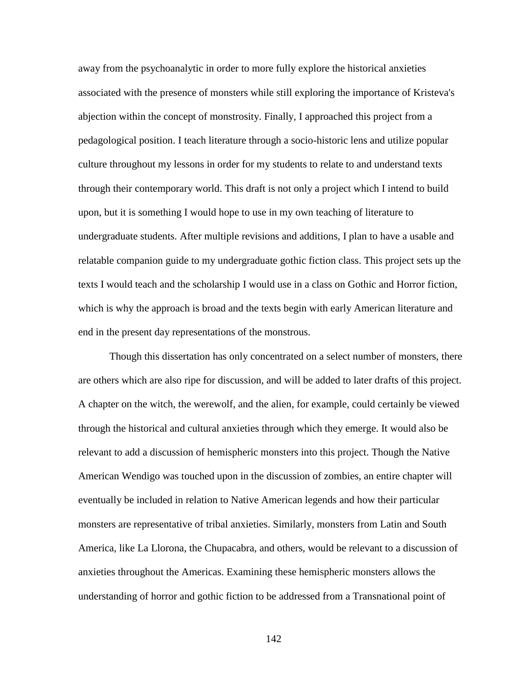away from the psychoanalytic in order to more fully explore the historical anxieties associated with the presence of monsters while still exploring the importance of Kristeva's abjection within the concept of monstrosity. Finally, I approached this project from a pedagological position. I teach literature through a socio-historic lens and utilize popular culture throughout my lessons in order for my students to relate to and understand texts through their contemporary world. This draft is not only a project which I intend to build upon, but it is something I would hope to use in my own teaching of literature to undergraduate students. After multiple revisions and additions, I plan to have a usable and relatable companion guide to my undergraduate gothic fiction class. This project sets up the texts I would teach and the scholarship I would use in a class on Gothic and Horror fiction, which is why the approach is broad and the texts begin with early American literature and end in the present day representations of the monstrous.

Though this dissertation has only concentrated on a select number of monsters, there are others which are also ripe for discussion, and will be added to later drafts of this project. A chapter on the witch, the werewolf, and the alien, for example, could certainly be viewed through the historical and cultural anxieties through which they emerge. It would also be relevant to add a discussion of hemispheric monsters into this project. Though the Native American Wendigo was touched upon in the discussion of zombies, an entire chapter will eventually be included in relation to Native American legends and how their particular monsters are representative of tribal anxieties. Similarly, monsters from Latin and South America, like La Llorona, the Chupacabra, and others, would be relevant to a discussion of anxieties throughout the Americas. Examining these hemispheric monsters allows the understanding of horror and gothic fiction to be addressed from a Transnational point of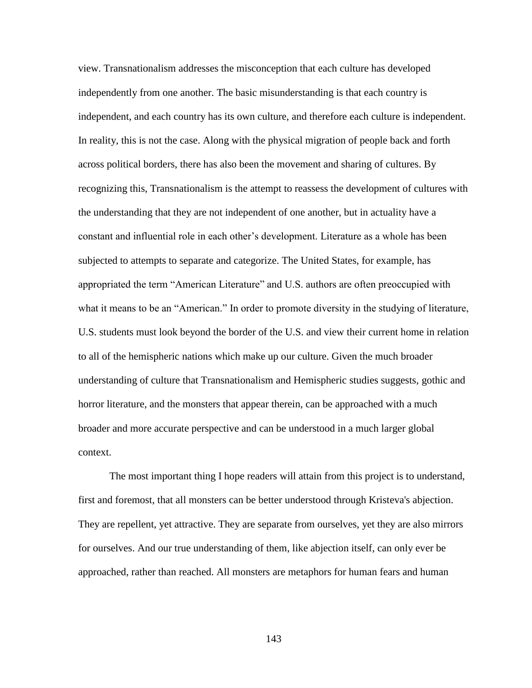view. Transnationalism addresses the misconception that each culture has developed independently from one another. The basic misunderstanding is that each country is independent, and each country has its own culture, and therefore each culture is independent. In reality, this is not the case. Along with the physical migration of people back and forth across political borders, there has also been the movement and sharing of cultures. By recognizing this, Transnationalism is the attempt to reassess the development of cultures with the understanding that they are not independent of one another, but in actuality have a constant and influential role in each other's development. Literature as a whole has been subjected to attempts to separate and categorize. The United States, for example, has appropriated the term "American Literature" and U.S. authors are often preoccupied with what it means to be an "American." In order to promote diversity in the studying of literature, U.S. students must look beyond the border of the U.S. and view their current home in relation to all of the hemispheric nations which make up our culture. Given the much broader understanding of culture that Transnationalism and Hemispheric studies suggests, gothic and horror literature, and the monsters that appear therein, can be approached with a much broader and more accurate perspective and can be understood in a much larger global context.

The most important thing I hope readers will attain from this project is to understand, first and foremost, that all monsters can be better understood through Kristeva's abjection. They are repellent, yet attractive. They are separate from ourselves, yet they are also mirrors for ourselves. And our true understanding of them, like abjection itself, can only ever be approached, rather than reached. All monsters are metaphors for human fears and human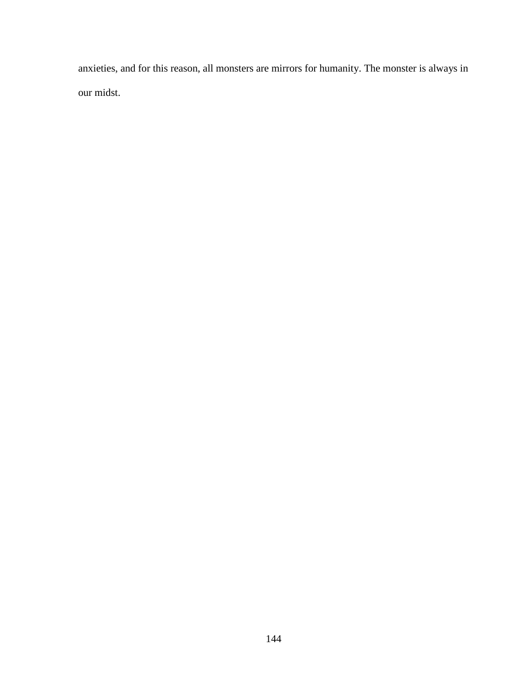anxieties, and for this reason, all monsters are mirrors for humanity. The monster is always in our midst.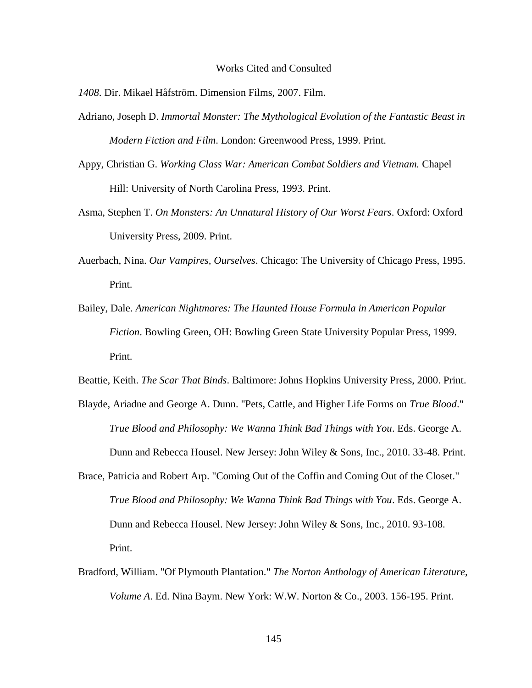#### Works Cited and Consulted

*1408*. Dir. Mikael Håfström. Dimension Films, 2007. Film.

- Adriano, Joseph D. *Immortal Monster: The Mythological Evolution of the Fantastic Beast in Modern Fiction and Film*. London: Greenwood Press, 1999. Print.
- Appy, Christian G. *Working Class War: American Combat Soldiers and Vietnam.* Chapel Hill: University of North Carolina Press, 1993. Print.
- Asma, Stephen T. *On Monsters: An Unnatural History of Our Worst Fears*. Oxford: Oxford University Press, 2009. Print.
- Auerbach, Nina. *Our Vampires, Ourselves*. Chicago: The University of Chicago Press, 1995. Print.
- Bailey, Dale. *American Nightmares: The Haunted House Formula in American Popular Fiction*. Bowling Green, OH: Bowling Green State University Popular Press, 1999. Print.

Beattie, Keith. *The Scar That Binds*. Baltimore: Johns Hopkins University Press, 2000. Print.

- Blayde, Ariadne and George A. Dunn. "Pets, Cattle, and Higher Life Forms on *True Blood*." *True Blood and Philosophy: We Wanna Think Bad Things with You*. Eds. George A. Dunn and Rebecca Housel. New Jersey: John Wiley & Sons, Inc., 2010. 33-48. Print.
- Brace, Patricia and Robert Arp. "Coming Out of the Coffin and Coming Out of the Closet." *True Blood and Philosophy: We Wanna Think Bad Things with You*. Eds. George A. Dunn and Rebecca Housel. New Jersey: John Wiley & Sons, Inc., 2010. 93-108. Print.
- Bradford, William. "Of Plymouth Plantation." *The Norton Anthology of American Literature, Volume A*. Ed. Nina Baym. New York: W.W. Norton & Co., 2003. 156-195. Print.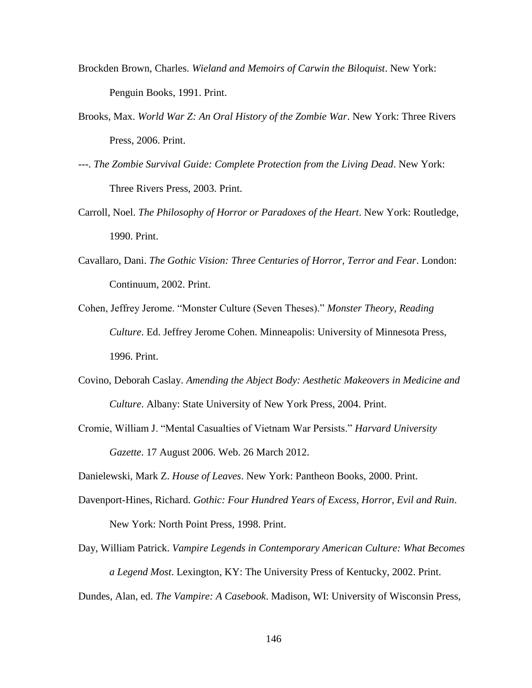- Brockden Brown, Charles. *Wieland and Memoirs of Carwin the Biloquist*. New York: Penguin Books, 1991. Print.
- Brooks, Max. *World War Z: An Oral History of the Zombie War*. New York: Three Rivers Press, 2006. Print.
- ---. *The Zombie Survival Guide: Complete Protection from the Living Dead*. New York: Three Rivers Press, 2003. Print.
- Carroll, Noel. *The Philosophy of Horror or Paradoxes of the Heart*. New York: Routledge, 1990. Print.
- Cavallaro, Dani. *The Gothic Vision: Three Centuries of Horror, Terror and Fear*. London: Continuum, 2002. Print.
- Cohen, Jeffrey Jerome. "Monster Culture (Seven Theses)." *Monster Theory, Reading Culture*. Ed. Jeffrey Jerome Cohen. Minneapolis: University of Minnesota Press, 1996. Print.
- Covino, Deborah Caslay. *Amending the Abject Body: Aesthetic Makeovers in Medicine and Culture*. Albany: State University of New York Press, 2004. Print.
- Cromie, William J. "Mental Casualties of Vietnam War Persists." *Harvard University Gazette*. 17 August 2006. Web. 26 March 2012.

Danielewski, Mark Z. *House of Leaves*. New York: Pantheon Books, 2000. Print.

- Davenport-Hines, Richard. *Gothic: Four Hundred Years of Excess, Horror, Evil and Ruin*. New York: North Point Press, 1998. Print.
- Day, William Patrick. *Vampire Legends in Contemporary American Culture: What Becomes a Legend Most*. Lexington, KY: The University Press of Kentucky, 2002. Print.

Dundes, Alan, ed. *The Vampire: A Casebook*. Madison, WI: University of Wisconsin Press,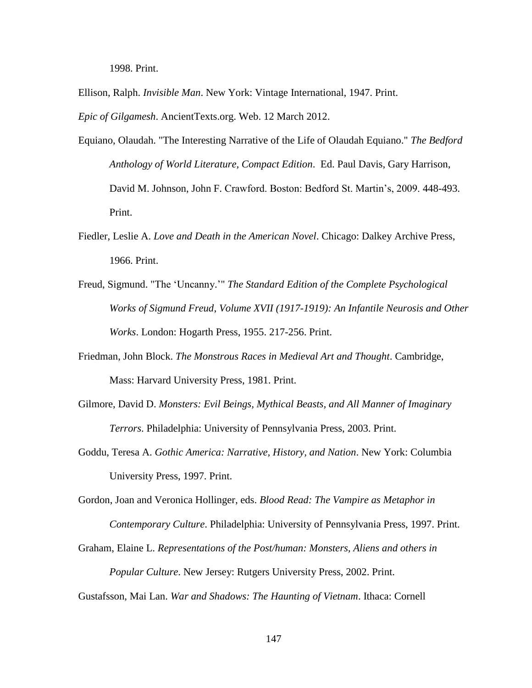1998. Print.

Ellison, Ralph. *Invisible Man*. New York: Vintage International, 1947. Print.

*Epic of Gilgamesh*. AncientTexts.org. Web. 12 March 2012.

- Equiano, Olaudah. "The Interesting Narrative of the Life of Olaudah Equiano." *The Bedford Anthology of World Literature, Compact Edition*. Ed. Paul Davis, Gary Harrison, David M. Johnson, John F. Crawford. Boston: Bedford St. Martin's, 2009. 448-493. Print.
- Fiedler, Leslie A. *Love and Death in the American Novel*. Chicago: Dalkey Archive Press, 1966. Print.
- Freud, Sigmund. "The 'Uncanny.'" *The Standard Edition of the Complete Psychological Works of Sigmund Freud*, *Volume XVII (1917-1919): An Infantile Neurosis and Other Works*. London: Hogarth Press, 1955. 217-256. Print.
- Friedman, John Block. *The Monstrous Races in Medieval Art and Thought*. Cambridge, Mass: Harvard University Press, 1981. Print.
- Gilmore, David D. *Monsters: Evil Beings, Mythical Beasts, and All Manner of Imaginary Terrors*. Philadelphia: University of Pennsylvania Press, 2003. Print.
- Goddu, Teresa A. *Gothic America: Narrative, History, and Nation*. New York: Columbia University Press, 1997. Print.

Gordon, Joan and Veronica Hollinger, eds. *Blood Read: The Vampire as Metaphor in Contemporary Culture*. Philadelphia: University of Pennsylvania Press, 1997. Print.

Graham, Elaine L. *Representations of the Post/human: Monsters, Aliens and others in Popular Culture*. New Jersey: Rutgers University Press, 2002. Print.

Gustafsson, Mai Lan. *War and Shadows: The Haunting of Vietnam*. Ithaca: Cornell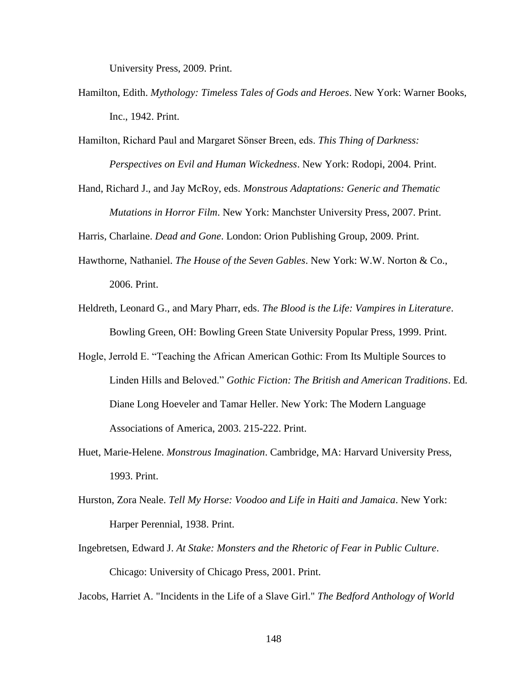University Press, 2009. Print.

- Hamilton, Edith. *Mythology: Timeless Tales of Gods and Heroes*. New York: Warner Books, Inc., 1942. Print.
- Hamilton, Richard Paul and Margaret Sӧnser Breen, eds. *This Thing of Darkness: Perspectives on Evil and Human Wickedness*. New York: Rodopi, 2004. Print.
- Hand, Richard J., and Jay McRoy, eds. *Monstrous Adaptations: Generic and Thematic Mutations in Horror Film*. New York: Manchster University Press, 2007. Print.

Harris, Charlaine. *Dead and Gone*. London: Orion Publishing Group, 2009. Print.

- Hawthorne, Nathaniel. *The House of the Seven Gables*. New York: W.W. Norton & Co., 2006. Print.
- Heldreth, Leonard G., and Mary Pharr, eds. *The Blood is the Life: Vampires in Literature*. Bowling Green, OH: Bowling Green State University Popular Press, 1999. Print.
- Hogle, Jerrold E. "Teaching the African American Gothic: From Its Multiple Sources to Linden Hills and Beloved." *Gothic Fiction: The British and American Traditions*. Ed. Diane Long Hoeveler and Tamar Heller. New York: The Modern Language Associations of America, 2003. 215-222. Print.
- Huet, Marie-Helene. *Monstrous Imagination*. Cambridge, MA: Harvard University Press, 1993. Print.
- Hurston, Zora Neale. *Tell My Horse: Voodoo and Life in Haiti and Jamaica*. New York: Harper Perennial, 1938. Print.
- Ingebretsen, Edward J. *At Stake: Monsters and the Rhetoric of Fear in Public Culture*. Chicago: University of Chicago Press, 2001. Print.

Jacobs, Harriet A. "Incidents in the Life of a Slave Girl." *The Bedford Anthology of World*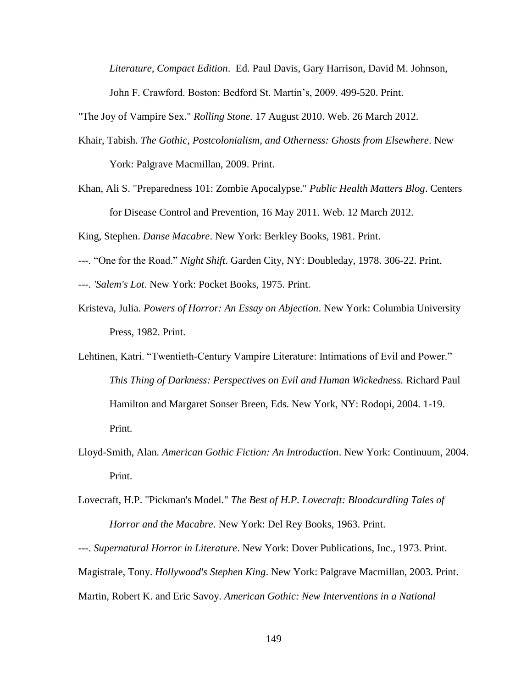*Literature, Compact Edition*. Ed. Paul Davis, Gary Harrison, David M. Johnson, John F. Crawford. Boston: Bedford St. Martin's, 2009. 499-520. Print.

"The Joy of Vampire Sex." *Rolling Stone.* 17 August 2010. Web. 26 March 2012.

- Khair, Tabish. *The Gothic, Postcolonialism, and Otherness: Ghosts from Elsewhere*. New York: Palgrave Macmillan, 2009. Print.
- Khan, Ali S. "Preparedness 101: Zombie Apocalypse." *Public Health Matters Blog*. Centers for Disease Control and Prevention, 16 May 2011. Web. 12 March 2012.

King, Stephen. *Danse Macabre*. New York: Berkley Books, 1981. Print.

---. "One for the Road." *Night Shift*. Garden City, NY: Doubleday, 1978. 306-22. Print.

---. *'Salem's Lot*. New York: Pocket Books, 1975. Print.

- Kristeva, Julia. *Powers of Horror: An Essay on Abjection*. New York: Columbia University Press, 1982. Print.
- Lehtinen, Katri. "Twentieth-Century Vampire Literature: Intimations of Evil and Power." *This Thing of Darkness: Perspectives on Evil and Human Wickedness.* Richard Paul Hamilton and Margaret Sonser Breen, Eds. New York, NY: Rodopi, 2004. 1-19. Print.
- Lloyd-Smith, Alan*. American Gothic Fiction: An Introduction*. New York: Continuum, 2004. Print.
- Lovecraft, H.P. "Pickman's Model." *The Best of H.P. Lovecraft: Bloodcurdling Tales of Horror and the Macabre*. New York: Del Rey Books, 1963. Print.

---. *Supernatural Horror in Literature*. New York: Dover Publications, Inc., 1973. Print. Magistrale, Tony. *Hollywood's Stephen King*. New York: Palgrave Macmillan, 2003. Print. Martin, Robert K. and Eric Savoy. *American Gothic: New Interventions in a National*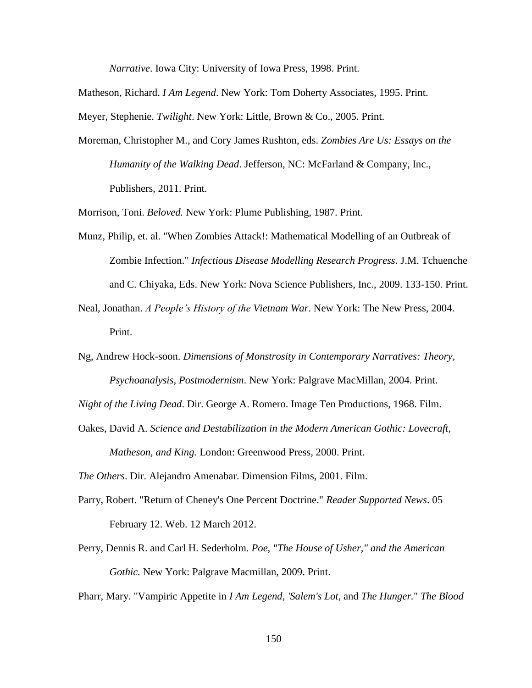*Narrative*. Iowa City: University of Iowa Press, 1998. Print.

Matheson, Richard. *I Am Legend*. New York: Tom Doherty Associates, 1995. Print.

Meyer, Stephenie. *Twilight*. New York: Little, Brown & Co., 2005. Print.

Moreman, Christopher M., and Cory James Rushton, eds. *Zombies Are Us: Essays on the Humanity of the Walking Dead*. Jefferson, NC: McFarland & Company, Inc., Publishers, 2011. Print.

Morrison, Toni. *Beloved.* New York: Plume Publishing, 1987. Print.

- Munz, Philip, et. al. "When Zombies Attack!: Mathematical Modelling of an Outbreak of Zombie Infection." *Infectious Disease Modelling Research Progress*. J.M. Tchuenche and C. Chiyaka, Eds. New York: Nova Science Publishers, Inc., 2009. 133-150. Print.
- Neal, Jonathan. *A People's History of the Vietnam War*. New York: The New Press, 2004. Print.
- Ng, Andrew Hock-soon. *Dimensions of Monstrosity in Contemporary Narratives: Theory, Psychoanalysis, Postmodernism*. New York: Palgrave MacMillan, 2004. Print.

*Night of the Living Dead*. Dir. George A. Romero. Image Ten Productions, 1968. Film.

Oakes, David A. *Science and Destabilization in the Modern American Gothic: Lovecraft, Matheson, and King.* London: Greenwood Press, 2000. Print.

*The Others*. Dir. Alejandro Amenabar. Dimension Films, 2001. Film.

- Parry, Robert. "Return of Cheney's One Percent Doctrine." *Reader Supported News*. 05 February 12. Web. 12 March 2012.
- Perry, Dennis R. and Carl H. Sederholm. *Poe, "The House of Usher," and the American Gothic.* New York: Palgrave Macmillan, 2009. Print.

Pharr, Mary. "Vampiric Appetite in *I Am Legend*, *'Salem's Lot*, and *The Hunger.*" *The Blood*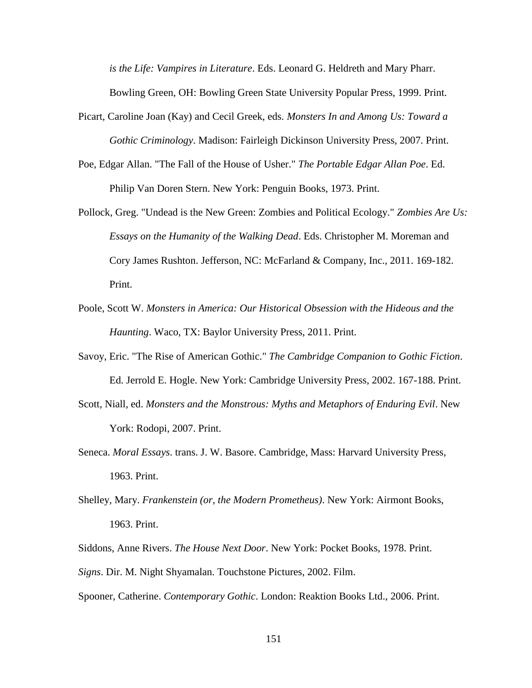*is the Life: Vampires in Literature*. Eds. Leonard G. Heldreth and Mary Pharr.

Bowling Green, OH: Bowling Green State University Popular Press, 1999. Print.

- Picart, Caroline Joan (Kay) and Cecil Greek, eds. *Monsters In and Among Us: Toward a Gothic Criminology*. Madison: Fairleigh Dickinson University Press, 2007. Print.
- Poe, Edgar Allan. "The Fall of the House of Usher." *The Portable Edgar Allan Poe*. Ed. Philip Van Doren Stern. New York: Penguin Books, 1973. Print.
- Pollock, Greg. "Undead is the New Green: Zombies and Political Ecology." *Zombies Are Us: Essays on the Humanity of the Walking Dead*. Eds. Christopher M. Moreman and Cory James Rushton. Jefferson, NC: McFarland & Company, Inc., 2011. 169-182. Print.
- Poole, Scott W. *Monsters in America: Our Historical Obsession with the Hideous and the Haunting*. Waco, TX: Baylor University Press, 2011. Print.
- Savoy, Eric. "The Rise of American Gothic." *The Cambridge Companion to Gothic Fiction*. Ed. Jerrold E. Hogle. New York: Cambridge University Press, 2002. 167-188. Print.
- Scott, Niall, ed. *Monsters and the Monstrous: Myths and Metaphors of Enduring Evil*. New York: Rodopi, 2007. Print.
- Seneca. *Moral Essays*. trans. J. W. Basore. Cambridge, Mass: Harvard University Press, 1963. Print.
- Shelley, Mary. *Frankenstein (or, the Modern Prometheus)*. New York: Airmont Books, 1963. Print.
- Siddons, Anne Rivers. *The House Next Door*. New York: Pocket Books, 1978. Print. *Signs*. Dir. M. Night Shyamalan. Touchstone Pictures, 2002. Film.

Spooner, Catherine. *Contemporary Gothic*. London: Reaktion Books Ltd., 2006. Print.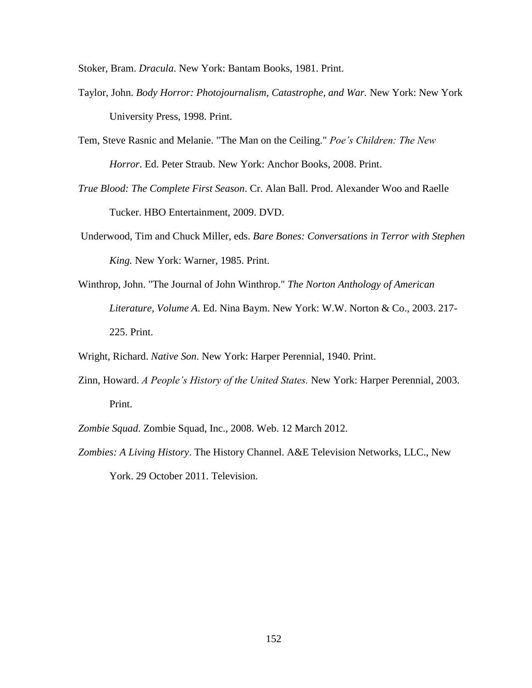Stoker, Bram. *Dracula*. New York: Bantam Books, 1981. Print.

- Taylor, John. *Body Horror: Photojournalism, Catastrophe, and War.* New York: New York University Press, 1998. Print.
- Tem, Steve Rasnic and Melanie. "The Man on the Ceiling." *Poe's Children: The New Horror*. Ed. Peter Straub. New York: Anchor Books, 2008. Print.
- *True Blood: The Complete First Season*. Cr. Alan Ball. Prod. Alexander Woo and Raelle Tucker. HBO Entertainment, 2009. DVD.
- Underwood, Tim and Chuck Miller, eds. *Bare Bones: Conversations in Terror with Stephen King.* New York: Warner, 1985. Print.
- Winthrop, John. "The Journal of John Winthrop." *The Norton Anthology of American Literature, Volume A*. Ed. Nina Baym. New York: W.W. Norton & Co., 2003. 217- 225. Print.

Wright, Richard. *Native Son*. New York: Harper Perennial, 1940. Print.

Zinn, Howard. *A People's History of the United States.* New York: Harper Perennial, 2003. Print.

*Zombie Squad*. Zombie Squad, Inc., 2008. Web. 12 March 2012.

*Zombies: A Living History*. The History Channel. A&E Television Networks, LLC., New York. 29 October 2011. Television.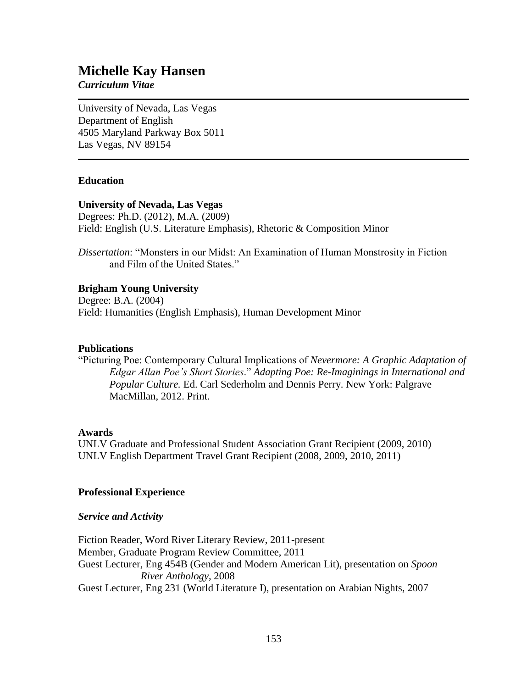# **Michelle Kay Hansen**

# *Curriculum Vitae*

University of Nevada, Las Vegas Department of English 4505 Maryland Parkway Box 5011 Las Vegas, NV 89154

## **Education**

### **University of Nevada, Las Vegas**

Degrees: Ph.D. (2012), M.A. (2009) Field: English (U.S. Literature Emphasis), Rhetoric & Composition Minor

*Dissertation*: "Monsters in our Midst: An Examination of Human Monstrosity in Fiction and Film of the United States."

### **Brigham Young University**

Degree: B.A. (2004) Field: Humanities (English Emphasis), Human Development Minor

### **Publications**

"Picturing Poe: Contemporary Cultural Implications of *Nevermore: A Graphic Adaptation of Edgar Allan Poe's Short Stories*." *Adapting Poe: Re-Imaginings in International and Popular Culture.* Ed. Carl Sederholm and Dennis Perry. New York: Palgrave MacMillan, 2012. Print.

### **Awards**

UNLV Graduate and Professional Student Association Grant Recipient (2009, 2010) UNLV English Department Travel Grant Recipient (2008, 2009, 2010, 2011)

## **Professional Experience**

## *Service and Activity*

Fiction Reader, Word River Literary Review, 2011-present Member, Graduate Program Review Committee, 2011 Guest Lecturer, Eng 454B (Gender and Modern American Lit), presentation on *Spoon River Anthology*, 2008 Guest Lecturer, Eng 231 (World Literature I), presentation on Arabian Nights, 2007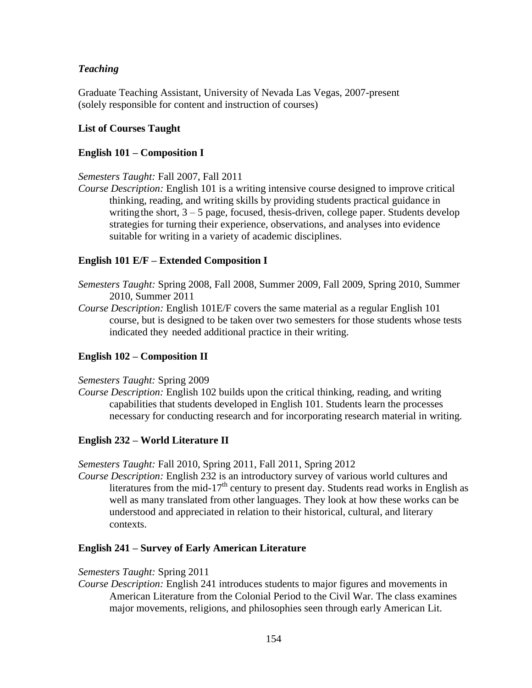# *Teaching*

Graduate Teaching Assistant, University of Nevada Las Vegas, 2007-present (solely responsible for content and instruction of courses)

### **List of Courses Taught**

### **English 101 – Composition I**

*Semesters Taught:* Fall 2007, Fall 2011

*Course Description:* English 101 is a writing intensive course designed to improve critical thinking, reading, and writing skills by providing students practical guidance in writing the short,  $3 - 5$  page, focused, thesis-driven, college paper. Students develop strategies for turning their experience, observations, and analyses into evidence suitable for writing in a variety of academic disciplines.

## **English 101 E/F – Extended Composition I**

- *Semesters Taught:* Spring 2008, Fall 2008, Summer 2009, Fall 2009, Spring 2010, Summer 2010, Summer 2011
- *Course Description:* English 101E/F covers the same material as a regular English 101 course, but is designed to be taken over two semesters for those students whose tests indicated they needed additional practice in their writing.

## **English 102 – Composition II**

### *Semesters Taught:* Spring 2009

*Course Description:* English 102 builds upon the critical thinking, reading, and writing capabilities that students developed in English 101. Students learn the processes necessary for conducting research and for incorporating research material in writing.

## **English 232 – World Literature II**

*Semesters Taught:* Fall 2010, Spring 2011, Fall 2011, Spring 2012

*Course Description:* English 232 is an introductory survey of various world cultures and literatures from the mid-17<sup>th</sup> century to present day. Students read works in English as well as many translated from other languages. They look at how these works can be understood and appreciated in relation to their historical, cultural, and literary contexts.

## **English 241 – Survey of Early American Literature**

### *Semesters Taught:* Spring 2011

*Course Description:* English 241 introduces students to major figures and movements in American Literature from the Colonial Period to the Civil War. The class examines major movements, religions, and philosophies seen through early American Lit.